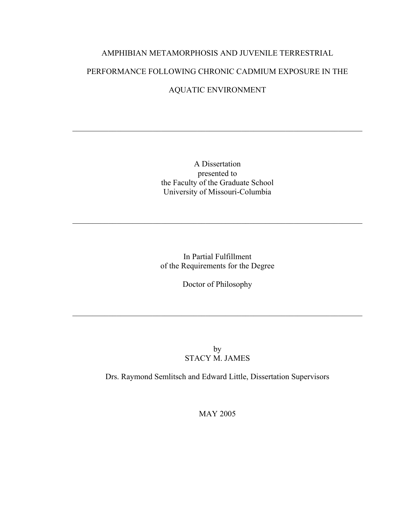## AMPHIBIAN METAMORPHOSIS AND JUVENILE TERRESTRIAL

## PERFORMANCE FOLLOWING CHRONIC CADMIUM EXPOSURE IN THE

## AQUATIC ENVIRONMENT

 $\mathcal{L}_\text{max}$  , and the contribution of the contribution of the contribution of the contribution of the contribution of the contribution of the contribution of the contribution of the contribution of the contribution of t

A Dissertation presented to the Faculty of the Graduate School University of Missouri-Columbia

In Partial Fulfillment of the Requirements for the Degree

 $\mathcal{L}_\text{max}$  , and the contribution of the contribution of the contribution of the contribution of the contribution of the contribution of the contribution of the contribution of the contribution of the contribution of t

Doctor of Philosophy

 $\mathcal{L}_\text{max} = \mathcal{L}_\text{max} = \mathcal{L}_\text{max} = \mathcal{L}_\text{max} = \mathcal{L}_\text{max} = \mathcal{L}_\text{max} = \mathcal{L}_\text{max} = \mathcal{L}_\text{max} = \mathcal{L}_\text{max} = \mathcal{L}_\text{max} = \mathcal{L}_\text{max} = \mathcal{L}_\text{max} = \mathcal{L}_\text{max} = \mathcal{L}_\text{max} = \mathcal{L}_\text{max} = \mathcal{L}_\text{max} = \mathcal{L}_\text{max} = \mathcal{L}_\text{max} = \mathcal{$ 

## by STACY M. JAMES

Drs. Raymond Semlitsch and Edward Little, Dissertation Supervisors

MAY 2005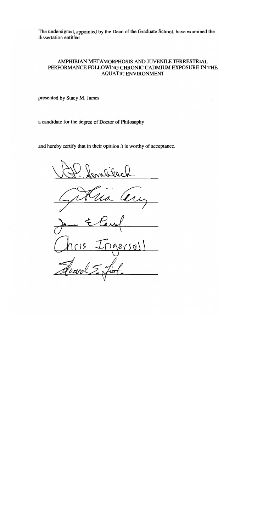The undersigned, appointed by the Dean of the Graduate School, have examined the dissertation entitled

## AMPHIBIAN METAMORPHOSIS AND JUVENILE TERRESTRIAL PERFORMANCE FOLLOWING CHRONIC CADMIUM EXPOSURE IN THE **AQUATIC ENVIRONMENT**

presented by Stacy M. James

a candidate for the degree of Doctor of Philosophy

and hereby certify that in their opinion it is worthy of acceptance.

 $02090$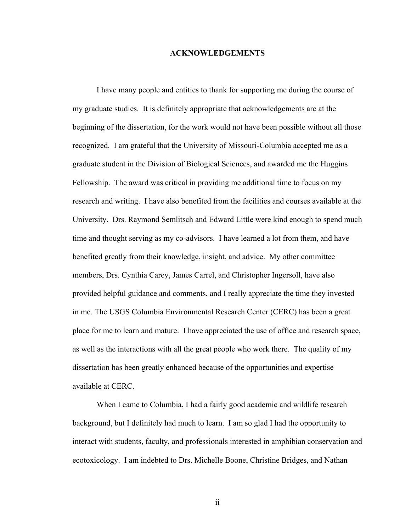#### **ACKNOWLEDGEMENTS**

<span id="page-2-0"></span> I have many people and entities to thank for supporting me during the course of my graduate studies. It is definitely appropriate that acknowledgements are at the beginning of the dissertation, for the work would not have been possible without all those recognized. I am grateful that the University of Missouri-Columbia accepted me as a graduate student in the Division of Biological Sciences, and awarded me the Huggins Fellowship. The award was critical in providing me additional time to focus on my research and writing. I have also benefited from the facilities and courses available at the University. Drs. Raymond Semlitsch and Edward Little were kind enough to spend much time and thought serving as my co-advisors. I have learned a lot from them, and have benefited greatly from their knowledge, insight, and advice. My other committee members, Drs. Cynthia Carey, James Carrel, and Christopher Ingersoll, have also provided helpful guidance and comments, and I really appreciate the time they invested in me. The USGS Columbia Environmental Research Center (CERC) has been a great place for me to learn and mature. I have appreciated the use of office and research space, as well as the interactions with all the great people who work there. The quality of my dissertation has been greatly enhanced because of the opportunities and expertise available at CERC.

 When I came to Columbia, I had a fairly good academic and wildlife research background, but I definitely had much to learn. I am so glad I had the opportunity to interact with students, faculty, and professionals interested in amphibian conservation and ecotoxicology. I am indebted to Drs. Michelle Boone, Christine Bridges, and Nathan

ii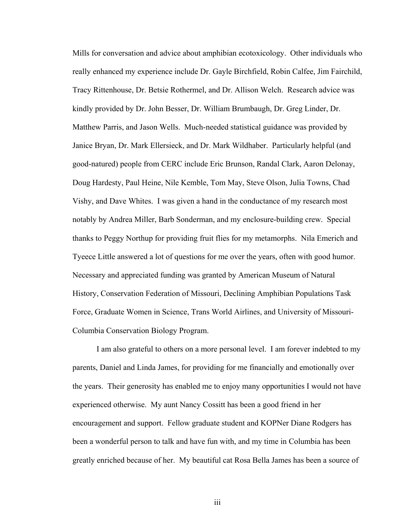Mills for conversation and advice about amphibian ecotoxicology. Other individuals who really enhanced my experience include Dr. Gayle Birchfield, Robin Calfee, Jim Fairchild, Tracy Rittenhouse, Dr. Betsie Rothermel, and Dr. Allison Welch. Research advice was kindly provided by Dr. John Besser, Dr. William Brumbaugh, Dr. Greg Linder, Dr. Matthew Parris, and Jason Wells. Much-needed statistical guidance was provided by Janice Bryan, Dr. Mark Ellersieck, and Dr. Mark Wildhaber. Particularly helpful (and good-natured) people from CERC include Eric Brunson, Randal Clark, Aaron Delonay, Doug Hardesty, Paul Heine, Nile Kemble, Tom May, Steve Olson, Julia Towns, Chad Vishy, and Dave Whites. I was given a hand in the conductance of my research most notably by Andrea Miller, Barb Sonderman, and my enclosure-building crew. Special thanks to Peggy Northup for providing fruit flies for my metamorphs. Nila Emerich and Tyeece Little answered a lot of questions for me over the years, often with good humor. Necessary and appreciated funding was granted by American Museum of Natural History, Conservation Federation of Missouri, Declining Amphibian Populations Task Force, Graduate Women in Science, Trans World Airlines, and University of Missouri-Columbia Conservation Biology Program.

 I am also grateful to others on a more personal level. I am forever indebted to my parents, Daniel and Linda James, for providing for me financially and emotionally over the years. Their generosity has enabled me to enjoy many opportunities I would not have experienced otherwise. My aunt Nancy Cossitt has been a good friend in her encouragement and support. Fellow graduate student and KOPNer Diane Rodgers has been a wonderful person to talk and have fun with, and my time in Columbia has been greatly enriched because of her. My beautiful cat Rosa Bella James has been a source of

iii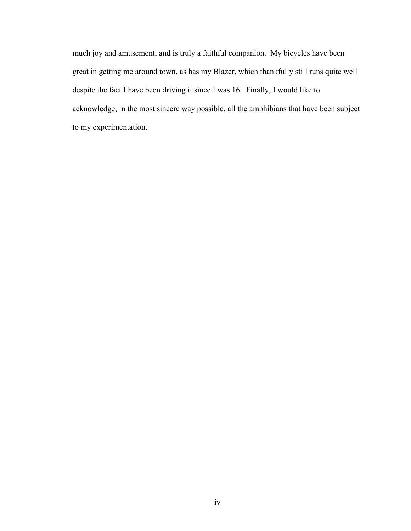much joy and amusement, and is truly a faithful companion. My bicycles have been great in getting me around town, as has my Blazer, which thankfully still runs quite well despite the fact I have been driving it since I was 16. Finally, I would like to acknowledge, in the most sincere way possible, all the amphibians that have been subject to my experimentation.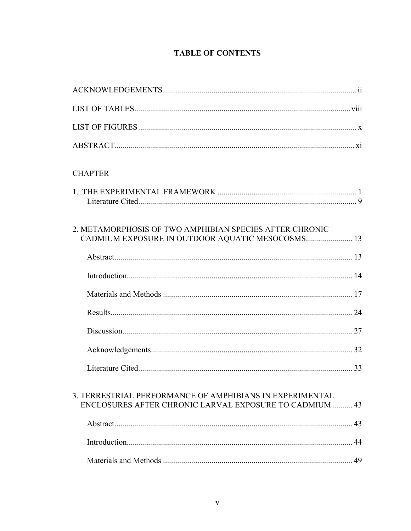# **TABLE OF CONTENTS**

| <b>CHAPTER</b>                                                                                                             |
|----------------------------------------------------------------------------------------------------------------------------|
| 2. METAMORPHOSIS OF TWO AMPHIBIAN SPECIES AFTER CHRONIC<br>CADMIUM EXPOSURE IN OUTDOOR AQUATIC MESOCOSMS 13                |
|                                                                                                                            |
|                                                                                                                            |
|                                                                                                                            |
|                                                                                                                            |
|                                                                                                                            |
|                                                                                                                            |
|                                                                                                                            |
| 3. TERRESTRIAL PERFORMANCE OF AMPHIBIANS IN EXPERIMENTAL<br><b>ENCLOSURES AFTER CHRONIC LARVAL EXPOSURE TO CADMIUM  43</b> |
|                                                                                                                            |
|                                                                                                                            |
|                                                                                                                            |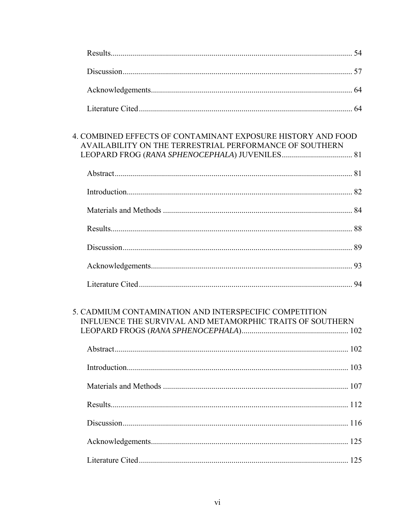| 4. COMBINED EFFECTS OF CONTAMINANT EXPOSURE HISTORY AND FOOD<br>AVAILABILITY ON THE TERRESTRIAL PERFORMANCE OF SOUTHERN |  |
|-------------------------------------------------------------------------------------------------------------------------|--|
|                                                                                                                         |  |
|                                                                                                                         |  |
|                                                                                                                         |  |
|                                                                                                                         |  |
|                                                                                                                         |  |
|                                                                                                                         |  |
|                                                                                                                         |  |
| 5. CADMIUM CONTAMINATION AND INTERSPECIFIC COMPETITION<br>INFLUENCE THE SURVIVAL AND METAMORPHIC TRAITS OF SOUTHERN     |  |
|                                                                                                                         |  |
|                                                                                                                         |  |
|                                                                                                                         |  |
|                                                                                                                         |  |
|                                                                                                                         |  |
|                                                                                                                         |  |
|                                                                                                                         |  |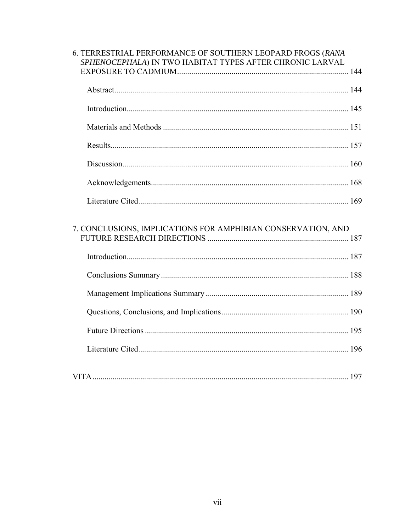| 6. TERRESTRIAL PERFORMANCE OF SOUTHERN LEOPARD FROGS (RANA<br>SPHENOCEPHALA) IN TWO HABITAT TYPES AFTER CHRONIC LARVAL |  |
|------------------------------------------------------------------------------------------------------------------------|--|
|                                                                                                                        |  |
|                                                                                                                        |  |
|                                                                                                                        |  |
|                                                                                                                        |  |
|                                                                                                                        |  |
|                                                                                                                        |  |
|                                                                                                                        |  |
|                                                                                                                        |  |
| 7. CONCLUSIONS, IMPLICATIONS FOR AMPHIBIAN CONSERVATION, AND                                                           |  |
|                                                                                                                        |  |
|                                                                                                                        |  |
|                                                                                                                        |  |
|                                                                                                                        |  |
|                                                                                                                        |  |
|                                                                                                                        |  |
|                                                                                                                        |  |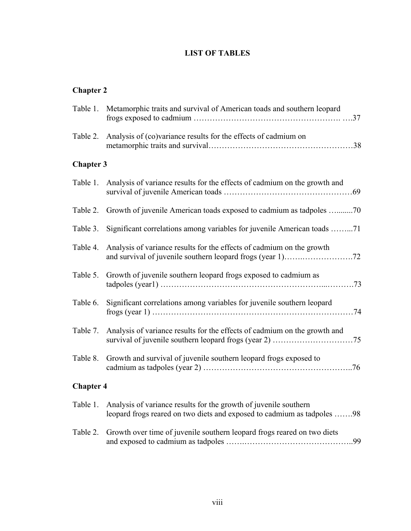# **LIST OF TABLES**

# <span id="page-8-0"></span>**Chapter 2**

| Table 1.         | Metamorphic traits and survival of American toads and southern leopard                                                                      |
|------------------|---------------------------------------------------------------------------------------------------------------------------------------------|
| Table 2.         | Analysis of (co)variance results for the effects of cadmium on                                                                              |
| <b>Chapter 3</b> |                                                                                                                                             |
| Table 1.         | Analysis of variance results for the effects of cadmium on the growth and                                                                   |
| Table 2.         | Growth of juvenile American toads exposed to cadmium as tadpoles 70                                                                         |
| Table 3.         | Significant correlations among variables for juvenile American toads 71                                                                     |
| Table 4.         | Analysis of variance results for the effects of cadmium on the growth                                                                       |
| Table 5.         | Growth of juvenile southern leopard frogs exposed to cadmium as                                                                             |
| Table 6.         | Significant correlations among variables for juvenile southern leopard                                                                      |
| Table 7.         | Analysis of variance results for the effects of cadmium on the growth and                                                                   |
| Table 8.         | Growth and survival of juvenile southern leopard frogs exposed to                                                                           |
| <b>Chapter 4</b> |                                                                                                                                             |
| Table 1.         | Analysis of variance results for the growth of juvenile southern<br>leopard frogs reared on two diets and exposed to cadmium as tadpoles 98 |
| Table 2.         | Growth over time of juvenile southern leopard frogs reared on two diets                                                                     |

and exposed to cadmium as tadpoles …….…………………………………..99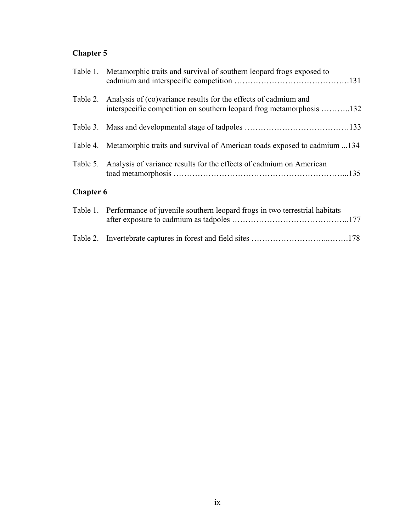# **Chapter 5**

|                  | Table 1. Metamorphic traits and survival of southern leopard frogs exposed to                                                                    |
|------------------|--------------------------------------------------------------------------------------------------------------------------------------------------|
|                  | Table 2. Analysis of (co)variance results for the effects of cadmium and<br>interspecific competition on southern leopard frog metamorphosis 132 |
|                  |                                                                                                                                                  |
|                  | Table 4. Metamorphic traits and survival of American toads exposed to cadmium 134                                                                |
|                  | Table 5. Analysis of variance results for the effects of cadmium on American                                                                     |
| <b>Chapter 6</b> |                                                                                                                                                  |
|                  | Table 1. Performance of juvenile southern leopard frogs in two terrestrial habitats                                                              |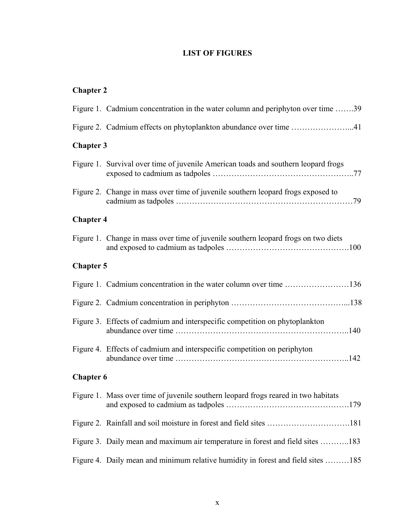## **LIST OF FIGURES**

# <span id="page-10-0"></span>**Chapter 2**

|                  | Figure 1. Cadmium concentration in the water column and periphyton over time 39    |  |  |
|------------------|------------------------------------------------------------------------------------|--|--|
|                  | Figure 2. Cadmium effects on phytoplankton abundance over time 41                  |  |  |
| <b>Chapter 3</b> |                                                                                    |  |  |
|                  | Figure 1. Survival over time of juvenile American toads and southern leopard frogs |  |  |
|                  | Figure 2. Change in mass over time of juvenile southern leopard frogs exposed to   |  |  |
| <b>Chapter 4</b> |                                                                                    |  |  |
|                  | Figure 1. Change in mass over time of juvenile southern leopard frogs on two diets |  |  |
| <b>Chapter 5</b> |                                                                                    |  |  |
|                  | Figure 1. Cadmium concentration in the water column over time 136                  |  |  |
|                  |                                                                                    |  |  |
|                  | Figure 3. Effects of cadmium and interspecific competition on phytoplankton        |  |  |
|                  | Figure 4. Effects of cadmium and interspecific competition on periphyton           |  |  |
| <b>Chapter 6</b> |                                                                                    |  |  |
|                  | Figure 1. Mass over time of juvenile southern leopard frogs reared in two habitats |  |  |
|                  |                                                                                    |  |  |
|                  | Figure 3. Daily mean and maximum air temperature in forest and field sites 183     |  |  |
|                  | Figure 4. Daily mean and minimum relative humidity in forest and field sites 185   |  |  |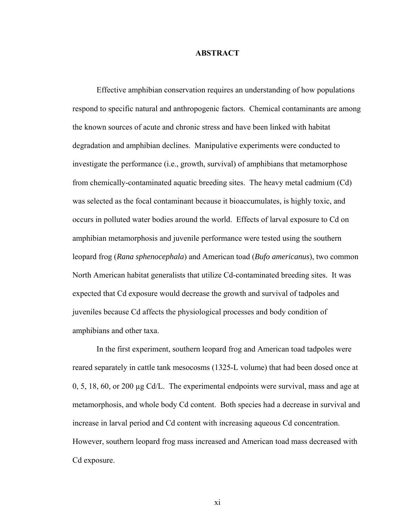#### **ABSTRACT**

<span id="page-11-0"></span>Effective amphibian conservation requires an understanding of how populations respond to specific natural and anthropogenic factors. Chemical contaminants are among the known sources of acute and chronic stress and have been linked with habitat degradation and amphibian declines. Manipulative experiments were conducted to investigate the performance (i.e., growth, survival) of amphibians that metamorphose from chemically-contaminated aquatic breeding sites. The heavy metal cadmium (Cd) was selected as the focal contaminant because it bioaccumulates, is highly toxic, and occurs in polluted water bodies around the world. Effects of larval exposure to Cd on amphibian metamorphosis and juvenile performance were tested using the southern leopard frog (*Rana sphenocephala*) and American toad (*Bufo americanus*), two common North American habitat generalists that utilize Cd-contaminated breeding sites. It was expected that Cd exposure would decrease the growth and survival of tadpoles and juveniles because Cd affects the physiological processes and body condition of amphibians and other taxa.

In the first experiment, southern leopard frog and American toad tadpoles were reared separately in cattle tank mesocosms (1325-L volume) that had been dosed once at 0, 5, 18, 60, or 200 µg Cd/L. The experimental endpoints were survival, mass and age at metamorphosis, and whole body Cd content. Both species had a decrease in survival and increase in larval period and Cd content with increasing aqueous Cd concentration. However, southern leopard frog mass increased and American toad mass decreased with Cd exposure.

xi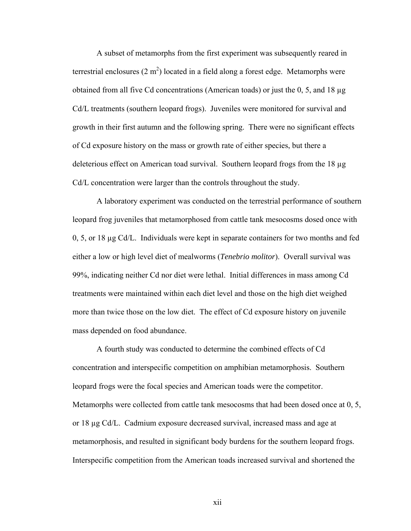A subset of metamorphs from the first experiment was subsequently reared in terrestrial enclosures  $(2 \text{ m}^2)$  located in a field along a forest edge. Metamorphs were obtained from all five Cd concentrations (American toads) or just the 0, 5, and 18 µg Cd/L treatments (southern leopard frogs). Juveniles were monitored for survival and growth in their first autumn and the following spring. There were no significant effects of Cd exposure history on the mass or growth rate of either species, but there a deleterious effect on American toad survival. Southern leopard frogs from the 18 µg Cd/L concentration were larger than the controls throughout the study.

A laboratory experiment was conducted on the terrestrial performance of southern leopard frog juveniles that metamorphosed from cattle tank mesocosms dosed once with 0, 5, or 18 µg Cd/L. Individuals were kept in separate containers for two months and fed either a low or high level diet of mealworms (*Tenebrio molitor*). Overall survival was 99%, indicating neither Cd nor diet were lethal. Initial differences in mass among Cd treatments were maintained within each diet level and those on the high diet weighed more than twice those on the low diet. The effect of Cd exposure history on juvenile mass depended on food abundance.

 A fourth study was conducted to determine the combined effects of Cd concentration and interspecific competition on amphibian metamorphosis. Southern leopard frogs were the focal species and American toads were the competitor. Metamorphs were collected from cattle tank mesocosms that had been dosed once at 0, 5, or 18 µg Cd/L. Cadmium exposure decreased survival, increased mass and age at metamorphosis, and resulted in significant body burdens for the southern leopard frogs. Interspecific competition from the American toads increased survival and shortened the

xii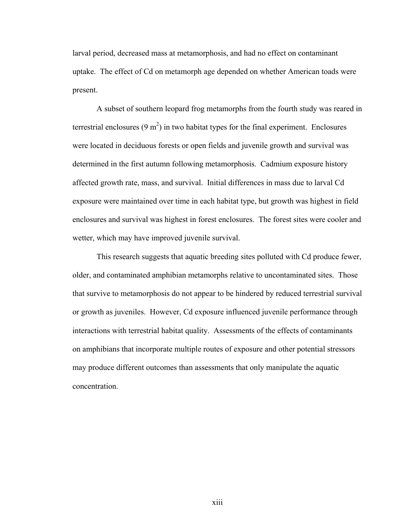larval period, decreased mass at metamorphosis, and had no effect on contaminant uptake. The effect of Cd on metamorph age depended on whether American toads were present.

A subset of southern leopard frog metamorphs from the fourth study was reared in terrestrial enclosures  $(9 \text{ m}^2)$  in two habitat types for the final experiment. Enclosures were located in deciduous forests or open fields and juvenile growth and survival was determined in the first autumn following metamorphosis. Cadmium exposure history affected growth rate, mass, and survival. Initial differences in mass due to larval Cd exposure were maintained over time in each habitat type, but growth was highest in field enclosures and survival was highest in forest enclosures. The forest sites were cooler and wetter, which may have improved juvenile survival.

This research suggests that aquatic breeding sites polluted with Cd produce fewer, older, and contaminated amphibian metamorphs relative to uncontaminated sites. Those that survive to metamorphosis do not appear to be hindered by reduced terrestrial survival or growth as juveniles. However, Cd exposure influenced juvenile performance through interactions with terrestrial habitat quality. Assessments of the effects of contaminants on amphibians that incorporate multiple routes of exposure and other potential stressors may produce different outcomes than assessments that only manipulate the aquatic concentration.

xiii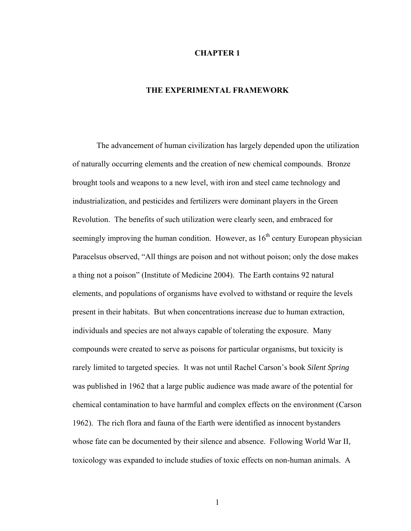#### **CHAPTER 1**

#### **THE EXPERIMENTAL FRAMEWORK**

<span id="page-14-0"></span> The advancement of human civilization has largely depended upon the utilization of naturally occurring elements and the creation of new chemical compounds. Bronze brought tools and weapons to a new level, with iron and steel came technology and industrialization, and pesticides and fertilizers were dominant players in the Green Revolution. The benefits of such utilization were clearly seen, and embraced for seemingly improving the human condition. However, as  $16<sup>th</sup>$  century European physician Paracelsus observed, "All things are poison and not without poison; only the dose makes a thing not a poison" (Institute of Medicine 2004). The Earth contains 92 natural elements, and populations of organisms have evolved to withstand or require the levels present in their habitats. But when concentrations increase due to human extraction, individuals and species are not always capable of tolerating the exposure. Many compounds were created to serve as poisons for particular organisms, but toxicity is rarely limited to targeted species. It was not until Rachel Carson's book *Silent Spring* was published in 1962 that a large public audience was made aware of the potential for chemical contamination to have harmful and complex effects on the environment (Carson 1962). The rich flora and fauna of the Earth were identified as innocent bystanders whose fate can be documented by their silence and absence. Following World War II, toxicology was expanded to include studies of toxic effects on non-human animals. A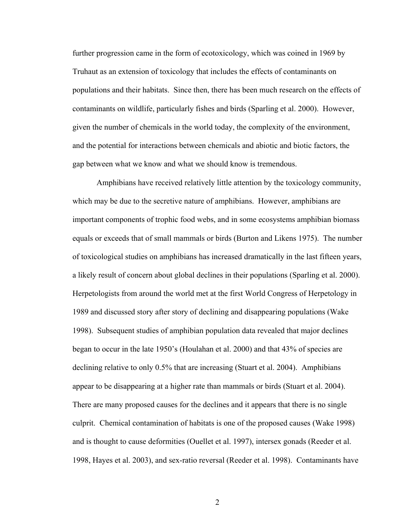further progression came in the form of ecotoxicology, which was coined in 1969 by Truhaut as an extension of toxicology that includes the effects of contaminants on populations and their habitats. Since then, there has been much research on the effects of contaminants on wildlife, particularly fishes and birds (Sparling et al. 2000). However, given the number of chemicals in the world today, the complexity of the environment, and the potential for interactions between chemicals and abiotic and biotic factors, the gap between what we know and what we should know is tremendous.

 Amphibians have received relatively little attention by the toxicology community, which may be due to the secretive nature of amphibians. However, amphibians are important components of trophic food webs, and in some ecosystems amphibian biomass equals or exceeds that of small mammals or birds (Burton and Likens 1975). The number of toxicological studies on amphibians has increased dramatically in the last fifteen years, a likely result of concern about global declines in their populations (Sparling et al. 2000). Herpetologists from around the world met at the first World Congress of Herpetology in 1989 and discussed story after story of declining and disappearing populations (Wake 1998). Subsequent studies of amphibian population data revealed that major declines began to occur in the late 1950's (Houlahan et al. 2000) and that 43% of species are declining relative to only 0.5% that are increasing (Stuart et al. 2004). Amphibians appear to be disappearing at a higher rate than mammals or birds (Stuart et al. 2004). There are many proposed causes for the declines and it appears that there is no single culprit. Chemical contamination of habitats is one of the proposed causes (Wake 1998) and is thought to cause deformities (Ouellet et al. 1997), intersex gonads (Reeder et al. 1998, Hayes et al. 2003), and sex-ratio reversal (Reeder et al. 1998). Contaminants have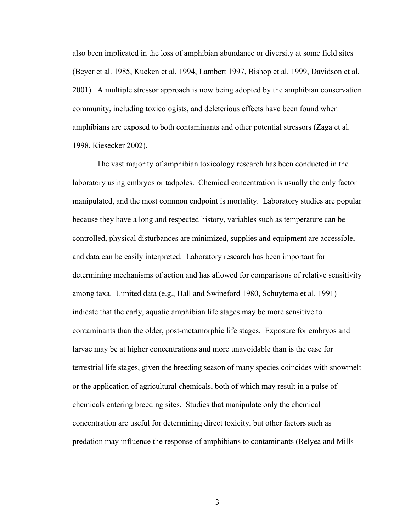also been implicated in the loss of amphibian abundance or diversity at some field sites (Beyer et al. 1985, Kucken et al. 1994, Lambert 1997, Bishop et al. 1999, Davidson et al. 2001). A multiple stressor approach is now being adopted by the amphibian conservation community, including toxicologists, and deleterious effects have been found when amphibians are exposed to both contaminants and other potential stressors (Zaga et al. 1998, Kiesecker 2002).

The vast majority of amphibian toxicology research has been conducted in the laboratory using embryos or tadpoles. Chemical concentration is usually the only factor manipulated, and the most common endpoint is mortality. Laboratory studies are popular because they have a long and respected history, variables such as temperature can be controlled, physical disturbances are minimized, supplies and equipment are accessible, and data can be easily interpreted. Laboratory research has been important for determining mechanisms of action and has allowed for comparisons of relative sensitivity among taxa. Limited data (e.g., Hall and Swineford 1980, Schuytema et al. 1991) indicate that the early, aquatic amphibian life stages may be more sensitive to contaminants than the older, post-metamorphic life stages. Exposure for embryos and larvae may be at higher concentrations and more unavoidable than is the case for terrestrial life stages, given the breeding season of many species coincides with snowmelt or the application of agricultural chemicals, both of which may result in a pulse of chemicals entering breeding sites. Studies that manipulate only the chemical concentration are useful for determining direct toxicity, but other factors such as predation may influence the response of amphibians to contaminants (Relyea and Mills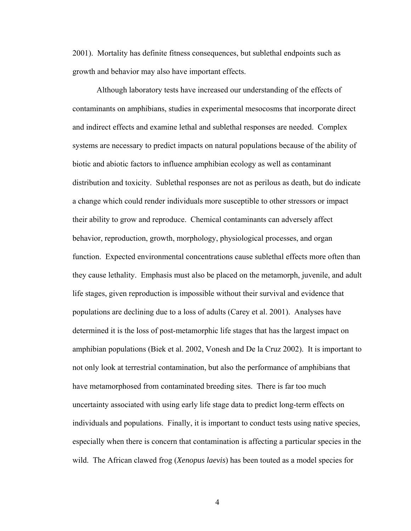2001). Mortality has definite fitness consequences, but sublethal endpoints such as growth and behavior may also have important effects.

Although laboratory tests have increased our understanding of the effects of contaminants on amphibians, studies in experimental mesocosms that incorporate direct and indirect effects and examine lethal and sublethal responses are needed. Complex systems are necessary to predict impacts on natural populations because of the ability of biotic and abiotic factors to influence amphibian ecology as well as contaminant distribution and toxicity. Sublethal responses are not as perilous as death, but do indicate a change which could render individuals more susceptible to other stressors or impact their ability to grow and reproduce. Chemical contaminants can adversely affect behavior, reproduction, growth, morphology, physiological processes, and organ function. Expected environmental concentrations cause sublethal effects more often than they cause lethality. Emphasis must also be placed on the metamorph, juvenile, and adult life stages, given reproduction is impossible without their survival and evidence that populations are declining due to a loss of adults (Carey et al. 2001). Analyses have determined it is the loss of post-metamorphic life stages that has the largest impact on amphibian populations (Biek et al. 2002, Vonesh and De la Cruz 2002). It is important to not only look at terrestrial contamination, but also the performance of amphibians that have metamorphosed from contaminated breeding sites. There is far too much uncertainty associated with using early life stage data to predict long-term effects on individuals and populations. Finally, it is important to conduct tests using native species, especially when there is concern that contamination is affecting a particular species in the wild. The African clawed frog (*Xenopus laevis*) has been touted as a model species for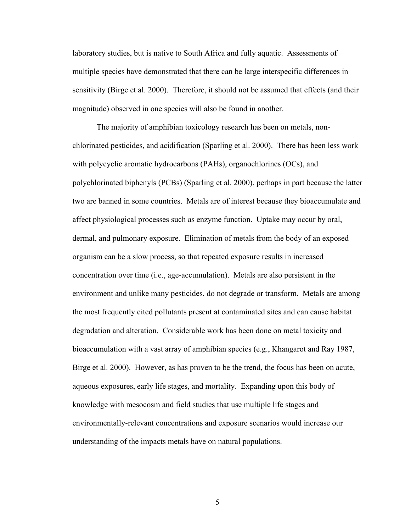laboratory studies, but is native to South Africa and fully aquatic. Assessments of multiple species have demonstrated that there can be large interspecific differences in sensitivity (Birge et al. 2000). Therefore, it should not be assumed that effects (and their magnitude) observed in one species will also be found in another.

The majority of amphibian toxicology research has been on metals, nonchlorinated pesticides, and acidification (Sparling et al. 2000). There has been less work with polycyclic aromatic hydrocarbons (PAHs), organochlorines (OCs), and polychlorinated biphenyls (PCBs) (Sparling et al. 2000), perhaps in part because the latter two are banned in some countries. Metals are of interest because they bioaccumulate and affect physiological processes such as enzyme function. Uptake may occur by oral, dermal, and pulmonary exposure. Elimination of metals from the body of an exposed organism can be a slow process, so that repeated exposure results in increased concentration over time (i.e., age-accumulation). Metals are also persistent in the environment and unlike many pesticides, do not degrade or transform. Metals are among the most frequently cited pollutants present at contaminated sites and can cause habitat degradation and alteration. Considerable work has been done on metal toxicity and bioaccumulation with a vast array of amphibian species (e.g., Khangarot and Ray 1987, Birge et al. 2000). However, as has proven to be the trend, the focus has been on acute, aqueous exposures, early life stages, and mortality. Expanding upon this body of knowledge with mesocosm and field studies that use multiple life stages and environmentally-relevant concentrations and exposure scenarios would increase our understanding of the impacts metals have on natural populations.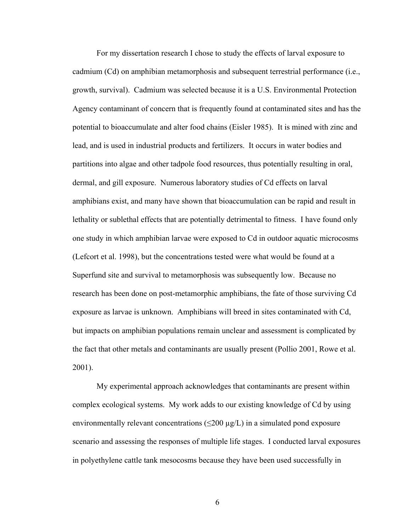For my dissertation research I chose to study the effects of larval exposure to cadmium (Cd) on amphibian metamorphosis and subsequent terrestrial performance (i.e., growth, survival). Cadmium was selected because it is a U.S. Environmental Protection Agency contaminant of concern that is frequently found at contaminated sites and has the potential to bioaccumulate and alter food chains (Eisler 1985). It is mined with zinc and lead, and is used in industrial products and fertilizers. It occurs in water bodies and partitions into algae and other tadpole food resources, thus potentially resulting in oral, dermal, and gill exposure. Numerous laboratory studies of Cd effects on larval amphibians exist, and many have shown that bioaccumulation can be rapid and result in lethality or sublethal effects that are potentially detrimental to fitness. I have found only one study in which amphibian larvae were exposed to Cd in outdoor aquatic microcosms (Lefcort et al. 1998), but the concentrations tested were what would be found at a Superfund site and survival to metamorphosis was subsequently low. Because no research has been done on post-metamorphic amphibians, the fate of those surviving Cd exposure as larvae is unknown. Amphibians will breed in sites contaminated with Cd, but impacts on amphibian populations remain unclear and assessment is complicated by the fact that other metals and contaminants are usually present (Pollio 2001, Rowe et al. 2001).

My experimental approach acknowledges that contaminants are present within complex ecological systems. My work adds to our existing knowledge of Cd by using environmentally relevant concentrations  $(\leq 200 \mu g/L)$  in a simulated pond exposure scenario and assessing the responses of multiple life stages. I conducted larval exposures in polyethylene cattle tank mesocosms because they have been used successfully in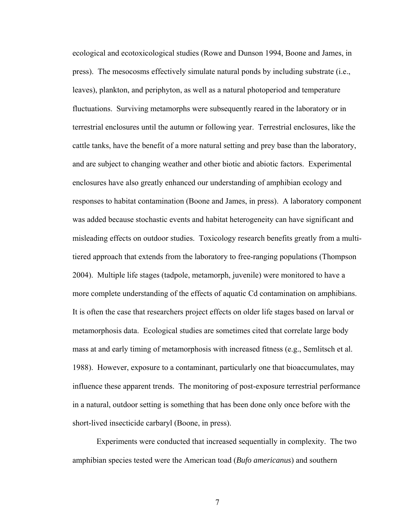ecological and ecotoxicological studies (Rowe and Dunson 1994, Boone and James, in press). The mesocosms effectively simulate natural ponds by including substrate (i.e., leaves), plankton, and periphyton, as well as a natural photoperiod and temperature fluctuations. Surviving metamorphs were subsequently reared in the laboratory or in terrestrial enclosures until the autumn or following year. Terrestrial enclosures, like the cattle tanks, have the benefit of a more natural setting and prey base than the laboratory, and are subject to changing weather and other biotic and abiotic factors. Experimental enclosures have also greatly enhanced our understanding of amphibian ecology and responses to habitat contamination (Boone and James, in press). A laboratory component was added because stochastic events and habitat heterogeneity can have significant and misleading effects on outdoor studies. Toxicology research benefits greatly from a multitiered approach that extends from the laboratory to free-ranging populations (Thompson 2004). Multiple life stages (tadpole, metamorph, juvenile) were monitored to have a more complete understanding of the effects of aquatic Cd contamination on amphibians. It is often the case that researchers project effects on older life stages based on larval or metamorphosis data. Ecological studies are sometimes cited that correlate large body mass at and early timing of metamorphosis with increased fitness (e.g., Semlitsch et al. 1988). However, exposure to a contaminant, particularly one that bioaccumulates, may influence these apparent trends. The monitoring of post-exposure terrestrial performance in a natural, outdoor setting is something that has been done only once before with the short-lived insecticide carbaryl (Boone, in press).

Experiments were conducted that increased sequentially in complexity. The two amphibian species tested were the American toad (*Bufo americanus*) and southern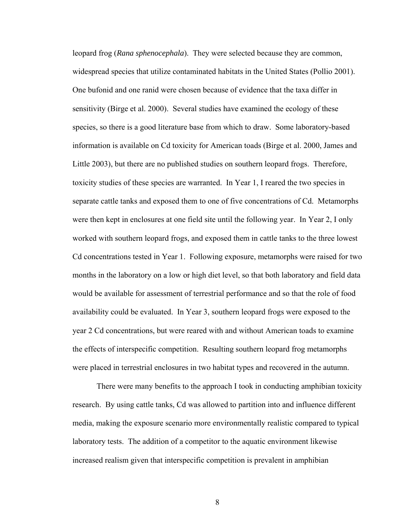leopard frog (*Rana sphenocephala*). They were selected because they are common, widespread species that utilize contaminated habitats in the United States (Pollio 2001). One bufonid and one ranid were chosen because of evidence that the taxa differ in sensitivity (Birge et al. 2000). Several studies have examined the ecology of these species, so there is a good literature base from which to draw. Some laboratory-based information is available on Cd toxicity for American toads (Birge et al. 2000, James and Little 2003), but there are no published studies on southern leopard frogs. Therefore, toxicity studies of these species are warranted. In Year 1, I reared the two species in separate cattle tanks and exposed them to one of five concentrations of Cd. Metamorphs were then kept in enclosures at one field site until the following year. In Year 2, I only worked with southern leopard frogs, and exposed them in cattle tanks to the three lowest Cd concentrations tested in Year 1. Following exposure, metamorphs were raised for two months in the laboratory on a low or high diet level, so that both laboratory and field data would be available for assessment of terrestrial performance and so that the role of food availability could be evaluated. In Year 3, southern leopard frogs were exposed to the year 2 Cd concentrations, but were reared with and without American toads to examine the effects of interspecific competition. Resulting southern leopard frog metamorphs were placed in terrestrial enclosures in two habitat types and recovered in the autumn.

There were many benefits to the approach I took in conducting amphibian toxicity research. By using cattle tanks, Cd was allowed to partition into and influence different media, making the exposure scenario more environmentally realistic compared to typical laboratory tests. The addition of a competitor to the aquatic environment likewise increased realism given that interspecific competition is prevalent in amphibian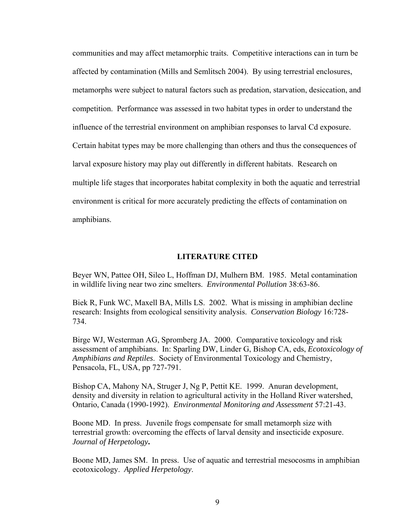<span id="page-22-0"></span>communities and may affect metamorphic traits. Competitive interactions can in turn be affected by contamination (Mills and Semlitsch 2004). By using terrestrial enclosures, metamorphs were subject to natural factors such as predation, starvation, desiccation, and competition. Performance was assessed in two habitat types in order to understand the influence of the terrestrial environment on amphibian responses to larval Cd exposure. Certain habitat types may be more challenging than others and thus the consequences of larval exposure history may play out differently in different habitats. Research on multiple life stages that incorporates habitat complexity in both the aquatic and terrestrial environment is critical for more accurately predicting the effects of contamination on amphibians.

### **LITERATURE CITED**

Beyer WN, Pattee OH, Sileo L, Hoffman DJ, Mulhern BM. 1985. Metal contamination in wildlife living near two zinc smelters. *Environmental Pollution* 38:63-86.

Biek R, Funk WC, Maxell BA, Mills LS. 2002. What is missing in amphibian decline research: Insights from ecological sensitivity analysis. *Conservation Biology* 16:728- 734.

Birge WJ, Westerman AG, Spromberg JA. 2000. Comparative toxicology and risk assessment of amphibians. In: Sparling DW, Linder G, Bishop CA, eds, *Ecotoxicology of Amphibians and Reptiles*. Society of Environmental Toxicology and Chemistry, Pensacola, FL, USA, pp 727-791.

Bishop CA, Mahony NA, Struger J, Ng P, Pettit KE. 1999. Anuran development, density and diversity in relation to agricultural activity in the Holland River watershed, Ontario, Canada (1990-1992). *Environmental Monitoring and Assessment* 57:21-43.

Boone MD. In press. Juvenile frogs compensate for small metamorph size with terrestrial growth: overcoming the effects of larval density and insecticide exposure. *Journal of Herpetology***.**

Boone MD, James SM. In press. Use of aquatic and terrestrial mesocosms in amphibian ecotoxicology. *Applied Herpetology*.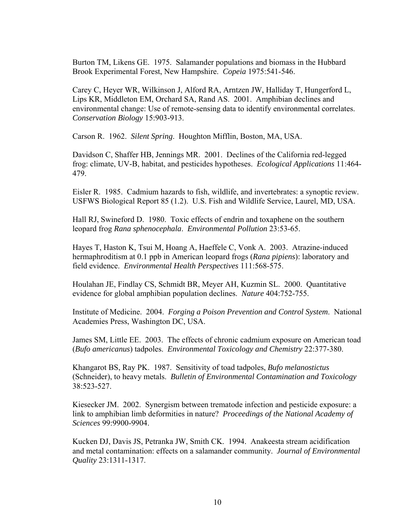Burton TM, Likens GE. 1975. Salamander populations and biomass in the Hubbard Brook Experimental Forest, New Hampshire. *Copeia* 1975:541-546.

Carey C, Heyer WR, Wilkinson J, Alford RA, Arntzen JW, Halliday T, Hungerford L, Lips KR, Middleton EM, Orchard SA, Rand AS. 2001. Amphibian declines and environmental change: Use of remote-sensing data to identify environmental correlates. *Conservation Biology* 15:903-913.

Carson R. 1962. *Silent Spring*. Houghton Mifflin, Boston, MA, USA.

Davidson C, Shaffer HB, Jennings MR. 2001. Declines of the California red-legged frog: climate, UV-B, habitat, and pesticides hypotheses. *Ecological Applications* 11:464- 479.

Eisler R. 1985. Cadmium hazards to fish, wildlife, and invertebrates: a synoptic review. USFWS Biological Report 85 (1.2). U.S. Fish and Wildlife Service, Laurel, MD, USA.

Hall RJ, Swineford D. 1980. Toxic effects of endrin and toxaphene on the southern leopard frog *Rana sphenocephala*. *Environmental Pollution* 23:53-65.

Hayes T, Haston K, Tsui M, Hoang A, Haeffele C, Vonk A. 2003. Atrazine-induced hermaphroditism at 0.1 ppb in American leopard frogs (*Rana pipiens*): laboratory and field evidence. *Environmental Health Perspectives* 111:568-575.

Houlahan JE, Findlay CS, Schmidt BR, Meyer AH, Kuzmin SL. 2000. Quantitative evidence for global amphibian population declines. *Nature* 404:752-755.

Institute of Medicine. 2004. *Forging a Poison Prevention and Control System*. National Academies Press, Washington DC, USA.

James SM, Little EE. 2003. The effects of chronic cadmium exposure on American toad (*Bufo americanus*) tadpoles. *Environmental Toxicology and Chemistry* 22:377-380.

Khangarot BS, Ray PK. 1987. Sensitivity of toad tadpoles, *Bufo melanostictus* (Schneider), to heavy metals. *Bulletin of Environmental Contamination and Toxicology* 38:523-527.

Kiesecker JM. 2002. Synergism between trematode infection and pesticide exposure: a link to amphibian limb deformities in nature? *Proceedings of the National Academy of Sciences* 99:9900-9904.

Kucken DJ, Davis JS, Petranka JW, Smith CK. 1994. Anakeesta stream acidification and metal contamination: effects on a salamander community. *Journal of Environmental Quality* 23:1311-1317.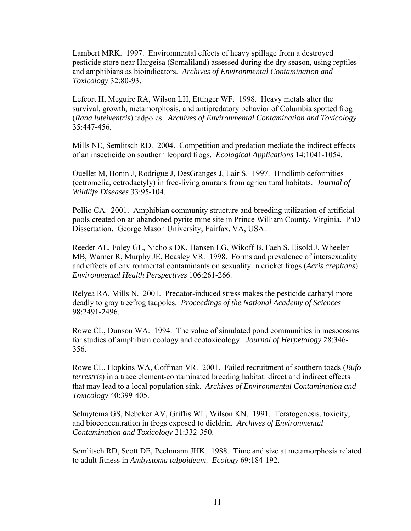Lambert MRK. 1997. Environmental effects of heavy spillage from a destroyed pesticide store near Hargeisa (Somaliland) assessed during the dry season, using reptiles and amphibians as bioindicators. *Archives of Environmental Contamination and Toxicology* 32:80-93.

Lefcort H, Meguire RA, Wilson LH, Ettinger WF. 1998. Heavy metals alter the survival, growth, metamorphosis, and antipredatory behavior of Columbia spotted frog (*Rana luteiventris*) tadpoles. *Archives of Environmental Contamination and Toxicology* 35:447-456.

Mills NE, Semlitsch RD. 2004. Competition and predation mediate the indirect effects of an insecticide on southern leopard frogs. *Ecological Applications* 14:1041-1054.

Ouellet M, Bonin J, Rodrigue J, DesGranges J, Lair S. 1997. Hindlimb deformities (ectromelia, ectrodactyly) in free-living anurans from agricultural habitats. *Journal of Wildlife Diseases* 33:95-104.

Pollio CA. 2001. Amphibian community structure and breeding utilization of artificial pools created on an abandoned pyrite mine site in Prince William County, Virginia. PhD Dissertation. George Mason University, Fairfax, VA, USA.

Reeder AL, Foley GL, Nichols DK, Hansen LG, Wikoff B, Faeh S, Eisold J, Wheeler MB, Warner R, Murphy JE, Beasley VR. 1998. Forms and prevalence of intersexuality and effects of environmental contaminants on sexuality in cricket frogs (*Acris crepitans*). *Environmental Health Perspectives* 106:261-266.

Relyea RA, Mills N. 2001. Predator-induced stress makes the pesticide carbaryl more deadly to gray treefrog tadpoles. *Proceedings of the National Academy of Sciences* 98:2491-2496.

Rowe CL, Dunson WA. 1994. The value of simulated pond communities in mesocosms for studies of amphibian ecology and ecotoxicology. *Journal of Herpetology* 28:346- 356.

Rowe CL, Hopkins WA, Coffman VR. 2001. Failed recruitment of southern toads (*Bufo terrestris*) in a trace element-contaminated breeding habitat: direct and indirect effects that may lead to a local population sink. *Archives of Environmental Contamination and Toxicology* 40:399-405.

Schuytema GS, Nebeker AV, Griffis WL, Wilson KN. 1991. Teratogenesis, toxicity, and bioconcentration in frogs exposed to dieldrin. *Archives of Environmental Contamination and Toxicology* 21:332-350.

Semlitsch RD, Scott DE, Pechmann JHK. 1988. Time and size at metamorphosis related to adult fitness in *Ambystoma talpoideum*. *Ecology* 69:184-192.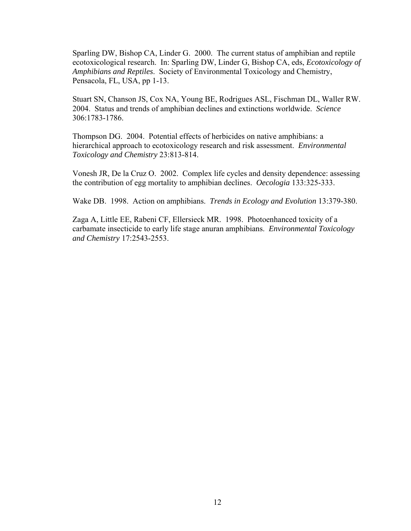Sparling DW, Bishop CA, Linder G. 2000. The current status of amphibian and reptile ecotoxicological research. In: Sparling DW, Linder G, Bishop CA, eds, *Ecotoxicology of Amphibians and Reptiles*. Society of Environmental Toxicology and Chemistry, Pensacola, FL, USA, pp 1-13.

Stuart SN, Chanson JS, Cox NA, Young BE, Rodrigues ASL, Fischman DL, Waller RW. 2004. Status and trends of amphibian declines and extinctions worldwide. *Science* 306:1783-1786.

Thompson DG. 2004. Potential effects of herbicides on native amphibians: a hierarchical approach to ecotoxicology research and risk assessment. *Environmental Toxicology and Chemistry* 23:813-814.

Vonesh JR, De la Cruz O. 2002. Complex life cycles and density dependence: assessing the contribution of egg mortality to amphibian declines. *Oecologia* 133:325-333.

Wake DB. 1998. Action on amphibians. *Trends in Ecology and Evolution* 13:379-380.

Zaga A, Little EE, Rabeni CF, Ellersieck MR. 1998. Photoenhanced toxicity of a carbamate insecticide to early life stage anuran amphibians. *Environmental Toxicology and Chemistry* 17:2543-2553.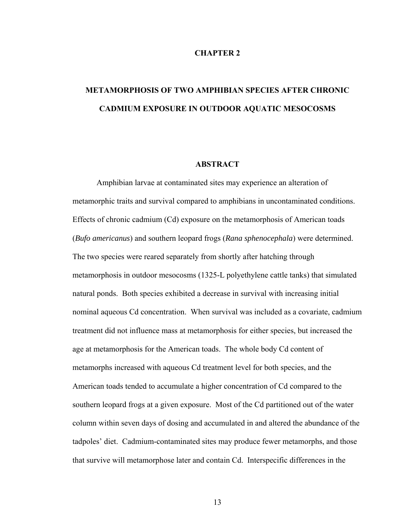#### **CHAPTER 2**

# <span id="page-26-0"></span>**METAMORPHOSIS OF TWO AMPHIBIAN SPECIES AFTER CHRONIC CADMIUM EXPOSURE IN OUTDOOR AQUATIC MESOCOSMS**

#### **ABSTRACT**

Amphibian larvae at contaminated sites may experience an alteration of metamorphic traits and survival compared to amphibians in uncontaminated conditions. Effects of chronic cadmium (Cd) exposure on the metamorphosis of American toads (*Bufo americanus*) and southern leopard frogs (*Rana sphenocephala*) were determined. The two species were reared separately from shortly after hatching through metamorphosis in outdoor mesocosms (1325-L polyethylene cattle tanks) that simulated natural ponds. Both species exhibited a decrease in survival with increasing initial nominal aqueous Cd concentration. When survival was included as a covariate, cadmium treatment did not influence mass at metamorphosis for either species, but increased the age at metamorphosis for the American toads. The whole body Cd content of metamorphs increased with aqueous Cd treatment level for both species, and the American toads tended to accumulate a higher concentration of Cd compared to the southern leopard frogs at a given exposure. Most of the Cd partitioned out of the water column within seven days of dosing and accumulated in and altered the abundance of the tadpoles' diet. Cadmium-contaminated sites may produce fewer metamorphs, and those that survive will metamorphose later and contain Cd. Interspecific differences in the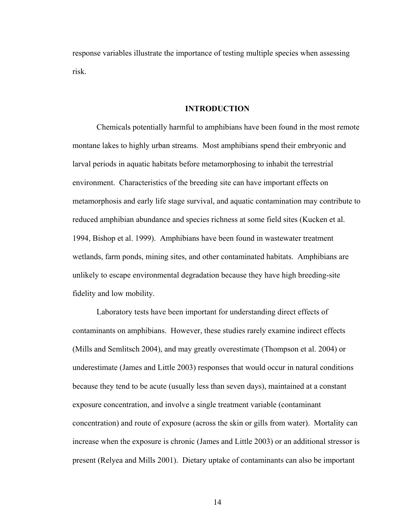<span id="page-27-0"></span>response variables illustrate the importance of testing multiple species when assessing risk.

#### **INTRODUCTION**

Chemicals potentially harmful to amphibians have been found in the most remote montane lakes to highly urban streams. Most amphibians spend their embryonic and larval periods in aquatic habitats before metamorphosing to inhabit the terrestrial environment. Characteristics of the breeding site can have important effects on metamorphosis and early life stage survival, and aquatic contamination may contribute to reduced amphibian abundance and species richness at some field sites (Kucken et al. 1994, Bishop et al. 1999). Amphibians have been found in wastewater treatment wetlands, farm ponds, mining sites, and other contaminated habitats. Amphibians are unlikely to escape environmental degradation because they have high breeding-site fidelity and low mobility.

Laboratory tests have been important for understanding direct effects of contaminants on amphibians. However, these studies rarely examine indirect effects (Mills and Semlitsch 2004), and may greatly overestimate (Thompson et al. 2004) or underestimate (James and Little 2003) responses that would occur in natural conditions because they tend to be acute (usually less than seven days), maintained at a constant exposure concentration, and involve a single treatment variable (contaminant concentration) and route of exposure (across the skin or gills from water). Mortality can increase when the exposure is chronic (James and Little 2003) or an additional stressor is present (Relyea and Mills 2001). Dietary uptake of contaminants can also be important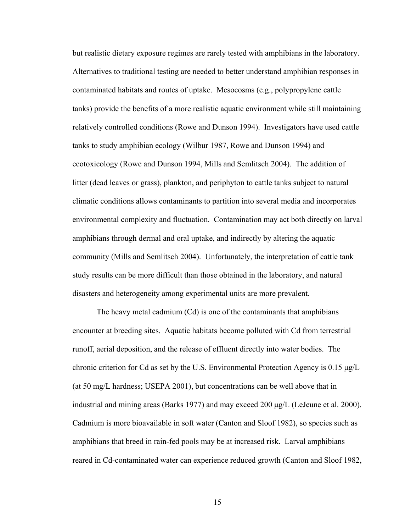but realistic dietary exposure regimes are rarely tested with amphibians in the laboratory. Alternatives to traditional testing are needed to better understand amphibian responses in contaminated habitats and routes of uptake. Mesocosms (e.g., polypropylene cattle tanks) provide the benefits of a more realistic aquatic environment while still maintaining relatively controlled conditions (Rowe and Dunson 1994). Investigators have used cattle tanks to study amphibian ecology (Wilbur 1987, Rowe and Dunson 1994) and ecotoxicology (Rowe and Dunson 1994, Mills and Semlitsch 2004). The addition of litter (dead leaves or grass), plankton, and periphyton to cattle tanks subject to natural climatic conditions allows contaminants to partition into several media and incorporates environmental complexity and fluctuation. Contamination may act both directly on larval amphibians through dermal and oral uptake, and indirectly by altering the aquatic community (Mills and Semlitsch 2004). Unfortunately, the interpretation of cattle tank study results can be more difficult than those obtained in the laboratory, and natural disasters and heterogeneity among experimental units are more prevalent.

The heavy metal cadmium (Cd) is one of the contaminants that amphibians encounter at breeding sites. Aquatic habitats become polluted with Cd from terrestrial runoff, aerial deposition, and the release of effluent directly into water bodies. The chronic criterion for Cd as set by the U.S. Environmental Protection Agency is 0.15 μg/L (at 50 mg/L hardness; USEPA 2001), but concentrations can be well above that in industrial and mining areas (Barks 1977) and may exceed 200 μg/L (LeJeune et al. 2000). Cadmium is more bioavailable in soft water (Canton and Sloof 1982), so species such as amphibians that breed in rain-fed pools may be at increased risk. Larval amphibians reared in Cd-contaminated water can experience reduced growth (Canton and Sloof 1982,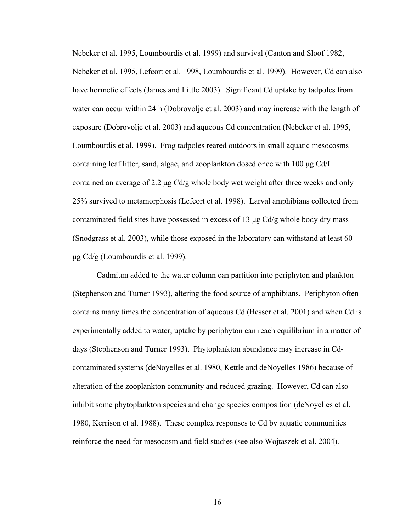Nebeker et al. 1995, Loumbourdis et al. 1999) and survival (Canton and Sloof 1982, Nebeker et al. 1995, Lefcort et al. 1998, Loumbourdis et al. 1999). However, Cd can also have hormetic effects (James and Little 2003). Significant Cd uptake by tadpoles from water can occur within 24 h (Dobrovoljc et al. 2003) and may increase with the length of exposure (Dobrovoljc et al. 2003) and aqueous Cd concentration (Nebeker et al. 1995, Loumbourdis et al. 1999). Frog tadpoles reared outdoors in small aquatic mesocosms containing leaf litter, sand, algae, and zooplankton dosed once with 100 μg Cd/L contained an average of 2.2 μg Cd/g whole body wet weight after three weeks and only 25% survived to metamorphosis (Lefcort et al. 1998). Larval amphibians collected from contaminated field sites have possessed in excess of 13 μg Cd/g whole body dry mass (Snodgrass et al. 2003), while those exposed in the laboratory can withstand at least 60 μg Cd/g (Loumbourdis et al. 1999).

Cadmium added to the water column can partition into periphyton and plankton (Stephenson and Turner 1993), altering the food source of amphibians. Periphyton often contains many times the concentration of aqueous Cd (Besser et al. 2001) and when Cd is experimentally added to water, uptake by periphyton can reach equilibrium in a matter of days (Stephenson and Turner 1993). Phytoplankton abundance may increase in Cdcontaminated systems (deNoyelles et al. 1980, Kettle and deNoyelles 1986) because of alteration of the zooplankton community and reduced grazing. However, Cd can also inhibit some phytoplankton species and change species composition (deNoyelles et al. 1980, Kerrison et al. 1988). These complex responses to Cd by aquatic communities reinforce the need for mesocosm and field studies (see also Wojtaszek et al. 2004).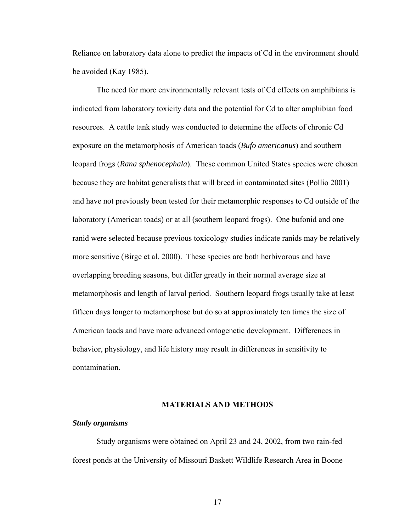<span id="page-30-0"></span>Reliance on laboratory data alone to predict the impacts of Cd in the environment should be avoided (Kay 1985).

The need for more environmentally relevant tests of Cd effects on amphibians is indicated from laboratory toxicity data and the potential for Cd to alter amphibian food resources. A cattle tank study was conducted to determine the effects of chronic Cd exposure on the metamorphosis of American toads (*Bufo americanus*) and southern leopard frogs (*Rana sphenocephala*). These common United States species were chosen because they are habitat generalists that will breed in contaminated sites (Pollio 2001) and have not previously been tested for their metamorphic responses to Cd outside of the laboratory (American toads) or at all (southern leopard frogs). One bufonid and one ranid were selected because previous toxicology studies indicate ranids may be relatively more sensitive (Birge et al. 2000). These species are both herbivorous and have overlapping breeding seasons, but differ greatly in their normal average size at metamorphosis and length of larval period. Southern leopard frogs usually take at least fifteen days longer to metamorphose but do so at approximately ten times the size of American toads and have more advanced ontogenetic development. Differences in behavior, physiology, and life history may result in differences in sensitivity to contamination.

#### **MATERIALS AND METHODS**

#### *Study organisms*

Study organisms were obtained on April 23 and 24, 2002, from two rain-fed forest ponds at the University of Missouri Baskett Wildlife Research Area in Boone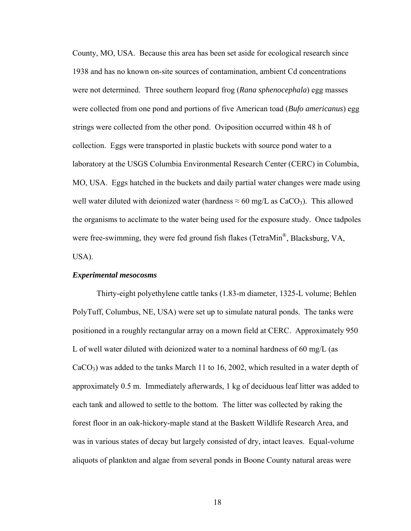County, MO, USA. Because this area has been set aside for ecological research since 1938 and has no known on-site sources of contamination, ambient Cd concentrations were not determined. Three southern leopard frog (*Rana sphenocephala*) egg masses were collected from one pond and portions of five American toad (*Bufo americanus*) egg strings were collected from the other pond. Oviposition occurred within 48 h of collection. Eggs were transported in plastic buckets with source pond water to a laboratory at the USGS Columbia Environmental Research Center (CERC) in Columbia, MO, USA. Eggs hatched in the buckets and daily partial water changes were made using well water diluted with deionized water (hardness  $\approx 60$  mg/L as CaCO<sub>3</sub>). This allowed the organisms to acclimate to the water being used for the exposure study. Once tadpoles were free-swimming, they were fed ground fish flakes (TetraMin<sup>®</sup>, Blacksburg, VA, USA).

#### *Experimental mesocosms*

Thirty-eight polyethylene cattle tanks (1.83-m diameter, 1325-L volume; Behlen PolyTuff, Columbus, NE, USA) were set up to simulate natural ponds. The tanks were positioned in a roughly rectangular array on a mown field at CERC. Approximately 950 L of well water diluted with deionized water to a nominal hardness of 60 mg/L (as  $CaCO<sub>3</sub>$ ) was added to the tanks March 11 to 16, 2002, which resulted in a water depth of approximately 0.5 m. Immediately afterwards, 1 kg of deciduous leaf litter was added to each tank and allowed to settle to the bottom. The litter was collected by raking the forest floor in an oak-hickory-maple stand at the Baskett Wildlife Research Area, and was in various states of decay but largely consisted of dry, intact leaves. Equal-volume aliquots of plankton and algae from several ponds in Boone County natural areas were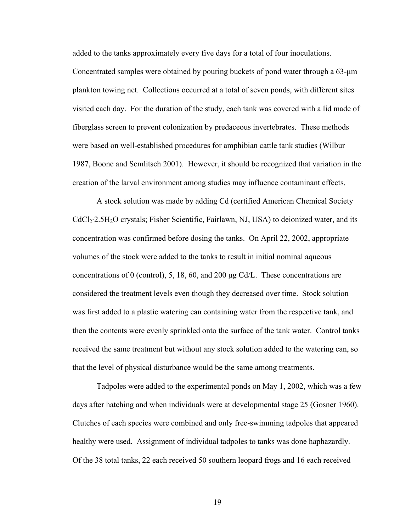added to the tanks approximately every five days for a total of four inoculations. Concentrated samples were obtained by pouring buckets of pond water through a 63-μm plankton towing net. Collections occurred at a total of seven ponds, with different sites visited each day. For the duration of the study, each tank was covered with a lid made of fiberglass screen to prevent colonization by predaceous invertebrates. These methods were based on well-established procedures for amphibian cattle tank studies (Wilbur 1987, Boone and Semlitsch 2001). However, it should be recognized that variation in the creation of the larval environment among studies may influence contaminant effects.

A stock solution was made by adding Cd (certified American Chemical Society  $CdCl<sub>2</sub>·2.5H<sub>2</sub>O$  crystals; Fisher Scientific, Fairlawn, NJ, USA) to deionized water, and its concentration was confirmed before dosing the tanks. On April 22, 2002, appropriate volumes of the stock were added to the tanks to result in initial nominal aqueous concentrations of 0 (control), 5, 18, 60, and 200 μg Cd/L. These concentrations are considered the treatment levels even though they decreased over time. Stock solution was first added to a plastic watering can containing water from the respective tank, and then the contents were evenly sprinkled onto the surface of the tank water. Control tanks received the same treatment but without any stock solution added to the watering can, so that the level of physical disturbance would be the same among treatments.

 Tadpoles were added to the experimental ponds on May 1, 2002, which was a few days after hatching and when individuals were at developmental stage 25 (Gosner 1960). Clutches of each species were combined and only free-swimming tadpoles that appeared healthy were used. Assignment of individual tadpoles to tanks was done haphazardly. Of the 38 total tanks, 22 each received 50 southern leopard frogs and 16 each received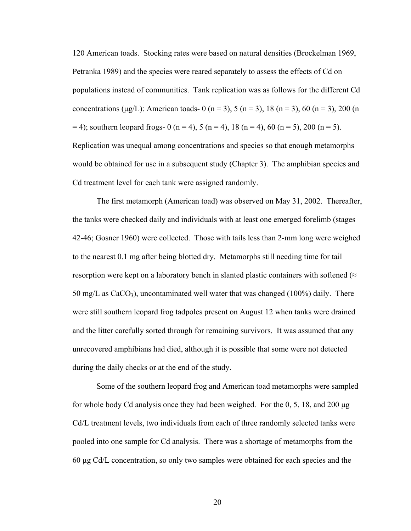120 American toads. Stocking rates were based on natural densities (Brockelman 1969, Petranka 1989) and the species were reared separately to assess the effects of Cd on populations instead of communities. Tank replication was as follows for the different Cd concentrations ( $\mu$ g/L): American toads- 0 (n = 3), 5 (n = 3), 18 (n = 3), 60 (n = 3), 200 (n  $= 4$ ; southern leopard frogs- 0 (n = 4), 5 (n = 4), 18 (n = 4), 60 (n = 5), 200 (n = 5). Replication was unequal among concentrations and species so that enough metamorphs would be obtained for use in a subsequent study (Chapter 3). The amphibian species and Cd treatment level for each tank were assigned randomly.

The first metamorph (American toad) was observed on May 31, 2002. Thereafter, the tanks were checked daily and individuals with at least one emerged forelimb (stages 42-46; Gosner 1960) were collected. Those with tails less than 2-mm long were weighed to the nearest 0.1 mg after being blotted dry. Metamorphs still needing time for tail resorption were kept on a laboratory bench in slanted plastic containers with softened ( $\approx$ 50 mg/L as CaCO<sub>3</sub>), uncontaminated well water that was changed (100%) daily. There were still southern leopard frog tadpoles present on August 12 when tanks were drained and the litter carefully sorted through for remaining survivors. It was assumed that any unrecovered amphibians had died, although it is possible that some were not detected during the daily checks or at the end of the study.

Some of the southern leopard frog and American toad metamorphs were sampled for whole body Cd analysis once they had been weighed. For the 0, 5, 18, and 200 μg Cd/L treatment levels, two individuals from each of three randomly selected tanks were pooled into one sample for Cd analysis. There was a shortage of metamorphs from the 60 μg Cd/L concentration, so only two samples were obtained for each species and the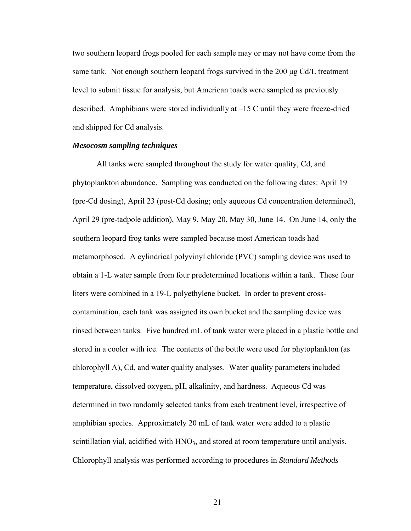two southern leopard frogs pooled for each sample may or may not have come from the same tank. Not enough southern leopard frogs survived in the 200  $\mu$ g Cd/L treatment level to submit tissue for analysis, but American toads were sampled as previously described. Amphibians were stored individually at –15 C until they were freeze-dried and shipped for Cd analysis.

#### *Mesocosm sampling techniques*

 All tanks were sampled throughout the study for water quality, Cd, and phytoplankton abundance. Sampling was conducted on the following dates: April 19 (pre-Cd dosing), April 23 (post-Cd dosing; only aqueous Cd concentration determined), April 29 (pre-tadpole addition), May 9, May 20, May 30, June 14. On June 14, only the southern leopard frog tanks were sampled because most American toads had metamorphosed. A cylindrical polyvinyl chloride (PVC) sampling device was used to obtain a 1-L water sample from four predetermined locations within a tank. These four liters were combined in a 19-L polyethylene bucket. In order to prevent crosscontamination, each tank was assigned its own bucket and the sampling device was rinsed between tanks. Five hundred mL of tank water were placed in a plastic bottle and stored in a cooler with ice. The contents of the bottle were used for phytoplankton (as chlorophyll A), Cd, and water quality analyses. Water quality parameters included temperature, dissolved oxygen, pH, alkalinity, and hardness. Aqueous Cd was determined in two randomly selected tanks from each treatment level, irrespective of amphibian species. Approximately 20 mL of tank water were added to a plastic scintillation vial, acidified with  $HNO<sub>3</sub>$ , and stored at room temperature until analysis. Chlorophyll analysis was performed according to procedures in *Standard Methods*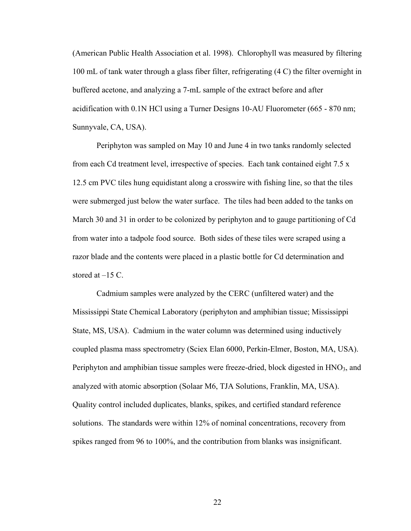(American Public Health Association et al. 1998). Chlorophyll was measured by filtering 100 mL of tank water through a glass fiber filter, refrigerating (4 C) the filter overnight in buffered acetone, and analyzing a 7-mL sample of the extract before and after acidification with 0.1N HCl using a Turner Designs 10-AU Fluorometer (665 - 870 nm; Sunnyvale, CA, USA).

Periphyton was sampled on May 10 and June 4 in two tanks randomly selected from each Cd treatment level, irrespective of species. Each tank contained eight 7.5 x 12.5 cm PVC tiles hung equidistant along a crosswire with fishing line, so that the tiles were submerged just below the water surface. The tiles had been added to the tanks on March 30 and 31 in order to be colonized by periphyton and to gauge partitioning of Cd from water into a tadpole food source. Both sides of these tiles were scraped using a razor blade and the contents were placed in a plastic bottle for Cd determination and stored at  $-15$  C.

Cadmium samples were analyzed by the CERC (unfiltered water) and the Mississippi State Chemical Laboratory (periphyton and amphibian tissue; Mississippi State, MS, USA). Cadmium in the water column was determined using inductively coupled plasma mass spectrometry (Sciex Elan 6000, Perkin-Elmer, Boston, MA, USA). Periphyton and amphibian tissue samples were freeze-dried, block digested in  $HNO<sub>3</sub>$ , and analyzed with atomic absorption (Solaar M6, TJA Solutions, Franklin, MA, USA). Quality control included duplicates, blanks, spikes, and certified standard reference solutions. The standards were within 12% of nominal concentrations, recovery from spikes ranged from 96 to 100%, and the contribution from blanks was insignificant.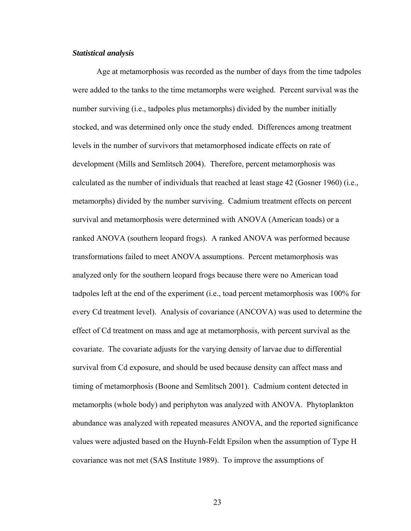# *Statistical analysis*

 Age at metamorphosis was recorded as the number of days from the time tadpoles were added to the tanks to the time metamorphs were weighed. Percent survival was the number surviving (i.e., tadpoles plus metamorphs) divided by the number initially stocked, and was determined only once the study ended. Differences among treatment levels in the number of survivors that metamorphosed indicate effects on rate of development (Mills and Semlitsch 2004). Therefore, percent metamorphosis was calculated as the number of individuals that reached at least stage 42 (Gosner 1960) (i.e., metamorphs) divided by the number surviving. Cadmium treatment effects on percent survival and metamorphosis were determined with ANOVA (American toads) or a ranked ANOVA (southern leopard frogs). A ranked ANOVA was performed because transformations failed to meet ANOVA assumptions. Percent metamorphosis was analyzed only for the southern leopard frogs because there were no American toad tadpoles left at the end of the experiment (i.e., toad percent metamorphosis was 100% for every Cd treatment level). Analysis of covariance (ANCOVA) was used to determine the effect of Cd treatment on mass and age at metamorphosis, with percent survival as the covariate. The covariate adjusts for the varying density of larvae due to differential survival from Cd exposure, and should be used because density can affect mass and timing of metamorphosis (Boone and Semlitsch 2001). Cadmium content detected in metamorphs (whole body) and periphyton was analyzed with ANOVA. Phytoplankton abundance was analyzed with repeated measures ANOVA, and the reported significance values were adjusted based on the Huynh-Feldt Epsilon when the assumption of Type H covariance was not met (SAS Institute 1989). To improve the assumptions of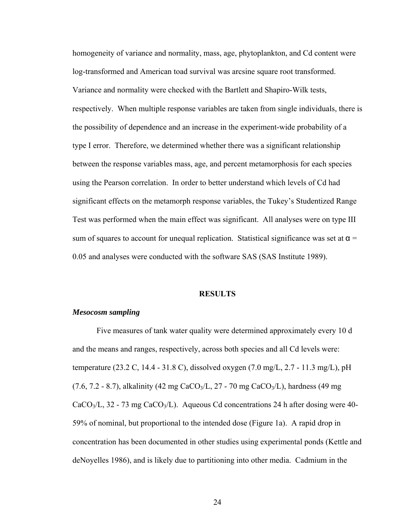homogeneity of variance and normality, mass, age, phytoplankton, and Cd content were log-transformed and American toad survival was arcsine square root transformed. Variance and normality were checked with the Bartlett and Shapiro-Wilk tests, respectively. When multiple response variables are taken from single individuals, there is the possibility of dependence and an increase in the experiment-wide probability of a type I error. Therefore, we determined whether there was a significant relationship between the response variables mass, age, and percent metamorphosis for each species using the Pearson correlation. In order to better understand which levels of Cd had significant effects on the metamorph response variables, the Tukey's Studentized Range Test was performed when the main effect was significant. All analyses were on type III sum of squares to account for unequal replication. Statistical significance was set at  $\alpha$  = 0.05 and analyses were conducted with the software SAS (SAS Institute 1989).

#### **RESULTS**

# *Mesocosm sampling*

Five measures of tank water quality were determined approximately every 10 d and the means and ranges, respectively, across both species and all Cd levels were: temperature (23.2 C, 14.4 - 31.8 C), dissolved oxygen (7.0 mg/L, 2.7 - 11.3 mg/L), pH  $(7.6, 7.2 - 8.7)$ , alkalinity  $(42 \text{ mg } \text{CaCO}_3/L, 27 - 70 \text{ mg } \text{CaCO}_3/L)$ , hardness  $(49 \text{ mg }$  $CaCO<sub>3</sub>/L$ , 32 - 73 mg  $CaCO<sub>3</sub>/L$ ). Aqueous Cd concentrations 24 h after dosing were 40-59% of nominal, but proportional to the intended dose (Figure 1a). A rapid drop in concentration has been documented in other studies using experimental ponds (Kettle and deNoyelles 1986), and is likely due to partitioning into other media. Cadmium in the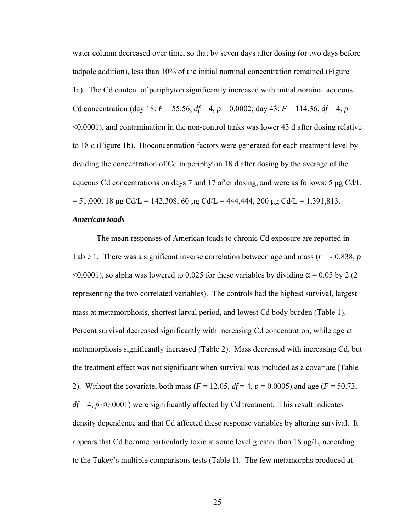water column decreased over time, so that by seven days after dosing (or two days before tadpole addition), less than 10% of the initial nominal concentration remained (Figure 1a). The Cd content of periphyton significantly increased with initial nominal aqueous Cd concentration (day 18:  $F = 55.56$ ,  $df = 4$ ,  $p = 0.0002$ ; day 43:  $F = 114.36$ ,  $df = 4$ ,  $p = 0.0002$ <0.0001), and contamination in the non-control tanks was lower 43 d after dosing relative to 18 d (Figure 1b). Bioconcentration factors were generated for each treatment level by dividing the concentration of Cd in periphyton 18 d after dosing by the average of the aqueous Cd concentrations on days 7 and 17 after dosing, and were as follows: 5 μg Cd/L  $= 51,000$ , 18 μg Cd/L = 142,308, 60 μg Cd/L = 444,444, 200 μg Cd/L = 1,391,813.

# *American toads*

The mean responses of American toads to chronic Cd exposure are reported in Table 1. There was a significant inverse correlation between age and mass  $(r = -0.838, p)$  $\leq 0.0001$ ), so alpha was lowered to 0.025 for these variables by dividing  $\alpha = 0.05$  by 2 (2) representing the two correlated variables). The controls had the highest survival, largest mass at metamorphosis, shortest larval period, and lowest Cd body burden (Table 1). Percent survival decreased significantly with increasing Cd concentration, while age at metamorphosis significantly increased (Table 2). Mass decreased with increasing Cd, but the treatment effect was not significant when survival was included as a covariate (Table 2). Without the covariate, both mass ( $F = 12.05$ ,  $df = 4$ ,  $p = 0.0005$ ) and age ( $F = 50.73$ ,  $df = 4$ ,  $p \le 0.0001$ ) were significantly affected by Cd treatment. This result indicates density dependence and that Cd affected these response variables by altering survival. It appears that Cd became particularly toxic at some level greater than 18 μg/L, according to the Tukey's multiple comparisons tests (Table 1). The few metamorphs produced at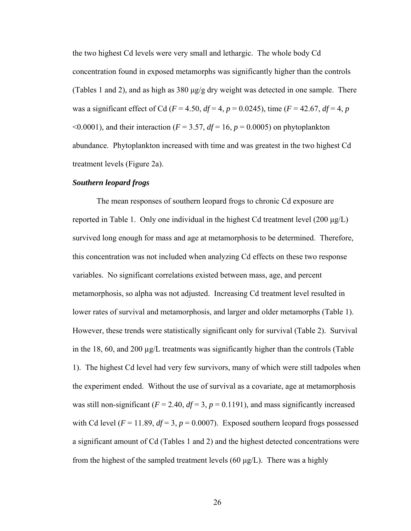the two highest Cd levels were very small and lethargic. The whole body Cd concentration found in exposed metamorphs was significantly higher than the controls (Tables 1 and 2), and as high as  $380 \mu g/g$  dry weight was detected in one sample. There was a significant effect of Cd ( $F = 4.50$ ,  $df = 4$ ,  $p = 0.0245$ ), time ( $F = 42.67$ ,  $df = 4$ ,  $p = 0.0245$ )  $\leq$ 0.0001), and their interaction (*F* = 3.57, *df* = 16, *p* = 0.0005) on phytoplankton abundance. Phytoplankton increased with time and was greatest in the two highest Cd treatment levels (Figure 2a).

## *Southern leopard frogs*

 The mean responses of southern leopard frogs to chronic Cd exposure are reported in Table 1. Only one individual in the highest Cd treatment level (200 μg/L) survived long enough for mass and age at metamorphosis to be determined. Therefore, this concentration was not included when analyzing Cd effects on these two response variables. No significant correlations existed between mass, age, and percent metamorphosis, so alpha was not adjusted. Increasing Cd treatment level resulted in lower rates of survival and metamorphosis, and larger and older metamorphs (Table 1). However, these trends were statistically significant only for survival (Table 2). Survival in the 18, 60, and 200 µg/L treatments was significantly higher than the controls (Table 1). The highest Cd level had very few survivors, many of which were still tadpoles when the experiment ended. Without the use of survival as a covariate, age at metamorphosis was still non-significant ( $F = 2.40$ ,  $df = 3$ ,  $p = 0.1191$ ), and mass significantly increased with Cd level  $(F = 11.89, df = 3, p = 0.0007)$ . Exposed southern leopard frogs possessed a significant amount of Cd (Tables 1 and 2) and the highest detected concentrations were from the highest of the sampled treatment levels  $(60 \mu g/L)$ . There was a highly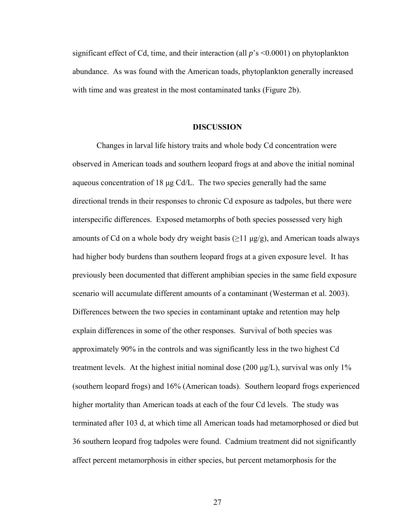significant effect of Cd, time, and their interaction (all *p*'s <0.0001) on phytoplankton abundance. As was found with the American toads, phytoplankton generally increased with time and was greatest in the most contaminated tanks (Figure 2b).

#### **DISCUSSION**

Changes in larval life history traits and whole body Cd concentration were observed in American toads and southern leopard frogs at and above the initial nominal aqueous concentration of 18 μg Cd/L. The two species generally had the same directional trends in their responses to chronic Cd exposure as tadpoles, but there were interspecific differences. Exposed metamorphs of both species possessed very high amounts of Cd on a whole body dry weight basis ( $\geq 11 \mu g/g$ ), and American toads always had higher body burdens than southern leopard frogs at a given exposure level. It has previously been documented that different amphibian species in the same field exposure scenario will accumulate different amounts of a contaminant (Westerman et al. 2003). Differences between the two species in contaminant uptake and retention may help explain differences in some of the other responses. Survival of both species was approximately 90% in the controls and was significantly less in the two highest Cd treatment levels. At the highest initial nominal dose (200  $\mu$ g/L), survival was only 1% (southern leopard frogs) and 16% (American toads). Southern leopard frogs experienced higher mortality than American toads at each of the four Cd levels. The study was terminated after 103 d, at which time all American toads had metamorphosed or died but 36 southern leopard frog tadpoles were found. Cadmium treatment did not significantly affect percent metamorphosis in either species, but percent metamorphosis for the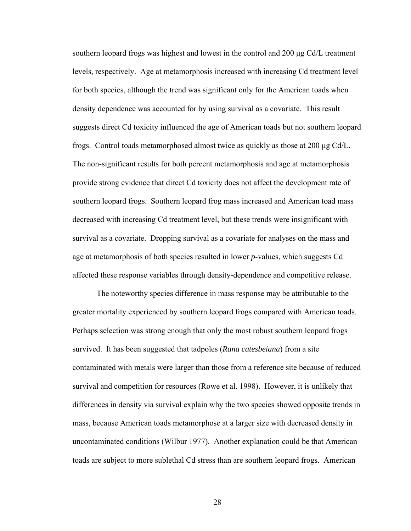southern leopard frogs was highest and lowest in the control and 200 μg Cd/L treatment levels, respectively. Age at metamorphosis increased with increasing Cd treatment level for both species, although the trend was significant only for the American toads when density dependence was accounted for by using survival as a covariate. This result suggests direct Cd toxicity influenced the age of American toads but not southern leopard frogs. Control toads metamorphosed almost twice as quickly as those at 200 μg Cd/L. The non-significant results for both percent metamorphosis and age at metamorphosis provide strong evidence that direct Cd toxicity does not affect the development rate of southern leopard frogs. Southern leopard frog mass increased and American toad mass decreased with increasing Cd treatment level, but these trends were insignificant with survival as a covariate. Dropping survival as a covariate for analyses on the mass and age at metamorphosis of both species resulted in lower *p*-values, which suggests Cd affected these response variables through density-dependence and competitive release.

The noteworthy species difference in mass response may be attributable to the greater mortality experienced by southern leopard frogs compared with American toads. Perhaps selection was strong enough that only the most robust southern leopard frogs survived. It has been suggested that tadpoles (*Rana catesbeiana*) from a site contaminated with metals were larger than those from a reference site because of reduced survival and competition for resources (Rowe et al. 1998). However, it is unlikely that differences in density via survival explain why the two species showed opposite trends in mass, because American toads metamorphose at a larger size with decreased density in uncontaminated conditions (Wilbur 1977). Another explanation could be that American toads are subject to more sublethal Cd stress than are southern leopard frogs. American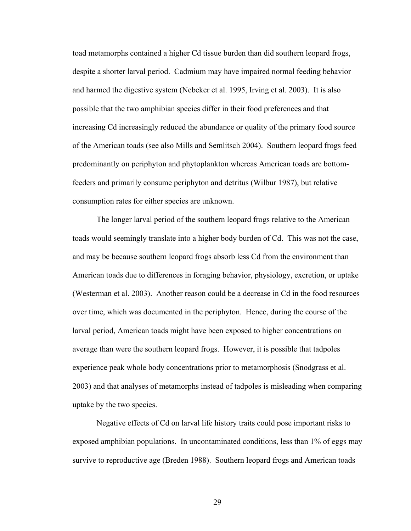toad metamorphs contained a higher Cd tissue burden than did southern leopard frogs, despite a shorter larval period. Cadmium may have impaired normal feeding behavior and harmed the digestive system (Nebeker et al. 1995, Irving et al. 2003). It is also possible that the two amphibian species differ in their food preferences and that increasing Cd increasingly reduced the abundance or quality of the primary food source of the American toads (see also Mills and Semlitsch 2004). Southern leopard frogs feed predominantly on periphyton and phytoplankton whereas American toads are bottomfeeders and primarily consume periphyton and detritus (Wilbur 1987), but relative consumption rates for either species are unknown.

The longer larval period of the southern leopard frogs relative to the American toads would seemingly translate into a higher body burden of Cd. This was not the case, and may be because southern leopard frogs absorb less Cd from the environment than American toads due to differences in foraging behavior, physiology, excretion, or uptake (Westerman et al. 2003). Another reason could be a decrease in Cd in the food resources over time, which was documented in the periphyton. Hence, during the course of the larval period, American toads might have been exposed to higher concentrations on average than were the southern leopard frogs. However, it is possible that tadpoles experience peak whole body concentrations prior to metamorphosis (Snodgrass et al. 2003) and that analyses of metamorphs instead of tadpoles is misleading when comparing uptake by the two species.

Negative effects of Cd on larval life history traits could pose important risks to exposed amphibian populations. In uncontaminated conditions, less than 1% of eggs may survive to reproductive age (Breden 1988). Southern leopard frogs and American toads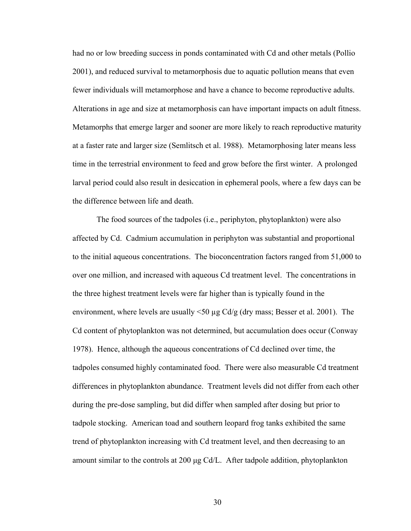had no or low breeding success in ponds contaminated with Cd and other metals (Pollio 2001), and reduced survival to metamorphosis due to aquatic pollution means that even fewer individuals will metamorphose and have a chance to become reproductive adults. Alterations in age and size at metamorphosis can have important impacts on adult fitness. Metamorphs that emerge larger and sooner are more likely to reach reproductive maturity at a faster rate and larger size (Semlitsch et al. 1988). Metamorphosing later means less time in the terrestrial environment to feed and grow before the first winter. A prolonged larval period could also result in desiccation in ephemeral pools, where a few days can be the difference between life and death.

The food sources of the tadpoles (i.e., periphyton, phytoplankton) were also affected by Cd. Cadmium accumulation in periphyton was substantial and proportional to the initial aqueous concentrations. The bioconcentration factors ranged from 51,000 to over one million, and increased with aqueous Cd treatment level. The concentrations in the three highest treatment levels were far higher than is typically found in the environment, where levels are usually <50 µg Cd/g (dry mass; Besser et al. 2001). The Cd content of phytoplankton was not determined, but accumulation does occur (Conway 1978). Hence, although the aqueous concentrations of Cd declined over time, the tadpoles consumed highly contaminated food. There were also measurable Cd treatment differences in phytoplankton abundance. Treatment levels did not differ from each other during the pre-dose sampling, but did differ when sampled after dosing but prior to tadpole stocking. American toad and southern leopard frog tanks exhibited the same trend of phytoplankton increasing with Cd treatment level, and then decreasing to an amount similar to the controls at 200 μg Cd/L. After tadpole addition, phytoplankton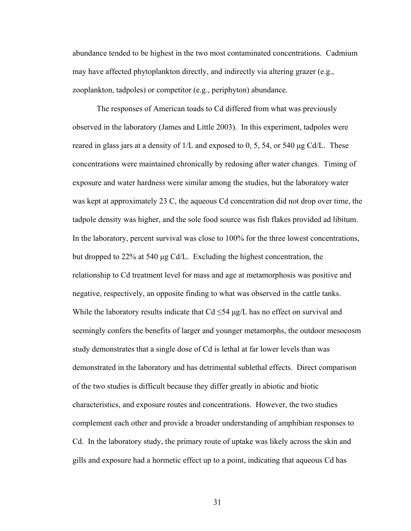abundance tended to be highest in the two most contaminated concentrations. Cadmium may have affected phytoplankton directly, and indirectly via altering grazer (e.g., zooplankton, tadpoles) or competitor (e.g., periphyton) abundance.

The responses of American toads to Cd differed from what was previously observed in the laboratory (James and Little 2003). In this experiment, tadpoles were reared in glass jars at a density of 1/L and exposed to 0, 5, 54, or 540 μg Cd/L. These concentrations were maintained chronically by redosing after water changes. Timing of exposure and water hardness were similar among the studies, but the laboratory water was kept at approximately 23 C, the aqueous Cd concentration did not drop over time, the tadpole density was higher, and the sole food source was fish flakes provided ad libitum. In the laboratory, percent survival was close to 100% for the three lowest concentrations, but dropped to 22% at 540 μg Cd/L. Excluding the highest concentration, the relationship to Cd treatment level for mass and age at metamorphosis was positive and negative, respectively, an opposite finding to what was observed in the cattle tanks. While the laboratory results indicate that  $Cd \leq 54 \mu g/L$  has no effect on survival and seemingly confers the benefits of larger and younger metamorphs, the outdoor mesocosm study demonstrates that a single dose of Cd is lethal at far lower levels than was demonstrated in the laboratory and has detrimental sublethal effects. Direct comparison of the two studies is difficult because they differ greatly in abiotic and biotic characteristics, and exposure routes and concentrations. However, the two studies complement each other and provide a broader understanding of amphibian responses to Cd. In the laboratory study, the primary route of uptake was likely across the skin and gills and exposure had a hormetic effect up to a point, indicating that aqueous Cd has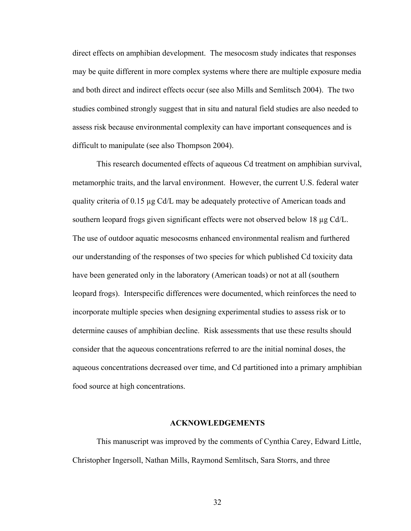direct effects on amphibian development. The mesocosm study indicates that responses may be quite different in more complex systems where there are multiple exposure media and both direct and indirect effects occur (see also Mills and Semlitsch 2004). The two studies combined strongly suggest that in situ and natural field studies are also needed to assess risk because environmental complexity can have important consequences and is difficult to manipulate (see also Thompson 2004).

This research documented effects of aqueous Cd treatment on amphibian survival, metamorphic traits, and the larval environment. However, the current U.S. federal water quality criteria of 0.15 µg Cd/L may be adequately protective of American toads and southern leopard frogs given significant effects were not observed below 18 µg Cd/L. The use of outdoor aquatic mesocosms enhanced environmental realism and furthered our understanding of the responses of two species for which published Cd toxicity data have been generated only in the laboratory (American toads) or not at all (southern leopard frogs). Interspecific differences were documented, which reinforces the need to incorporate multiple species when designing experimental studies to assess risk or to determine causes of amphibian decline. Risk assessments that use these results should consider that the aqueous concentrations referred to are the initial nominal doses, the aqueous concentrations decreased over time, and Cd partitioned into a primary amphibian food source at high concentrations.

#### **ACKNOWLEDGEMENTS**

This manuscript was improved by the comments of Cynthia Carey, Edward Little, Christopher Ingersoll, Nathan Mills, Raymond Semlitsch, Sara Storrs, and three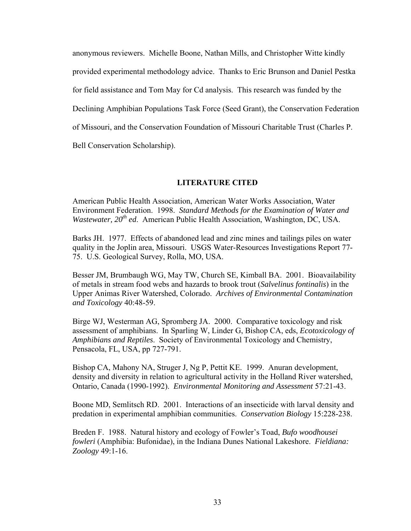anonymous reviewers. Michelle Boone, Nathan Mills, and Christopher Witte kindly provided experimental methodology advice. Thanks to Eric Brunson and Daniel Pestka for field assistance and Tom May for Cd analysis. This research was funded by the Declining Amphibian Populations Task Force (Seed Grant), the Conservation Federation of Missouri, and the Conservation Foundation of Missouri Charitable Trust (Charles P. Bell Conservation Scholarship).

# **LITERATURE CITED**

American Public Health Association, American Water Works Association, Water Environment Federation. 1998. *Standard Methods for the Examination of Water and Wastewater, 20<sup>th</sup> ed.* American Public Health Association, Washington, DC, USA.

Barks JH. 1977. Effects of abandoned lead and zinc mines and tailings piles on water quality in the Joplin area, Missouri. USGS Water-Resources Investigations Report 77- 75. U.S. Geological Survey, Rolla, MO, USA.

Besser JM, Brumbaugh WG, May TW, Church SE, Kimball BA. 2001. Bioavailability of metals in stream food webs and hazards to brook trout (*Salvelinus fontinalis*) in the Upper Animas River Watershed, Colorado. *Archives of Environmental Contamination and Toxicology* 40:48-59.

Birge WJ, Westerman AG, Spromberg JA. 2000. Comparative toxicology and risk assessment of amphibians. In Sparling W, Linder G, Bishop CA, eds, *Ecotoxicology of Amphibians and Reptiles*. Society of Environmental Toxicology and Chemistry, Pensacola, FL, USA, pp 727-791.

Bishop CA, Mahony NA, Struger J, Ng P, Pettit KE. 1999. Anuran development, density and diversity in relation to agricultural activity in the Holland River watershed, Ontario, Canada (1990-1992). *Environmental Monitoring and Assessment* 57:21-43.

Boone MD, Semlitsch RD. 2001. Interactions of an insecticide with larval density and predation in experimental amphibian communities. *Conservation Biology* 15:228-238.

Breden F. 1988. Natural history and ecology of Fowler's Toad, *Bufo woodhousei fowleri* (Amphibia: Bufonidae), in the Indiana Dunes National Lakeshore. *Fieldiana: Zoology* 49:1-16.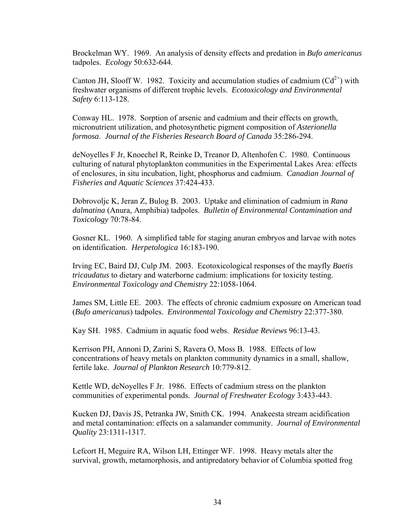Brockelman WY. 1969. An analysis of density effects and predation in *Bufo americanus* tadpoles. *Ecology* 50:632-644.

Canton JH, Slooff W. 1982. Toxicity and accumulation studies of cadmium  $(Cd^{2+})$  with freshwater organisms of different trophic levels. *Ecotoxicology and Environmental Safety* 6:113-128.

Conway HL. 1978. Sorption of arsenic and cadmium and their effects on growth, micronutrient utilization, and photosynthetic pigment composition of *Asterionella formosa*. *Journal of the Fisheries Research Board of Canada* 35:286-294.

deNoyelles F Jr, Knoechel R, Reinke D, Treanor D, Altenhofen C. 1980. Continuous culturing of natural phytoplankton communities in the Experimental Lakes Area: effects of enclosures, in situ incubation, light, phosphorus and cadmium. *Canadian Journal of Fisheries and Aquatic Sciences* 37:424-433.

Dobrovoljc K, Jeran Z, Bulog B. 2003. Uptake and elimination of cadmium in *Rana dalmatina* (Anura, Amphibia) tadpoles. *Bulletin of Environmental Contamination and Toxicology* 70:78-84.

Gosner KL. 1960. A simplified table for staging anuran embryos and larvae with notes on identification. *Herpetologica* 16:183-190.

Irving EC, Baird DJ, Culp JM. 2003. Ecotoxicological responses of the mayfly *Baetis tricaudatus* to dietary and waterborne cadmium: implications for toxicity testing. *Environmental Toxicology and Chemistry* 22:1058-1064.

James SM, Little EE. 2003. The effects of chronic cadmium exposure on American toad (*Bufo americanus*) tadpoles. *Environmental Toxicology and Chemistry* 22:377-380.

Kay SH. 1985. Cadmium in aquatic food webs. *Residue Reviews* 96:13-43.

Kerrison PH, Annoni D, Zarini S, Ravera O, Moss B. 1988. Effects of low concentrations of heavy metals on plankton community dynamics in a small, shallow, fertile lake. *Journal of Plankton Research* 10:779-812.

Kettle WD, deNoyelles F Jr. 1986. Effects of cadmium stress on the plankton communities of experimental ponds. *Journal of Freshwater Ecology* 3:433-443.

Kucken DJ, Davis JS, Petranka JW, Smith CK. 1994. Anakeesta stream acidification and metal contamination: effects on a salamander community. *Journal of Environmental Quality* 23:1311-1317.

Lefcort H, Meguire RA, Wilson LH, Ettinger WF. 1998. Heavy metals alter the survival, growth, metamorphosis, and antipredatory behavior of Columbia spotted frog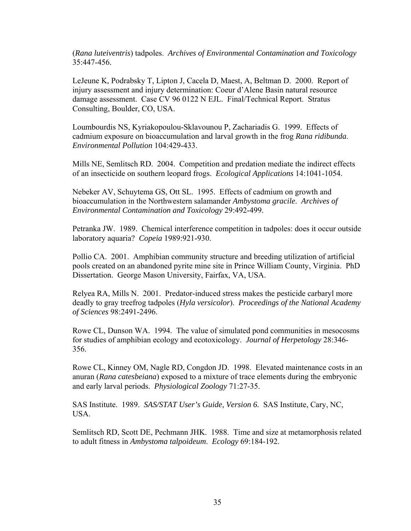(*Rana luteiventris*) tadpoles. *Archives of Environmental Contamination and Toxicology* 35:447-456.

LeJeune K, Podrabsky T, Lipton J, Cacela D, Maest, A, Beltman D. 2000. Report of injury assessment and injury determination: Coeur d'Alene Basin natural resource damage assessment. Case CV 96 0122 N EJL. Final/Technical Report. Stratus Consulting, Boulder, CO, USA.

Loumbourdis NS, Kyriakopoulou-Sklavounou P, Zachariadis G. 1999. Effects of cadmium exposure on bioaccumulation and larval growth in the frog *Rana ridibunda*. *Environmental Pollution* 104:429-433.

Mills NE, Semlitsch RD. 2004. Competition and predation mediate the indirect effects of an insecticide on southern leopard frogs. *Ecological Applications* 14:1041-1054.

Nebeker AV, Schuytema GS, Ott SL. 1995. Effects of cadmium on growth and bioaccumulation in the Northwestern salamander *Ambystoma gracile*. *Archives of Environmental Contamination and Toxicology* 29:492-499.

Petranka JW. 1989. Chemical interference competition in tadpoles: does it occur outside laboratory aquaria? *Copeia* 1989:921-930.

Pollio CA. 2001. Amphibian community structure and breeding utilization of artificial pools created on an abandoned pyrite mine site in Prince William County, Virginia. PhD Dissertation. George Mason University, Fairfax, VA, USA.

Relyea RA, Mills N. 2001. Predator-induced stress makes the pesticide carbaryl more deadly to gray treefrog tadpoles (*Hyla versicolor*). *Proceedings of the National Academy of Sciences* 98:2491-2496.

Rowe CL, Dunson WA. 1994. The value of simulated pond communities in mesocosms for studies of amphibian ecology and ecotoxicology. *Journal of Herpetology* 28:346- 356.

Rowe CL, Kinney OM, Nagle RD, Congdon JD. 1998. Elevated maintenance costs in an anuran (*Rana catesbeiana*) exposed to a mixture of trace elements during the embryonic and early larval periods. *Physiological Zoology* 71:27-35.

SAS Institute. 1989. *SAS/STAT User's Guide, Version 6.* SAS Institute, Cary, NC, USA.

Semlitsch RD, Scott DE, Pechmann JHK. 1988. Time and size at metamorphosis related to adult fitness in *Ambystoma talpoideum*. *Ecology* 69:184-192.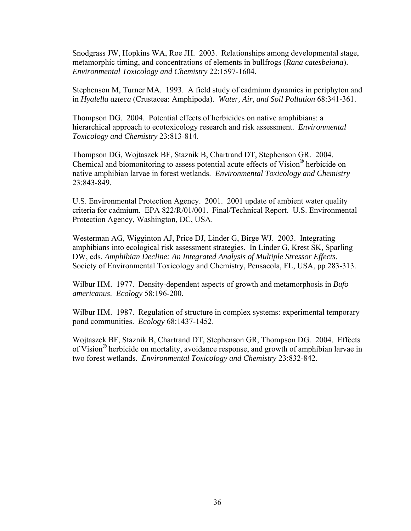Snodgrass JW, Hopkins WA, Roe JH. 2003. Relationships among developmental stage, metamorphic timing, and concentrations of elements in bullfrogs (*Rana catesbeiana*). *Environmental Toxicology and Chemistry* 22:1597-1604.

Stephenson M, Turner MA. 1993. A field study of cadmium dynamics in periphyton and in *Hyalella azteca* (Crustacea: Amphipoda). *Water, Air, and Soil Pollution* 68:341-361.

Thompson DG. 2004. Potential effects of herbicides on native amphibians: a hierarchical approach to ecotoxicology research and risk assessment. *Environmental Toxicology and Chemistry* 23:813-814.

Thompson DG, Wojtaszek BF, Staznik B, Chartrand DT, Stephenson GR. 2004. Chemical and biomonitoring to assess potential acute effects of Vision® herbicide on native amphibian larvae in forest wetlands. *Environmental Toxicology and Chemistry* 23:843-849.

U.S. Environmental Protection Agency. 2001. 2001 update of ambient water quality criteria for cadmium. EPA 822/R/01/001. Final/Technical Report. U.S. Environmental Protection Agency, Washington, DC, USA.

Westerman AG, Wigginton AJ, Price DJ, Linder G, Birge WJ. 2003. Integrating amphibians into ecological risk assessment strategies. In Linder G, Krest SK, Sparling DW, eds, *Amphibian Decline: An Integrated Analysis of Multiple Stressor Effects.* Society of Environmental Toxicology and Chemistry, Pensacola, FL, USA, pp 283-313.

Wilbur HM. 1977. Density-dependent aspects of growth and metamorphosis in *Bufo americanus*. *Ecology* 58:196-200.

Wilbur HM. 1987. Regulation of structure in complex systems: experimental temporary pond communities. *Ecology* 68:1437-1452.

Wojtaszek BF, Staznik B, Chartrand DT, Stephenson GR, Thompson DG. 2004. Effects of Vision<sup>®</sup> herbicide on mortality, avoidance response, and growth of amphibian larvae in two forest wetlands. *Environmental Toxicology and Chemistry* 23:832-842.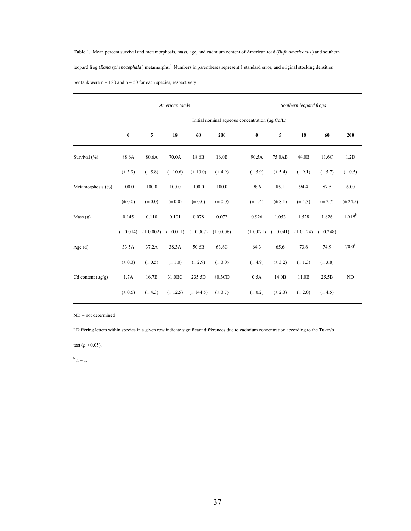**Table 1.** Mean percent survival and metamorphosis, mass, age, and cadmium content of American toad (*Bufo americanus*) and southern leopard frog (Rana sphenocephala) metamorphs.<sup>a</sup> Numbers in parentheses represent 1 standard error, and original stocking densities per tank were  $n = 120$  and  $n = 50$  for each species, respectively

|                        | American toads |                                                             |               |               |               |               | Southern leopard frogs |               |               |                          |  |  |
|------------------------|----------------|-------------------------------------------------------------|---------------|---------------|---------------|---------------|------------------------|---------------|---------------|--------------------------|--|--|
|                        |                | Initial nominal aqueous concentration $(\mu g \text{Cd/L})$ |               |               |               |               |                        |               |               |                          |  |  |
|                        | $\bf{0}$       | 5                                                           | 18            | 60            | 200           | $\bf{0}$      | 5                      | 18            | 60            | 200                      |  |  |
| Survival (%)           | 88.6A          | 80.6A                                                       | 70.0A         | 18.6B         | 16.0B         | 90.5A         | 75.0AB                 | 44.0B         | 11.6C         | 1.2D                     |  |  |
|                        | $(\pm 3.9)$    | $(\pm 5.8)$                                                 | $(\pm 10.6)$  | $(\pm 10.0)$  | $(\pm 4.9)$   | $(\pm 5.9)$   | $(\pm 5.4)$            | $(\pm 9.1)$   | $(\pm 5.7)$   | $(\pm 0.5)$              |  |  |
| Metamorphosis (%)      | 100.0          | 100.0                                                       | 100.0         | 100.0         | 100.0         | 98.6          | 85.1                   | 94.4          | 87.5          | 60.0                     |  |  |
|                        | $(\pm 0.0)$    | $(\pm 0.0)$                                                 | $(\pm 0.0)$   | $(\pm 0.0)$   | $(\pm 0.0)$   | $(\pm 1.4)$   | $(\pm 8.1)$            | $(\pm 4.3)$   | $(\pm 7.7)$   | $(\pm 24.5)$             |  |  |
| Mass(g)                | 0.145          | 0.110                                                       | 0.101         | 0.078         | 0.072         | 0.926         | 1.053                  | 1.528         | 1.826         | $1.519^{b}$              |  |  |
|                        | $(\pm 0.014)$  | $(\pm 0.002)$                                               | $(\pm 0.011)$ | $(\pm 0.007)$ | $(\pm 0.006)$ | $(\pm 0.071)$ | $(\pm 0.041)$          | $(\pm 0.124)$ | $(\pm 0.248)$ | $\overline{\phantom{m}}$ |  |  |
| Age $(d)$              | 33.5A          | 37.2A                                                       | 38.3A         | 50.6B         | 63.6C         | 64.3          | 65.6                   | 73.6          | 74.9          | 70.0 <sup>b</sup>        |  |  |
|                        | $(\pm 0.3)$    | $(\pm 0.5)$                                                 | $(\pm 1.0)$   | $(\pm 2.9)$   | $(\pm 3.0)$   | $(\pm 4.9)$   | $(\pm 3.2)$            | $(\pm 1.3)$   | $(\pm 3.8)$   | $\overline{\phantom{a}}$ |  |  |
| Cd content $(\mu g/g)$ | 1.7A           | 16.7B                                                       | 31.0BC        | 235.5D        | 80.3CD        | 0.5A          | 14.0B                  | 11.0B         | 25.5B         | <b>ND</b>                |  |  |
|                        | $(\pm 0.5)$    | $(\pm 4.3)$                                                 | $(\pm 12.5)$  | $(\pm 144.5)$ | $(\pm 3.7)$   | $(\pm 0.2)$   | $(\pm 2.3)$            | $(\pm 2.0)$   | $(\pm 4.5)$   | -                        |  |  |

ND = not determined

<sup>a</sup> Differing letters within species in a given row indicate significant differences due to cadmium concentration according to the Tukey's

test ( $p \le 0.05$ ).

 $^{b}$  n = 1.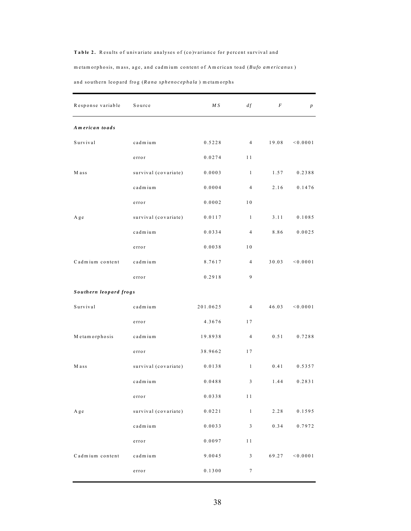#### **Table 2.** Results of univariate analyses of (co)variance for percent survival and

m etam orphosis, m ass, age, and cadm ium content of A m erican toad (*Bufo am ericanus* ) and southern leopard frog (*Rana sphenocephala* ) m etam orphs

|  |  |  |  |  | and southern leopard frog (Rana sphenocephala) metamorphs |  |  |  |  |
|--|--|--|--|--|-----------------------------------------------------------|--|--|--|--|
|--|--|--|--|--|-----------------------------------------------------------|--|--|--|--|

| Response variable      | Source               |            | df             | F     | $\boldsymbol{p}$ |  |  |  |  |
|------------------------|----------------------|------------|----------------|-------|------------------|--|--|--|--|
| American toads         |                      |            |                |       |                  |  |  |  |  |
| Survival               | cadmium              | 0.5228     | $\overline{4}$ | 19.08 | 0.0001           |  |  |  |  |
|                        | error                | 0.0274     | 11             |       |                  |  |  |  |  |
| M ass                  | survival (covariate) | 0.0003     | $\mathbf{1}$   | 1.57  | 0.2388           |  |  |  |  |
|                        | cadmium              | 0.0004     | $\overline{4}$ | 2.16  | 0.1476           |  |  |  |  |
|                        | error                | 0.0002     | 10             |       |                  |  |  |  |  |
| Age                    | survival (covariate) | 0.0117     | $\mathbf{1}$   | 3.11  | 0.1085           |  |  |  |  |
|                        | cadmium              | 0.0334     | $\overline{4}$ | 8.86  | 0.0025           |  |  |  |  |
|                        | error                | 0.0038     | 10             |       |                  |  |  |  |  |
| Cadmium content        | cadmium              | 8.7617     | 4              | 30.03 | 0.0001           |  |  |  |  |
|                        | error                | 0.2918     | 9              |       |                  |  |  |  |  |
| Southern leopard frogs |                      |            |                |       |                  |  |  |  |  |
| Survival               | cadmium              | 201.0625   | 4              | 46.03 | 0.0001           |  |  |  |  |
|                        | error                | 4.3676     | 17             |       |                  |  |  |  |  |
| Metamorphosis          | cadmium              | 19.8938    | 4              | 0.51  | 0.7288           |  |  |  |  |
|                        | error                | 38.9662    | 17             |       |                  |  |  |  |  |
| M ass                  | survival (covariate) | 0.0138     | $\mathbf{1}$   | 0.41  | 0.5357           |  |  |  |  |
|                        | cadmium              | 0.0488     | 3              | 1.44  | 0.2831           |  |  |  |  |
|                        | error                | $0.0338\,$ | 11             |       |                  |  |  |  |  |
| Age                    | survival (covariate) | 0.0221     | $\mathbf{1}$   | 2.28  | 0.1595           |  |  |  |  |
|                        | cadmium              | 0.0033     | $\mathfrak{Z}$ | 0.34  | 0.7972           |  |  |  |  |
|                        | error                | 0.0097     | $1\,1$         |       |                  |  |  |  |  |
| Cadmium content        | cadmium              | 9.0045     | $\mathfrak{Z}$ | 69.27 | $<\!0.0001$      |  |  |  |  |
|                        | error                | 0.1300     | $\tau$         |       |                  |  |  |  |  |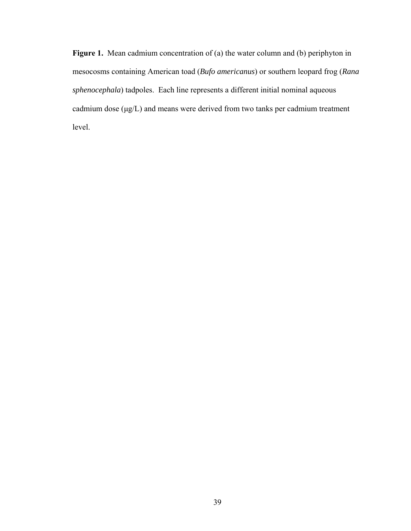**Figure 1.** Mean cadmium concentration of (a) the water column and (b) periphyton in mesocosms containing American toad (*Bufo americanus*) or southern leopard frog (*Rana sphenocephala*) tadpoles. Each line represents a different initial nominal aqueous cadmium dose (μg/L) and means were derived from two tanks per cadmium treatment level.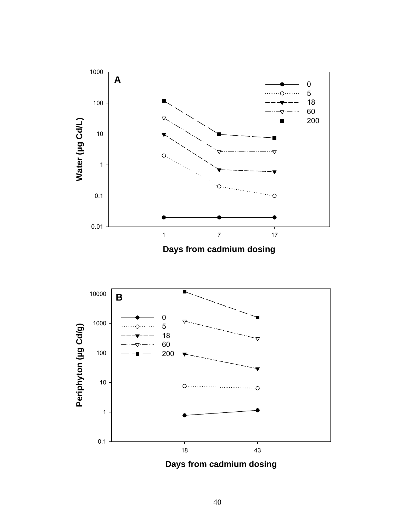

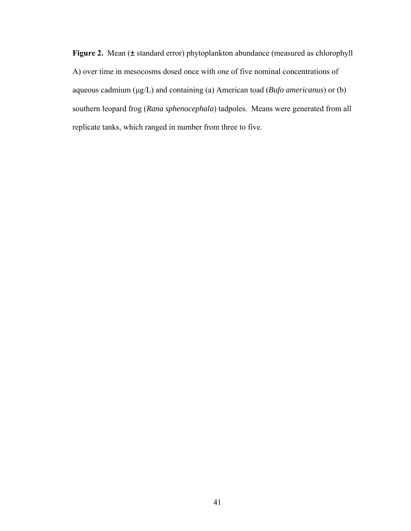**Figure 2.** Mean (± standard error) phytoplankton abundance (measured as chlorophyll A) over time in mesocosms dosed once with one of five nominal concentrations of aqueous cadmium (μg/L) and containing (a) American toad (*Bufo americanus*) or (b) southern leopard frog (*Rana sphenocephala*) tadpoles. Means were generated from all replicate tanks, which ranged in number from three to five.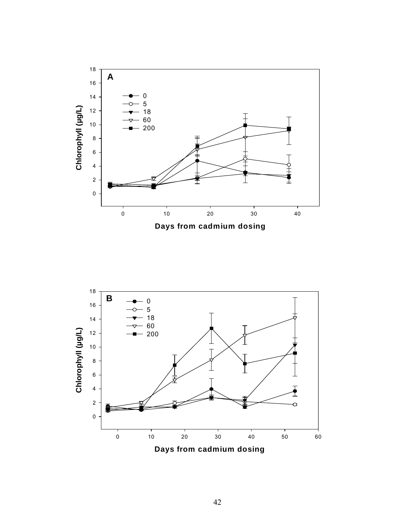

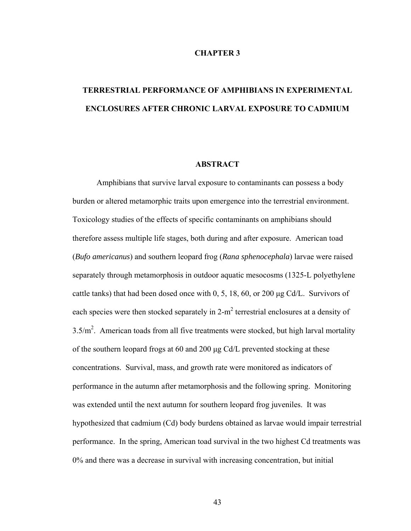## **CHAPTER 3**

# **TERRESTRIAL PERFORMANCE OF AMPHIBIANS IN EXPERIMENTAL ENCLOSURES AFTER CHRONIC LARVAL EXPOSURE TO CADMIUM**

#### **ABSTRACT**

Amphibians that survive larval exposure to contaminants can possess a body burden or altered metamorphic traits upon emergence into the terrestrial environment. Toxicology studies of the effects of specific contaminants on amphibians should therefore assess multiple life stages, both during and after exposure. American toad (*Bufo americanus*) and southern leopard frog (*Rana sphenocephala*) larvae were raised separately through metamorphosis in outdoor aquatic mesocosms (1325-L polyethylene cattle tanks) that had been dosed once with 0, 5, 18, 60, or 200 μg Cd/L. Survivors of each species were then stocked separately in  $2-m^2$  terrestrial enclosures at a density of  $3.5/m<sup>2</sup>$ . American toads from all five treatments were stocked, but high larval mortality of the southern leopard frogs at 60 and 200 μg Cd/L prevented stocking at these concentrations. Survival, mass, and growth rate were monitored as indicators of performance in the autumn after metamorphosis and the following spring. Monitoring was extended until the next autumn for southern leopard frog juveniles. It was hypothesized that cadmium (Cd) body burdens obtained as larvae would impair terrestrial performance. In the spring, American toad survival in the two highest Cd treatments was 0% and there was a decrease in survival with increasing concentration, but initial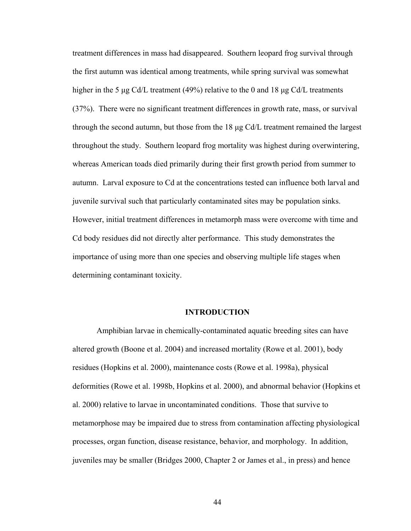treatment differences in mass had disappeared. Southern leopard frog survival through the first autumn was identical among treatments, while spring survival was somewhat higher in the 5 μg Cd/L treatment (49%) relative to the 0 and 18 μg Cd/L treatments (37%). There were no significant treatment differences in growth rate, mass, or survival through the second autumn, but those from the 18 μg Cd/L treatment remained the largest throughout the study. Southern leopard frog mortality was highest during overwintering, whereas American toads died primarily during their first growth period from summer to autumn. Larval exposure to Cd at the concentrations tested can influence both larval and juvenile survival such that particularly contaminated sites may be population sinks. However, initial treatment differences in metamorph mass were overcome with time and Cd body residues did not directly alter performance. This study demonstrates the importance of using more than one species and observing multiple life stages when determining contaminant toxicity.

## **INTRODUCTION**

Amphibian larvae in chemically-contaminated aquatic breeding sites can have altered growth (Boone et al. 2004) and increased mortality (Rowe et al. 2001), body residues (Hopkins et al. 2000), maintenance costs (Rowe et al. 1998a), physical deformities (Rowe et al. 1998b, Hopkins et al. 2000), and abnormal behavior (Hopkins et al. 2000) relative to larvae in uncontaminated conditions. Those that survive to metamorphose may be impaired due to stress from contamination affecting physiological processes, organ function, disease resistance, behavior, and morphology. In addition, juveniles may be smaller (Bridges 2000, Chapter 2 or James et al., in press) and hence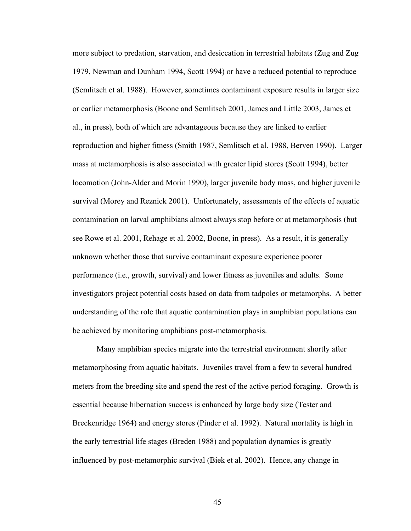more subject to predation, starvation, and desiccation in terrestrial habitats (Zug and Zug 1979, Newman and Dunham 1994, Scott 1994) or have a reduced potential to reproduce (Semlitsch et al. 1988). However, sometimes contaminant exposure results in larger size or earlier metamorphosis (Boone and Semlitsch 2001, James and Little 2003, James et al., in press), both of which are advantageous because they are linked to earlier reproduction and higher fitness (Smith 1987, Semlitsch et al. 1988, Berven 1990). Larger mass at metamorphosis is also associated with greater lipid stores (Scott 1994), better locomotion (John-Alder and Morin 1990), larger juvenile body mass, and higher juvenile survival (Morey and Reznick 2001). Unfortunately, assessments of the effects of aquatic contamination on larval amphibians almost always stop before or at metamorphosis (but see Rowe et al. 2001, Rehage et al. 2002, Boone, in press). As a result, it is generally unknown whether those that survive contaminant exposure experience poorer performance (i.e., growth, survival) and lower fitness as juveniles and adults. Some investigators project potential costs based on data from tadpoles or metamorphs. A better understanding of the role that aquatic contamination plays in amphibian populations can be achieved by monitoring amphibians post-metamorphosis.

Many amphibian species migrate into the terrestrial environment shortly after metamorphosing from aquatic habitats. Juveniles travel from a few to several hundred meters from the breeding site and spend the rest of the active period foraging. Growth is essential because hibernation success is enhanced by large body size (Tester and Breckenridge 1964) and energy stores (Pinder et al. 1992). Natural mortality is high in the early terrestrial life stages (Breden 1988) and population dynamics is greatly influenced by post-metamorphic survival (Biek et al. 2002). Hence, any change in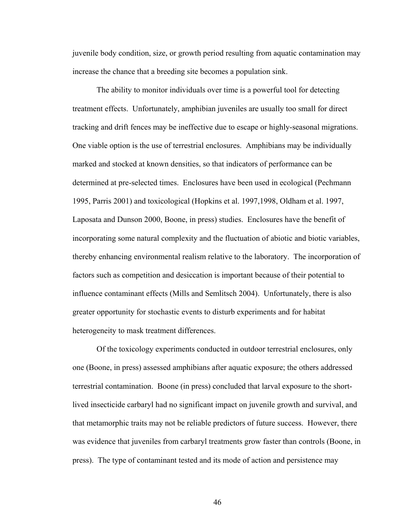juvenile body condition, size, or growth period resulting from aquatic contamination may increase the chance that a breeding site becomes a population sink.

The ability to monitor individuals over time is a powerful tool for detecting treatment effects. Unfortunately, amphibian juveniles are usually too small for direct tracking and drift fences may be ineffective due to escape or highly-seasonal migrations. One viable option is the use of terrestrial enclosures. Amphibians may be individually marked and stocked at known densities, so that indicators of performance can be determined at pre-selected times. Enclosures have been used in ecological (Pechmann 1995, Parris 2001) and toxicological (Hopkins et al. 1997,1998, Oldham et al. 1997, Laposata and Dunson 2000, Boone, in press) studies. Enclosures have the benefit of incorporating some natural complexity and the fluctuation of abiotic and biotic variables, thereby enhancing environmental realism relative to the laboratory. The incorporation of factors such as competition and desiccation is important because of their potential to influence contaminant effects (Mills and Semlitsch 2004). Unfortunately, there is also greater opportunity for stochastic events to disturb experiments and for habitat heterogeneity to mask treatment differences.

Of the toxicology experiments conducted in outdoor terrestrial enclosures, only one (Boone, in press) assessed amphibians after aquatic exposure; the others addressed terrestrial contamination. Boone (in press) concluded that larval exposure to the shortlived insecticide carbaryl had no significant impact on juvenile growth and survival, and that metamorphic traits may not be reliable predictors of future success. However, there was evidence that juveniles from carbaryl treatments grow faster than controls (Boone, in press). The type of contaminant tested and its mode of action and persistence may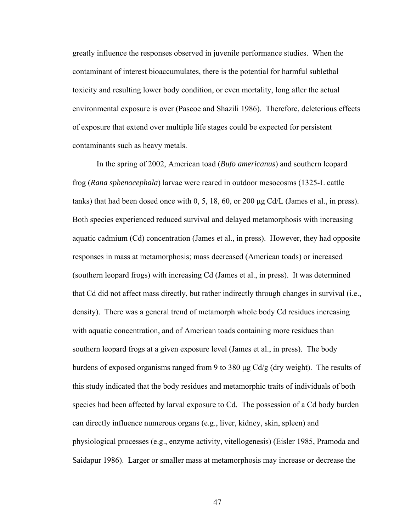greatly influence the responses observed in juvenile performance studies. When the contaminant of interest bioaccumulates, there is the potential for harmful sublethal toxicity and resulting lower body condition, or even mortality, long after the actual environmental exposure is over (Pascoe and Shazili 1986). Therefore, deleterious effects of exposure that extend over multiple life stages could be expected for persistent contaminants such as heavy metals.

In the spring of 2002, American toad (*Bufo americanus*) and southern leopard frog (*Rana sphenocephala*) larvae were reared in outdoor mesocosms (1325-L cattle tanks) that had been dosed once with 0, 5, 18, 60, or 200 μg Cd/L (James et al., in press). Both species experienced reduced survival and delayed metamorphosis with increasing aquatic cadmium (Cd) concentration (James et al., in press). However, they had opposite responses in mass at metamorphosis; mass decreased (American toads) or increased (southern leopard frogs) with increasing Cd (James et al., in press). It was determined that Cd did not affect mass directly, but rather indirectly through changes in survival (i.e., density). There was a general trend of metamorph whole body Cd residues increasing with aquatic concentration, and of American toads containing more residues than southern leopard frogs at a given exposure level (James et al., in press). The body burdens of exposed organisms ranged from 9 to 380 μg Cd/g (dry weight). The results of this study indicated that the body residues and metamorphic traits of individuals of both species had been affected by larval exposure to Cd. The possession of a Cd body burden can directly influence numerous organs (e.g., liver, kidney, skin, spleen) and physiological processes (e.g., enzyme activity, vitellogenesis) (Eisler 1985, Pramoda and Saidapur 1986). Larger or smaller mass at metamorphosis may increase or decrease the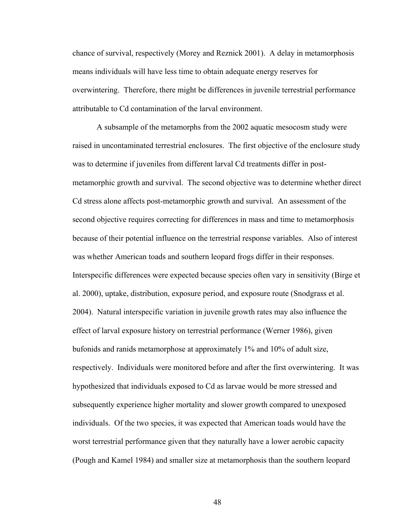chance of survival, respectively (Morey and Reznick 2001). A delay in metamorphosis means individuals will have less time to obtain adequate energy reserves for overwintering. Therefore, there might be differences in juvenile terrestrial performance attributable to Cd contamination of the larval environment.

A subsample of the metamorphs from the 2002 aquatic mesocosm study were raised in uncontaminated terrestrial enclosures. The first objective of the enclosure study was to determine if juveniles from different larval Cd treatments differ in postmetamorphic growth and survival. The second objective was to determine whether direct Cd stress alone affects post-metamorphic growth and survival. An assessment of the second objective requires correcting for differences in mass and time to metamorphosis because of their potential influence on the terrestrial response variables. Also of interest was whether American toads and southern leopard frogs differ in their responses. Interspecific differences were expected because species often vary in sensitivity (Birge et al. 2000), uptake, distribution, exposure period, and exposure route (Snodgrass et al. 2004). Natural interspecific variation in juvenile growth rates may also influence the effect of larval exposure history on terrestrial performance (Werner 1986), given bufonids and ranids metamorphose at approximately 1% and 10% of adult size, respectively. Individuals were monitored before and after the first overwintering. It was hypothesized that individuals exposed to Cd as larvae would be more stressed and subsequently experience higher mortality and slower growth compared to unexposed individuals. Of the two species, it was expected that American toads would have the worst terrestrial performance given that they naturally have a lower aerobic capacity (Pough and Kamel 1984) and smaller size at metamorphosis than the southern leopard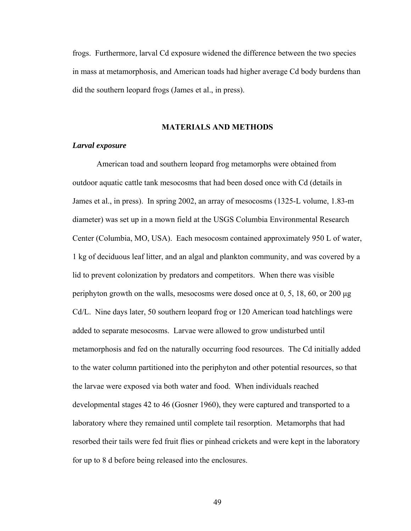frogs. Furthermore, larval Cd exposure widened the difference between the two species in mass at metamorphosis, and American toads had higher average Cd body burdens than did the southern leopard frogs (James et al., in press).

## **MATERIALS AND METHODS**

## *Larval exposure*

 American toad and southern leopard frog metamorphs were obtained from outdoor aquatic cattle tank mesocosms that had been dosed once with Cd (details in James et al., in press). In spring 2002, an array of mesocosms (1325-L volume, 1.83-m diameter) was set up in a mown field at the USGS Columbia Environmental Research Center (Columbia, MO, USA). Each mesocosm contained approximately 950 L of water, 1 kg of deciduous leaf litter, and an algal and plankton community, and was covered by a lid to prevent colonization by predators and competitors. When there was visible periphyton growth on the walls, mesocosms were dosed once at 0, 5, 18, 60, or 200  $\mu$ g Cd/L. Nine days later, 50 southern leopard frog or 120 American toad hatchlings were added to separate mesocosms. Larvae were allowed to grow undisturbed until metamorphosis and fed on the naturally occurring food resources. The Cd initially added to the water column partitioned into the periphyton and other potential resources, so that the larvae were exposed via both water and food. When individuals reached developmental stages 42 to 46 (Gosner 1960), they were captured and transported to a laboratory where they remained until complete tail resorption. Metamorphs that had resorbed their tails were fed fruit flies or pinhead crickets and were kept in the laboratory for up to 8 d before being released into the enclosures.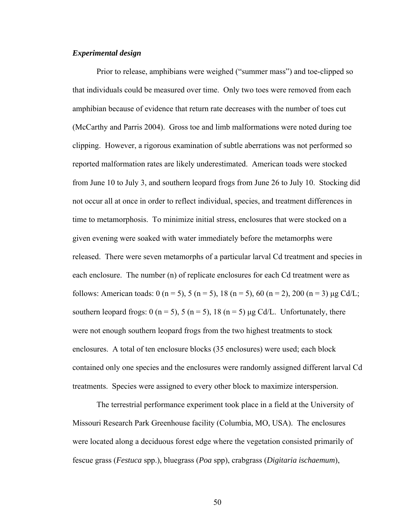# *Experimental design*

Prior to release, amphibians were weighed ("summer mass") and toe-clipped so that individuals could be measured over time. Only two toes were removed from each amphibian because of evidence that return rate decreases with the number of toes cut (McCarthy and Parris 2004). Gross toe and limb malformations were noted during toe clipping.However, a rigorous examination of subtle aberrations was not performed so reported malformation rates are likely underestimated. American toads were stocked from June 10 to July 3, and southern leopard frogs from June 26 to July 10. Stocking did not occur all at once in order to reflect individual, species, and treatment differences in time to metamorphosis. To minimize initial stress, enclosures that were stocked on a given evening were soaked with water immediately before the metamorphs were released. There were seven metamorphs of a particular larval Cd treatment and species in each enclosure. The number (n) of replicate enclosures for each Cd treatment were as follows: American toads: 0 (n = 5), 5 (n = 5), 18 (n = 5), 60 (n = 2), 200 (n = 3)  $\mu$ g Cd/L; southern leopard frogs:  $0$  (n = 5), 5 (n = 5), 18 (n = 5) μg Cd/L. Unfortunately, there were not enough southern leopard frogs from the two highest treatments to stock enclosures. A total of ten enclosure blocks (35 enclosures) were used; each block contained only one species and the enclosures were randomly assigned different larval Cd treatments. Species were assigned to every other block to maximize interspersion.

The terrestrial performance experiment took place in a field at the University of Missouri Research Park Greenhouse facility (Columbia, MO, USA). The enclosures were located along a deciduous forest edge where the vegetation consisted primarily of fescue grass (*Festuca* spp.), bluegrass (*Poa* spp), crabgrass (*Digitaria ischaemum*),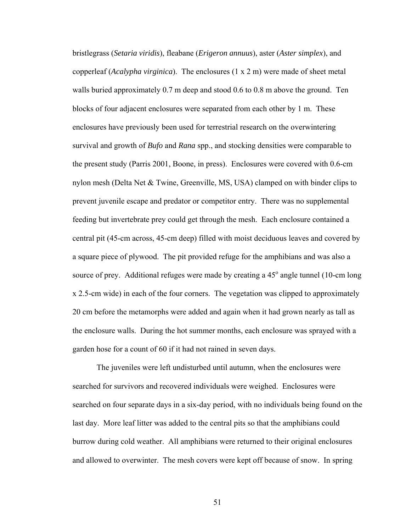bristlegrass (*Setaria viridis*), fleabane (*Erigeron annuus*), aster (*Aster simplex*), and copperleaf (*Acalypha virginica*). The enclosures (1 x 2 m) were made of sheet metal walls buried approximately 0.7 m deep and stood 0.6 to 0.8 m above the ground. Ten blocks of four adjacent enclosures were separated from each other by 1 m. These enclosures have previously been used for terrestrial research on the overwintering survival and growth of *Bufo* and *Rana* spp., and stocking densities were comparable to the present study (Parris 2001, Boone, in press). Enclosures were covered with 0.6-cm nylon mesh (Delta Net & Twine, Greenville, MS, USA) clamped on with binder clips to prevent juvenile escape and predator or competitor entry. There was no supplemental feeding but invertebrate prey could get through the mesh. Each enclosure contained a central pit (45-cm across, 45-cm deep) filled with moist deciduous leaves and covered by a square piece of plywood. The pit provided refuge for the amphibians and was also a source of prey. Additional refuges were made by creating a  $45^{\circ}$  angle tunnel (10-cm long x 2.5-cm wide) in each of the four corners. The vegetation was clipped to approximately 20 cm before the metamorphs were added and again when it had grown nearly as tall as the enclosure walls. During the hot summer months, each enclosure was sprayed with a garden hose for a count of 60 if it had not rained in seven days.

The juveniles were left undisturbed until autumn, when the enclosures were searched for survivors and recovered individuals were weighed. Enclosures were searched on four separate days in a six-day period, with no individuals being found on the last day. More leaf litter was added to the central pits so that the amphibians could burrow during cold weather. All amphibians were returned to their original enclosures and allowed to overwinter. The mesh covers were kept off because of snow. In spring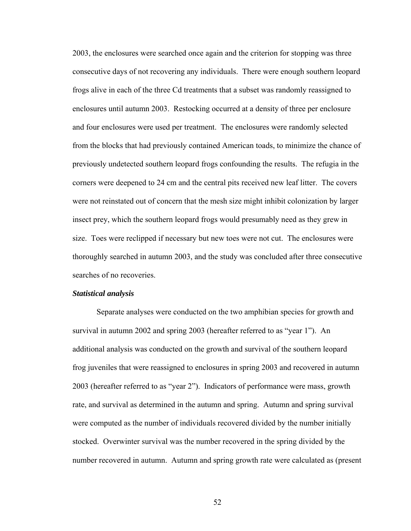2003, the enclosures were searched once again and the criterion for stopping was three consecutive days of not recovering any individuals. There were enough southern leopard frogs alive in each of the three Cd treatments that a subset was randomly reassigned to enclosures until autumn 2003. Restocking occurred at a density of three per enclosure and four enclosures were used per treatment. The enclosures were randomly selected from the blocks that had previously contained American toads, to minimize the chance of previously undetected southern leopard frogs confounding the results. The refugia in the corners were deepened to 24 cm and the central pits received new leaf litter. The covers were not reinstated out of concern that the mesh size might inhibit colonization by larger insect prey, which the southern leopard frogs would presumably need as they grew in size. Toes were reclipped if necessary but new toes were not cut. The enclosures were thoroughly searched in autumn 2003, and the study was concluded after three consecutive searches of no recoveries.

#### *Statistical analysis*

Separate analyses were conducted on the two amphibian species for growth and survival in autumn 2002 and spring 2003 (hereafter referred to as "year 1"). An additional analysis was conducted on the growth and survival of the southern leopard frog juveniles that were reassigned to enclosures in spring 2003 and recovered in autumn 2003 (hereafter referred to as "year 2"). Indicators of performance were mass, growth rate, and survival as determined in the autumn and spring. Autumn and spring survival were computed as the number of individuals recovered divided by the number initially stocked. Overwinter survival was the number recovered in the spring divided by the number recovered in autumn. Autumn and spring growth rate were calculated as (present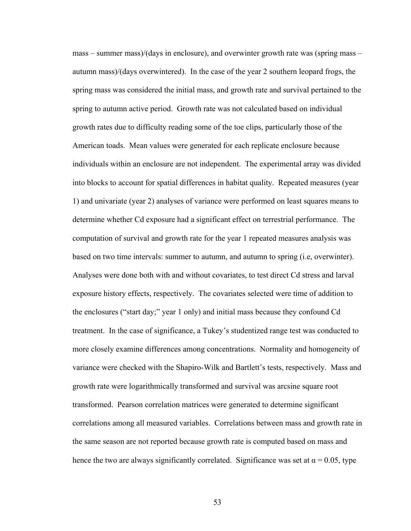mass – summer mass)/(days in enclosure), and overwinter growth rate was (spring mass – autumn mass)/(days overwintered). In the case of the year 2 southern leopard frogs, the spring mass was considered the initial mass, and growth rate and survival pertained to the spring to autumn active period. Growth rate was not calculated based on individual growth rates due to difficulty reading some of the toe clips, particularly those of the American toads. Mean values were generated for each replicate enclosure because individuals within an enclosure are not independent. The experimental array was divided into blocks to account for spatial differences in habitat quality. Repeated measures (year 1) and univariate (year 2) analyses of variance were performed on least squares means to determine whether Cd exposure had a significant effect on terrestrial performance. The computation of survival and growth rate for the year 1 repeated measures analysis was based on two time intervals: summer to autumn, and autumn to spring (i.e, overwinter). Analyses were done both with and without covariates, to test direct Cd stress and larval exposure history effects, respectively. The covariates selected were time of addition to the enclosures ("start day;" year 1 only) and initial mass because they confound Cd treatment. In the case of significance, a Tukey's studentized range test was conducted to more closely examine differences among concentrations. Normality and homogeneity of variance were checked with the Shapiro-Wilk and Bartlett's tests, respectively. Mass and growth rate were logarithmically transformed and survival was arcsine square root transformed. Pearson correlation matrices were generated to determine significant correlations among all measured variables. Correlations between mass and growth rate in the same season are not reported because growth rate is computed based on mass and hence the two are always significantly correlated. Significance was set at  $\alpha = 0.05$ , type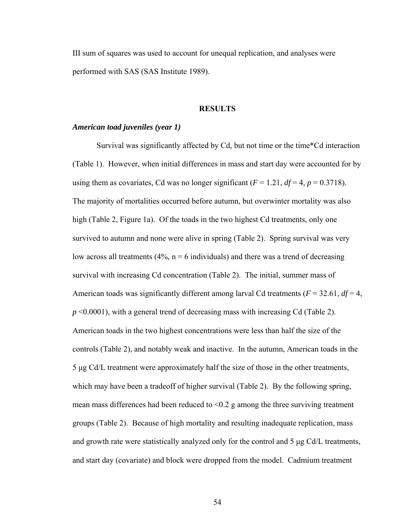III sum of squares was used to account for unequal replication, and analyses were performed with SAS (SAS Institute 1989).

#### **RESULTS**

# *American toad juveniles (year 1)*

Survival was significantly affected by Cd, but not time or the time\*Cd interaction (Table 1). However, when initial differences in mass and start day were accounted for by using them as covariates, Cd was no longer significant  $(F = 1.21, df = 4, p = 0.3718)$ . The majority of mortalities occurred before autumn, but overwinter mortality was also high (Table 2, Figure 1a). Of the toads in the two highest Cd treatments, only one survived to autumn and none were alive in spring (Table 2). Spring survival was very low across all treatments (4%,  $n = 6$  individuals) and there was a trend of decreasing survival with increasing Cd concentration (Table 2). The initial, summer mass of American toads was significantly different among larval Cd treatments ( $F = 32.61$ ,  $df = 4$ , *p* <0.0001), with a general trend of decreasing mass with increasing Cd (Table 2). American toads in the two highest concentrations were less than half the size of the controls (Table 2), and notably weak and inactive. In the autumn, American toads in the 5 μg Cd/L treatment were approximately half the size of those in the other treatments, which may have been a tradeoff of higher survival (Table 2). By the following spring, mean mass differences had been reduced to  $\leq 0.2$  g among the three surviving treatment groups (Table 2). Because of high mortality and resulting inadequate replication, mass and growth rate were statistically analyzed only for the control and 5 μg Cd/L treatments, and start day (covariate) and block were dropped from the model. Cadmium treatment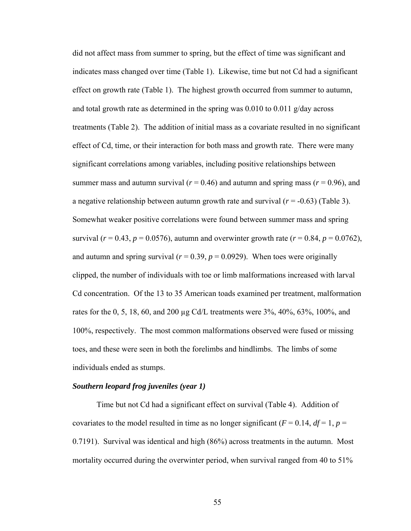did not affect mass from summer to spring, but the effect of time was significant and indicates mass changed over time (Table 1). Likewise, time but not Cd had a significant effect on growth rate (Table 1). The highest growth occurred from summer to autumn, and total growth rate as determined in the spring was 0.010 to 0.011 g/day across treatments (Table 2). The addition of initial mass as a covariate resulted in no significant effect of Cd, time, or their interaction for both mass and growth rate. There were many significant correlations among variables, including positive relationships between summer mass and autumn survival ( $r = 0.46$ ) and autumn and spring mass ( $r = 0.96$ ), and a negative relationship between autumn growth rate and survival  $(r = -0.63)$  (Table 3). Somewhat weaker positive correlations were found between summer mass and spring survival ( $r = 0.43$ ,  $p = 0.0576$ ), autumn and overwinter growth rate ( $r = 0.84$ ,  $p = 0.0762$ ), and autumn and spring survival ( $r = 0.39$ ,  $p = 0.0929$ ). When toes were originally clipped, the number of individuals with toe or limb malformations increased with larval Cd concentration. Of the 13 to 35 American toads examined per treatment, malformation rates for the 0, 5, 18, 60, and 200 µg Cd/L treatments were 3%, 40%, 63%, 100%, and 100%, respectively. The most common malformations observed were fused or missing toes, and these were seen in both the forelimbs and hindlimbs. The limbs of some individuals ended as stumps.

#### *Southern leopard frog juveniles (year 1)*

Time but not Cd had a significant effect on survival (Table 4). Addition of covariates to the model resulted in time as no longer significant ( $F = 0.14$ ,  $df = 1$ ,  $p =$ 0.7191). Survival was identical and high (86%) across treatments in the autumn. Most mortality occurred during the overwinter period, when survival ranged from 40 to 51%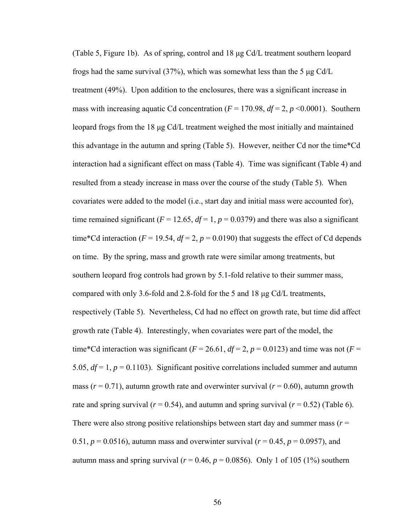(Table 5, Figure 1b). As of spring, control and 18 μg Cd/L treatment southern leopard frogs had the same survival (37%), which was somewhat less than the 5 μg Cd/L treatment (49%). Upon addition to the enclosures, there was a significant increase in mass with increasing aquatic Cd concentration ( $F = 170.98$ ,  $df = 2$ ,  $p \le 0.0001$ ). Southern leopard frogs from the 18 μg Cd/L treatment weighed the most initially and maintained this advantage in the autumn and spring (Table 5). However, neither Cd nor the time\*Cd interaction had a significant effect on mass (Table 4). Time was significant (Table 4) and resulted from a steady increase in mass over the course of the study (Table 5). When covariates were added to the model (i.e., start day and initial mass were accounted for), time remained significant ( $F = 12.65$ ,  $df = 1$ ,  $p = 0.0379$ ) and there was also a significant time\*Cd interaction ( $F = 19.54$ ,  $df = 2$ ,  $p = 0.0190$ ) that suggests the effect of Cd depends on time. By the spring, mass and growth rate were similar among treatments, but southern leopard frog controls had grown by 5.1-fold relative to their summer mass, compared with only 3.6-fold and 2.8-fold for the 5 and 18 μg Cd/L treatments, respectively (Table 5). Nevertheless, Cd had no effect on growth rate, but time did affect growth rate (Table 4). Interestingly, when covariates were part of the model, the time\*Cd interaction was significant ( $F = 26.61$ ,  $df = 2$ ,  $p = 0.0123$ ) and time was not ( $F =$ 5.05,  $df = 1$ ,  $p = 0.1103$ ). Significant positive correlations included summer and autumn mass ( $r = 0.71$ ), autumn growth rate and overwinter survival ( $r = 0.60$ ), autumn growth rate and spring survival ( $r = 0.54$ ), and autumn and spring survival ( $r = 0.52$ ) (Table 6). There were also strong positive relationships between start day and summer mass ( $r =$ 0.51,  $p = 0.0516$ ), autumn mass and overwinter survival ( $r = 0.45$ ,  $p = 0.0957$ ), and autumn mass and spring survival ( $r = 0.46$ ,  $p = 0.0856$ ). Only 1 of 105 (1%) southern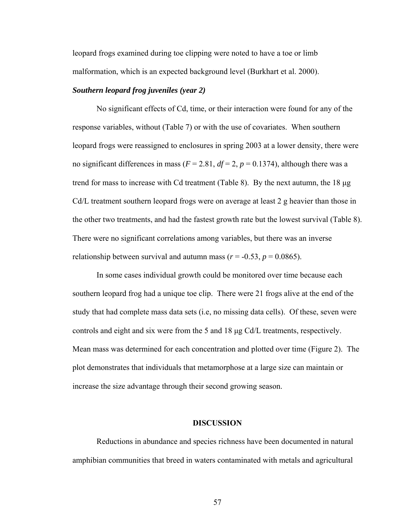leopard frogs examined during toe clipping were noted to have a toe or limb malformation, which is an expected background level (Burkhart et al. 2000).

# *Southern leopard frog juveniles (year 2)*

 No significant effects of Cd, time, or their interaction were found for any of the response variables, without (Table 7) or with the use of covariates. When southern leopard frogs were reassigned to enclosures in spring 2003 at a lower density, there were no significant differences in mass ( $F = 2.81$ ,  $df = 2$ ,  $p = 0.1374$ ), although there was a trend for mass to increase with Cd treatment (Table 8). By the next autumn, the 18 μg Cd/L treatment southern leopard frogs were on average at least 2 g heavier than those in the other two treatments, and had the fastest growth rate but the lowest survival (Table 8). There were no significant correlations among variables, but there was an inverse relationship between survival and autumn mass ( $r = -0.53$ ,  $p = 0.0865$ ).

In some cases individual growth could be monitored over time because each southern leopard frog had a unique toe clip. There were 21 frogs alive at the end of the study that had complete mass data sets (i.e, no missing data cells). Of these, seven were controls and eight and six were from the 5 and 18 μg Cd/L treatments, respectively. Mean mass was determined for each concentration and plotted over time (Figure 2). The plot demonstrates that individuals that metamorphose at a large size can maintain or increase the size advantage through their second growing season.

#### **DISCUSSION**

Reductions in abundance and species richness have been documented in natural amphibian communities that breed in waters contaminated with metals and agricultural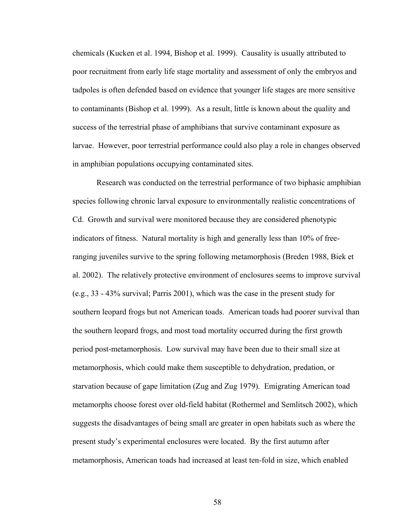chemicals (Kucken et al. 1994, Bishop et al. 1999). Causality is usually attributed to poor recruitment from early life stage mortality and assessment of only the embryos and tadpoles is often defended based on evidence that younger life stages are more sensitive to contaminants (Bishop et al. 1999). As a result, little is known about the quality and success of the terrestrial phase of amphibians that survive contaminant exposure as larvae. However, poor terrestrial performance could also play a role in changes observed in amphibian populations occupying contaminated sites.

Research was conducted on the terrestrial performance of two biphasic amphibian species following chronic larval exposure to environmentally realistic concentrations of Cd. Growth and survival were monitored because they are considered phenotypic indicators of fitness. Natural mortality is high and generally less than 10% of freeranging juveniles survive to the spring following metamorphosis (Breden 1988, Biek et al. 2002). The relatively protective environment of enclosures seems to improve survival (e.g., 33 - 43% survival; Parris 2001), which was the case in the present study for southern leopard frogs but not American toads. American toads had poorer survival than the southern leopard frogs, and most toad mortality occurred during the first growth period post-metamorphosis. Low survival may have been due to their small size at metamorphosis, which could make them susceptible to dehydration, predation, or starvation because of gape limitation (Zug and Zug 1979). Emigrating American toad metamorphs choose forest over old-field habitat (Rothermel and Semlitsch 2002), which suggests the disadvantages of being small are greater in open habitats such as where the present study's experimental enclosures were located. By the first autumn after metamorphosis, American toads had increased at least ten-fold in size, which enabled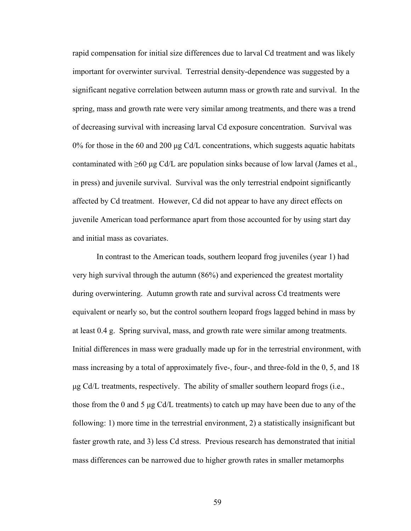rapid compensation for initial size differences due to larval Cd treatment and was likely important for overwinter survival. Terrestrial density-dependence was suggested by a significant negative correlation between autumn mass or growth rate and survival. In the spring, mass and growth rate were very similar among treatments, and there was a trend of decreasing survival with increasing larval Cd exposure concentration. Survival was  $0\%$  for those in the 60 and 200 µg Cd/L concentrations, which suggests aquatic habitats contaminated with  $\geq 60 \mu$ g Cd/L are population sinks because of low larval (James et al., in press) and juvenile survival. Survival was the only terrestrial endpoint significantly affected by Cd treatment. However, Cd did not appear to have any direct effects on juvenile American toad performance apart from those accounted for by using start day and initial mass as covariates.

In contrast to the American toads, southern leopard frog juveniles (year 1) had very high survival through the autumn (86%) and experienced the greatest mortality during overwintering. Autumn growth rate and survival across Cd treatments were equivalent or nearly so, but the control southern leopard frogs lagged behind in mass by at least 0.4 g. Spring survival, mass, and growth rate were similar among treatments. Initial differences in mass were gradually made up for in the terrestrial environment, with mass increasing by a total of approximately five-, four-, and three-fold in the 0, 5, and 18 μg Cd/L treatments, respectively. The ability of smaller southern leopard frogs (i.e., those from the 0 and 5 μg Cd/L treatments) to catch up may have been due to any of the following: 1) more time in the terrestrial environment, 2) a statistically insignificant but faster growth rate, and 3) less Cd stress. Previous research has demonstrated that initial mass differences can be narrowed due to higher growth rates in smaller metamorphs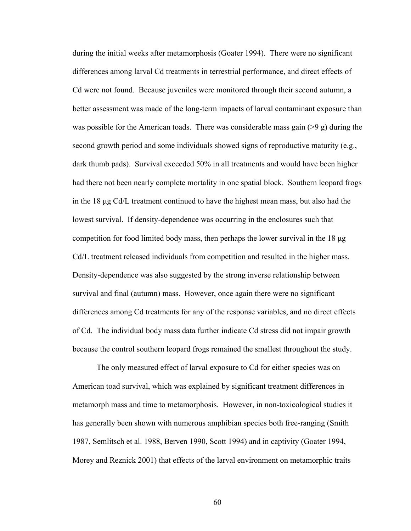during the initial weeks after metamorphosis (Goater 1994). There were no significant differences among larval Cd treatments in terrestrial performance, and direct effects of Cd were not found. Because juveniles were monitored through their second autumn, a better assessment was made of the long-term impacts of larval contaminant exposure than was possible for the American toads. There was considerable mass gain  $(>9 \text{ g})$  during the second growth period and some individuals showed signs of reproductive maturity (e.g., dark thumb pads). Survival exceeded 50% in all treatments and would have been higher had there not been nearly complete mortality in one spatial block. Southern leopard frogs in the 18 μg Cd/L treatment continued to have the highest mean mass, but also had the lowest survival. If density-dependence was occurring in the enclosures such that competition for food limited body mass, then perhaps the lower survival in the 18 μg Cd/L treatment released individuals from competition and resulted in the higher mass. Density-dependence was also suggested by the strong inverse relationship between survival and final (autumn) mass. However, once again there were no significant differences among Cd treatments for any of the response variables, and no direct effects of Cd. The individual body mass data further indicate Cd stress did not impair growth because the control southern leopard frogs remained the smallest throughout the study.

The only measured effect of larval exposure to Cd for either species was on American toad survival, which was explained by significant treatment differences in metamorph mass and time to metamorphosis. However, in non-toxicological studies it has generally been shown with numerous amphibian species both free-ranging (Smith 1987, Semlitsch et al. 1988, Berven 1990, Scott 1994) and in captivity (Goater 1994, Morey and Reznick 2001) that effects of the larval environment on metamorphic traits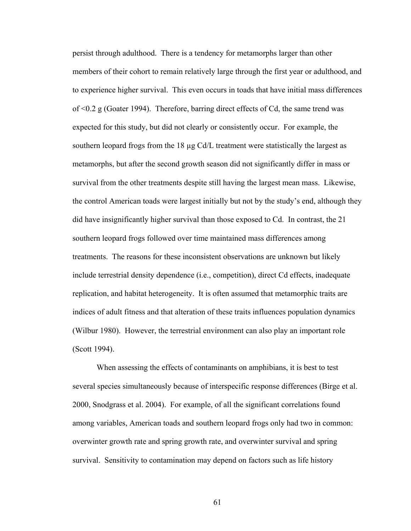persist through adulthood. There is a tendency for metamorphs larger than other members of their cohort to remain relatively large through the first year or adulthood, and to experience higher survival. This even occurs in toads that have initial mass differences of <0.2 g (Goater 1994). Therefore, barring direct effects of Cd, the same trend was expected for this study, but did not clearly or consistently occur. For example, the southern leopard frogs from the 18 µg Cd/L treatment were statistically the largest as metamorphs, but after the second growth season did not significantly differ in mass or survival from the other treatments despite still having the largest mean mass. Likewise, the control American toads were largest initially but not by the study's end, although they did have insignificantly higher survival than those exposed to Cd. In contrast, the 21 southern leopard frogs followed over time maintained mass differences among treatments. The reasons for these inconsistent observations are unknown but likely include terrestrial density dependence (i.e., competition), direct Cd effects, inadequate replication, and habitat heterogeneity. It is often assumed that metamorphic traits are indices of adult fitness and that alteration of these traits influences population dynamics (Wilbur 1980). However, the terrestrial environment can also play an important role (Scott 1994).

When assessing the effects of contaminants on amphibians, it is best to test several species simultaneously because of interspecific response differences (Birge et al. 2000, Snodgrass et al. 2004). For example, of all the significant correlations found among variables, American toads and southern leopard frogs only had two in common: overwinter growth rate and spring growth rate, and overwinter survival and spring survival. Sensitivity to contamination may depend on factors such as life history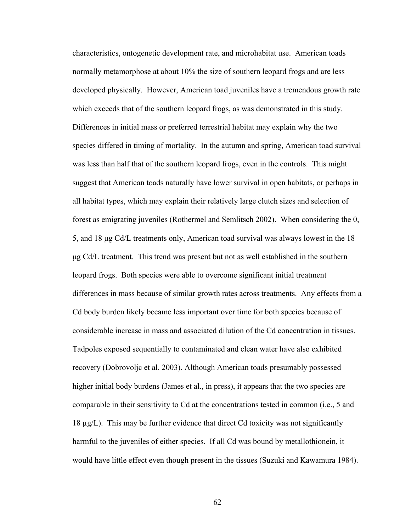characteristics, ontogenetic development rate, and microhabitat use. American toads normally metamorphose at about 10% the size of southern leopard frogs and are less developed physically. However, American toad juveniles have a tremendous growth rate which exceeds that of the southern leopard frogs, as was demonstrated in this study. Differences in initial mass or preferred terrestrial habitat may explain why the two species differed in timing of mortality. In the autumn and spring, American toad survival was less than half that of the southern leopard frogs, even in the controls. This might suggest that American toads naturally have lower survival in open habitats, or perhaps in all habitat types, which may explain their relatively large clutch sizes and selection of forest as emigrating juveniles (Rothermel and Semlitsch 2002). When considering the 0, 5, and 18 μg Cd/L treatments only, American toad survival was always lowest in the 18 μg Cd/L treatment. This trend was present but not as well established in the southern leopard frogs. Both species were able to overcome significant initial treatment differences in mass because of similar growth rates across treatments. Any effects from a Cd body burden likely became less important over time for both species because of considerable increase in mass and associated dilution of the Cd concentration in tissues. Tadpoles exposed sequentially to contaminated and clean water have also exhibited recovery (Dobrovoljc et al. 2003). Although American toads presumably possessed higher initial body burdens (James et al., in press), it appears that the two species are comparable in their sensitivity to Cd at the concentrations tested in common (i.e., 5 and 18 µg/L). This may be further evidence that direct Cd toxicity was not significantly harmful to the juveniles of either species. If all Cd was bound by metallothionein, it would have little effect even though present in the tissues (Suzuki and Kawamura 1984).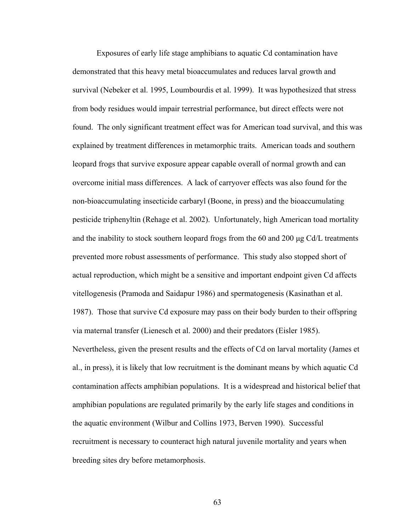Exposures of early life stage amphibians to aquatic Cd contamination have demonstrated that this heavy metal bioaccumulates and reduces larval growth and survival (Nebeker et al. 1995, Loumbourdis et al. 1999). It was hypothesized that stress from body residues would impair terrestrial performance, but direct effects were not found. The only significant treatment effect was for American toad survival, and this was explained by treatment differences in metamorphic traits. American toads and southern leopard frogs that survive exposure appear capable overall of normal growth and can overcome initial mass differences. A lack of carryover effects was also found for the non-bioaccumulating insecticide carbaryl (Boone, in press) and the bioaccumulating pesticide triphenyltin (Rehage et al. 2002). Unfortunately, high American toad mortality and the inability to stock southern leopard frogs from the 60 and 200 μg Cd/L treatments prevented more robust assessments of performance. This study also stopped short of actual reproduction, which might be a sensitive and important endpoint given Cd affects vitellogenesis (Pramoda and Saidapur 1986) and spermatogenesis (Kasinathan et al. 1987). Those that survive Cd exposure may pass on their body burden to their offspring via maternal transfer (Lienesch et al. 2000) and their predators (Eisler 1985). Nevertheless, given the present results and the effects of Cd on larval mortality (James et al., in press), it is likely that low recruitment is the dominant means by which aquatic Cd contamination affects amphibian populations. It is a widespread and historical belief that amphibian populations are regulated primarily by the early life stages and conditions in the aquatic environment (Wilbur and Collins 1973, Berven 1990). Successful recruitment is necessary to counteract high natural juvenile mortality and years when breeding sites dry before metamorphosis.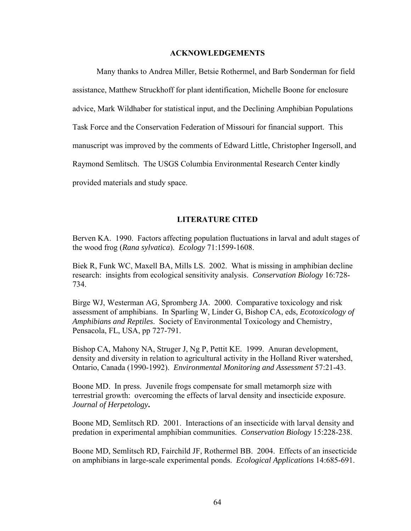## **ACKNOWLEDGEMENTS**

Many thanks to Andrea Miller, Betsie Rothermel, and Barb Sonderman for field assistance, Matthew Struckhoff for plant identification, Michelle Boone for enclosure advice, Mark Wildhaber for statistical input, and the Declining Amphibian Populations Task Force and the Conservation Federation of Missouri for financial support. This manuscript was improved by the comments of Edward Little, Christopher Ingersoll, and Raymond Semlitsch. The USGS Columbia Environmental Research Center kindly provided materials and study space.

## **LITERATURE CITED**

Berven KA. 1990. Factors affecting population fluctuations in larval and adult stages of the wood frog (*Rana sylvatica*). *Ecology* 71:1599-1608.

Biek R, Funk WC, Maxell BA, Mills LS. 2002. What is missing in amphibian decline research: insights from ecological sensitivity analysis. *Conservation Biology* 16:728- 734.

Birge WJ, Westerman AG, Spromberg JA. 2000. Comparative toxicology and risk assessment of amphibians. In Sparling W, Linder G, Bishop CA, eds, *Ecotoxicology of Amphibians and Reptiles*. Society of Environmental Toxicology and Chemistry, Pensacola, FL, USA, pp 727-791.

Bishop CA, Mahony NA, Struger J, Ng P, Pettit KE. 1999. Anuran development, density and diversity in relation to agricultural activity in the Holland River watershed, Ontario, Canada (1990-1992). *Environmental Monitoring and Assessment* 57:21-43.

Boone MD. In press. Juvenile frogs compensate for small metamorph size with terrestrial growth: overcoming the effects of larval density and insecticide exposure. *Journal of Herpetology***.**

Boone MD, Semlitsch RD. 2001. Interactions of an insecticide with larval density and predation in experimental amphibian communities. *Conservation Biology* 15:228-238.

Boone MD, Semlitsch RD, Fairchild JF, Rothermel BB. 2004. Effects of an insecticide on amphibians in large-scale experimental ponds. *Ecological Applications* 14:685-691.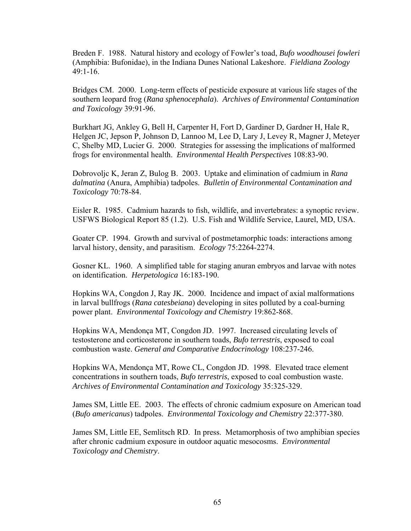Breden F. 1988. Natural history and ecology of Fowler's toad, *Bufo woodhousei fowleri* (Amphibia: Bufonidae), in the Indiana Dunes National Lakeshore. *Fieldiana Zoology* 49:1-16.

Bridges CM. 2000. Long-term effects of pesticide exposure at various life stages of the southern leopard frog (*Rana sphenocephala*). *Archives of Environmental Contamination and Toxicology* 39:91-96.

Burkhart JG, Ankley G, Bell H, Carpenter H, Fort D, Gardiner D, Gardner H, Hale R, Helgen JC, Jepson P, Johnson D, Lannoo M, Lee D, Lary J, Levey R, Magner J, Meteyer C, Shelby MD, Lucier G. 2000. Strategies for assessing the implications of malformed frogs for environmental health. *Environmental Health Perspectives* 108:83-90.

Dobrovoljc K, Jeran Z, Bulog B. 2003. Uptake and elimination of cadmium in *Rana dalmatina* (Anura, Amphibia) tadpoles. *Bulletin of Environmental Contamination and Toxicology* 70:78-84.

Eisler R. 1985. Cadmium hazards to fish, wildlife, and invertebrates: a synoptic review. USFWS Biological Report 85 (1.2). U.S. Fish and Wildlife Service, Laurel, MD, USA.

Goater CP. 1994. Growth and survival of postmetamorphic toads: interactions among larval history, density, and parasitism. *Ecology* 75:2264-2274.

Gosner KL. 1960. A simplified table for staging anuran embryos and larvae with notes on identification. *Herpetologica* 16:183-190.

Hopkins WA, Congdon J, Ray JK. 2000. Incidence and impact of axial malformations in larval bullfrogs (*Rana catesbeiana*) developing in sites polluted by a coal-burning power plant. *Environmental Toxicology and Chemistry* 19:862-868.

Hopkins WA, Mendonça MT, Congdon JD. 1997. Increased circulating levels of testosterone and corticosterone in southern toads, *Bufo terrestris*, exposed to coal combustion waste. *General and Comparative Endocrinology* 108:237-246.

Hopkins WA, Mendonça MT, Rowe CL, Congdon JD. 1998. Elevated trace element concentrations in southern toads, *Bufo terrestris*, exposed to coal combustion waste. *Archives of Environmental Contamination and Toxicology* 35:325-329.

James SM, Little EE. 2003. The effects of chronic cadmium exposure on American toad (*Bufo americanus*) tadpoles. *Environmental Toxicology and Chemistry* 22:377-380.

James SM, Little EE, Semlitsch RD. In press. Metamorphosis of two amphibian species after chronic cadmium exposure in outdoor aquatic mesocosms. *Environmental Toxicology and Chemistry*.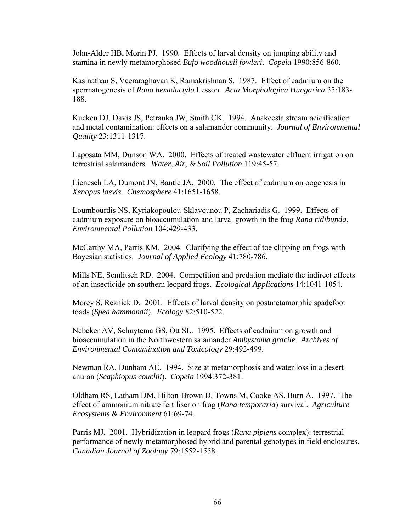John-Alder HB, Morin PJ. 1990. Effects of larval density on jumping ability and stamina in newly metamorphosed *Bufo woodhousii fowleri*. *Copeia* 1990:856-860.

Kasinathan S, Veeraraghavan K, Ramakrishnan S. 1987. Effect of cadmium on the spermatogenesis of *Rana hexadactyla* Lesson. *Acta Morphologica Hungarica* 35:183- 188.

Kucken DJ, Davis JS, Petranka JW, Smith CK. 1994. Anakeesta stream acidification and metal contamination: effects on a salamander community. *Journal of Environmental Quality* 23:1311-1317.

Laposata MM, Dunson WA. 2000. Effects of treated wastewater effluent irrigation on terrestrial salamanders. *Water, Air, & Soil Pollution* 119:45-57.

Lienesch LA, Dumont JN, Bantle JA. 2000. The effect of cadmium on oogenesis in *Xenopus laevis*. *Chemosphere* 41:1651-1658.

Loumbourdis NS, Kyriakopoulou-Sklavounou P, Zachariadis G. 1999. Effects of cadmium exposure on bioaccumulation and larval growth in the frog *Rana ridibunda*. *Environmental Pollution* 104:429-433.

McCarthy MA, Parris KM. 2004. Clarifying the effect of toe clipping on frogs with Bayesian statistics. *Journal of Applied Ecology* 41:780-786.

Mills NE, Semlitsch RD. 2004. Competition and predation mediate the indirect effects of an insecticide on southern leopard frogs. *Ecological Applications* 14:1041-1054.

Morey S, Reznick D. 2001. Effects of larval density on postmetamorphic spadefoot toads (*Spea hammondii*). *Ecology* 82:510-522.

Nebeker AV, Schuytema GS, Ott SL. 1995. Effects of cadmium on growth and bioaccumulation in the Northwestern salamander *Ambystoma gracile*. *Archives of Environmental Contamination and Toxicology* 29:492-499.

Newman RA, Dunham AE. 1994. Size at metamorphosis and water loss in a desert anuran (*Scaphiopus couchii*). *Copeia* 1994:372-381.

Oldham RS, Latham DM, Hilton-Brown D, Towns M, Cooke AS, Burn A. 1997. The effect of ammonium nitrate fertiliser on frog (*Rana temporaria*) survival. *Agriculture Ecosystems & Environment* 61:69-74.

Parris MJ. 2001. Hybridization in leopard frogs (*Rana pipiens* complex): terrestrial performance of newly metamorphosed hybrid and parental genotypes in field enclosures. *Canadian Journal of Zoology* 79:1552-1558.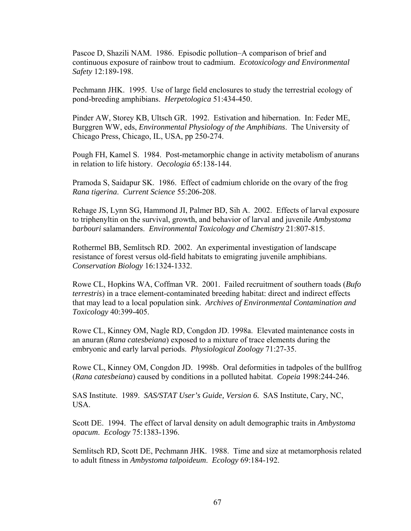Pascoe D, Shazili NAM. 1986. Episodic pollution–A comparison of brief and continuous exposure of rainbow trout to cadmium. *Ecotoxicology and Environmental Safety* 12:189-198.

Pechmann JHK. 1995. Use of large field enclosures to study the terrestrial ecology of pond-breeding amphibians. *Herpetologica* 51:434-450.

Pinder AW, Storey KB, Ultsch GR. 1992. Estivation and hibernation. In: Feder ME, Burggren WW, eds, *Environmental Physiology of the Amphibians*. The University of Chicago Press, Chicago, IL, USA, pp 250-274.

Pough FH, Kamel S. 1984. Post-metamorphic change in activity metabolism of anurans in relation to life history. *Oecologia* 65:138-144.

Pramoda S, Saidapur SK. 1986. Effect of cadmium chloride on the ovary of the frog *Rana tigerina*. *Current Science* 55:206-208.

Rehage JS, Lynn SG, Hammond JI, Palmer BD, Sih A. 2002. Effects of larval exposure to triphenyltin on the survival, growth, and behavior of larval and juvenile *Ambystoma barbouri* salamanders. *Environmental Toxicology and Chemistry* 21:807-815.

Rothermel BB, Semlitsch RD. 2002. An experimental investigation of landscape resistance of forest versus old-field habitats to emigrating juvenile amphibians. *Conservation Biology* 16:1324-1332.

Rowe CL, Hopkins WA, Coffman VR. 2001. Failed recruitment of southern toads (*Bufo terrestris*) in a trace element-contaminated breeding habitat: direct and indirect effects that may lead to a local population sink. *Archives of Environmental Contamination and Toxicology* 40:399-405.

Rowe CL, Kinney OM, Nagle RD, Congdon JD. 1998a. Elevated maintenance costs in an anuran (*Rana catesbeiana*) exposed to a mixture of trace elements during the embryonic and early larval periods. *Physiological Zoology* 71:27-35.

Rowe CL, Kinney OM, Congdon JD. 1998b. Oral deformities in tadpoles of the bullfrog (*Rana catesbeiana*) caused by conditions in a polluted habitat. *Copeia* 1998:244-246.

SAS Institute. 1989. *SAS/STAT User's Guide, Version 6.* SAS Institute, Cary, NC, USA.

Scott DE. 1994. The effect of larval density on adult demographic traits in *Ambystoma opacum*. *Ecology* 75:1383-1396.

Semlitsch RD, Scott DE, Pechmann JHK. 1988. Time and size at metamorphosis related to adult fitness in *Ambystoma talpoideum*. *Ecology* 69:184-192.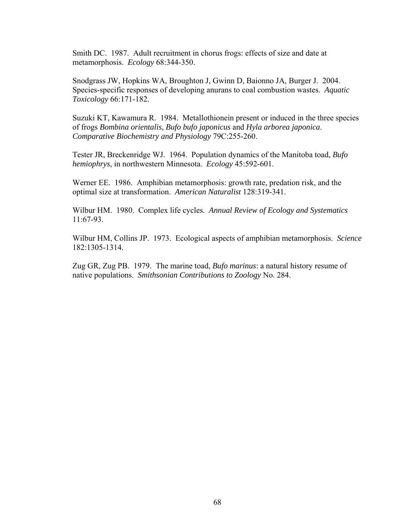Smith DC. 1987. Adult recruitment in chorus frogs: effects of size and date at metamorphosis. *Ecology* 68:344-350.

Snodgrass JW, Hopkins WA, Broughton J, Gwinn D, Baionno JA, Burger J. 2004. Species-specific responses of developing anurans to coal combustion wastes. *Aquatic Toxicology* 66:171-182.

Suzuki KT, Kawamura R. 1984. Metallothionein present or induced in the three species of frogs *Bombina orientalis*, *Bufo bufo japonicus* and *Hyla arborea japonica*. *Comparative Biochemistry and Physiology* 79C:255-260.

Tester JR, Breckenridge WJ. 1964. Population dynamics of the Manitoba toad, *Bufo hemiophrys*, in northwestern Minnesota. *Ecology* 45:592-601.

Werner EE. 1986. Amphibian metamorphosis: growth rate, predation risk, and the optimal size at transformation. *American Naturalist* 128:319-341.

Wilbur HM. 1980. Complex life cycles. *Annual Review of Ecology and Systematics* 11:67-93.

Wilbur HM, Collins JP. 1973. Ecological aspects of amphibian metamorphosis. *Science* 182:1305-1314.

Zug GR, Zug PB. 1979. The marine toad, *Bufo marinus*: a natural history resume of native populations. *Smithsonian Contributions to Zoology* No. 284.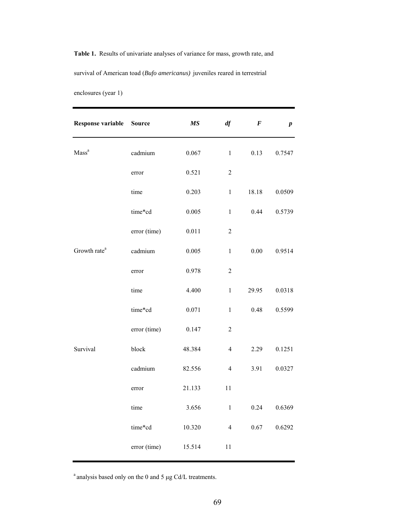# **Table 1.** Results of univariate analyses of variance for mass, growth rate, and

survival of American toad (*Bufo americanus)* juveniles reared in terrestrial

enclosures (year 1)

| Response variable Source |              | $\overline{MS}$ | df             | $\bm{F}$ | $\pmb{p}$     |
|--------------------------|--------------|-----------------|----------------|----------|---------------|
| Mass <sup>a</sup>        | cadmium      | 0.067           | $\,1$          | 0.13     | 0.7547        |
|                          | error        | 0.521           | $\overline{c}$ |          |               |
|                          | time         | 0.203           | $\mathbf{1}$   | 18.18    | 0.0509        |
|                          | time*cd      | 0.005           | $\mathbf{1}$   | 0.44     | 0.5739        |
|                          | error (time) | 0.011           | $\overline{2}$ |          |               |
| Growth rate <sup>a</sup> | cadmium      | 0.005           | $\mathbf{1}$   | 0.00     | 0.9514        |
|                          | error        | 0.978           | $\overline{2}$ |          |               |
|                          | time         | 4.400           | $\mathbf{1}$   | 29.95    | 0.0318        |
|                          | time*cd      | 0.071           | $\mathbf{1}$   | 0.48     | 0.5599        |
|                          | error (time) | 0.147           | $\overline{2}$ |          |               |
| Survival                 | block        | 48.384          | $\overline{4}$ | 2.29     | 0.1251        |
|                          | cadmium      | 82.556          | $\overline{4}$ | 3.91     | 0.0327        |
|                          | error        | 21.133          | 11             |          |               |
|                          | time         | 3.656           | $\overline{1}$ |          | $0.24$ 0.6369 |
|                          | time*cd      | 10.320          | $\overline{4}$ | 0.67     | 0.6292        |
|                          | error (time) | 15.514          | 11             |          |               |

 $a$  analysis based only on the 0 and 5  $\mu$ g Cd/L treatments.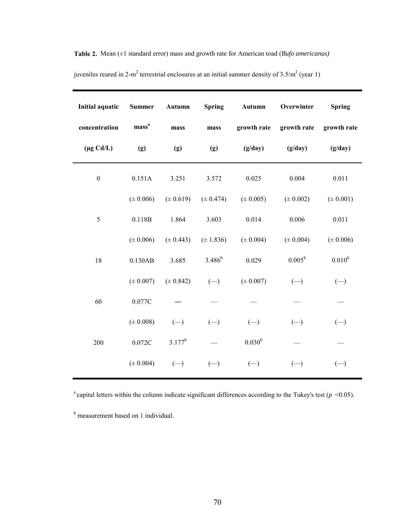| <b>Initial aquatic</b> | <b>Summer</b>     | Autumn        | <b>Spring</b> | Autumn             | Overwinter    | <b>Spring</b> |
|------------------------|-------------------|---------------|---------------|--------------------|---------------|---------------|
| concentration          | mass <sup>a</sup> | mass          | mass          | growth rate        | growth rate   | growth rate   |
| $(\mu g \text{Cd}/L)$  | (g)               | (g)           | (g)           | (g/day)            | (g/day)       | (g/day)       |
| $\boldsymbol{0}$       | 0.151A            | 3.251         | 3.572         | 0.025              | 0.004         | 0.011         |
|                        | $(\pm 0.006)$     | $(\pm 0.619)$ | $(\pm 0.474)$ | $(\pm 0.005)$      | $(\pm 0.002)$ | $(\pm 0.001)$ |
| 5                      | 0.118B            | 1.864         | 3.603         | 0.014              | 0.006         | 0.011         |
|                        | $(\pm 0.006)$     | $(\pm 0.443)$ | $(\pm 1.836)$ | $(\pm 0.004)$      | $(\pm 0.004)$ | $(\pm 0.006)$ |
| 18                     | 0.130AB           | 3.685         | $3.486^{b}$   | 0.029              | $0.005^b$     | $0.010^{b}$   |
|                        | $(\pm 0.007)$     | (± 0.842)     | $(-)$         | $(\pm 0.007)$      | $(-)$         | $(-)$         |
| 60                     | 0.077C            |               |               |                    |               |               |
|                        | $(\pm 0.008)$     | $(-)$         | $(-)$         | $(-)$              | $(-)$         | $(-)$         |
| 200                    | 0.072C            | $3.177^{b}$   |               | 0.030 <sup>b</sup> |               |               |
|                        | $(\pm 0.004)$     | $(-)$         | $(-)$         | $(-)$              | $(-)$         | $(-)$         |

**Table 2.** Mean (±1 standard error) mass and growth rate for American toad (*Bufo americanus)*

juveniles reared in 2-m<sup>2</sup> terrestrial enclosures at an initial summer density of  $3.5/m^2$  (year 1)

<sup>a</sup> capital letters within the column indicate significant differences according to the Tukey's test ( $p < 0.05$ ).

**b** measurement based on 1 individual.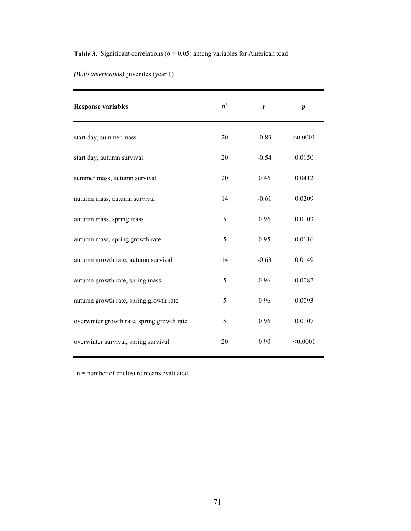# **Table 3.** Significant correlations ( $\alpha = 0.05$ ) among variables for American toad

*(Bufo americanus)* juveniles (year 1)

| <b>Response variables</b>                  | $\boldsymbol{n}^a$ | r       | $\boldsymbol{p}$ |
|--------------------------------------------|--------------------|---------|------------------|
| start day, summer mass                     | 20                 | $-0.83$ | < 0.0001         |
| start day, autumn survival                 | 20                 | $-0.54$ | 0.0150           |
| summer mass, autumn survival               | 20                 | 0.46    | 0.0412           |
| autumn mass, autumn survival               | 14                 | $-0.61$ | 0.0209           |
| autumn mass, spring mass                   | 5                  | 0.96    | 0.0103           |
| autumn mass, spring growth rate            | 5                  | 0.95    | 0.0116           |
| autumn growth rate, autumn survival        | 14                 | $-0.63$ | 0.0149           |
| autumn growth rate, spring mass            | 5                  | 0.96    | 0.0082           |
| autumn growth rate, spring growth rate     | 5                  | 0.96    | 0.0093           |
| overwinter growth rate, spring growth rate | 5                  | 0.96    | 0.0107           |
| overwinter survival, spring survival       | 20                 | 0.90    | < 0.0001         |

 $a_n$  n = number of enclosure means evaluated.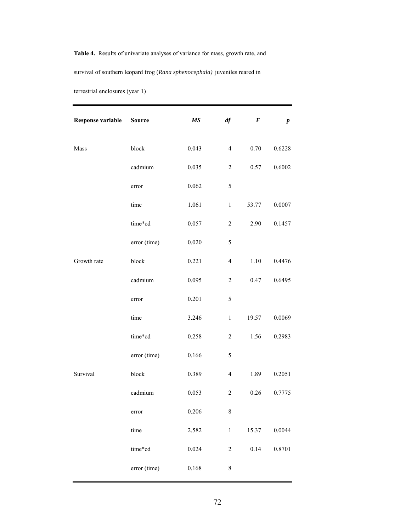# **Table 4.** Results of univariate analyses of variance for mass, growth rate, and

survival of southern leopard frog (*Rana sphenocephala)* juveniles reared in

terrestrial enclosures (year 1)

| Response variable | <b>Source</b> | <b>MS</b> | df               | $\boldsymbol{F}$ | $\boldsymbol{p}$ |
|-------------------|---------------|-----------|------------------|------------------|------------------|
| Mass              | block         | 0.043     | $\overline{4}$   | 0.70             | 0.6228           |
|                   | cadmium       | 0.035     | $\overline{2}$   | 0.57             | 0.6002           |
|                   | error         | 0.062     | 5                |                  |                  |
|                   | time          | 1.061     | $\mathbf{1}$     | 53.77            | 0.0007           |
|                   | time*cd       | 0.057     | $\overline{2}$   | 2.90             | 0.1457           |
|                   | error (time)  | 0.020     | 5                |                  |                  |
| Growth rate       | block         | 0.221     | 4                | 1.10             | 0.4476           |
|                   | cadmium       | 0.095     | $\overline{2}$   | 0.47             | 0.6495           |
|                   | error         | 0.201     | 5                |                  |                  |
|                   | time          | 3.246     | $\mathbf{1}$     | 19.57            | 0.0069           |
|                   | time*cd       | 0.258     | $\overline{c}$   | 1.56             | 0.2983           |
|                   | error (time)  | 0.166     | 5                |                  |                  |
| Survival          | block         | 0.389     | 4                | 1.89             | 0.2051           |
|                   | cadmium       | 0.053     | $\mathbf{2}$     | 0.26             | 0.7775           |
|                   | error         | 0.206     | $\,$ $\,$        |                  |                  |
|                   | time          | 2.582     | $\,1$            | 15.37            | 0.0044           |
|                   | time*cd       | 0.024     | $\boldsymbol{2}$ | 0.14             | 0.8701           |
|                   | error (time)  | 0.168     | 8                |                  |                  |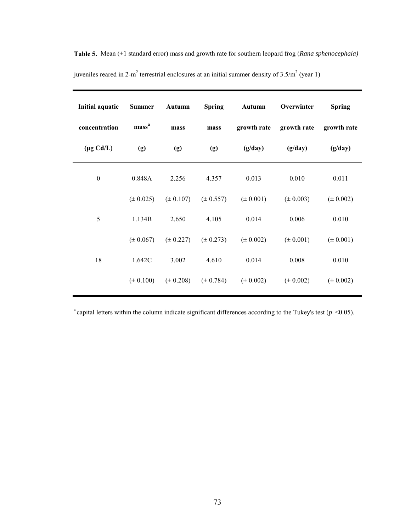| Initial aquatic       | <b>Summer</b>     | Autumn        | <b>Spring</b> | Autumn        | Overwinter    | <b>Spring</b> |
|-----------------------|-------------------|---------------|---------------|---------------|---------------|---------------|
| concentration         | mass <sup>a</sup> | mass          | mass          | growth rate   | growth rate   | growth rate   |
| $(\mu g \text{Cd}/L)$ | (g)               | (g)           | (g)           | (g/day)       | (g/day)       | (g/day)       |
| $\boldsymbol{0}$      | 0.848A            | 2.256         | 4.357         | 0.013         | 0.010         | 0.011         |
|                       | $(\pm 0.025)$     | $(\pm 0.107)$ | $(\pm 0.557)$ | $(\pm 0.001)$ | $(\pm 0.003)$ | $(\pm 0.002)$ |
| 5                     | 1.134B            | 2.650         | 4.105         | 0.014         | 0.006         | 0.010         |
|                       | $(\pm 0.067)$     | $(\pm 0.227)$ | $(\pm 0.273)$ | $(\pm 0.002)$ | $(\pm 0.001)$ | $(\pm 0.001)$ |
| 18                    | 1.642C            | 3.002         | 4.610         | 0.014         | 0.008         | 0.010         |
|                       | $(\pm 0.100)$     | $(\pm 0.208)$ | $(\pm 0.784)$ | $(\pm 0.002)$ | $(\pm 0.002)$ | $(\pm 0.002)$ |

**Table 5.** Mean (±1 standard error) mass and growth rate for southern leopard frog (*Rana sphenocephala)* juveniles reared in  $2-m^2$  terrestrial enclosures at an initial summer density of  $3.5/m^2$  (year 1)

<sup>a</sup> capital letters within the column indicate significant differences according to the Tukey's test ( $p < 0.05$ ).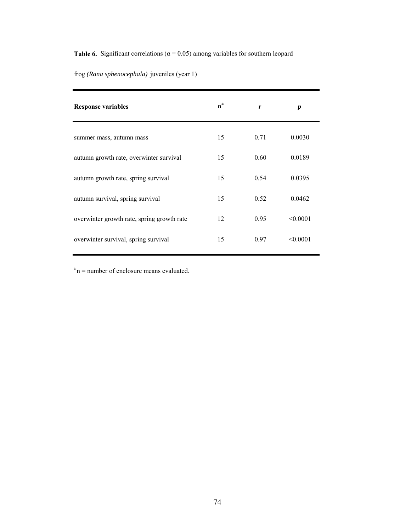**Table 6.** Significant correlations ( $\alpha = 0.05$ ) among variables for southern leopard

frog *(Rana sphenocephala)* juveniles (year 1)

| <b>Response variables</b>                  | $\boldsymbol{n}^a$ | r    | $\boldsymbol{p}$ |
|--------------------------------------------|--------------------|------|------------------|
| summer mass, autumn mass                   | 15                 | 0.71 | 0.0030           |
| autumn growth rate, overwinter survival    | 15                 | 0.60 | 0.0189           |
| autumn growth rate, spring survival        | 15                 | 0.54 | 0.0395           |
| autumn survival, spring survival           | 15                 | 0.52 | 0.0462           |
| overwinter growth rate, spring growth rate | 12                 | 0.95 | < 0.0001         |
| overwinter survival, spring survival       | 15                 | 0.97 | < 0.0001         |

 $a_n$  n = number of enclosure means evaluated.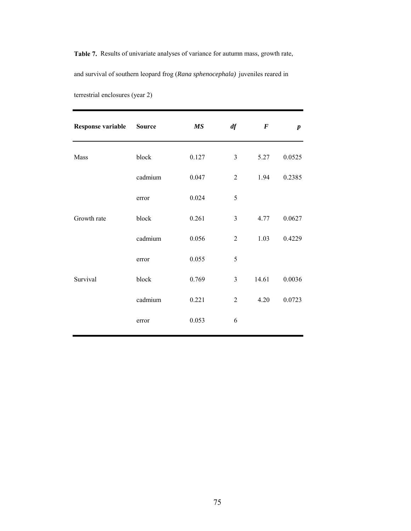**Table 7.** Results of univariate analyses of variance for autumn mass, growth rate, and survival of southern leopard frog (*Rana sphenocephala)* juveniles reared in

| Response variable | <b>Source</b> | <b>MS</b> | df                      | $\bm{F}$ | $\boldsymbol{p}$ |
|-------------------|---------------|-----------|-------------------------|----------|------------------|
| Mass              | block         | 0.127     | $\mathfrak{Z}$          | 5.27     | 0.0525           |
|                   | cadmium       | 0.047     | $\overline{2}$          | 1.94     | 0.2385           |
|                   | error         | 0.024     | 5                       |          |                  |
| Growth rate       | block         | 0.261     | $\overline{\mathbf{3}}$ | 4.77     | 0.0627           |
|                   | cadmium       | 0.056     | $\overline{2}$          | 1.03     | 0.4229           |
|                   | error         | 0.055     | 5                       |          |                  |
| Survival          | block         | 0.769     | 3                       | 14.61    | 0.0036           |
|                   | cadmium       | 0.221     | $\overline{2}$          | 4.20     | 0.0723           |
|                   | error         | 0.053     | 6                       |          |                  |

terrestrial enclosures (year 2)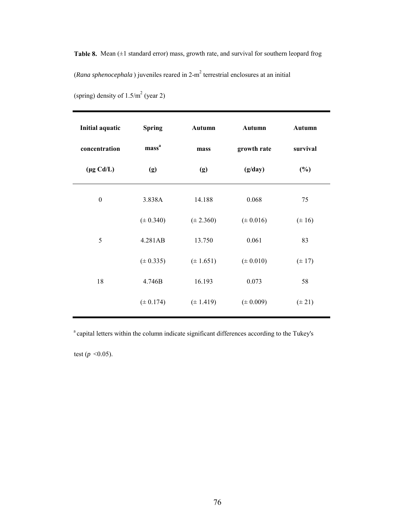Table 8. Mean ( $\pm 1$  standard error) mass, growth rate, and survival for southern leopard frog  $(Rana sphenocephala)$  juveniles reared in 2-m<sup>2</sup> terrestrial enclosures at an initial

| (spring) density of $1.5/m^2$ (year 2) |  |  |
|----------------------------------------|--|--|
|                                        |  |  |

| <b>Initial aquatic</b> | <b>Spring</b>     | <b>Autumn</b> | <b>Autumn</b> | <b>Autumn</b> |
|------------------------|-------------------|---------------|---------------|---------------|
| concentration          | mass <sup>a</sup> | mass          | growth rate   | survival      |
| $(\mu g \text{Cd}/L)$  | (g)               | (g)           | (g/day)       | $(\%)$        |
| $\boldsymbol{0}$       | 3.838A            | 14.188        | 0.068         | 75            |
|                        | $(\pm 0.340)$     | $(\pm 2.360)$ | $(\pm 0.016)$ | $(\pm 16)$    |
| 5                      | 4.281AB           | 13.750        | 0.061         | 83            |
|                        | $(\pm 0.335)$     | $(\pm 1.651)$ | $(\pm 0.010)$ | $(\pm 17)$    |
| 18                     | 4.746B            | 16.193        | 0.073         | 58            |
|                        | $(\pm 0.174)$     | $(\pm 1.419)$ | $(\pm 0.009)$ | $(\pm 21)$    |

<sup>a</sup> capital letters within the column indicate significant differences according to the Tukey's

test ( $p \le 0.05$ ).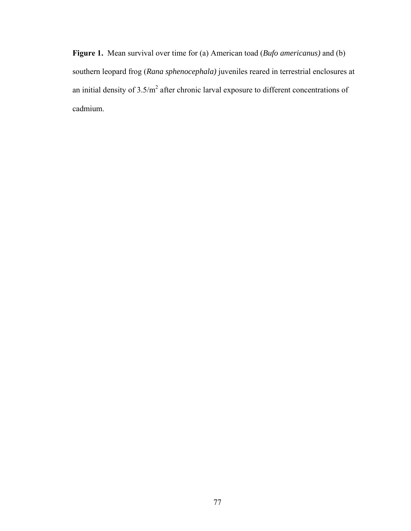**Figure 1.** Mean survival over time for (a) American toad (*Bufo americanus)* and (b) southern leopard frog (*Rana sphenocephala)* juveniles reared in terrestrial enclosures at an initial density of  $3.5/m^2$  after chronic larval exposure to different concentrations of cadmium.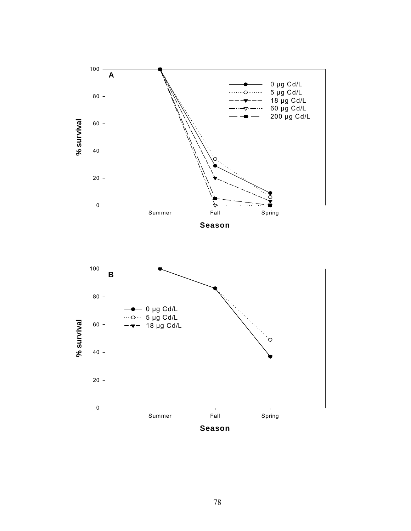

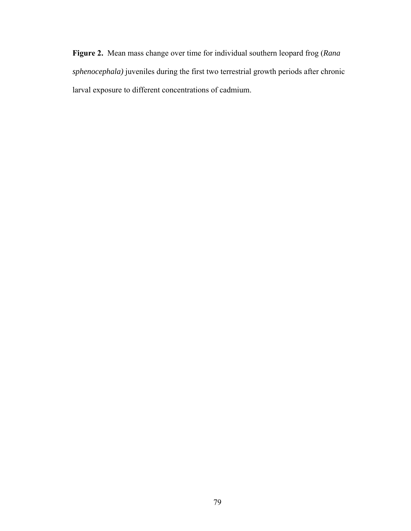**Figure 2.** Mean mass change over time for individual southern leopard frog (*Rana sphenocephala)* juveniles during the first two terrestrial growth periods after chronic larval exposure to different concentrations of cadmium.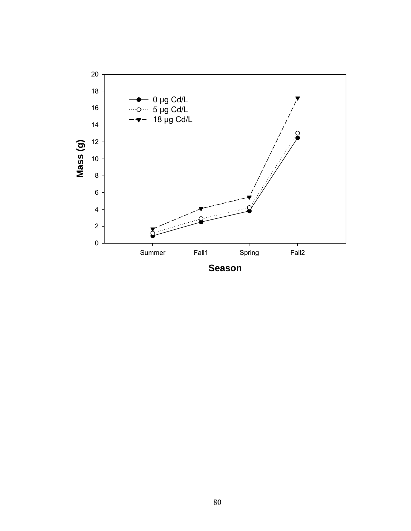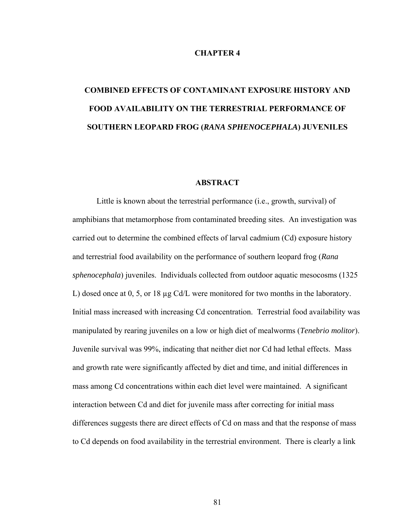#### **CHAPTER 4**

# **COMBINED EFFECTS OF CONTAMINANT EXPOSURE HISTORY AND FOOD AVAILABILITY ON THE TERRESTRIAL PERFORMANCE OF SOUTHERN LEOPARD FROG (***RANA SPHENOCEPHALA***) JUVENILES**

## **ABSTRACT**

Little is known about the terrestrial performance (i.e., growth, survival) of amphibians that metamorphose from contaminated breeding sites. An investigation was carried out to determine the combined effects of larval cadmium (Cd) exposure history and terrestrial food availability on the performance of southern leopard frog (*Rana sphenocephala*) juveniles. Individuals collected from outdoor aquatic mesocosms (1325 L) dosed once at 0, 5, or 18  $\mu$ g Cd/L were monitored for two months in the laboratory. Initial mass increased with increasing Cd concentration. Terrestrial food availability was manipulated by rearing juveniles on a low or high diet of mealworms (*Tenebrio molitor*). Juvenile survival was 99%, indicating that neither diet nor Cd had lethal effects. Mass and growth rate were significantly affected by diet and time, and initial differences in mass among Cd concentrations within each diet level were maintained. A significant interaction between Cd and diet for juvenile mass after correcting for initial mass differences suggests there are direct effects of Cd on mass and that the response of mass to Cd depends on food availability in the terrestrial environment. There is clearly a link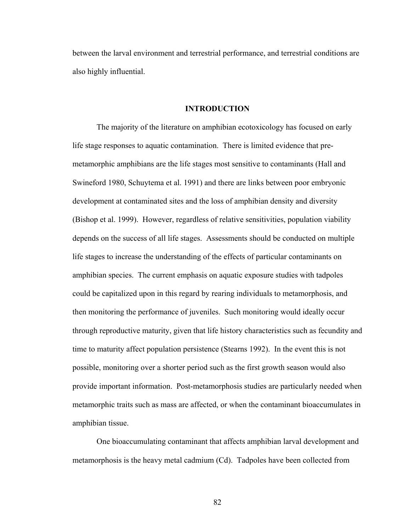between the larval environment and terrestrial performance, and terrestrial conditions are also highly influential.

#### **INTRODUCTION**

 The majority of the literature on amphibian ecotoxicology has focused on early life stage responses to aquatic contamination. There is limited evidence that premetamorphic amphibians are the life stages most sensitive to contaminants (Hall and Swineford 1980, Schuytema et al. 1991) and there are links between poor embryonic development at contaminated sites and the loss of amphibian density and diversity (Bishop et al. 1999). However, regardless of relative sensitivities, population viability depends on the success of all life stages. Assessments should be conducted on multiple life stages to increase the understanding of the effects of particular contaminants on amphibian species. The current emphasis on aquatic exposure studies with tadpoles could be capitalized upon in this regard by rearing individuals to metamorphosis, and then monitoring the performance of juveniles. Such monitoring would ideally occur through reproductive maturity, given that life history characteristics such as fecundity and time to maturity affect population persistence (Stearns 1992). In the event this is not possible, monitoring over a shorter period such as the first growth season would also provide important information. Post-metamorphosis studies are particularly needed when metamorphic traits such as mass are affected, or when the contaminant bioaccumulates in amphibian tissue.

 One bioaccumulating contaminant that affects amphibian larval development and metamorphosis is the heavy metal cadmium (Cd). Tadpoles have been collected from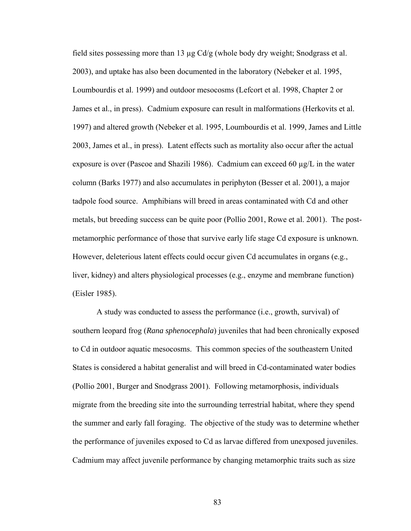field sites possessing more than 13 µg Cd/g (whole body dry weight; Snodgrass et al. 2003), and uptake has also been documented in the laboratory (Nebeker et al. 1995, Loumbourdis et al. 1999) and outdoor mesocosms (Lefcort et al. 1998, Chapter 2 or James et al., in press). Cadmium exposure can result in malformations (Herkovits et al. 1997) and altered growth (Nebeker et al. 1995, Loumbourdis et al. 1999, James and Little 2003, James et al., in press). Latent effects such as mortality also occur after the actual exposure is over (Pascoe and Shazili 1986). Cadmium can exceed 60 µg/L in the water column (Barks 1977) and also accumulates in periphyton (Besser et al. 2001), a major tadpole food source. Amphibians will breed in areas contaminated with Cd and other metals, but breeding success can be quite poor (Pollio 2001, Rowe et al. 2001). The postmetamorphic performance of those that survive early life stage Cd exposure is unknown. However, deleterious latent effects could occur given Cd accumulates in organs (e.g., liver, kidney) and alters physiological processes (e.g., enzyme and membrane function) (Eisler 1985).

 A study was conducted to assess the performance (i.e., growth, survival) of southern leopard frog (*Rana sphenocephala*) juveniles that had been chronically exposed to Cd in outdoor aquatic mesocosms. This common species of the southeastern United States is considered a habitat generalist and will breed in Cd-contaminated water bodies (Pollio 2001, Burger and Snodgrass 2001). Following metamorphosis, individuals migrate from the breeding site into the surrounding terrestrial habitat, where they spend the summer and early fall foraging. The objective of the study was to determine whether the performance of juveniles exposed to Cd as larvae differed from unexposed juveniles. Cadmium may affect juvenile performance by changing metamorphic traits such as size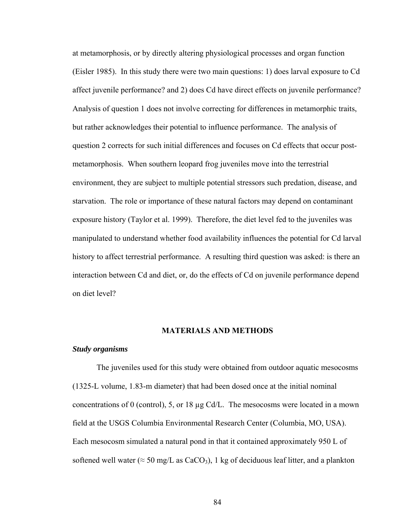at metamorphosis, or by directly altering physiological processes and organ function (Eisler 1985). In this study there were two main questions: 1) does larval exposure to Cd affect juvenile performance? and 2) does Cd have direct effects on juvenile performance? Analysis of question 1 does not involve correcting for differences in metamorphic traits, but rather acknowledges their potential to influence performance. The analysis of question 2 corrects for such initial differences and focuses on Cd effects that occur postmetamorphosis. When southern leopard frog juveniles move into the terrestrial environment, they are subject to multiple potential stressors such predation, disease, and starvation. The role or importance of these natural factors may depend on contaminant exposure history (Taylor et al. 1999). Therefore, the diet level fed to the juveniles was manipulated to understand whether food availability influences the potential for Cd larval history to affect terrestrial performance. A resulting third question was asked: is there an interaction between Cd and diet, or, do the effects of Cd on juvenile performance depend on diet level?

#### **MATERIALS AND METHODS**

#### *Study organisms*

The juveniles used for this study were obtained from outdoor aquatic mesocosms (1325-L volume, 1.83-m diameter) that had been dosed once at the initial nominal concentrations of 0 (control), 5, or 18 µg Cd/L. The mesocosms were located in a mown field at the USGS Columbia Environmental Research Center (Columbia, MO, USA). Each mesocosm simulated a natural pond in that it contained approximately 950 L of softened well water ( $\approx$  50 mg/L as CaCO<sub>3</sub>), 1 kg of deciduous leaf litter, and a plankton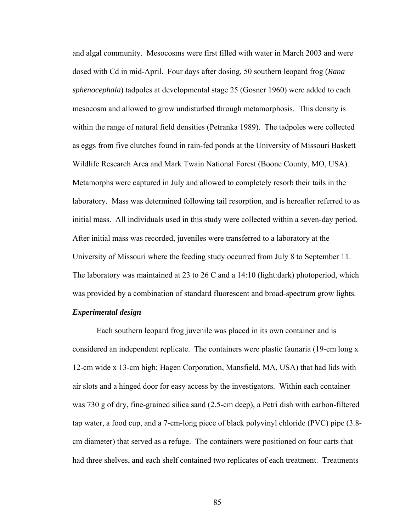and algal community. Mesocosms were first filled with water in March 2003 and were dosed with Cd in mid-April. Four days after dosing, 50 southern leopard frog (*Rana sphenocephala*) tadpoles at developmental stage 25 (Gosner 1960) were added to each mesocosm and allowed to grow undisturbed through metamorphosis. This density is within the range of natural field densities (Petranka 1989). The tadpoles were collected as eggs from five clutches found in rain-fed ponds at the University of Missouri Baskett Wildlife Research Area and Mark Twain National Forest (Boone County, MO, USA). Metamorphs were captured in July and allowed to completely resorb their tails in the laboratory. Mass was determined following tail resorption, and is hereafter referred to as initial mass. All individuals used in this study were collected within a seven-day period. After initial mass was recorded, juveniles were transferred to a laboratory at the University of Missouri where the feeding study occurred from July 8 to September 11. The laboratory was maintained at 23 to 26 C and a 14:10 (light:dark) photoperiod, which was provided by a combination of standard fluorescent and broad-spectrum grow lights.

## *Experimental design*

 Each southern leopard frog juvenile was placed in its own container and is considered an independent replicate. The containers were plastic faunaria (19-cm long x 12-cm wide x 13-cm high; Hagen Corporation, Mansfield, MA, USA) that had lids with air slots and a hinged door for easy access by the investigators. Within each container was 730 g of dry, fine-grained silica sand (2.5-cm deep), a Petri dish with carbon-filtered tap water, a food cup, and a 7-cm-long piece of black polyvinyl chloride (PVC) pipe (3.8 cm diameter) that served as a refuge. The containers were positioned on four carts that had three shelves, and each shelf contained two replicates of each treatment. Treatments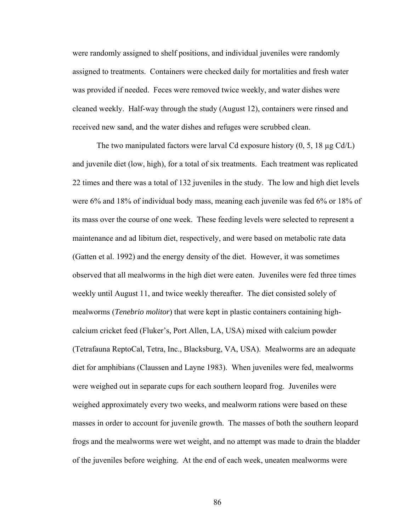were randomly assigned to shelf positions, and individual juveniles were randomly assigned to treatments. Containers were checked daily for mortalities and fresh water was provided if needed. Feces were removed twice weekly, and water dishes were cleaned weekly. Half-way through the study (August 12), containers were rinsed and received new sand, and the water dishes and refuges were scrubbed clean.

The two manipulated factors were larval Cd exposure history  $(0, 5, 18 \mu g \text{ Cd/L})$ and juvenile diet (low, high), for a total of six treatments. Each treatment was replicated 22 times and there was a total of 132 juveniles in the study. The low and high diet levels were 6% and 18% of individual body mass, meaning each juvenile was fed 6% or 18% of its mass over the course of one week. These feeding levels were selected to represent a maintenance and ad libitum diet, respectively, and were based on metabolic rate data (Gatten et al. 1992) and the energy density of the diet. However, it was sometimes observed that all mealworms in the high diet were eaten. Juveniles were fed three times weekly until August 11, and twice weekly thereafter. The diet consisted solely of mealworms (*Tenebrio molitor*) that were kept in plastic containers containing highcalcium cricket feed (Fluker's, Port Allen, LA, USA) mixed with calcium powder (Tetrafauna ReptoCal, Tetra, Inc., Blacksburg, VA, USA). Mealworms are an adequate diet for amphibians (Claussen and Layne 1983). When juveniles were fed, mealworms were weighed out in separate cups for each southern leopard frog. Juveniles were weighed approximately every two weeks, and mealworm rations were based on these masses in order to account for juvenile growth. The masses of both the southern leopard frogs and the mealworms were wet weight, and no attempt was made to drain the bladder of the juveniles before weighing. At the end of each week, uneaten mealworms were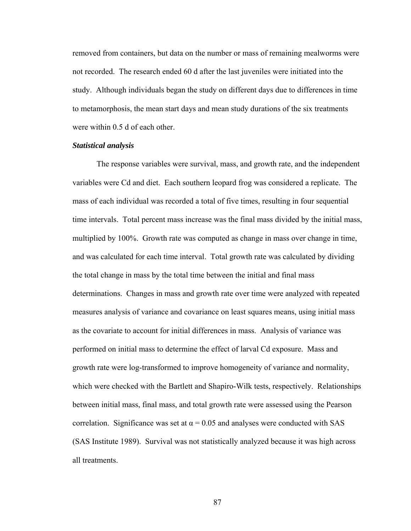removed from containers, but data on the number or mass of remaining mealworms were not recorded. The research ended 60 d after the last juveniles were initiated into the study. Although individuals began the study on different days due to differences in time to metamorphosis, the mean start days and mean study durations of the six treatments were within 0.5 d of each other.

## *Statistical analysis*

 The response variables were survival, mass, and growth rate, and the independent variables were Cd and diet. Each southern leopard frog was considered a replicate. The mass of each individual was recorded a total of five times, resulting in four sequential time intervals. Total percent mass increase was the final mass divided by the initial mass, multiplied by 100%. Growth rate was computed as change in mass over change in time, and was calculated for each time interval. Total growth rate was calculated by dividing the total change in mass by the total time between the initial and final mass determinations. Changes in mass and growth rate over time were analyzed with repeated measures analysis of variance and covariance on least squares means, using initial mass as the covariate to account for initial differences in mass. Analysis of variance was performed on initial mass to determine the effect of larval Cd exposure. Mass and growth rate were log-transformed to improve homogeneity of variance and normality, which were checked with the Bartlett and Shapiro-Wilk tests, respectively. Relationships between initial mass, final mass, and total growth rate were assessed using the Pearson correlation. Significance was set at  $\alpha = 0.05$  and analyses were conducted with SAS (SAS Institute 1989). Survival was not statistically analyzed because it was high across all treatments.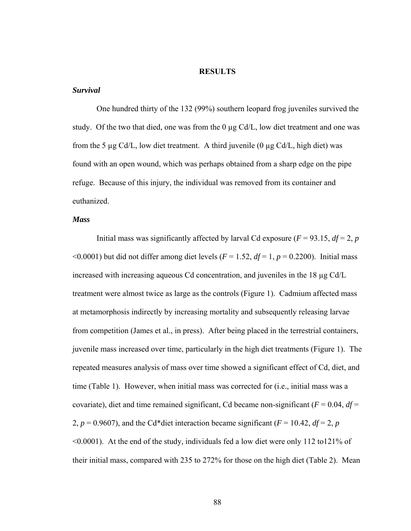#### **RESULTS**

## *Survival*

 One hundred thirty of the 132 (99%) southern leopard frog juveniles survived the study. Of the two that died, one was from the  $\theta$  µg Cd/L, low diet treatment and one was from the 5  $\mu$ g Cd/L, low diet treatment. A third juvenile (0  $\mu$ g Cd/L, high diet) was found with an open wound, which was perhaps obtained from a sharp edge on the pipe refuge. Because of this injury, the individual was removed from its container and euthanized.

## *Mass*

Initial mass was significantly affected by larval Cd exposure ( $F = 93.15$ ,  $df = 2$ , *p*  $\leq$ 0.0001) but did not differ among diet levels (*F* = 1.52, *df* = 1, *p* = 0.2200). Initial mass increased with increasing aqueous Cd concentration, and juveniles in the 18 µg Cd/L treatment were almost twice as large as the controls (Figure 1). Cadmium affected mass at metamorphosis indirectly by increasing mortality and subsequently releasing larvae from competition (James et al., in press). After being placed in the terrestrial containers, juvenile mass increased over time, particularly in the high diet treatments (Figure 1). The repeated measures analysis of mass over time showed a significant effect of Cd, diet, and time (Table 1). However, when initial mass was corrected for (i.e., initial mass was a covariate), diet and time remained significant, Cd became non-significant  $(F = 0.04, df =$ 2,  $p = 0.9607$ ), and the Cd<sup>\*</sup>diet interaction became significant ( $F = 10.42$ ,  $df = 2$ ,  $p = 2$ <0.0001). At the end of the study, individuals fed a low diet were only 112 to121% of their initial mass, compared with 235 to 272% for those on the high diet (Table 2). Mean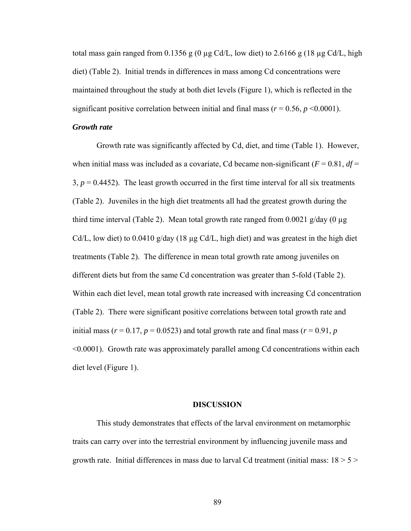total mass gain ranged from  $0.1356$  g (0 µg Cd/L, low diet) to 2.6166 g (18 µg Cd/L, high diet) (Table 2). Initial trends in differences in mass among Cd concentrations were maintained throughout the study at both diet levels (Figure 1), which is reflected in the significant positive correlation between initial and final mass ( $r = 0.56$ ,  $p \le 0.0001$ ).

## *Growth rate*

 Growth rate was significantly affected by Cd, diet, and time (Table 1). However, when initial mass was included as a covariate, Cd became non-significant ( $F = 0.81$ ,  $df =$  $3, p = 0.4452$ ). The least growth occurred in the first time interval for all six treatments (Table 2). Juveniles in the high diet treatments all had the greatest growth during the third time interval (Table 2). Mean total growth rate ranged from  $0.0021$  g/day (0  $\mu$ g Cd/L, low diet) to 0.0410 g/day (18 µg Cd/L, high diet) and was greatest in the high diet treatments (Table 2). The difference in mean total growth rate among juveniles on different diets but from the same Cd concentration was greater than 5-fold (Table 2). Within each diet level, mean total growth rate increased with increasing Cd concentration (Table 2). There were significant positive correlations between total growth rate and initial mass ( $r = 0.17$ ,  $p = 0.0523$ ) and total growth rate and final mass ( $r = 0.91$ ,  $p = 0.0523$ ) <0.0001). Growth rate was approximately parallel among Cd concentrations within each diet level (Figure 1).

#### **DISCUSSION**

 This study demonstrates that effects of the larval environment on metamorphic traits can carry over into the terrestrial environment by influencing juvenile mass and growth rate. Initial differences in mass due to larval Cd treatment (initial mass:  $18 > 5$ )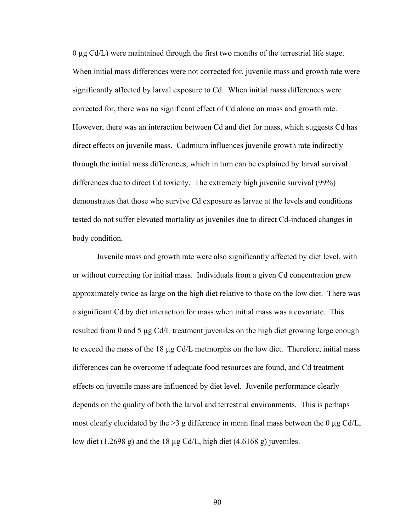$0 \mu$ g Cd/L) were maintained through the first two months of the terrestrial life stage. When initial mass differences were not corrected for, juvenile mass and growth rate were significantly affected by larval exposure to Cd. When initial mass differences were corrected for, there was no significant effect of Cd alone on mass and growth rate. However, there was an interaction between Cd and diet for mass, which suggests Cd has direct effects on juvenile mass. Cadmium influences juvenile growth rate indirectly through the initial mass differences, which in turn can be explained by larval survival differences due to direct Cd toxicity. The extremely high juvenile survival (99%) demonstrates that those who survive Cd exposure as larvae at the levels and conditions tested do not suffer elevated mortality as juveniles due to direct Cd-induced changes in body condition.

Juvenile mass and growth rate were also significantly affected by diet level, with or without correcting for initial mass. Individuals from a given Cd concentration grew approximately twice as large on the high diet relative to those on the low diet. There was a significant Cd by diet interaction for mass when initial mass was a covariate. This resulted from 0 and 5 µg Cd/L treatment juveniles on the high diet growing large enough to exceed the mass of the 18 µg Cd/L metmorphs on the low diet. Therefore, initial mass differences can be overcome if adequate food resources are found, and Cd treatment effects on juvenile mass are influenced by diet level. Juvenile performance clearly depends on the quality of both the larval and terrestrial environments. This is perhaps most clearly elucidated by the  $>3$  g difference in mean final mass between the 0  $\mu$ g Cd/L, low diet (1.2698 g) and the 18  $\mu$ g Cd/L, high diet (4.6168 g) juveniles.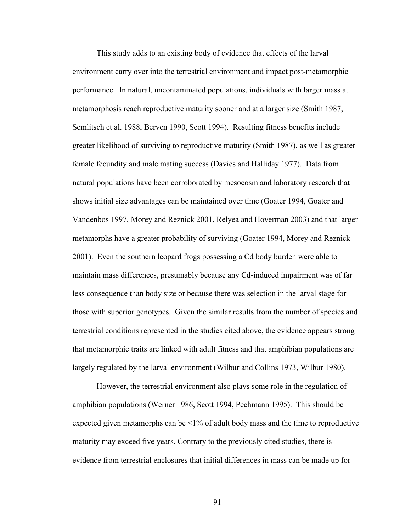This study adds to an existing body of evidence that effects of the larval environment carry over into the terrestrial environment and impact post-metamorphic performance. In natural, uncontaminated populations, individuals with larger mass at metamorphosis reach reproductive maturity sooner and at a larger size (Smith 1987, Semlitsch et al. 1988, Berven 1990, Scott 1994). Resulting fitness benefits include greater likelihood of surviving to reproductive maturity (Smith 1987), as well as greater female fecundity and male mating success (Davies and Halliday 1977). Data from natural populations have been corroborated by mesocosm and laboratory research that shows initial size advantages can be maintained over time (Goater 1994, Goater and Vandenbos 1997, Morey and Reznick 2001, Relyea and Hoverman 2003) and that larger metamorphs have a greater probability of surviving (Goater 1994, Morey and Reznick 2001). Even the southern leopard frogs possessing a Cd body burden were able to maintain mass differences, presumably because any Cd-induced impairment was of far less consequence than body size or because there was selection in the larval stage for those with superior genotypes. Given the similar results from the number of species and terrestrial conditions represented in the studies cited above, the evidence appears strong that metamorphic traits are linked with adult fitness and that amphibian populations are largely regulated by the larval environment (Wilbur and Collins 1973, Wilbur 1980).

However, the terrestrial environment also plays some role in the regulation of amphibian populations (Werner 1986, Scott 1994, Pechmann 1995). This should be expected given metamorphs can be <1% of adult body mass and the time to reproductive maturity may exceed five years. Contrary to the previously cited studies, there is evidence from terrestrial enclosures that initial differences in mass can be made up for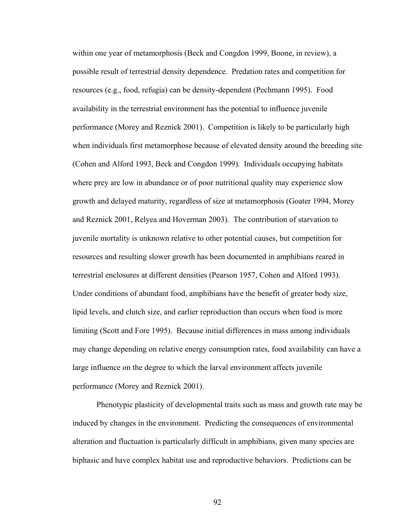within one year of metamorphosis (Beck and Congdon 1999, Boone, in review), a possible result of terrestrial density dependence. Predation rates and competition for resources (e.g., food, refugia) can be density-dependent (Pechmann 1995). Food availability in the terrestrial environment has the potential to influence juvenile performance (Morey and Reznick 2001). Competition is likely to be particularly high when individuals first metamorphose because of elevated density around the breeding site (Cohen and Alford 1993, Beck and Congdon 1999). Individuals occupying habitats where prey are low in abundance or of poor nutritional quality may experience slow growth and delayed maturity, regardless of size at metamorphosis (Goater 1994, Morey and Reznick 2001, Relyea and Hoverman 2003). The contribution of starvation to juvenile mortality is unknown relative to other potential causes, but competition for resources and resulting slower growth has been documented in amphibians reared in terrestrial enclosures at different densities (Pearson 1957, Cohen and Alford 1993). Under conditions of abundant food, amphibians have the benefit of greater body size, lipid levels, and clutch size, and earlier reproduction than occurs when food is more limiting (Scott and Fore 1995). Because initial differences in mass among individuals may change depending on relative energy consumption rates, food availability can have a large influence on the degree to which the larval environment affects juvenile performance (Morey and Reznick 2001).

Phenotypic plasticity of developmental traits such as mass and growth rate may be induced by changes in the environment. Predicting the consequences of environmental alteration and fluctuation is particularly difficult in amphibians, given many species are biphasic and have complex habitat use and reproductive behaviors. Predictions can be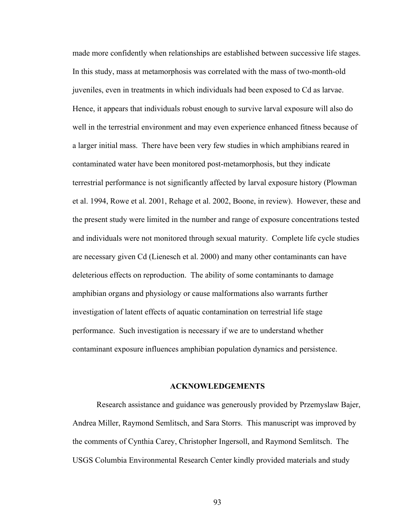made more confidently when relationships are established between successive life stages. In this study, mass at metamorphosis was correlated with the mass of two-month-old juveniles, even in treatments in which individuals had been exposed to Cd as larvae. Hence, it appears that individuals robust enough to survive larval exposure will also do well in the terrestrial environment and may even experience enhanced fitness because of a larger initial mass. There have been very few studies in which amphibians reared in contaminated water have been monitored post-metamorphosis, but they indicate terrestrial performance is not significantly affected by larval exposure history (Plowman et al. 1994, Rowe et al. 2001, Rehage et al. 2002, Boone, in review). However, these and the present study were limited in the number and range of exposure concentrations tested and individuals were not monitored through sexual maturity. Complete life cycle studies are necessary given Cd (Lienesch et al. 2000) and many other contaminants can have deleterious effects on reproduction. The ability of some contaminants to damage amphibian organs and physiology or cause malformations also warrants further investigation of latent effects of aquatic contamination on terrestrial life stage performance. Such investigation is necessary if we are to understand whether contaminant exposure influences amphibian population dynamics and persistence.

#### **ACKNOWLEDGEMENTS**

Research assistance and guidance was generously provided by Przemyslaw Bajer, Andrea Miller, Raymond Semlitsch, and Sara Storrs. This manuscript was improved by the comments of Cynthia Carey, Christopher Ingersoll, and Raymond Semlitsch. The USGS Columbia Environmental Research Center kindly provided materials and study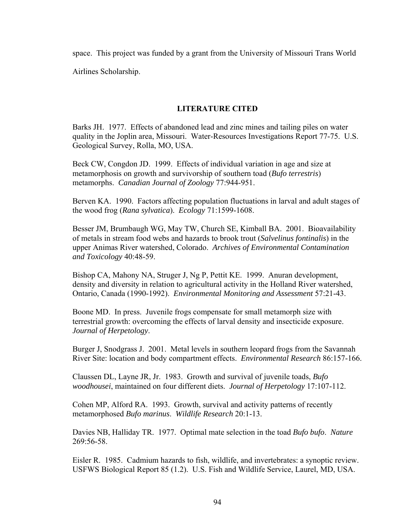space. This project was funded by a grant from the University of Missouri Trans World

Airlines Scholarship.

# **LITERATURE CITED**

Barks JH. 1977. Effects of abandoned lead and zinc mines and tailing piles on water quality in the Joplin area, Missouri. Water-Resources Investigations Report 77-75. U.S. Geological Survey, Rolla, MO, USA.

Beck CW, Congdon JD. 1999. Effects of individual variation in age and size at metamorphosis on growth and survivorship of southern toad (*Bufo terrestris*) metamorphs. *Canadian Journal of Zoology* 77:944-951.

Berven KA. 1990. Factors affecting population fluctuations in larval and adult stages of the wood frog (*Rana sylvatica*). *Ecology* 71:1599-1608.

Besser JM, Brumbaugh WG, May TW, Church SE, Kimball BA. 2001. Bioavailability of metals in stream food webs and hazards to brook trout (*Salvelinus fontinalis*) in the upper Animas River watershed, Colorado. *Archives of Environmental Contamination and Toxicology* 40:48-59.

Bishop CA, Mahony NA, Struger J, Ng P, Pettit KE. 1999. Anuran development, density and diversity in relation to agricultural activity in the Holland River watershed, Ontario, Canada (1990-1992). *Environmental Monitoring and Assessment* 57:21-43.

Boone MD. In press. Juvenile frogs compensate for small metamorph size with terrestrial growth: overcoming the effects of larval density and insecticide exposure. *Journal of Herpetology*.

Burger J, Snodgrass J. 2001. Metal levels in southern leopard frogs from the Savannah River Site: location and body compartment effects. *Environmental Research* 86:157-166.

Claussen DL, Layne JR, Jr. 1983. Growth and survival of juvenile toads, *Bufo woodhousei*, maintained on four different diets. *Journal of Herpetology* 17:107-112.

Cohen MP, Alford RA. 1993. Growth, survival and activity patterns of recently metamorphosed *Bufo marinus*. *Wildlife Research* 20:1-13.

Davies NB, Halliday TR. 1977. Optimal mate selection in the toad *Bufo bufo*. *Nature* 269:56-58.

Eisler R. 1985. Cadmium hazards to fish, wildlife, and invertebrates: a synoptic review. USFWS Biological Report 85 (1.2). U.S. Fish and Wildlife Service, Laurel, MD, USA.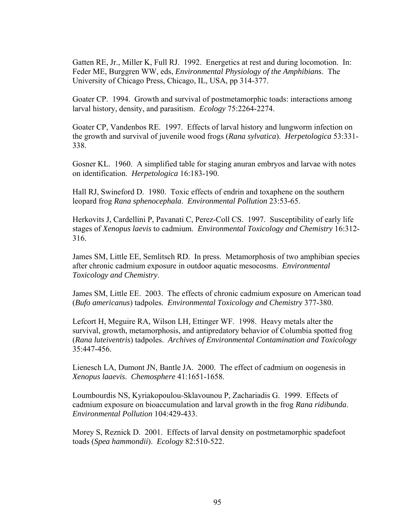Gatten RE, Jr., Miller K, Full RJ. 1992. Energetics at rest and during locomotion. In: Feder ME, Burggren WW, eds, *Environmental Physiology of the Amphibians*. The University of Chicago Press, Chicago, IL, USA, pp 314-377.

Goater CP. 1994. Growth and survival of postmetamorphic toads: interactions among larval history, density, and parasitism. *Ecology* 75:2264-2274.

Goater CP, Vandenbos RE. 1997. Effects of larval history and lungworm infection on the growth and survival of juvenile wood frogs (*Rana sylvatica*). *Herpetologica* 53:331- 338.

Gosner KL. 1960. A simplified table for staging anuran embryos and larvae with notes on identification. *Herpetologica* 16:183-190.

Hall RJ, Swineford D. 1980. Toxic effects of endrin and toxaphene on the southern leopard frog *Rana sphenocephala*. *Environmental Pollution* 23:53-65.

Herkovits J, Cardellini P, Pavanati C, Perez-Coll CS. 1997. Susceptibility of early life stages of *Xenopus laevis* to cadmium. *Environmental Toxicology and Chemistry* 16:312- 316.

James SM, Little EE, Semlitsch RD. In press. Metamorphosis of two amphibian species after chronic cadmium exposure in outdoor aquatic mesocosms. *Environmental Toxicology and Chemistry*.

James SM, Little EE. 2003. The effects of chronic cadmium exposure on American toad (*Bufo americanus*) tadpoles. *Environmental Toxicology and Chemistry* 377-380.

Lefcort H, Meguire RA, Wilson LH, Ettinger WF. 1998. Heavy metals alter the survival, growth, metamorphosis, and antipredatory behavior of Columbia spotted frog (*Rana luteiventris*) tadpoles. *Archives of Environmental Contamination and Toxicology* 35:447-456.

Lienesch LA, Dumont JN, Bantle JA. 2000. The effect of cadmium on oogenesis in *Xenopus laaevis*. *Chemosphere* 41:1651-1658.

Loumbourdis NS, Kyriakopoulou-Sklavounou P, Zachariadis G. 1999. Effects of cadmium exposure on bioaccumulation and larval growth in the frog *Rana ridibunda*. *Environmental Pollution* 104:429-433.

Morey S, Reznick D. 2001. Effects of larval density on postmetamorphic spadefoot toads (*Spea hammondii*). *Ecology* 82:510-522.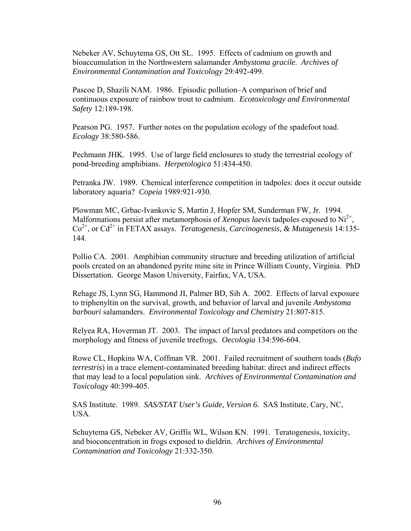Nebeker AV, Schuytema GS, Ott SL. 1995. Effects of cadmium on growth and bioaccumulation in the Northwestern salamander *Ambystoma gracile*. *Archives of Environmental Contamination and Toxicology* 29:492-499.

Pascoe D, Shazili NAM. 1986. Episodic pollution–A comparison of brief and continuous exposure of rainbow trout to cadmium. *Ecotoxicology and Environmental Safety* 12:189-198.

Pearson PG. 1957. Further notes on the population ecology of the spadefoot toad. *Ecology* 38:580-586.

Pechmann JHK. 1995. Use of large field enclosures to study the terrestrial ecology of pond-breeding amphibians. *Herpetologica* 51:434-450.

Petranka JW. 1989. Chemical interference competition in tadpoles: does it occur outside laboratory aquaria? *Copeia* 1989:921-930.

Plowman MC, Grbac-Ivankovic S, Martin J, Hopfer SM, Sunderman FW, Jr. 1994. Malformations persist after metamorphosis of *Xenopus laevis* tadpoles exposed to Ni<sup>2+</sup>. Co2+, or Cd2+ in FETAX assays. *Teratogenesis, Carcinogenesis, & Mutagenesis* 14:135- 144.

Pollio CA. 2001. Amphibian community structure and breeding utilization of artificial pools created on an abandoned pyrite mine site in Prince William County, Virginia. PhD Dissertation. George Mason University, Fairfax, VA, USA.

Rehage JS, Lynn SG, Hammond JI, Palmer BD, Sih A. 2002. Effects of larval exposure to triphenyltin on the survival, growth, and behavior of larval and juvenile *Ambystoma barbouri* salamanders. *Environmental Toxicology and Chemistry* 21:807-815.

Relyea RA, Hoverman JT. 2003. The impact of larval predators and competitors on the morphology and fitness of juvenile treefrogs. *Oecologia* 134:596-604.

Rowe CL, Hopkins WA, Coffman VR. 2001. Failed recruitment of southern toads (*Bufo terrestris*) in a trace element-contaminated breeding habitat: direct and indirect effects that may lead to a local population sink. *Archives of Environmental Contamination and Toxicology* 40:399-405.

SAS Institute. 1989. *SAS/STAT User's Guide, Version 6.* SAS Institute, Cary, NC, USA.

Schuytema GS, Nebeker AV, Griffis WL, Wilson KN. 1991. Teratogenesis, toxicity, and bioconcentration in frogs exposed to dieldrin. *Archives of Environmental Contamination and Toxicology* 21:332-350.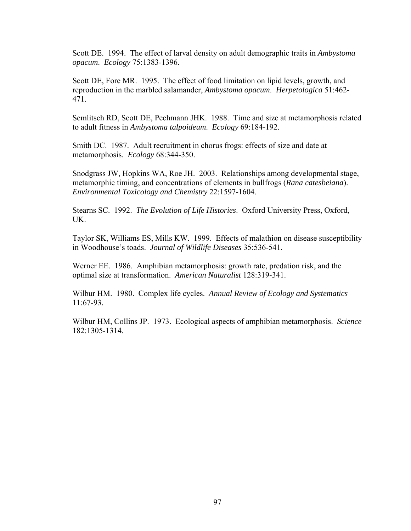Scott DE. 1994. The effect of larval density on adult demographic traits in *Ambystoma opacum*. *Ecology* 75:1383-1396.

Scott DE, Fore MR. 1995. The effect of food limitation on lipid levels, growth, and reproduction in the marbled salamander, *Ambystoma opacum*. *Herpetologica* 51:462- 471.

Semlitsch RD, Scott DE, Pechmann JHK. 1988. Time and size at metamorphosis related to adult fitness in *Ambystoma talpoideum*. *Ecology* 69:184-192.

Smith DC. 1987. Adult recruitment in chorus frogs: effects of size and date at metamorphosis. *Ecology* 68:344-350.

Snodgrass JW, Hopkins WA, Roe JH. 2003. Relationships among developmental stage, metamorphic timing, and concentrations of elements in bullfrogs (*Rana catesbeiana*). *Environmental Toxicology and Chemistry* 22:1597-1604.

Stearns SC. 1992. *The Evolution of Life Histories*. Oxford University Press, Oxford, UK.

Taylor SK, Williams ES, Mills KW. 1999. Effects of malathion on disease susceptibility in Woodhouse's toads. *Journal of Wildlife Diseases* 35:536-541.

Werner EE. 1986. Amphibian metamorphosis: growth rate, predation risk, and the optimal size at transformation. *American Naturalist* 128:319-341.

Wilbur HM. 1980. Complex life cycles. *Annual Review of Ecology and Systematics* 11:67-93.

Wilbur HM, Collins JP. 1973. Ecological aspects of amphibian metamorphosis. *Science* 182:1305-1314.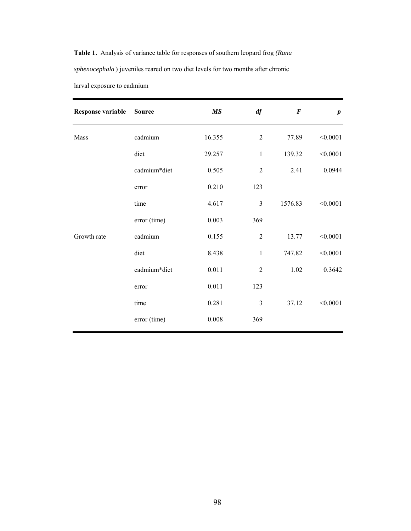### **Table 1.** Analysis of variance table for responses of southern leopard frog *(Rana*

*sphenocephala* ) juveniles reared on two diet levels for two months after chronic

larval exposure to cadmium

| Response variable | <b>Source</b> | MS     | df             | $\bm{F}$ | $\pmb{p}$ |
|-------------------|---------------|--------|----------------|----------|-----------|
| Mass              | cadmium       | 16.355 | $\overline{2}$ | 77.89    | < 0.0001  |
|                   | diet          | 29.257 | $\mathbf{1}$   | 139.32   | < 0.0001  |
|                   | cadmium*diet  | 0.505  | $\overline{2}$ | 2.41     | 0.0944    |
|                   | error         | 0.210  | 123            |          |           |
|                   | time          | 4.617  | 3              | 1576.83  | < 0.0001  |
|                   | error (time)  | 0.003  | 369            |          |           |
| Growth rate       | cadmium       | 0.155  | $\overline{2}$ | 13.77    | < 0.0001  |
|                   | diet          | 8.438  | $\mathbf{1}$   | 747.82   | < 0.0001  |
|                   | cadmium*diet  | 0.011  | $\overline{2}$ | 1.02     | 0.3642    |
|                   | error         | 0.011  | 123            |          |           |
|                   | time          | 0.281  | $\mathfrak{Z}$ | 37.12    | < 0.0001  |
|                   | error (time)  | 0.008  | 369            |          |           |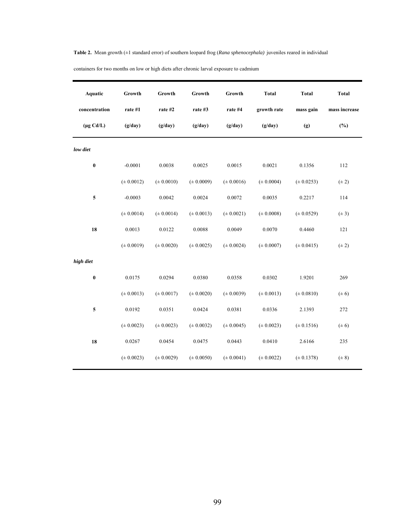| <b>Aquatic</b>         | Growth         | Growth         | Growth         | Growth         | <b>Total</b>   | <b>Total</b>   | <b>Total</b>  |
|------------------------|----------------|----------------|----------------|----------------|----------------|----------------|---------------|
| concentration          | rate #1        | rate #2        | rate #3        | rate #4        | growth rate    | mass gain      | mass increase |
| $(\mu g \text{ Cd/L})$ | (g/day)        | (g/day)        | (g/day)        | (g/day)        | (g/day)        | (g)            | (%)           |
| low diet               |                |                |                |                |                |                |               |
| $\pmb{0}$              | $-0.0001$      | 0.0038         | 0.0025         | 0.0015         | 0.0021         | 0.1356         | 112           |
|                        | $(\pm 0.0012)$ | $(\pm 0.0010)$ | $(\pm 0.0009)$ | $(\pm 0.0016)$ | $(\pm 0.0004)$ | $(\pm 0.0253)$ | $(\pm 2)$     |
| ${\bf 5}$              | $-0.0003$      | 0.0042         | 0.0024         | 0.0072         | 0.0035         | 0.2217         | 114           |
|                        | (± 0.0014)     | $(\pm 0.0014)$ | $(\pm 0.0013)$ | $(\pm 0.0021)$ | $(\pm 0.0008)$ | $(\pm 0.0529)$ | $(\pm 3)$     |
| 18                     | 0.0013         | 0.0122         | 0.0088         | 0.0049         | 0.0070         | 0.4460         | 121           |
|                        | $(\pm 0.0019)$ | $(\pm 0.0020)$ | $(\pm 0.0025)$ | $(\pm 0.0024)$ | $(\pm 0.0007)$ | $(\pm 0.0415)$ | $(\pm 2)$     |
| high diet              |                |                |                |                |                |                |               |
| $\pmb{0}$              | 0.0175         | 0.0294         | 0.0380         | 0.0358         | 0.0302         | 1.9201         | 269           |
|                        | $(\pm 0.0013)$ | $(\pm 0.0017)$ | $(\pm 0.0020)$ | $(\pm 0.0039)$ | $(\pm 0.0013)$ | $(\pm 0.0810)$ | $(\pm 6)$     |
| 5                      | 0.0192         | 0.0351         | 0.0424         | 0.0381         | 0.0336         | 2.1393         | 272           |
|                        | $(\pm 0.0023)$ | $(\pm 0.0023)$ | $(\pm 0.0032)$ | $(\pm 0.0045)$ | $(\pm 0.0023)$ | $(\pm 0.1516)$ | $(\pm 6)$     |
| 18                     | 0.0267         | 0.0454         | 0.0475         | 0.0443         | 0.0410         | 2.6166         | 235           |
|                        | $(\pm 0.0023)$ | $(\pm 0.0029)$ | $(\pm 0.0050)$ | $(\pm 0.0041)$ | $(\pm 0.0022)$ | $(\pm 0.1378)$ | $(\pm 8)$     |

containers for two months on low or high diets after chronic larval exposure to cadmium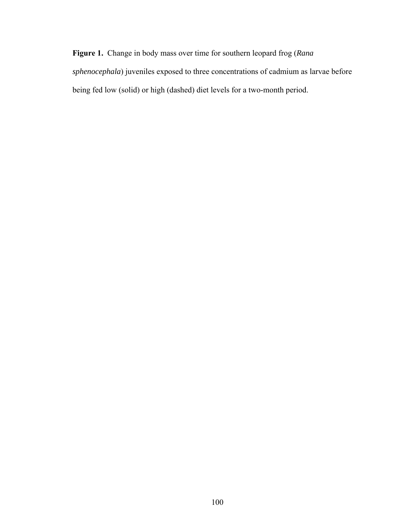## **Figure 1.** Change in body mass over time for southern leopard frog (*Rana*

*sphenocephala*) juveniles exposed to three concentrations of cadmium as larvae before being fed low (solid) or high (dashed) diet levels for a two-month period.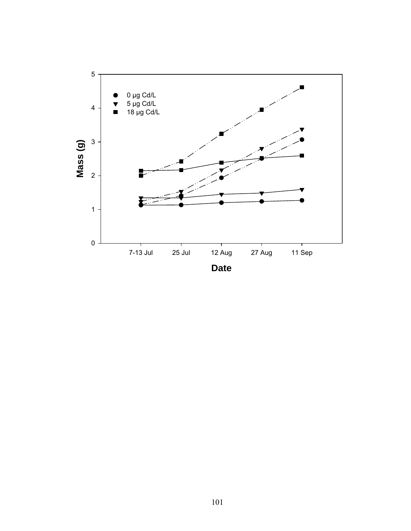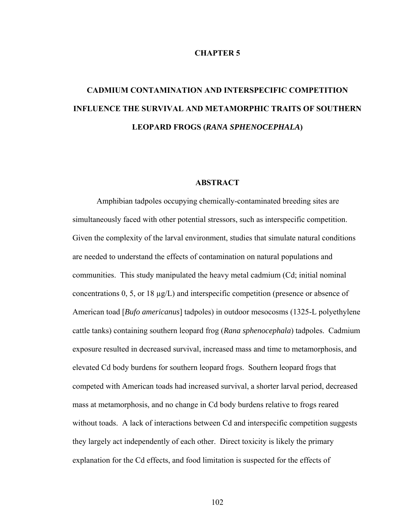#### **CHAPTER 5**

# **CADMIUM CONTAMINATION AND INTERSPECIFIC COMPETITION INFLUENCE THE SURVIVAL AND METAMORPHIC TRAITS OF SOUTHERN LEOPARD FROGS (***RANA SPHENOCEPHALA***)**

#### **ABSTRACT**

 Amphibian tadpoles occupying chemically-contaminated breeding sites are simultaneously faced with other potential stressors, such as interspecific competition. Given the complexity of the larval environment, studies that simulate natural conditions are needed to understand the effects of contamination on natural populations and communities. This study manipulated the heavy metal cadmium (Cd; initial nominal concentrations 0, 5, or 18  $\mu$ g/L) and interspecific competition (presence or absence of American toad [*Bufo americanus*] tadpoles) in outdoor mesocosms (1325-L polyethylene cattle tanks) containing southern leopard frog (*Rana sphenocephala*) tadpoles. Cadmium exposure resulted in decreased survival, increased mass and time to metamorphosis, and elevated Cd body burdens for southern leopard frogs. Southern leopard frogs that competed with American toads had increased survival, a shorter larval period, decreased mass at metamorphosis, and no change in Cd body burdens relative to frogs reared without toads. A lack of interactions between Cd and interspecific competition suggests they largely act independently of each other. Direct toxicity is likely the primary explanation for the Cd effects, and food limitation is suspected for the effects of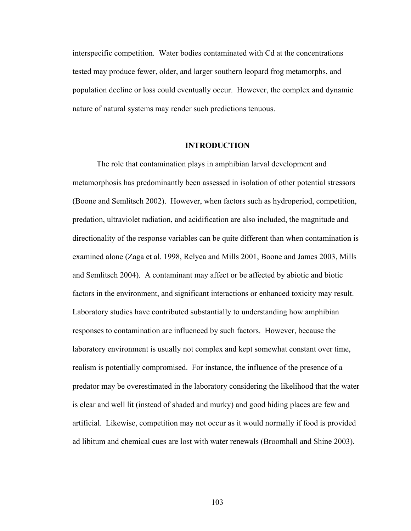interspecific competition. Water bodies contaminated with Cd at the concentrations tested may produce fewer, older, and larger southern leopard frog metamorphs, and population decline or loss could eventually occur. However, the complex and dynamic nature of natural systems may render such predictions tenuous.

#### **INTRODUCTION**

 The role that contamination plays in amphibian larval development and metamorphosis has predominantly been assessed in isolation of other potential stressors (Boone and Semlitsch 2002). However, when factors such as hydroperiod, competition, predation, ultraviolet radiation, and acidification are also included, the magnitude and directionality of the response variables can be quite different than when contamination is examined alone (Zaga et al. 1998, Relyea and Mills 2001, Boone and James 2003, Mills and Semlitsch 2004). A contaminant may affect or be affected by abiotic and biotic factors in the environment, and significant interactions or enhanced toxicity may result. Laboratory studies have contributed substantially to understanding how amphibian responses to contamination are influenced by such factors. However, because the laboratory environment is usually not complex and kept somewhat constant over time, realism is potentially compromised. For instance, the influence of the presence of a predator may be overestimated in the laboratory considering the likelihood that the water is clear and well lit (instead of shaded and murky) and good hiding places are few and artificial. Likewise, competition may not occur as it would normally if food is provided ad libitum and chemical cues are lost with water renewals (Broomhall and Shine 2003).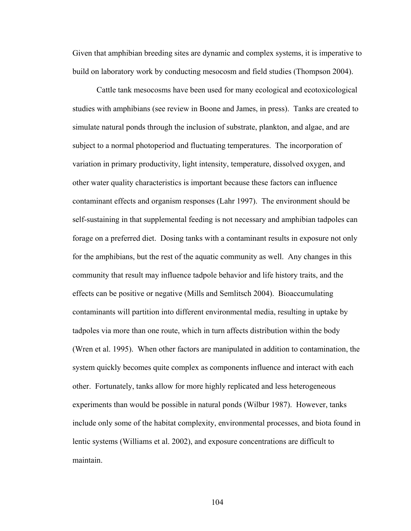Given that amphibian breeding sites are dynamic and complex systems, it is imperative to build on laboratory work by conducting mesocosm and field studies (Thompson 2004).

 Cattle tank mesocosms have been used for many ecological and ecotoxicological studies with amphibians (see review in Boone and James, in press). Tanks are created to simulate natural ponds through the inclusion of substrate, plankton, and algae, and are subject to a normal photoperiod and fluctuating temperatures. The incorporation of variation in primary productivity, light intensity, temperature, dissolved oxygen, and other water quality characteristics is important because these factors can influence contaminant effects and organism responses (Lahr 1997). The environment should be self-sustaining in that supplemental feeding is not necessary and amphibian tadpoles can forage on a preferred diet. Dosing tanks with a contaminant results in exposure not only for the amphibians, but the rest of the aquatic community as well. Any changes in this community that result may influence tadpole behavior and life history traits, and the effects can be positive or negative (Mills and Semlitsch 2004). Bioaccumulating contaminants will partition into different environmental media, resulting in uptake by tadpoles via more than one route, which in turn affects distribution within the body (Wren et al. 1995). When other factors are manipulated in addition to contamination, the system quickly becomes quite complex as components influence and interact with each other. Fortunately, tanks allow for more highly replicated and less heterogeneous experiments than would be possible in natural ponds (Wilbur 1987). However, tanks include only some of the habitat complexity, environmental processes, and biota found in lentic systems (Williams et al. 2002), and exposure concentrations are difficult to maintain.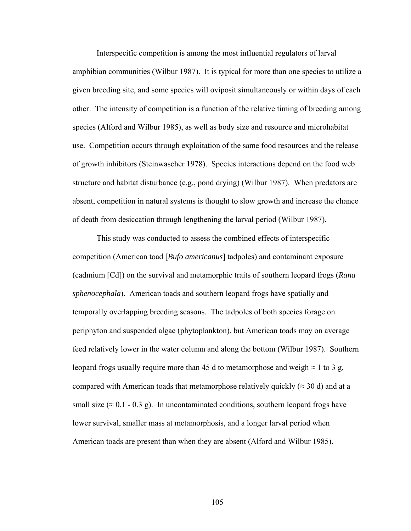Interspecific competition is among the most influential regulators of larval amphibian communities (Wilbur 1987). It is typical for more than one species to utilize a given breeding site, and some species will oviposit simultaneously or within days of each other. The intensity of competition is a function of the relative timing of breeding among species (Alford and Wilbur 1985), as well as body size and resource and microhabitat use. Competition occurs through exploitation of the same food resources and the release of growth inhibitors (Steinwascher 1978). Species interactions depend on the food web structure and habitat disturbance (e.g., pond drying) (Wilbur 1987). When predators are absent, competition in natural systems is thought to slow growth and increase the chance of death from desiccation through lengthening the larval period (Wilbur 1987).

This study was conducted to assess the combined effects of interspecific competition (American toad [*Bufo americanus*] tadpoles) and contaminant exposure (cadmium [Cd]) on the survival and metamorphic traits of southern leopard frogs (*Rana sphenocephala*). American toads and southern leopard frogs have spatially and temporally overlapping breeding seasons. The tadpoles of both species forage on periphyton and suspended algae (phytoplankton), but American toads may on average feed relatively lower in the water column and along the bottom (Wilbur 1987). Southern leopard frogs usually require more than 45 d to metamorphose and weigh  $\approx$  1 to 3 g, compared with American toads that metamorphose relatively quickly ( $\approx$  30 d) and at a small size ( $\approx$  0.1 - 0.3 g). In uncontaminated conditions, southern leopard frogs have lower survival, smaller mass at metamorphosis, and a longer larval period when American toads are present than when they are absent (Alford and Wilbur 1985).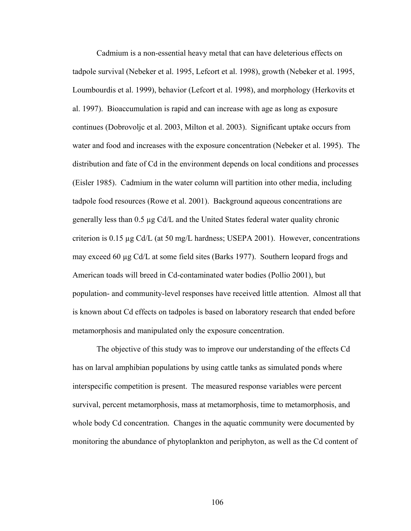Cadmium is a non-essential heavy metal that can have deleterious effects on tadpole survival (Nebeker et al. 1995, Lefcort et al. 1998), growth (Nebeker et al. 1995, Loumbourdis et al. 1999), behavior (Lefcort et al. 1998), and morphology (Herkovits et al. 1997). Bioaccumulation is rapid and can increase with age as long as exposure continues (Dobrovoljc et al. 2003, Milton et al. 2003). Significant uptake occurs from water and food and increases with the exposure concentration (Nebeker et al. 1995). The distribution and fate of Cd in the environment depends on local conditions and processes (Eisler 1985). Cadmium in the water column will partition into other media, including tadpole food resources (Rowe et al. 2001). Background aqueous concentrations are generally less than 0.5 µg Cd/L and the United States federal water quality chronic criterion is 0.15 µg Cd/L (at 50 mg/L hardness; USEPA 2001). However, concentrations may exceed 60 µg Cd/L at some field sites (Barks 1977). Southern leopard frogs and American toads will breed in Cd-contaminated water bodies (Pollio 2001), but population- and community-level responses have received little attention. Almost all that is known about Cd effects on tadpoles is based on laboratory research that ended before metamorphosis and manipulated only the exposure concentration.

The objective of this study was to improve our understanding of the effects Cd has on larval amphibian populations by using cattle tanks as simulated ponds where interspecific competition is present. The measured response variables were percent survival, percent metamorphosis, mass at metamorphosis, time to metamorphosis, and whole body Cd concentration. Changes in the aquatic community were documented by monitoring the abundance of phytoplankton and periphyton, as well as the Cd content of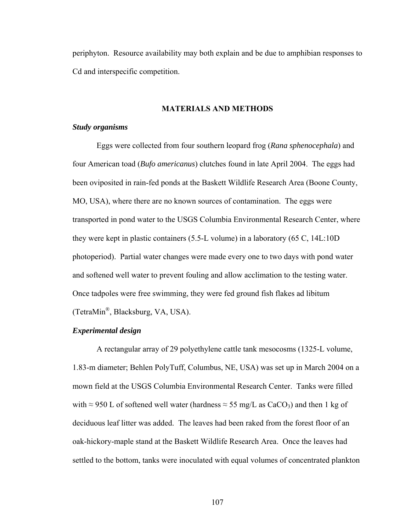periphyton. Resource availability may both explain and be due to amphibian responses to Cd and interspecific competition.

#### **MATERIALS AND METHODS**

#### *Study organisms*

 Eggs were collected from four southern leopard frog (*Rana sphenocephala*) and four American toad (*Bufo americanus*) clutches found in late April 2004. The eggs had been oviposited in rain-fed ponds at the Baskett Wildlife Research Area (Boone County, MO, USA), where there are no known sources of contamination. The eggs were transported in pond water to the USGS Columbia Environmental Research Center, where they were kept in plastic containers (5.5-L volume) in a laboratory (65 C, 14L:10D photoperiod). Partial water changes were made every one to two days with pond water and softened well water to prevent fouling and allow acclimation to the testing water. Once tadpoles were free swimming, they were fed ground fish flakes ad libitum (TetraMin®, Blacksburg, VA, USA).

#### *Experimental design*

A rectangular array of 29 polyethylene cattle tank mesocosms (1325-L volume, 1.83-m diameter; Behlen PolyTuff, Columbus, NE, USA) was set up in March 2004 on a mown field at the USGS Columbia Environmental Research Center. Tanks were filled with  $\approx$  950 L of softened well water (hardness  $\approx$  55 mg/L as CaCO<sub>3</sub>) and then 1 kg of deciduous leaf litter was added. The leaves had been raked from the forest floor of an oak-hickory-maple stand at the Baskett Wildlife Research Area. Once the leaves had settled to the bottom, tanks were inoculated with equal volumes of concentrated plankton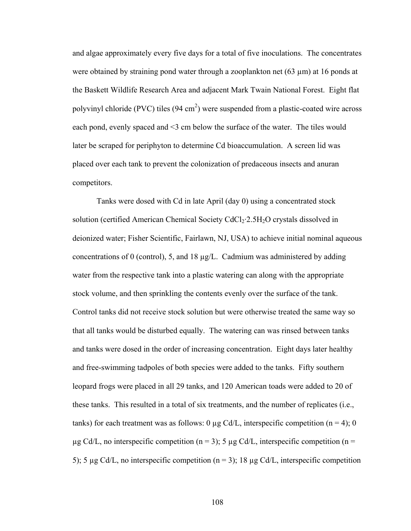and algae approximately every five days for a total of five inoculations. The concentrates were obtained by straining pond water through a zooplankton net  $(63 \mu m)$  at 16 ponds at the Baskett Wildlife Research Area and adjacent Mark Twain National Forest. Eight flat polyvinyl chloride (PVC) tiles (94 cm<sup>2</sup>) were suspended from a plastic-coated wire across each pond, evenly spaced and <3 cm below the surface of the water. The tiles would later be scraped for periphyton to determine Cd bioaccumulation. A screen lid was placed over each tank to prevent the colonization of predaceous insects and anuran competitors.

Tanks were dosed with Cd in late April (day 0) using a concentrated stock solution (certified American Chemical Society  $CdCl<sub>2</sub>·2.5H<sub>2</sub>O$  crystals dissolved in deionized water; Fisher Scientific, Fairlawn, NJ, USA) to achieve initial nominal aqueous concentrations of 0 (control), 5, and 18  $\mu$ g/L. Cadmium was administered by adding water from the respective tank into a plastic watering can along with the appropriate stock volume, and then sprinkling the contents evenly over the surface of the tank. Control tanks did not receive stock solution but were otherwise treated the same way so that all tanks would be disturbed equally. The watering can was rinsed between tanks and tanks were dosed in the order of increasing concentration. Eight days later healthy and free-swimming tadpoles of both species were added to the tanks. Fifty southern leopard frogs were placed in all 29 tanks, and 120 American toads were added to 20 of these tanks. This resulted in a total of six treatments, and the number of replicates (i.e., tanks) for each treatment was as follows: 0  $\mu$ g Cd/L, interspecific competition (n = 4); 0  $\mu$ g Cd/L, no interspecific competition (n = 3); 5  $\mu$ g Cd/L, interspecific competition (n = 5); 5  $\mu$ g Cd/L, no interspecific competition (n = 3); 18  $\mu$ g Cd/L, interspecific competition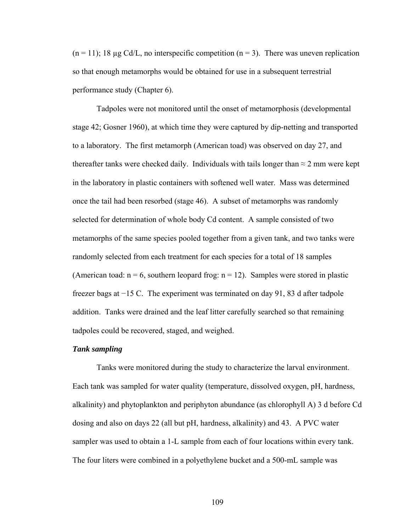$(n = 11)$ ; 18 µg Cd/L, no interspecific competition  $(n = 3)$ . There was uneven replication so that enough metamorphs would be obtained for use in a subsequent terrestrial performance study (Chapter 6).

Tadpoles were not monitored until the onset of metamorphosis (developmental stage 42; Gosner 1960), at which time they were captured by dip-netting and transported to a laboratory. The first metamorph (American toad) was observed on day 27, and thereafter tanks were checked daily. Individuals with tails longer than  $\approx$  2 mm were kept in the laboratory in plastic containers with softened well water. Mass was determined once the tail had been resorbed (stage 46). A subset of metamorphs was randomly selected for determination of whole body Cd content. A sample consisted of two metamorphs of the same species pooled together from a given tank, and two tanks were randomly selected from each treatment for each species for a total of 18 samples (American toad:  $n = 6$ , southern leopard frog:  $n = 12$ ). Samples were stored in plastic freezer bags at −15 C. The experiment was terminated on day 91, 83 d after tadpole addition. Tanks were drained and the leaf litter carefully searched so that remaining tadpoles could be recovered, staged, and weighed.

#### *Tank sampling*

Tanks were monitored during the study to characterize the larval environment. Each tank was sampled for water quality (temperature, dissolved oxygen, pH, hardness, alkalinity) and phytoplankton and periphyton abundance (as chlorophyll A) 3 d before Cd dosing and also on days 22 (all but pH, hardness, alkalinity) and 43. A PVC water sampler was used to obtain a 1-L sample from each of four locations within every tank. The four liters were combined in a polyethylene bucket and a 500-mL sample was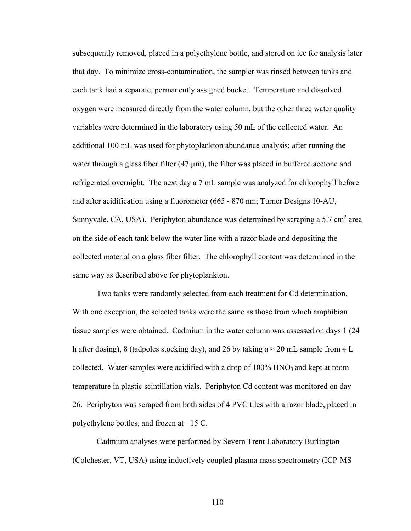subsequently removed, placed in a polyethylene bottle, and stored on ice for analysis later that day. To minimize cross-contamination, the sampler was rinsed between tanks and each tank had a separate, permanently assigned bucket. Temperature and dissolved oxygen were measured directly from the water column, but the other three water quality variables were determined in the laboratory using 50 mL of the collected water. An additional 100 mL was used for phytoplankton abundance analysis; after running the water through a glass fiber filter  $(47 \mu m)$ , the filter was placed in buffered acetone and refrigerated overnight. The next day a 7 mL sample was analyzed for chlorophyll before and after acidification using a fluorometer (665 - 870 nm; Turner Designs 10-AU, Sunnyvale, CA, USA). Periphyton abundance was determined by scraping a 5.7 cm<sup>2</sup> area on the side of each tank below the water line with a razor blade and depositing the collected material on a glass fiber filter. The chlorophyll content was determined in the same way as described above for phytoplankton.

Two tanks were randomly selected from each treatment for Cd determination. With one exception, the selected tanks were the same as those from which amphibian tissue samples were obtained. Cadmium in the water column was assessed on days 1 (24 h after dosing), 8 (tadpoles stocking day), and 26 by taking  $a \approx 20$  mL sample from 4 L collected. Water samples were acidified with a drop of  $100\%$  HNO<sub>3</sub> and kept at room temperature in plastic scintillation vials. Periphyton Cd content was monitored on day 26. Periphyton was scraped from both sides of 4 PVC tiles with a razor blade, placed in polyethylene bottles, and frozen at −15 C.

Cadmium analyses were performed by Severn Trent Laboratory Burlington (Colchester, VT, USA) using inductively coupled plasma-mass spectrometry (ICP-MS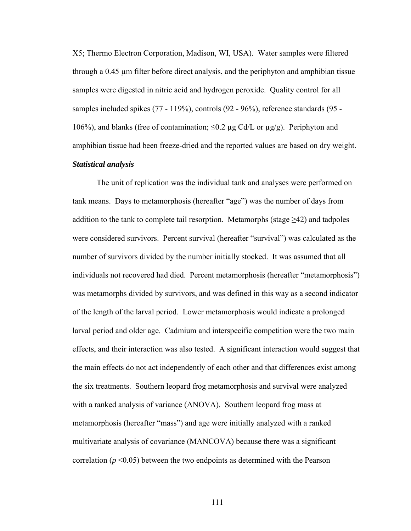X5; Thermo Electron Corporation, Madison, WI, USA). Water samples were filtered through a 0.45 µm filter before direct analysis, and the periphyton and amphibian tissue samples were digested in nitric acid and hydrogen peroxide. Quality control for all samples included spikes (77 - 119%), controls (92 - 96%), reference standards (95 -106%), and blanks (free of contamination;  $\leq 0.2 \mu$ g Cd/L or  $\mu$ g/g). Periphyton and amphibian tissue had been freeze-dried and the reported values are based on dry weight. *Statistical analysis* 

The unit of replication was the individual tank and analyses were performed on tank means. Days to metamorphosis (hereafter "age") was the number of days from addition to the tank to complete tail resorption. Metamorphs (stage  $\geq 42$ ) and tadpoles were considered survivors. Percent survival (hereafter "survival") was calculated as the number of survivors divided by the number initially stocked. It was assumed that all individuals not recovered had died. Percent metamorphosis (hereafter "metamorphosis") was metamorphs divided by survivors, and was defined in this way as a second indicator of the length of the larval period. Lower metamorphosis would indicate a prolonged larval period and older age. Cadmium and interspecific competition were the two main effects, and their interaction was also tested. A significant interaction would suggest that the main effects do not act independently of each other and that differences exist among the six treatments. Southern leopard frog metamorphosis and survival were analyzed with a ranked analysis of variance (ANOVA). Southern leopard frog mass at metamorphosis (hereafter "mass") and age were initially analyzed with a ranked multivariate analysis of covariance (MANCOVA) because there was a significant correlation ( $p \le 0.05$ ) between the two endpoints as determined with the Pearson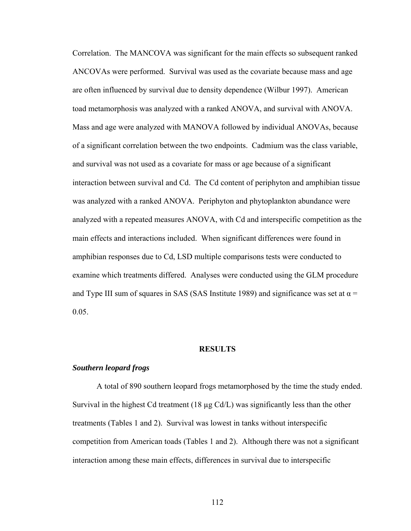Correlation. The MANCOVA was significant for the main effects so subsequent ranked ANCOVAs were performed. Survival was used as the covariate because mass and age are often influenced by survival due to density dependence (Wilbur 1997). American toad metamorphosis was analyzed with a ranked ANOVA, and survival with ANOVA. Mass and age were analyzed with MANOVA followed by individual ANOVAs, because of a significant correlation between the two endpoints. Cadmium was the class variable, and survival was not used as a covariate for mass or age because of a significant interaction between survival and Cd. The Cd content of periphyton and amphibian tissue was analyzed with a ranked ANOVA. Periphyton and phytoplankton abundance were analyzed with a repeated measures ANOVA, with Cd and interspecific competition as the main effects and interactions included. When significant differences were found in amphibian responses due to Cd, LSD multiple comparisons tests were conducted to examine which treatments differed. Analyses were conducted using the GLM procedure and Type III sum of squares in SAS (SAS Institute 1989) and significance was set at  $\alpha$  = 0.05.

#### **RESULTS**

#### *Southern leopard frogs*

 A total of 890 southern leopard frogs metamorphosed by the time the study ended. Survival in the highest Cd treatment (18 µg Cd/L) was significantly less than the other treatments (Tables 1 and 2). Survival was lowest in tanks without interspecific competition from American toads (Tables 1 and 2). Although there was not a significant interaction among these main effects, differences in survival due to interspecific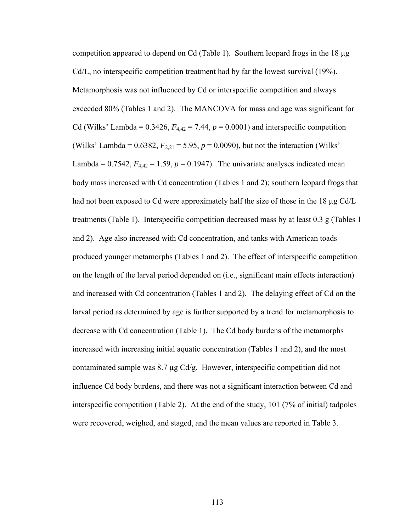competition appeared to depend on Cd (Table 1). Southern leopard frogs in the 18  $\mu$ g Cd/L, no interspecific competition treatment had by far the lowest survival (19%). Metamorphosis was not influenced by Cd or interspecific competition and always exceeded 80% (Tables 1 and 2). The MANCOVA for mass and age was significant for Cd (Wilks' Lambda =  $0.3426$ ,  $F_{4,42} = 7.44$ ,  $p = 0.0001$ ) and interspecific competition (Wilks' Lambda =  $0.6382$ ,  $F_{2,21} = 5.95$ ,  $p = 0.0090$ ), but not the interaction (Wilks' Lambda =  $0.7542$ ,  $F_{4,42} = 1.59$ ,  $p = 0.1947$ ). The univariate analyses indicated mean body mass increased with Cd concentration (Tables 1 and 2); southern leopard frogs that had not been exposed to Cd were approximately half the size of those in the 18 µg Cd/L treatments (Table 1). Interspecific competition decreased mass by at least 0.3 g (Tables 1 and 2). Age also increased with Cd concentration, and tanks with American toads produced younger metamorphs (Tables 1 and 2). The effect of interspecific competition on the length of the larval period depended on (i.e., significant main effects interaction) and increased with Cd concentration (Tables 1 and 2). The delaying effect of Cd on the larval period as determined by age is further supported by a trend for metamorphosis to decrease with Cd concentration (Table 1). The Cd body burdens of the metamorphs increased with increasing initial aquatic concentration (Tables 1 and 2), and the most contaminated sample was 8.7 µg Cd/g. However, interspecific competition did not influence Cd body burdens, and there was not a significant interaction between Cd and interspecific competition (Table 2). At the end of the study, 101 (7% of initial) tadpoles were recovered, weighed, and staged, and the mean values are reported in Table 3.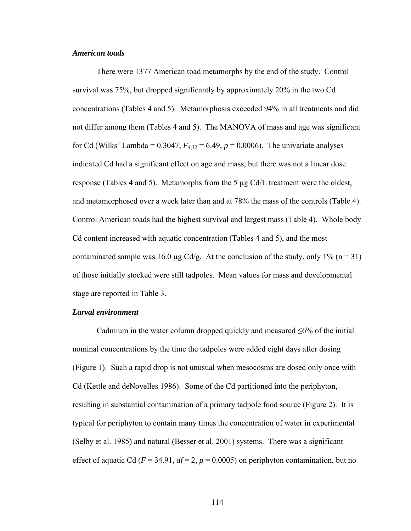#### *American toads*

 There were 1377 American toad metamorphs by the end of the study. Control survival was 75%, but dropped significantly by approximately 20% in the two Cd concentrations (Tables 4 and 5). Metamorphosis exceeded 94% in all treatments and did not differ among them (Tables 4 and 5). The MANOVA of mass and age was significant for Cd (Wilks' Lambda =  $0.3047$ ,  $F_{4,32} = 6.49$ ,  $p = 0.0006$ ). The univariate analyses indicated Cd had a significant effect on age and mass, but there was not a linear dose response (Tables 4 and 5). Metamorphs from the 5 µg Cd/L treatment were the oldest, and metamorphosed over a week later than and at 78% the mass of the controls (Table 4). Control American toads had the highest survival and largest mass (Table 4). Whole body Cd content increased with aquatic concentration (Tables 4 and 5), and the most contaminated sample was 16.0 µg Cd/g. At the conclusion of the study, only 1% (n = 31) of those initially stocked were still tadpoles. Mean values for mass and developmental stage are reported in Table 3.

#### *Larval environment*

Cadmium in the water column dropped quickly and measured  $\leq 6\%$  of the initial nominal concentrations by the time the tadpoles were added eight days after dosing (Figure 1). Such a rapid drop is not unusual when mesocosms are dosed only once with Cd (Kettle and deNoyelles 1986). Some of the Cd partitioned into the periphyton, resulting in substantial contamination of a primary tadpole food source (Figure 2). It is typical for periphyton to contain many times the concentration of water in experimental (Selby et al. 1985) and natural (Besser et al. 2001) systems. There was a significant effect of aquatic Cd ( $F = 34.91$ ,  $df = 2$ ,  $p = 0.0005$ ) on periphyton contamination, but no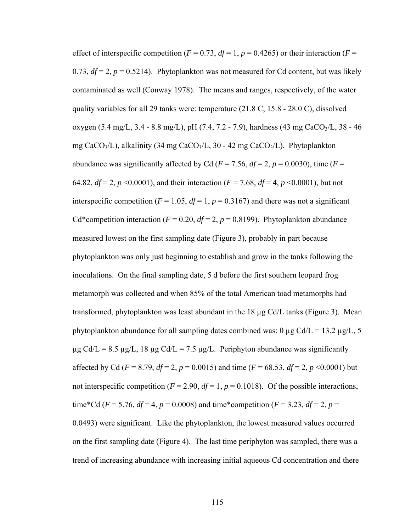effect of interspecific competition ( $F = 0.73$ ,  $df = 1$ ,  $p = 0.4265$ ) or their interaction ( $F =$ 0.73,  $df = 2$ ,  $p = 0.5214$ ). Phytoplankton was not measured for Cd content, but was likely contaminated as well (Conway 1978). The means and ranges, respectively, of the water quality variables for all 29 tanks were: temperature (21.8 C, 15.8 - 28.0 C), dissolved oxygen (5.4 mg/L, 3.4 - 8.8 mg/L), pH (7.4, 7.2 - 7.9), hardness (43 mg CaCO<sub>3</sub>/L, 38 - 46 mg CaCO<sub>3</sub>/L), alkalinity (34 mg CaCO<sub>3</sub>/L, 30 - 42 mg CaCO<sub>3</sub>/L). Phytoplankton abundance was significantly affected by Cd ( $F = 7.56$ ,  $df = 2$ ,  $p = 0.0030$ ), time ( $F =$ 64.82,  $df = 2$ ,  $p \le 0.0001$ ), and their interaction ( $F = 7.68$ ,  $df = 4$ ,  $p \le 0.0001$ ), but not interspecific competition ( $F = 1.05$ ,  $df = 1$ ,  $p = 0.3167$ ) and there was not a significant Cd\*competition interaction ( $F = 0.20$ ,  $df = 2$ ,  $p = 0.8199$ ). Phytoplankton abundance measured lowest on the first sampling date (Figure 3), probably in part because phytoplankton was only just beginning to establish and grow in the tanks following the inoculations. On the final sampling date, 5 d before the first southern leopard frog metamorph was collected and when 85% of the total American toad metamorphs had transformed, phytoplankton was least abundant in the 18 µg Cd/L tanks (Figure 3). Mean phytoplankton abundance for all sampling dates combined was:  $0 \mu$ g Cd/L = 13.2  $\mu$ g/L, 5  $\mu$ g Cd/L = 8.5  $\mu$ g/L, 18  $\mu$ g Cd/L = 7.5  $\mu$ g/L. Periphyton abundance was significantly affected by Cd ( $F = 8.79$ ,  $df = 2$ ,  $p = 0.0015$ ) and time ( $F = 68.53$ ,  $df = 2$ ,  $p \le 0.0001$ ) but not interspecific competition ( $F = 2.90$ ,  $df = 1$ ,  $p = 0.1018$ ). Of the possible interactions, time\*Cd ( $F = 5.76$ ,  $df = 4$ ,  $p = 0.0008$ ) and time\*competition ( $F = 3.23$ ,  $df = 2$ ,  $p =$ 0.0493) were significant. Like the phytoplankton, the lowest measured values occurred on the first sampling date (Figure 4). The last time periphyton was sampled, there was a trend of increasing abundance with increasing initial aqueous Cd concentration and there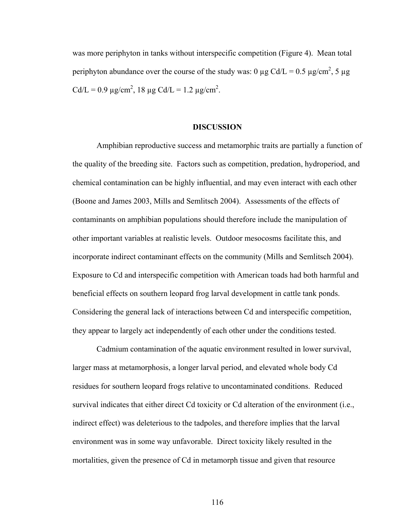was more periphyton in tanks without interspecific competition (Figure 4). Mean total periphyton abundance over the course of the study was: 0  $\mu$ g Cd/L = 0.5  $\mu$ g/cm<sup>2</sup>, 5  $\mu$ g Cd/L = 0.9  $\mu$ g/cm<sup>2</sup>, 18  $\mu$ g Cd/L = 1.2  $\mu$ g/cm<sup>2</sup>.

#### **DISCUSSION**

 Amphibian reproductive success and metamorphic traits are partially a function of the quality of the breeding site. Factors such as competition, predation, hydroperiod, and chemical contamination can be highly influential, and may even interact with each other (Boone and James 2003, Mills and Semlitsch 2004). Assessments of the effects of contaminants on amphibian populations should therefore include the manipulation of other important variables at realistic levels. Outdoor mesocosms facilitate this, and incorporate indirect contaminant effects on the community (Mills and Semlitsch 2004). Exposure to Cd and interspecific competition with American toads had both harmful and beneficial effects on southern leopard frog larval development in cattle tank ponds. Considering the general lack of interactions between Cd and interspecific competition, they appear to largely act independently of each other under the conditions tested.

Cadmium contamination of the aquatic environment resulted in lower survival, larger mass at metamorphosis, a longer larval period, and elevated whole body Cd residues for southern leopard frogs relative to uncontaminated conditions. Reduced survival indicates that either direct Cd toxicity or Cd alteration of the environment (i.e., indirect effect) was deleterious to the tadpoles, and therefore implies that the larval environment was in some way unfavorable. Direct toxicity likely resulted in the mortalities, given the presence of Cd in metamorph tissue and given that resource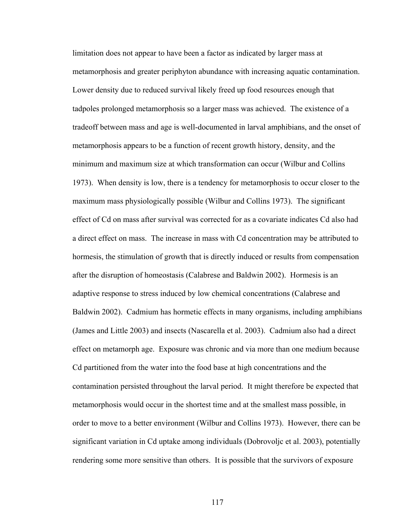limitation does not appear to have been a factor as indicated by larger mass at metamorphosis and greater periphyton abundance with increasing aquatic contamination. Lower density due to reduced survival likely freed up food resources enough that tadpoles prolonged metamorphosis so a larger mass was achieved. The existence of a tradeoff between mass and age is well-documented in larval amphibians, and the onset of metamorphosis appears to be a function of recent growth history, density, and the minimum and maximum size at which transformation can occur (Wilbur and Collins 1973). When density is low, there is a tendency for metamorphosis to occur closer to the maximum mass physiologically possible (Wilbur and Collins 1973). The significant effect of Cd on mass after survival was corrected for as a covariate indicates Cd also had a direct effect on mass. The increase in mass with Cd concentration may be attributed to hormesis, the stimulation of growth that is directly induced or results from compensation after the disruption of homeostasis (Calabrese and Baldwin 2002). Hormesis is an adaptive response to stress induced by low chemical concentrations (Calabrese and Baldwin 2002). Cadmium has hormetic effects in many organisms, including amphibians (James and Little 2003) and insects (Nascarella et al. 2003). Cadmium also had a direct effect on metamorph age. Exposure was chronic and via more than one medium because Cd partitioned from the water into the food base at high concentrations and the contamination persisted throughout the larval period. It might therefore be expected that metamorphosis would occur in the shortest time and at the smallest mass possible, in order to move to a better environment (Wilbur and Collins 1973). However, there can be significant variation in Cd uptake among individuals (Dobrovoljc et al. 2003), potentially rendering some more sensitive than others. It is possible that the survivors of exposure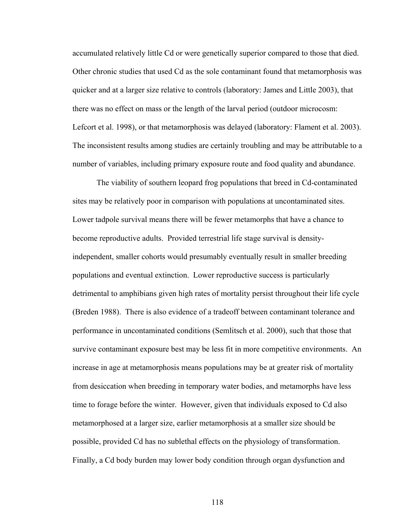accumulated relatively little Cd or were genetically superior compared to those that died. Other chronic studies that used Cd as the sole contaminant found that metamorphosis was quicker and at a larger size relative to controls (laboratory: James and Little 2003), that there was no effect on mass or the length of the larval period (outdoor microcosm: Lefcort et al. 1998), or that metamorphosis was delayed (laboratory: Flament et al. 2003). The inconsistent results among studies are certainly troubling and may be attributable to a number of variables, including primary exposure route and food quality and abundance.

The viability of southern leopard frog populations that breed in Cd-contaminated sites may be relatively poor in comparison with populations at uncontaminated sites. Lower tadpole survival means there will be fewer metamorphs that have a chance to become reproductive adults. Provided terrestrial life stage survival is densityindependent, smaller cohorts would presumably eventually result in smaller breeding populations and eventual extinction. Lower reproductive success is particularly detrimental to amphibians given high rates of mortality persist throughout their life cycle (Breden 1988). There is also evidence of a tradeoff between contaminant tolerance and performance in uncontaminated conditions (Semlitsch et al. 2000), such that those that survive contaminant exposure best may be less fit in more competitive environments. An increase in age at metamorphosis means populations may be at greater risk of mortality from desiccation when breeding in temporary water bodies, and metamorphs have less time to forage before the winter. However, given that individuals exposed to Cd also metamorphosed at a larger size, earlier metamorphosis at a smaller size should be possible, provided Cd has no sublethal effects on the physiology of transformation. Finally, a Cd body burden may lower body condition through organ dysfunction and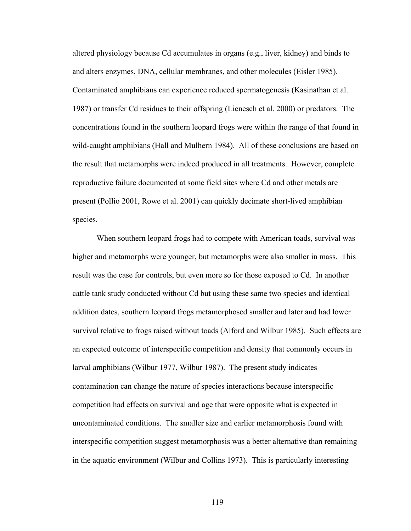altered physiology because Cd accumulates in organs (e.g., liver, kidney) and binds to and alters enzymes, DNA, cellular membranes, and other molecules (Eisler 1985). Contaminated amphibians can experience reduced spermatogenesis (Kasinathan et al. 1987) or transfer Cd residues to their offspring (Lienesch et al. 2000) or predators. The concentrations found in the southern leopard frogs were within the range of that found in wild-caught amphibians (Hall and Mulhern 1984). All of these conclusions are based on the result that metamorphs were indeed produced in all treatments. However, complete reproductive failure documented at some field sites where Cd and other metals are present (Pollio 2001, Rowe et al. 2001) can quickly decimate short-lived amphibian species.

When southern leopard frogs had to compete with American toads, survival was higher and metamorphs were younger, but metamorphs were also smaller in mass. This result was the case for controls, but even more so for those exposed to Cd. In another cattle tank study conducted without Cd but using these same two species and identical addition dates, southern leopard frogs metamorphosed smaller and later and had lower survival relative to frogs raised without toads (Alford and Wilbur 1985). Such effects are an expected outcome of interspecific competition and density that commonly occurs in larval amphibians (Wilbur 1977, Wilbur 1987). The present study indicates contamination can change the nature of species interactions because interspecific competition had effects on survival and age that were opposite what is expected in uncontaminated conditions. The smaller size and earlier metamorphosis found with interspecific competition suggest metamorphosis was a better alternative than remaining in the aquatic environment (Wilbur and Collins 1973). This is particularly interesting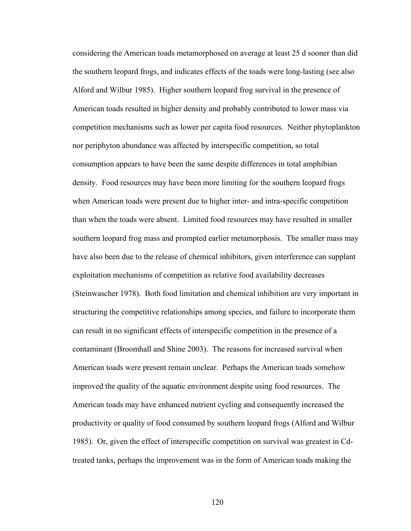considering the American toads metamorphosed on average at least 25 d sooner than did the southern leopard frogs, and indicates effects of the toads were long-lasting (see also Alford and Wilbur 1985). Higher southern leopard frog survival in the presence of American toads resulted in higher density and probably contributed to lower mass via competition mechanisms such as lower per capita food resources. Neither phytoplankton nor periphyton abundance was affected by interspecific competition, so total consumption appears to have been the same despite differences in total amphibian density. Food resources may have been more limiting for the southern leopard frogs when American toads were present due to higher inter- and intra-specific competition than when the toads were absent. Limited food resources may have resulted in smaller southern leopard frog mass and prompted earlier metamorphosis. The smaller mass may have also been due to the release of chemical inhibitors, given interference can supplant exploitation mechanisms of competition as relative food availability decreases (Steinwascher 1978). Both food limitation and chemical inhibition are very important in structuring the competitive relationships among species, and failure to incorporate them can result in no significant effects of interspecific competition in the presence of a contaminant (Broomhall and Shine 2003). The reasons for increased survival when American toads were present remain unclear. Perhaps the American toads somehow improved the quality of the aquatic environment despite using food resources. The American toads may have enhanced nutrient cycling and consequently increased the productivity or quality of food consumed by southern leopard frogs (Alford and Wilbur 1985). Or, given the effect of interspecific competition on survival was greatest in Cdtreated tanks, perhaps the improvement was in the form of American toads making the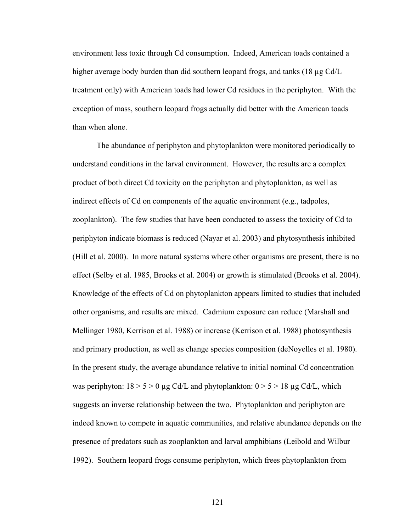environment less toxic through Cd consumption. Indeed, American toads contained a higher average body burden than did southern leopard frogs, and tanks (18 µg Cd/L treatment only) with American toads had lower Cd residues in the periphyton.With the exception of mass, southern leopard frogs actually did better with the American toads than when alone.

 The abundance of periphyton and phytoplankton were monitored periodically to understand conditions in the larval environment. However, the results are a complex product of both direct Cd toxicity on the periphyton and phytoplankton, as well as indirect effects of Cd on components of the aquatic environment (e.g., tadpoles, zooplankton). The few studies that have been conducted to assess the toxicity of Cd to periphyton indicate biomass is reduced (Nayar et al. 2003) and phytosynthesis inhibited (Hill et al. 2000). In more natural systems where other organisms are present, there is no effect (Selby et al. 1985, Brooks et al. 2004) or growth is stimulated (Brooks et al. 2004). Knowledge of the effects of Cd on phytoplankton appears limited to studies that included other organisms, and results are mixed. Cadmium exposure can reduce (Marshall and Mellinger 1980, Kerrison et al. 1988) or increase (Kerrison et al. 1988) photosynthesis and primary production, as well as change species composition (deNoyelles et al. 1980). In the present study, the average abundance relative to initial nominal Cd concentration was periphyton:  $18 > 5 > 0$  µg Cd/L and phytoplankton:  $0 > 5 > 18$  µg Cd/L, which suggests an inverse relationship between the two. Phytoplankton and periphyton are indeed known to compete in aquatic communities, and relative abundance depends on the presence of predators such as zooplankton and larval amphibians (Leibold and Wilbur 1992). Southern leopard frogs consume periphyton, which frees phytoplankton from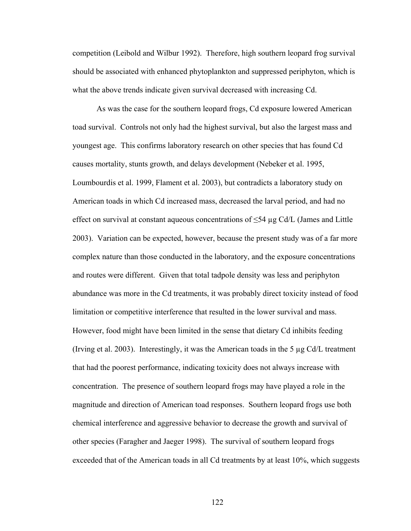competition (Leibold and Wilbur 1992). Therefore, high southern leopard frog survival should be associated with enhanced phytoplankton and suppressed periphyton, which is what the above trends indicate given survival decreased with increasing Cd.

 As was the case for the southern leopard frogs, Cd exposure lowered American toad survival. Controls not only had the highest survival, but also the largest mass and youngest age. This confirms laboratory research on other species that has found Cd causes mortality, stunts growth, and delays development (Nebeker et al. 1995, Loumbourdis et al. 1999, Flament et al. 2003), but contradicts a laboratory study on American toads in which Cd increased mass, decreased the larval period, and had no effect on survival at constant aqueous concentrations of ≤54 µg Cd/L (James and Little 2003). Variation can be expected, however, because the present study was of a far more complex nature than those conducted in the laboratory, and the exposure concentrations and routes were different. Given that total tadpole density was less and periphyton abundance was more in the Cd treatments, it was probably direct toxicity instead of food limitation or competitive interference that resulted in the lower survival and mass. However, food might have been limited in the sense that dietary Cd inhibits feeding (Irving et al. 2003). Interestingly, it was the American toads in the 5  $\mu$ g Cd/L treatment that had the poorest performance, indicating toxicity does not always increase with concentration. The presence of southern leopard frogs may have played a role in the magnitude and direction of American toad responses. Southern leopard frogs use both chemical interference and aggressive behavior to decrease the growth and survival of other species (Faragher and Jaeger 1998). The survival of southern leopard frogs exceeded that of the American toads in all Cd treatments by at least 10%, which suggests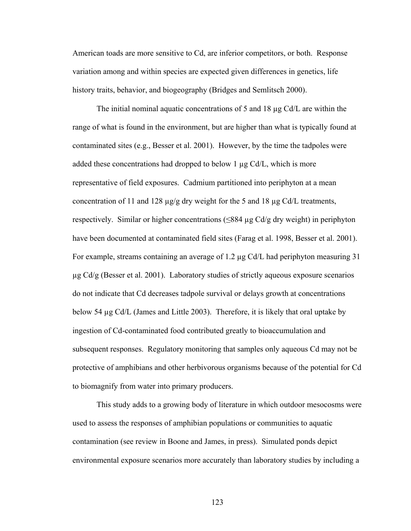American toads are more sensitive to Cd, are inferior competitors, or both. Response variation among and within species are expected given differences in genetics, life history traits, behavior, and biogeography (Bridges and Semlitsch 2000).

 The initial nominal aquatic concentrations of 5 and 18 µg Cd/L are within the range of what is found in the environment, but are higher than what is typically found at contaminated sites (e.g., Besser et al. 2001). However, by the time the tadpoles were added these concentrations had dropped to below 1 µg Cd/L, which is more representative of field exposures. Cadmium partitioned into periphyton at a mean concentration of 11 and 128  $\mu$ g/g dry weight for the 5 and 18  $\mu$ g Cd/L treatments, respectively. Similar or higher concentrations  $(\leq 884 \mu g \text{ Cd/g dry weight})$  in periphyton have been documented at contaminated field sites (Farag et al. 1998, Besser et al. 2001). For example, streams containing an average of 1.2  $\mu$ g Cd/L had periphyton measuring 31 µg Cd/g (Besser et al. 2001). Laboratory studies of strictly aqueous exposure scenarios do not indicate that Cd decreases tadpole survival or delays growth at concentrations below 54 µg Cd/L (James and Little 2003). Therefore, it is likely that oral uptake by ingestion of Cd-contaminated food contributed greatly to bioaccumulation and subsequent responses. Regulatory monitoring that samples only aqueous Cd may not be protective of amphibians and other herbivorous organisms because of the potential for Cd to biomagnify from water into primary producers.

This study adds to a growing body of literature in which outdoor mesocosms were used to assess the responses of amphibian populations or communities to aquatic contamination (see review in Boone and James, in press). Simulated ponds depict environmental exposure scenarios more accurately than laboratory studies by including a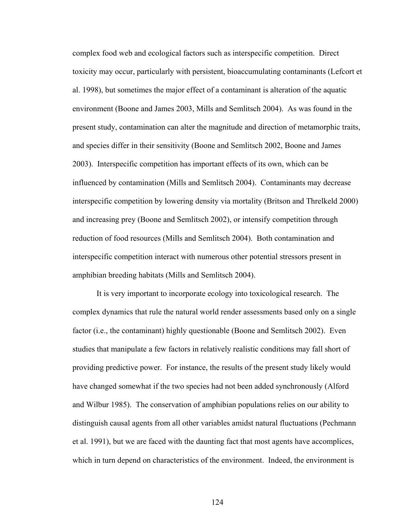complex food web and ecological factors such as interspecific competition. Direct toxicity may occur, particularly with persistent, bioaccumulating contaminants (Lefcort et al. 1998), but sometimes the major effect of a contaminant is alteration of the aquatic environment (Boone and James 2003, Mills and Semlitsch 2004). As was found in the present study, contamination can alter the magnitude and direction of metamorphic traits, and species differ in their sensitivity (Boone and Semlitsch 2002, Boone and James 2003). Interspecific competition has important effects of its own, which can be influenced by contamination (Mills and Semlitsch 2004). Contaminants may decrease interspecific competition by lowering density via mortality (Britson and Threlkeld 2000) and increasing prey (Boone and Semlitsch 2002), or intensify competition through reduction of food resources (Mills and Semlitsch 2004). Both contamination and interspecific competition interact with numerous other potential stressors present in amphibian breeding habitats (Mills and Semlitsch 2004).

 It is very important to incorporate ecology into toxicological research. The complex dynamics that rule the natural world render assessments based only on a single factor (i.e., the contaminant) highly questionable (Boone and Semlitsch 2002). Even studies that manipulate a few factors in relatively realistic conditions may fall short of providing predictive power. For instance, the results of the present study likely would have changed somewhat if the two species had not been added synchronously (Alford and Wilbur 1985). The conservation of amphibian populations relies on our ability to distinguish causal agents from all other variables amidst natural fluctuations (Pechmann et al. 1991), but we are faced with the daunting fact that most agents have accomplices, which in turn depend on characteristics of the environment. Indeed, the environment is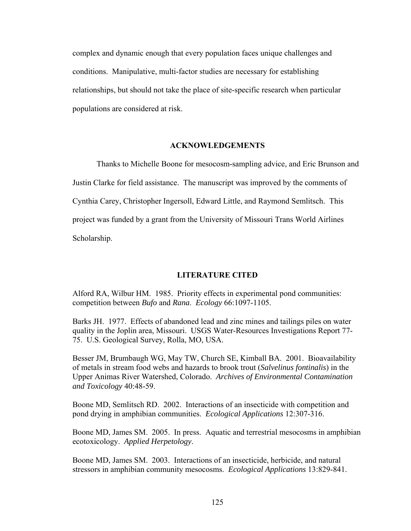complex and dynamic enough that every population faces unique challenges and conditions. Manipulative, multi-factor studies are necessary for establishing relationships, but should not take the place of site-specific research when particular populations are considered at risk.

#### **ACKNOWLEDGEMENTS**

Thanks to Michelle Boone for mesocosm-sampling advice, and Eric Brunson and Justin Clarke for field assistance. The manuscript was improved by the comments of Cynthia Carey, Christopher Ingersoll, Edward Little, and Raymond Semlitsch. This project was funded by a grant from the University of Missouri Trans World Airlines Scholarship.

#### **LITERATURE CITED**

Alford RA, Wilbur HM. 1985. Priority effects in experimental pond communities: competition between *Bufo* and *Rana*. *Ecology* 66:1097-1105.

Barks JH. 1977. Effects of abandoned lead and zinc mines and tailings piles on water quality in the Joplin area, Missouri. USGS Water-Resources Investigations Report 77- 75. U.S. Geological Survey, Rolla, MO, USA.

Besser JM, Brumbaugh WG, May TW, Church SE, Kimball BA. 2001. Bioavailability of metals in stream food webs and hazards to brook trout (*Salvelinus fontinalis*) in the Upper Animas River Watershed, Colorado. *Archives of Environmental Contamination and Toxicology* 40:48-59.

Boone MD, Semlitsch RD. 2002. Interactions of an insecticide with competition and pond drying in amphibian communities. *Ecological Applications* 12:307-316.

Boone MD, James SM. 2005. In press. Aquatic and terrestrial mesocosms in amphibian ecotoxicology. *Applied Herpetology*.

Boone MD, James SM. 2003. Interactions of an insecticide, herbicide, and natural stressors in amphibian community mesocosms. *Ecological Applications* 13:829-841.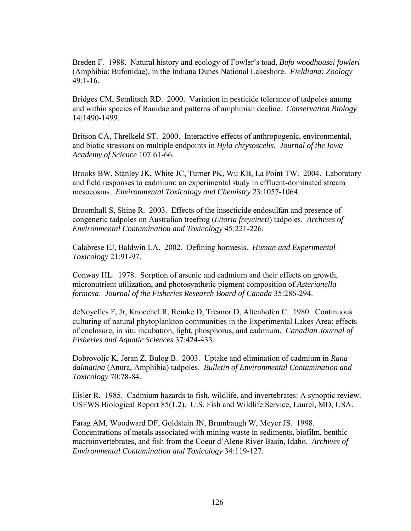Breden F. 1988. Natural history and ecology of Fowler's toad, *Bufo woodhousei fowleri* (Amphibia: Bufonidae), in the Indiana Dunes National Lakeshore. *Fieldiana: Zoology* 49:1-16.

Bridges CM, Semlitsch RD. 2000. Variation in pesticide tolerance of tadpoles among and within species of Ranidae and patterns of amphibian decline. *Conservation Biology*  14:1490-1499.

Britson CA, Threlkeld ST. 2000. Interactive effects of anthropogenic, environmental, and biotic stressors on multiple endpoints in *Hyla chrysoscelis*. *Journal of the Iowa Academy of Science* 107:61-66.

Brooks BW, Stanley JK, White JC, Turner PK, Wu KB, La Point TW. 2004. Laboratory and field responses to cadmium: an experimental study in effluent-dominated stream mesocosms. *Environmental Toxicology and Chemistry* 23:1057-1064.

Broomhall S, Shine R. 2003. Effects of the insecticide endosulfan and presence of congeneric tadpoles on Australian treefrog (*Litoria freycineti*) tadpoles. *Archives of Environmental Contamination and Toxicology* 45:221-226.

Calabrese EJ, Baldwin LA. 2002. Defining hormesis. *Human and Experimental Toxicology* 21:91-97.

Conway HL. 1978. Sorption of arsenic and cadmium and their effects on growth, micronutrient utilization, and photosynthetic pigment composition of *Asterionella formosa*. *Journal of the Fisheries Research Board of Canada* 35:286-294.

deNoyelles F, Jr, Knoechel R, Reinke D, Treanor D, Altenhofen C. 1980. Continuous culturing of natural phytoplankton communities in the Experimental Lakes Area: effects of enclosure, in situ incubation, light, phosphorus, and cadmium. *Canadian Journal of Fisheries and Aquatic Sciences* 37:424-433.

Dobrovoljc K, Jeran Z, Bulog B. 2003. Uptake and elimination of cadmium in *Rana dalmatina* (Anura, Amphibia) tadpoles. *Bulletin of Environmental Contamination and Toxicology* 70:78-84.

Eisler R. 1985. Cadmium hazards to fish, wildlife, and invertebrates: A synoptic review. USFWS Biological Report 85(1.2). U.S. Fish and Wildlife Service, Laurel, MD, USA.

Farag AM, Woodward DF, Goldstein JN, Brumbaugh W, Meyer JS. 1998. Concentrations of metals associated with mining waste in sediments, biofilm, benthic macroinvertebrates, and fish from the Coeur d'Alene River Basin, Idaho. *Archives of Environmental Contamination and Toxicology* 34:119-127.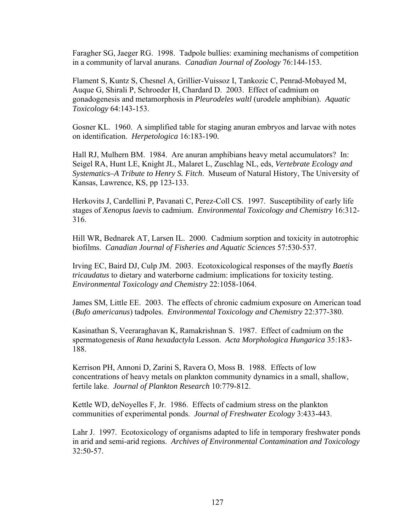Faragher SG, Jaeger RG. 1998. Tadpole bullies: examining mechanisms of competition in a community of larval anurans. *Canadian Journal of Zoology* 76:144-153.

Flament S, Kuntz S, Chesnel A, Grillier-Vuissoz I, Tankozic C, Penrad-Mobayed M, Auque G, Shirali P, Schroeder H, Chardard D. 2003. Effect of cadmium on gonadogenesis and metamorphosis in *Pleurodeles waltl* (urodele amphibian). *Aquatic Toxicology* 64:143-153.

Gosner KL. 1960. A simplified table for staging anuran embryos and larvae with notes on identification. *Herpetologica* 16:183-190.

Hall RJ, Mulhern BM. 1984. Are anuran amphibians heavy metal accumulators? In: Seigel RA, Hunt LE, Knight JL, Malaret L, Zuschlag NL, eds, *Vertebrate Ecology and Systematics–A Tribute to Henry S. Fitch*. Museum of Natural History, The University of Kansas, Lawrence, KS, pp 123-133.

Herkovits J, Cardellini P, Pavanati C, Perez-Coll CS. 1997. Susceptibility of early life stages of *Xenopus laevis* to cadmium. *Environmental Toxicology and Chemistry* 16:312- 316.

Hill WR, Bednarek AT, Larsen IL. 2000. Cadmium sorption and toxicity in autotrophic biofilms. *Canadian Journal of Fisheries and Aquatic Sciences* 57:530-537.

Irving EC, Baird DJ, Culp JM. 2003. Ecotoxicological responses of the mayfly *Baetis tricaudatus* to dietary and waterborne cadmium: implications for toxicity testing. *Environmental Toxicology and Chemistry* 22:1058-1064.

James SM, Little EE. 2003. The effects of chronic cadmium exposure on American toad (*Bufo americanus*) tadpoles. *Environmental Toxicology and Chemistry* 22:377-380.

Kasinathan S, Veeraraghavan K, Ramakrishnan S. 1987. Effect of cadmium on the spermatogenesis of *Rana hexadactyla* Lesson. *Acta Morphologica Hungarica* 35:183- 188.

Kerrison PH, Annoni D, Zarini S, Ravera O, Moss B. 1988. Effects of low concentrations of heavy metals on plankton community dynamics in a small, shallow, fertile lake. *Journal of Plankton Research* 10:779-812.

Kettle WD, deNoyelles F, Jr. 1986. Effects of cadmium stress on the plankton communities of experimental ponds. *Journal of Freshwater Ecology* 3:433-443.

Lahr J. 1997. Ecotoxicology of organisms adapted to life in temporary freshwater ponds in arid and semi-arid regions. *Archives of Environmental Contamination and Toxicology* 32:50-57.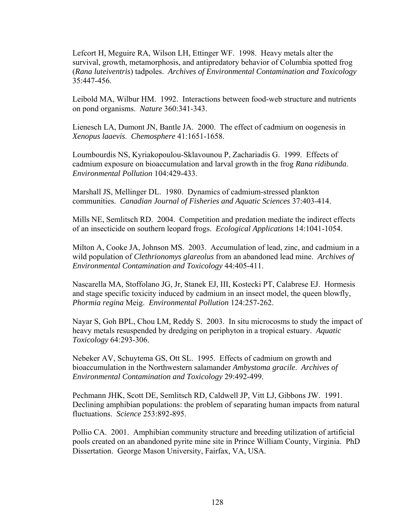Lefcort H, Meguire RA, Wilson LH, Ettinger WF. 1998. Heavy metals alter the survival, growth, metamorphosis, and antipredatory behavior of Columbia spotted frog (*Rana luteiventris*) tadpoles. *Archives of Environmental Contamination and Toxicology* 35:447-456.

Leibold MA, Wilbur HM. 1992. Interactions between food-web structure and nutrients on pond organisms. *Nature* 360:341-343.

Lienesch LA, Dumont JN, Bantle JA. 2000. The effect of cadmium on oogenesis in *Xenopus laaevis*. *Chemosphere* 41:1651-1658.

Loumbourdis NS, Kyriakopoulou-Sklavounou P, Zachariadis G. 1999. Effects of cadmium exposure on bioaccumulation and larval growth in the frog *Rana ridibunda*. *Environmental Pollution* 104:429-433.

Marshall JS, Mellinger DL. 1980. Dynamics of cadmium-stressed plankton communities. *Canadian Journal of Fisheries and Aquatic Sciences* 37:403-414.

Mills NE, Semlitsch RD. 2004. Competition and predation mediate the indirect effects of an insecticide on southern leopard frogs. *Ecological Applications* 14:1041-1054.

Milton A, Cooke JA, Johnson MS. 2003. Accumulation of lead, zinc, and cadmium in a wild population of *Clethrionomys glareolus* from an abandoned lead mine. *Archives of Environmental Contamination and Toxicology* 44:405-411.

Nascarella MA, Stoffolano JG, Jr, Stanek EJ, III, Kostecki PT, Calabrese EJ. Hormesis and stage specific toxicity induced by cadmium in an insect model, the queen blowfly, *Phormia regina* Meig. *Environmental Pollution* 124:257-262.

Nayar S, Goh BPL, Chou LM, Reddy S. 2003. In situ microcosms to study the impact of heavy metals resuspended by dredging on periphyton in a tropical estuary. *Aquatic Toxicology* 64:293-306.

Nebeker AV, Schuytema GS, Ott SL. 1995. Effects of cadmium on growth and bioaccumulation in the Northwestern salamander *Ambystoma gracile*. *Archives of Environmental Contamination and Toxicology* 29:492-499.

Pechmann JHK, Scott DE, Semlitsch RD, Caldwell JP, Vitt LJ, Gibbons JW. 1991. Declining amphibian populations: the problem of separating human impacts from natural fluctuations. *Science* 253:892-895.

Pollio CA. 2001. Amphibian community structure and breeding utilization of artificial pools created on an abandoned pyrite mine site in Prince William County, Virginia. PhD Dissertation. George Mason University, Fairfax, VA, USA.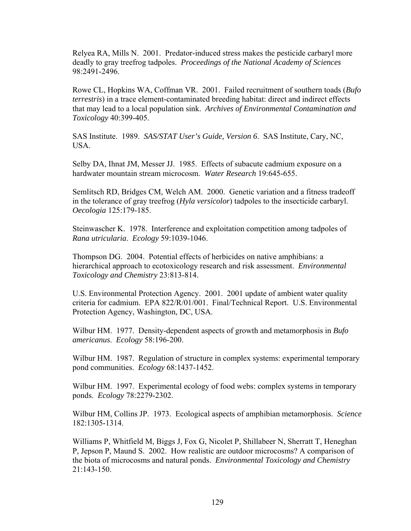Relyea RA, Mills N. 2001. Predator-induced stress makes the pesticide carbaryl more deadly to gray treefrog tadpoles. *Proceedings of the National Academy of Sciences* 98:2491-2496.

Rowe CL, Hopkins WA, Coffman VR. 2001. Failed recruitment of southern toads (*Bufo terrestris*) in a trace element-contaminated breeding habitat: direct and indirect effects that may lead to a local population sink. *Archives of Environmental Contamination and Toxicology* 40:399-405.

SAS Institute. 1989. *SAS/STAT User's Guide, Version 6*. SAS Institute, Cary, NC, USA.

Selby DA, Ihnat JM, Messer JJ. 1985. Effects of subacute cadmium exposure on a hardwater mountain stream microcosm. *Water Research* 19:645-655.

Semlitsch RD, Bridges CM, Welch AM. 2000. Genetic variation and a fitness tradeoff in the tolerance of gray treefrog (*Hyla versicolor*) tadpoles to the insecticide carbaryl. *Oecologia* 125:179-185.

Steinwascher K. 1978. Interference and exploitation competition among tadpoles of *Rana utricularia*. *Ecology* 59:1039-1046.

Thompson DG. 2004. Potential effects of herbicides on native amphibians: a hierarchical approach to ecotoxicology research and risk assessment. *Environmental Toxicology and Chemistry* 23:813-814.

U.S. Environmental Protection Agency. 2001. 2001 update of ambient water quality criteria for cadmium. EPA 822/R/01/001. Final/Technical Report. U.S. Environmental Protection Agency, Washington, DC, USA.

Wilbur HM. 1977. Density-dependent aspects of growth and metamorphosis in *Bufo americanus*. *Ecology* 58:196-200.

Wilbur HM. 1987. Regulation of structure in complex systems: experimental temporary pond communities. *Ecology* 68:1437-1452.

Wilbur HM. 1997. Experimental ecology of food webs: complex systems in temporary ponds. *Ecology* 78:2279-2302.

Wilbur HM, Collins JP. 1973. Ecological aspects of amphibian metamorphosis. *Science* 182:1305-1314.

Williams P, Whitfield M, Biggs J, Fox G, Nicolet P, Shillabeer N, Sherratt T, Heneghan P, Jepson P, Maund S. 2002. How realistic are outdoor microcosms? A comparison of the biota of microcosms and natural ponds. *Environmental Toxicology and Chemistry* 21:143-150.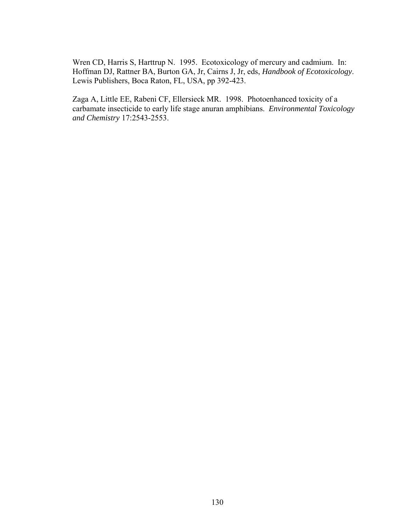Wren CD, Harris S, Harttrup N. 1995. Ecotoxicology of mercury and cadmium. In: Hoffman DJ, Rattner BA, Burton GA, Jr, Cairns J, Jr, eds, *Handbook of Ecotoxicology*. Lewis Publishers, Boca Raton, FL, USA, pp 392-423.

Zaga A, Little EE, Rabeni CF, Ellersieck MR. 1998. Photoenhanced toxicity of a carbamate insecticide to early life stage anuran amphibians. *Environmental Toxicology and Chemistry* 17:2543-2553.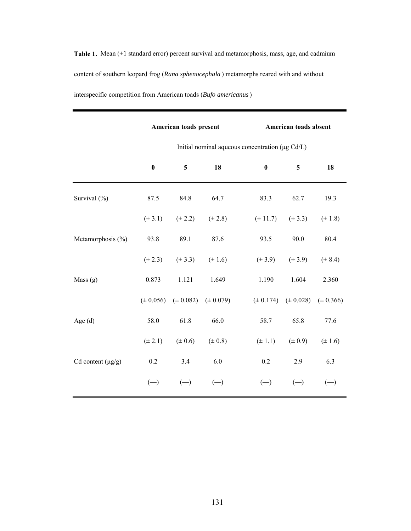Table 1. Mean ( $\pm 1$  standard error) percent survival and metamorphosis, mass, age, and cadmium content of southern leopard frog (*Rana sphenocephala* ) metamorphs reared with and without interspecific competition from American toads (*Bufo americanus*)

|                        | American toads present                          |               |               |               | American toads absent |               |  |  |
|------------------------|-------------------------------------------------|---------------|---------------|---------------|-----------------------|---------------|--|--|
|                        | Initial nominal aqueous concentration (µg Cd/L) |               |               |               |                       |               |  |  |
|                        | $\bf{0}$                                        | 5             | 18            | $\bf{0}$      | 5                     | 18            |  |  |
| Survival (%)           | 87.5                                            | 84.8          | 64.7          | 83.3          | 62.7                  | 19.3          |  |  |
|                        | $(\pm 3.1)$                                     | $(\pm 2.2)$   | $(\pm 2.8)$   | $(\pm 11.7)$  | $(\pm 3.3)$           | $(\pm 1.8)$   |  |  |
| Metamorphosis (%)      | 93.8                                            | 89.1          | 87.6          | 93.5          | 90.0                  | 80.4          |  |  |
|                        | $(\pm 2.3)$                                     | $(\pm 3.3)$   | $(\pm 1.6)$   | $(\pm 3.9)$   | $(\pm 3.9)$           | $(\pm 8.4)$   |  |  |
| Mass(g)                | 0.873                                           | 1.121         | 1.649         | 1.190         | 1.604                 | 2.360         |  |  |
|                        | $(\pm 0.056)$                                   | $(\pm 0.082)$ | $(\pm 0.079)$ | $(\pm 0.174)$ | $(\pm 0.028)$         | $(\pm 0.366)$ |  |  |
| Age $(d)$              | 58.0                                            | 61.8          | 66.0          | 58.7          | 65.8                  | 77.6          |  |  |
|                        | $(\pm 2.1)$                                     | $(\pm 0.6)$   | $(\pm 0.8)$   | $(\pm 1.1)$   | $(\pm 0.9)$           | $(\pm 1.6)$   |  |  |
| Cd content $(\mu g/g)$ | 0.2                                             | 3.4           | 6.0           | 0.2           | 2.9                   | 6.3           |  |  |
|                        | $(-)$                                           | $(-)$         | $(-)$         | $(-)$         | $(-)$                 | $(-)$         |  |  |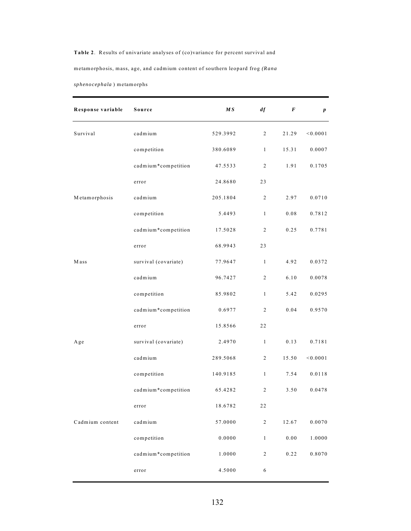#### **Table 2**. Results of univariate analyses of (co)variance for percent survival and

metamorphosis, mass, age, and cadmium content of southern leopard frog *(Rana*

*sphenocephala* ) metamorphs

| Response variable | Source               | M S      | df             | F        | $\boldsymbol{p}$ |
|-------------------|----------------------|----------|----------------|----------|------------------|
| Survival          | cadmium              | 529.3992 | 2              | 21.29    | < 0.0001         |
|                   | competition          | 380.6089 | $\mathbf{1}$   | 15.31    | 0.0007           |
|                   | cadmium*competition  | 47.5533  | 2              | 1.91     | 0.1705           |
|                   | error                | 24.8680  | 23             |          |                  |
| Metamorphosis     | cadmium              | 205.1804 | 2              | 2.97     | 0.0710           |
|                   | competition          | 5.4493   | $\mathbf{1}$   | 0.08     | 0.7812           |
|                   | cadmium*competition  | 17.5028  | $\overline{2}$ | 0.25     | 0.7781           |
|                   | error                | 68.9943  | 23             |          |                  |
| Mass              | survival (covariate) | 77.9647  | $\mathbf{1}$   | 4.92     | 0.0372           |
|                   | cadmium              | 96.7427  | $\overline{2}$ | 6.10     | 0.0078           |
|                   | competition          | 85.9802  | $\mathbf{1}$   | 5.42     | 0.0295           |
|                   | cadmium*competition  | 0.6977   | $\overline{2}$ | 0.04     | 0.9570           |
|                   | error                | 15.8566  | 22             |          |                  |
| Age               | survival (covariate) | 2.4970   | $\mathbf{1}$   | 0.13     | 0.7181           |
|                   | cadmium              | 289.5068 | $\overline{c}$ | 15.50    | < 0.0001         |
|                   | competition          | 140.9185 | $\mathbf{1}$   | 7.54     | 0.0118           |
|                   | cadmium*competition  | 65.4282  | $\overline{c}$ | 3.50     | 0.0478           |
|                   | error                | 18.6782  | 22             |          |                  |
| Cadmium content   | cadmium              | 57.0000  | $\overline{c}$ | 12.67    | 0.0070           |
|                   | competition          | 0.0000   | $\mathbf{1}$   | $0.00\,$ | 1.0000           |
|                   | cadmium*competition  | 1.0000   | $\overline{c}$ | 0.22     | 0.8070           |
|                   | error                | 4.5000   | 6              |          |                  |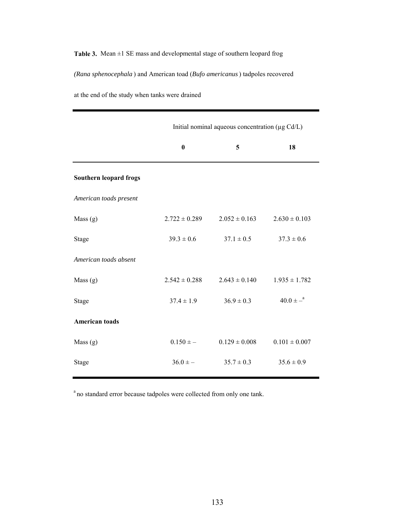Table 3. Mean  $\pm 1$  SE mass and developmental stage of southern leopard frog

*(Rana sphenocephala* ) and American toad (*Bufo americanus*) tadpoles recovered

| at the end of the study when tanks were drained |  |  |  |  |  |
|-------------------------------------------------|--|--|--|--|--|
|-------------------------------------------------|--|--|--|--|--|

|                               | Initial nominal aqueous concentration (µg Cd/L) |                   |                   |  |
|-------------------------------|-------------------------------------------------|-------------------|-------------------|--|
|                               | $\bf{0}$                                        | 5                 | 18                |  |
| <b>Southern leopard frogs</b> |                                                 |                   |                   |  |
| American toads present        |                                                 |                   |                   |  |
| Mass (g)                      | $2.722 \pm 0.289$                               | $2.052 \pm 0.163$ | $2.630 \pm 0.103$ |  |
| Stage                         | $39.3 \pm 0.6$                                  | $37.1 \pm 0.5$    | $37.3 \pm 0.6$    |  |
| American toads absent         |                                                 |                   |                   |  |
| Mass(g)                       | $2.542 \pm 0.288$                               | $2.643 \pm 0.140$ | $1.935 \pm 1.782$ |  |
| Stage                         | $37.4 \pm 1.9$                                  | $36.9 \pm 0.3$    | $40.0 \pm -^a$    |  |
| <b>American toads</b>         |                                                 |                   |                   |  |
| Mass(g)                       | $0.150 \pm -$                                   | $0.129 \pm 0.008$ | $0.101 \pm 0.007$ |  |
| Stage                         | $36.0 \pm -$                                    | $35.7 \pm 0.3$    | $35.6 \pm 0.9$    |  |

<sup>a</sup> no standard error because tadpoles were collected from only one tank.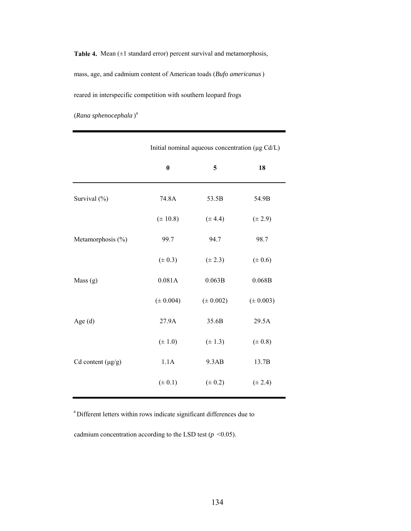Table 4. Mean ( $\pm 1$  standard error) percent survival and metamorphosis, mass, age, and cadmium content of American toads (*Bufo americanus*) reared in interspecific competition with southern leopard frogs

(*Rana sphenocephala* ) a

|                          | $\frac{1}{2}$     |               |               |  |
|--------------------------|-------------------|---------------|---------------|--|
|                          | $\bf{0}$          | 5             | 18            |  |
| Survival (%)             | 74.8A             | 53.5B         | 54.9B         |  |
|                          | $(\pm 10.8)$      | (± 4.4)       | $(\pm 2.9)$   |  |
| Metamorphosis (%)        | 99.7              | 94.7          | 98.7          |  |
|                          | $(\pm 0.3)$       | $(\pm 2.3)$   | $(\pm 0.6)$   |  |
| Mass (g)                 | $0.081\mathrm{A}$ | 0.063B        | 0.068B        |  |
|                          | $(\pm 0.004)$     | $(\pm 0.002)$ | $(\pm 0.003)$ |  |
| Age (d)                  | 27.9A             | 35.6B         | 29.5A         |  |
|                          | $(\pm 1.0)$       | $(\pm 1.3)$   | (± 0.8)       |  |
| $Cd$ content $(\mu g/g)$ | 1.1A              | 9.3AB         | 13.7B         |  |
|                          | $(\pm 0.1)$       | (± 0.2)       | $(\pm 2.4)$   |  |
|                          |                   |               |               |  |

Initial nominal aqueous concentration (μg Cd/L)

<sup>a</sup> Different letters within rows indicate significant differences due to

cadmium concentration according to the LSD test  $(p \le 0.05)$ .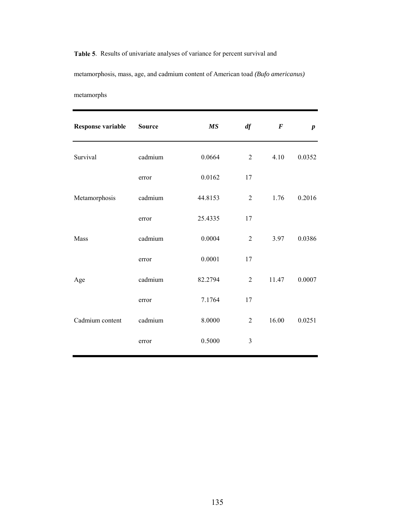# **Table 5**. Results of univariate analyses of variance for percent survival and

metamorphosis, mass, age, and cadmium content of American toad *(Bufo americanus)*

## metamorphs

| Response variable | <b>Source</b> | <b>MS</b> | df             | $\bm{F}$ | $\boldsymbol{p}$ |
|-------------------|---------------|-----------|----------------|----------|------------------|
| Survival          | cadmium       | 0.0664    | $\overline{2}$ | 4.10     | 0.0352           |
|                   | error         | 0.0162    | 17             |          |                  |
| Metamorphosis     | cadmium       | 44.8153   | $\overline{2}$ | 1.76     | 0.2016           |
|                   | error         | 25.4335   | 17             |          |                  |
| Mass              | cadmium       | 0.0004    | $\overline{2}$ | 3.97     | 0.0386           |
|                   | error         | 0.0001    | 17             |          |                  |
| Age               | cadmium       | 82.2794   | $\overline{2}$ | 11.47    | 0.0007           |
|                   | error         | 7.1764    | 17             |          |                  |
| Cadmium content   | cadmium       | 8.0000    | $\overline{2}$ | 16.00    | 0.0251           |
|                   | error         | 0.5000    | 3              |          |                  |
|                   |               |           |                |          |                  |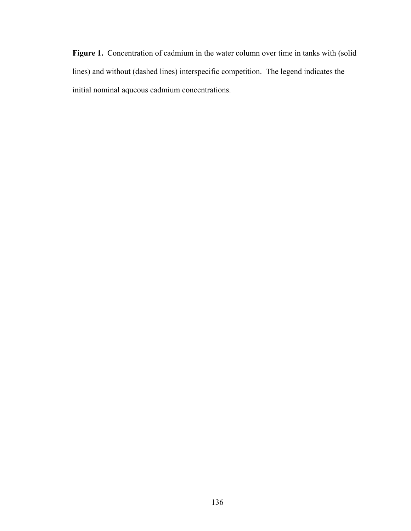**Figure 1.** Concentration of cadmium in the water column over time in tanks with (solid lines) and without (dashed lines) interspecific competition. The legend indicates the initial nominal aqueous cadmium concentrations.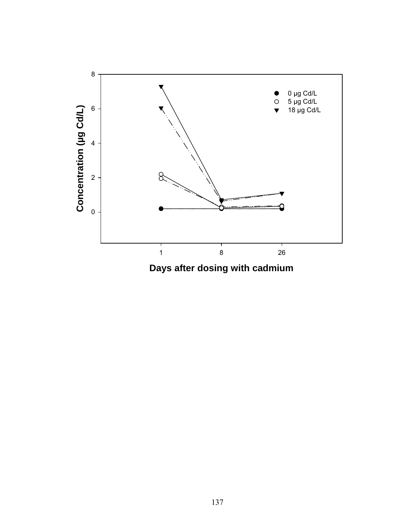

**Days after dosing with cadmium**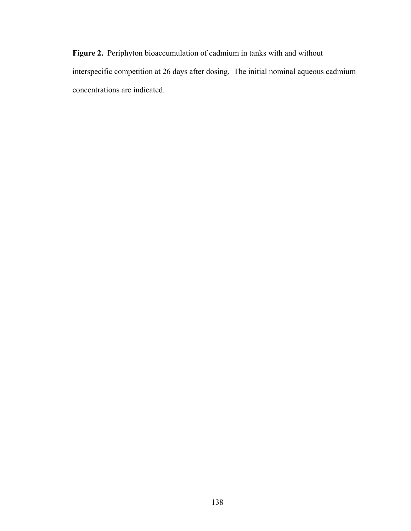**Figure 2.** Periphyton bioaccumulation of cadmium in tanks with and without interspecific competition at 26 days after dosing. The initial nominal aqueous cadmium concentrations are indicated.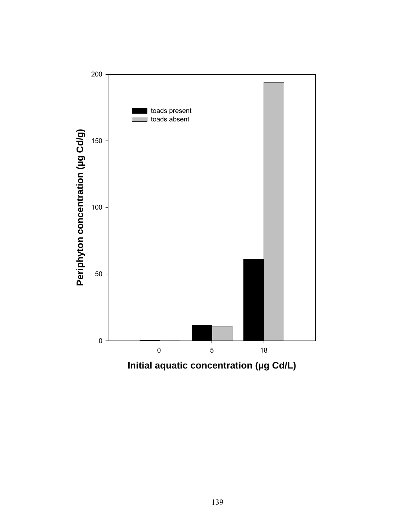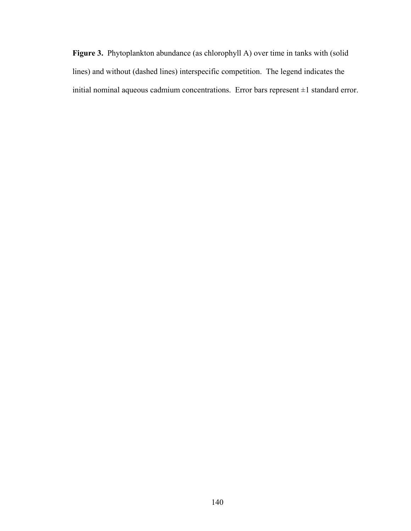**Figure 3.** Phytoplankton abundance (as chlorophyll A) over time in tanks with (solid lines) and without (dashed lines) interspecific competition. The legend indicates the initial nominal aqueous cadmium concentrations. Error bars represent  $\pm 1$  standard error.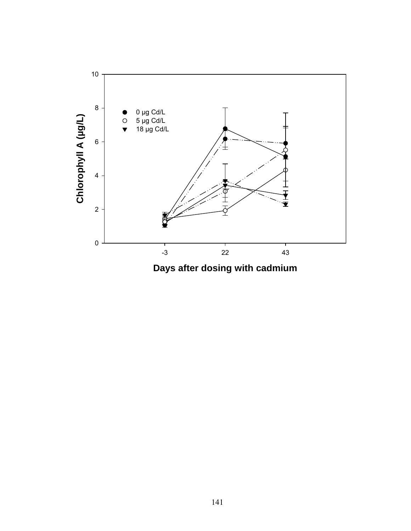

**Days after dosing with cadmium**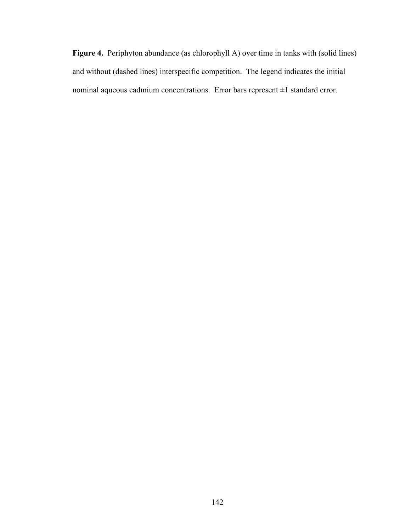**Figure 4.** Periphyton abundance (as chlorophyll A) over time in tanks with (solid lines) and without (dashed lines) interspecific competition. The legend indicates the initial nominal aqueous cadmium concentrations. Error bars represent ±1 standard error.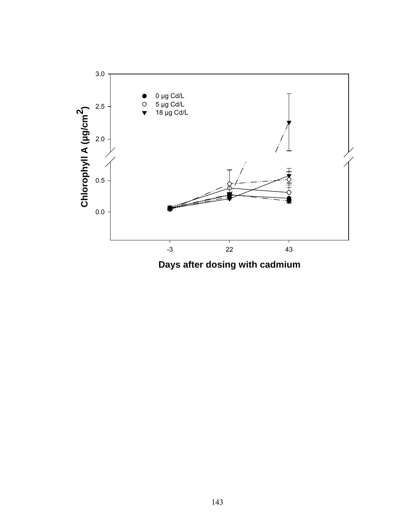

**Days after dosing with cadmium**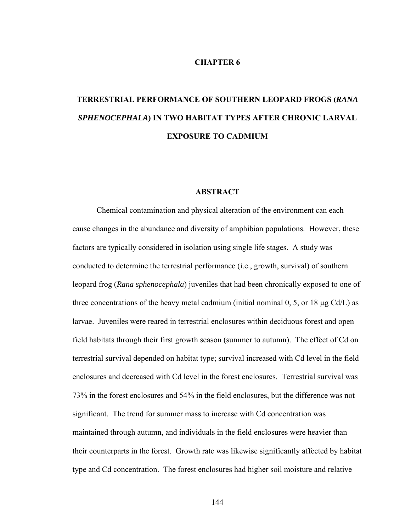#### **CHAPTER 6**

# **TERRESTRIAL PERFORMANCE OF SOUTHERN LEOPARD FROGS (***RANA SPHENOCEPHALA***) IN TWO HABITAT TYPES AFTER CHRONIC LARVAL EXPOSURE TO CADMIUM**

### **ABSTRACT**

Chemical contamination and physical alteration of the environment can each cause changes in the abundance and diversity of amphibian populations. However, these factors are typically considered in isolation using single life stages. A study was conducted to determine the terrestrial performance (i.e., growth, survival) of southern leopard frog (*Rana sphenocephala*) juveniles that had been chronically exposed to one of three concentrations of the heavy metal cadmium (initial nominal  $0, 5$ , or 18  $\mu$ g Cd/L) as larvae. Juveniles were reared in terrestrial enclosures within deciduous forest and open field habitats through their first growth season (summer to autumn). The effect of Cd on terrestrial survival depended on habitat type; survival increased with Cd level in the field enclosures and decreased with Cd level in the forest enclosures. Terrestrial survival was 73% in the forest enclosures and 54% in the field enclosures, but the difference was not significant. The trend for summer mass to increase with Cd concentration was maintained through autumn, and individuals in the field enclosures were heavier than their counterparts in the forest. Growth rate was likewise significantly affected by habitat type and Cd concentration. The forest enclosures had higher soil moisture and relative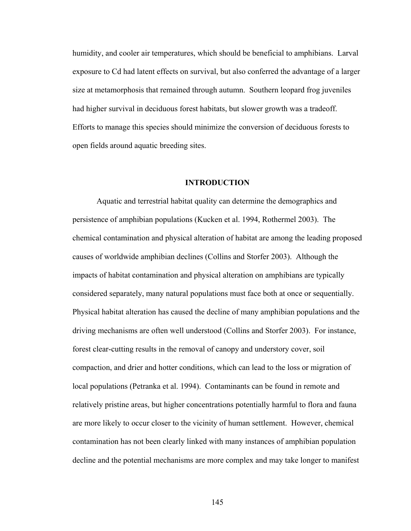humidity, and cooler air temperatures, which should be beneficial to amphibians. Larval exposure to Cd had latent effects on survival, but also conferred the advantage of a larger size at metamorphosis that remained through autumn. Southern leopard frog juveniles had higher survival in deciduous forest habitats, but slower growth was a tradeoff. Efforts to manage this species should minimize the conversion of deciduous forests to open fields around aquatic breeding sites.

#### **INTRODUCTION**

Aquatic and terrestrial habitat quality can determine the demographics and persistence of amphibian populations (Kucken et al. 1994, Rothermel 2003). The chemical contamination and physical alteration of habitat are among the leading proposed causes of worldwide amphibian declines (Collins and Storfer 2003). Although the impacts of habitat contamination and physical alteration on amphibians are typically considered separately, many natural populations must face both at once or sequentially. Physical habitat alteration has caused the decline of many amphibian populations and the driving mechanisms are often well understood (Collins and Storfer 2003). For instance, forest clear-cutting results in the removal of canopy and understory cover, soil compaction, and drier and hotter conditions, which can lead to the loss or migration of local populations (Petranka et al. 1994). Contaminants can be found in remote and relatively pristine areas, but higher concentrations potentially harmful to flora and fauna are more likely to occur closer to the vicinity of human settlement. However, chemical contamination has not been clearly linked with many instances of amphibian population decline and the potential mechanisms are more complex and may take longer to manifest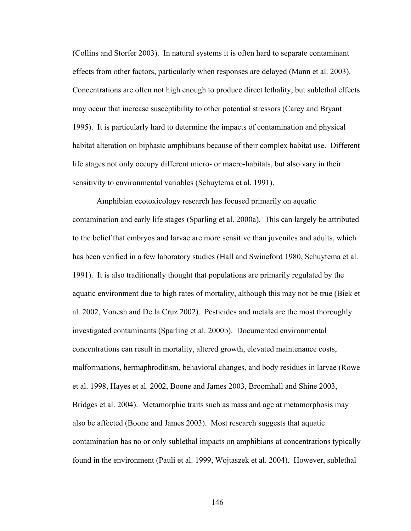(Collins and Storfer 2003). In natural systems it is often hard to separate contaminant effects from other factors, particularly when responses are delayed (Mann et al. 2003). Concentrations are often not high enough to produce direct lethality, but sublethal effects may occur that increase susceptibility to other potential stressors (Carey and Bryant 1995). It is particularly hard to determine the impacts of contamination and physical habitat alteration on biphasic amphibians because of their complex habitat use. Different life stages not only occupy different micro- or macro-habitats, but also vary in their sensitivity to environmental variables (Schuytema et al. 1991).

 Amphibian ecotoxicology research has focused primarily on aquatic contamination and early life stages (Sparling et al. 2000a). This can largely be attributed to the belief that embryos and larvae are more sensitive than juveniles and adults, which has been verified in a few laboratory studies (Hall and Swineford 1980, Schuytema et al. 1991). It is also traditionally thought that populations are primarily regulated by the aquatic environment due to high rates of mortality, although this may not be true (Biek et al. 2002, Vonesh and De la Cruz 2002). Pesticides and metals are the most thoroughly investigated contaminants (Sparling et al. 2000b). Documented environmental concentrations can result in mortality, altered growth, elevated maintenance costs, malformations, hermaphroditism, behavioral changes, and body residues in larvae (Rowe et al. 1998, Hayes et al. 2002, Boone and James 2003, Broomhall and Shine 2003, Bridges et al. 2004). Metamorphic traits such as mass and age at metamorphosis may also be affected (Boone and James 2003). Most research suggests that aquatic contamination has no or only sublethal impacts on amphibians at concentrations typically found in the environment (Pauli et al. 1999, Wojtaszek et al. 2004). However, sublethal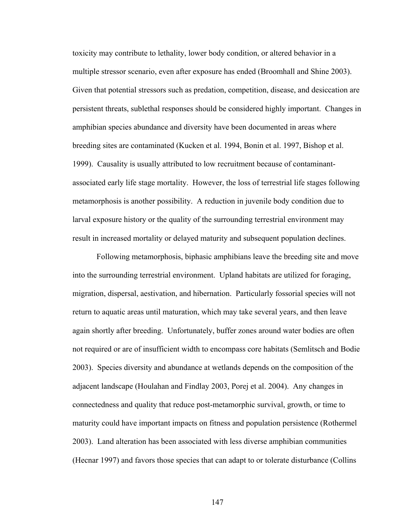toxicity may contribute to lethality, lower body condition, or altered behavior in a multiple stressor scenario, even after exposure has ended (Broomhall and Shine 2003). Given that potential stressors such as predation, competition, disease, and desiccation are persistent threats, sublethal responses should be considered highly important. Changes in amphibian species abundance and diversity have been documented in areas where breeding sites are contaminated (Kucken et al. 1994, Bonin et al. 1997, Bishop et al. 1999). Causality is usually attributed to low recruitment because of contaminantassociated early life stage mortality. However, the loss of terrestrial life stages following metamorphosis is another possibility. A reduction in juvenile body condition due to larval exposure history or the quality of the surrounding terrestrial environment may result in increased mortality or delayed maturity and subsequent population declines.

 Following metamorphosis, biphasic amphibians leave the breeding site and move into the surrounding terrestrial environment. Upland habitats are utilized for foraging, migration, dispersal, aestivation, and hibernation. Particularly fossorial species will not return to aquatic areas until maturation, which may take several years, and then leave again shortly after breeding. Unfortunately, buffer zones around water bodies are often not required or are of insufficient width to encompass core habitats (Semlitsch and Bodie 2003). Species diversity and abundance at wetlands depends on the composition of the adjacent landscape (Houlahan and Findlay 2003, Porej et al. 2004). Any changes in connectedness and quality that reduce post-metamorphic survival, growth, or time to maturity could have important impacts on fitness and population persistence (Rothermel 2003). Land alteration has been associated with less diverse amphibian communities (Hecnar 1997) and favors those species that can adapt to or tolerate disturbance (Collins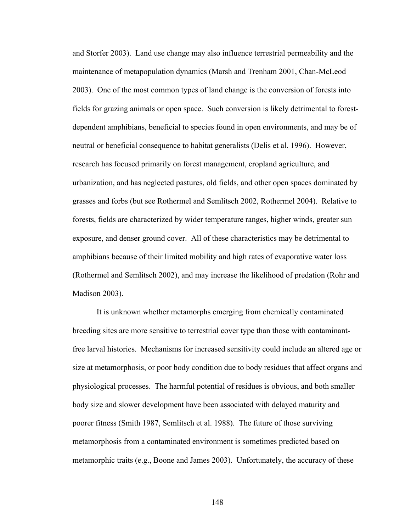and Storfer 2003). Land use change may also influence terrestrial permeability and the maintenance of metapopulation dynamics (Marsh and Trenham 2001, Chan-McLeod 2003). One of the most common types of land change is the conversion of forests into fields for grazing animals or open space. Such conversion is likely detrimental to forestdependent amphibians, beneficial to species found in open environments, and may be of neutral or beneficial consequence to habitat generalists (Delis et al. 1996). However, research has focused primarily on forest management, cropland agriculture, and urbanization, and has neglected pastures, old fields, and other open spaces dominated by grasses and forbs (but see Rothermel and Semlitsch 2002, Rothermel 2004). Relative to forests, fields are characterized by wider temperature ranges, higher winds, greater sun exposure, and denser ground cover. All of these characteristics may be detrimental to amphibians because of their limited mobility and high rates of evaporative water loss (Rothermel and Semlitsch 2002), and may increase the likelihood of predation (Rohr and Madison 2003).

 It is unknown whether metamorphs emerging from chemically contaminated breeding sites are more sensitive to terrestrial cover type than those with contaminantfree larval histories. Mechanisms for increased sensitivity could include an altered age or size at metamorphosis, or poor body condition due to body residues that affect organs and physiological processes. The harmful potential of residues is obvious, and both smaller body size and slower development have been associated with delayed maturity and poorer fitness (Smith 1987, Semlitsch et al. 1988). The future of those surviving metamorphosis from a contaminated environment is sometimes predicted based on metamorphic traits (e.g., Boone and James 2003). Unfortunately, the accuracy of these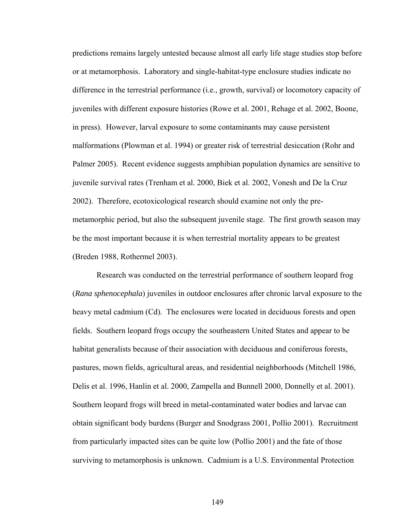predictions remains largely untested because almost all early life stage studies stop before or at metamorphosis. Laboratory and single-habitat-type enclosure studies indicate no difference in the terrestrial performance (i.e., growth, survival) or locomotory capacity of juveniles with different exposure histories (Rowe et al. 2001, Rehage et al. 2002, Boone, in press). However, larval exposure to some contaminants may cause persistent malformations (Plowman et al. 1994) or greater risk of terrestrial desiccation (Rohr and Palmer 2005). Recent evidence suggests amphibian population dynamics are sensitive to juvenile survival rates (Trenham et al. 2000, Biek et al. 2002, Vonesh and De la Cruz 2002). Therefore, ecotoxicological research should examine not only the premetamorphic period, but also the subsequent juvenile stage. The first growth season may be the most important because it is when terrestrial mortality appears to be greatest (Breden 1988, Rothermel 2003).

 Research was conducted on the terrestrial performance of southern leopard frog (*Rana sphenocephala*) juveniles in outdoor enclosures after chronic larval exposure to the heavy metal cadmium (Cd). The enclosures were located in deciduous forests and open fields. Southern leopard frogs occupy the southeastern United States and appear to be habitat generalists because of their association with deciduous and coniferous forests, pastures, mown fields, agricultural areas, and residential neighborhoods (Mitchell 1986, Delis et al. 1996, Hanlin et al. 2000, Zampella and Bunnell 2000, Donnelly et al. 2001). Southern leopard frogs will breed in metal-contaminated water bodies and larvae can obtain significant body burdens (Burger and Snodgrass 2001, Pollio 2001). Recruitment from particularly impacted sites can be quite low (Pollio 2001) and the fate of those surviving to metamorphosis is unknown. Cadmium is a U.S. Environmental Protection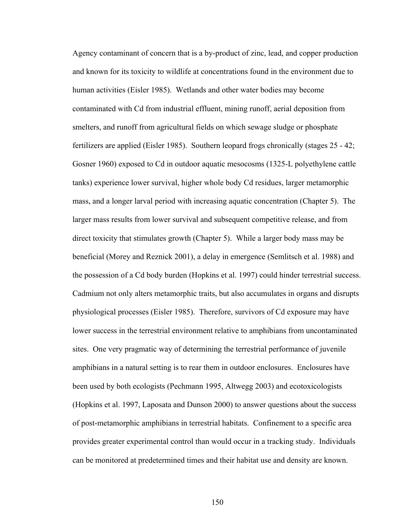Agency contaminant of concern that is a by-product of zinc, lead, and copper production and known for its toxicity to wildlife at concentrations found in the environment due to human activities (Eisler 1985). Wetlands and other water bodies may become contaminated with Cd from industrial effluent, mining runoff, aerial deposition from smelters, and runoff from agricultural fields on which sewage sludge or phosphate fertilizers are applied (Eisler 1985). Southern leopard frogs chronically (stages 25 - 42; Gosner 1960) exposed to Cd in outdoor aquatic mesocosms (1325-L polyethylene cattle tanks) experience lower survival, higher whole body Cd residues, larger metamorphic mass, and a longer larval period with increasing aquatic concentration (Chapter 5). The larger mass results from lower survival and subsequent competitive release, and from direct toxicity that stimulates growth (Chapter 5). While a larger body mass may be beneficial (Morey and Reznick 2001), a delay in emergence (Semlitsch et al. 1988) and the possession of a Cd body burden (Hopkins et al. 1997) could hinder terrestrial success. Cadmium not only alters metamorphic traits, but also accumulates in organs and disrupts physiological processes (Eisler 1985). Therefore, survivors of Cd exposure may have lower success in the terrestrial environment relative to amphibians from uncontaminated sites. One very pragmatic way of determining the terrestrial performance of juvenile amphibians in a natural setting is to rear them in outdoor enclosures. Enclosures have been used by both ecologists (Pechmann 1995, Altwegg 2003) and ecotoxicologists (Hopkins et al. 1997, Laposata and Dunson 2000) to answer questions about the success of post-metamorphic amphibians in terrestrial habitats. Confinement to a specific area provides greater experimental control than would occur in a tracking study. Individuals can be monitored at predetermined times and their habitat use and density are known.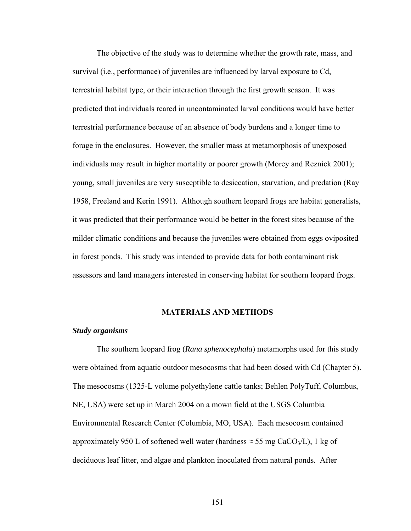The objective of the study was to determine whether the growth rate, mass, and survival (i.e., performance) of juveniles are influenced by larval exposure to Cd, terrestrial habitat type, or their interaction through the first growth season. It was predicted that individuals reared in uncontaminated larval conditions would have better terrestrial performance because of an absence of body burdens and a longer time to forage in the enclosures. However, the smaller mass at metamorphosis of unexposed individuals may result in higher mortality or poorer growth (Morey and Reznick 2001); young, small juveniles are very susceptible to desiccation, starvation, and predation (Ray 1958, Freeland and Kerin 1991). Although southern leopard frogs are habitat generalists, it was predicted that their performance would be better in the forest sites because of the milder climatic conditions and because the juveniles were obtained from eggs oviposited in forest ponds. This study was intended to provide data for both contaminant risk assessors and land managers interested in conserving habitat for southern leopard frogs.

#### **MATERIALS AND METHODS**

#### *Study organisms*

The southern leopard frog (*Rana sphenocephala*) metamorphs used for this study were obtained from aquatic outdoor mesocosms that had been dosed with Cd (Chapter 5). The mesocosms (1325-L volume polyethylene cattle tanks; Behlen PolyTuff, Columbus, NE, USA) were set up in March 2004 on a mown field at the USGS Columbia Environmental Research Center (Columbia, MO, USA). Each mesocosm contained approximately 950 L of softened well water (hardness  $\approx$  55 mg CaCO<sub>3</sub>/L), 1 kg of deciduous leaf litter, and algae and plankton inoculated from natural ponds. After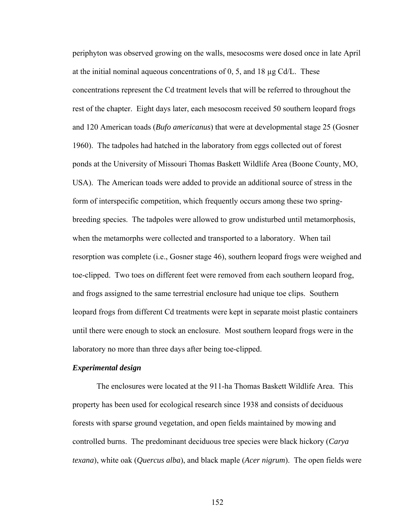periphyton was observed growing on the walls, mesocosms were dosed once in late April at the initial nominal aqueous concentrations of 0, 5, and 18  $\mu$ g Cd/L. These concentrations represent the Cd treatment levels that will be referred to throughout the rest of the chapter. Eight days later, each mesocosm received 50 southern leopard frogs and 120 American toads (*Bufo americanus*) that were at developmental stage 25 (Gosner 1960). The tadpoles had hatched in the laboratory from eggs collected out of forest ponds at the University of Missouri Thomas Baskett Wildlife Area (Boone County, MO, USA). The American toads were added to provide an additional source of stress in the form of interspecific competition, which frequently occurs among these two springbreeding species. The tadpoles were allowed to grow undisturbed until metamorphosis, when the metamorphs were collected and transported to a laboratory. When tail resorption was complete (i.e., Gosner stage 46), southern leopard frogs were weighed and toe-clipped. Two toes on different feet were removed from each southern leopard frog, and frogs assigned to the same terrestrial enclosure had unique toe clips. Southern leopard frogs from different Cd treatments were kept in separate moist plastic containers until there were enough to stock an enclosure. Most southern leopard frogs were in the laboratory no more than three days after being toe-clipped.

#### *Experimental design*

The enclosures were located at the 911-ha Thomas Baskett Wildlife Area. This property has been used for ecological research since 1938 and consists of deciduous forests with sparse ground vegetation, and open fields maintained by mowing and controlled burns. The predominant deciduous tree species were black hickory (*Carya texana*), white oak (*Quercus alba*), and black maple (*Acer nigrum*). The open fields were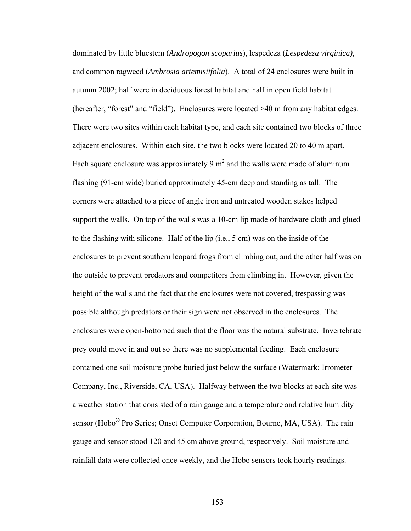dominated by little bluestem (*Andropogon scoparius*), lespedeza (*Lespedeza virginica),* and common ragweed (*Ambrosia artemisiifolia*). A total of 24 enclosures were built in autumn 2002; half were in deciduous forest habitat and half in open field habitat (hereafter, "forest" and "field"). Enclosures were located >40 m from any habitat edges. There were two sites within each habitat type, and each site contained two blocks of three adjacent enclosures. Within each site, the two blocks were located 20 to 40 m apart. Each square enclosure was approximately 9  $m^2$  and the walls were made of aluminum flashing (91-cm wide) buried approximately 45-cm deep and standing as tall. The corners were attached to a piece of angle iron and untreated wooden stakes helped support the walls. On top of the walls was a 10-cm lip made of hardware cloth and glued to the flashing with silicone. Half of the lip (i.e., 5 cm) was on the inside of the enclosures to prevent southern leopard frogs from climbing out, and the other half was on the outside to prevent predators and competitors from climbing in. However, given the height of the walls and the fact that the enclosures were not covered, trespassing was possible although predators or their sign were not observed in the enclosures. The enclosures were open-bottomed such that the floor was the natural substrate. Invertebrate prey could move in and out so there was no supplemental feeding. Each enclosure contained one soil moisture probe buried just below the surface (Watermark; Irrometer Company, Inc., Riverside, CA, USA). Halfway between the two blocks at each site was a weather station that consisted of a rain gauge and a temperature and relative humidity sensor (Hobo® Pro Series; Onset Computer Corporation, Bourne, MA, USA). The rain gauge and sensor stood 120 and 45 cm above ground, respectively. Soil moisture and rainfall data were collected once weekly, and the Hobo sensors took hourly readings.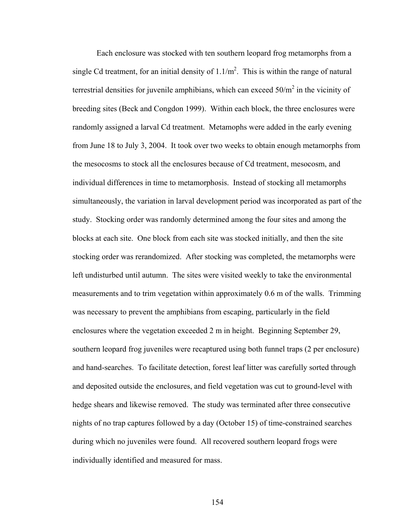Each enclosure was stocked with ten southern leopard frog metamorphs from a single Cd treatment, for an initial density of  $1.1/m<sup>2</sup>$ . This is within the range of natural terrestrial densities for juvenile amphibians, which can exceed  $50/m^2$  in the vicinity of breeding sites (Beck and Congdon 1999). Within each block, the three enclosures were randomly assigned a larval Cd treatment. Metamophs were added in the early evening from June 18 to July 3, 2004. It took over two weeks to obtain enough metamorphs from the mesocosms to stock all the enclosures because of Cd treatment, mesocosm, and individual differences in time to metamorphosis. Instead of stocking all metamorphs simultaneously, the variation in larval development period was incorporated as part of the study. Stocking order was randomly determined among the four sites and among the blocks at each site. One block from each site was stocked initially, and then the site stocking order was rerandomized. After stocking was completed, the metamorphs were left undisturbed until autumn. The sites were visited weekly to take the environmental measurements and to trim vegetation within approximately 0.6 m of the walls. Trimming was necessary to prevent the amphibians from escaping, particularly in the field enclosures where the vegetation exceeded 2 m in height. Beginning September 29, southern leopard frog juveniles were recaptured using both funnel traps (2 per enclosure) and hand-searches. To facilitate detection, forest leaf litter was carefully sorted through and deposited outside the enclosures, and field vegetation was cut to ground-level with hedge shears and likewise removed. The study was terminated after three consecutive nights of no trap captures followed by a day (October 15) of time-constrained searches during which no juveniles were found. All recovered southern leopard frogs were individually identified and measured for mass.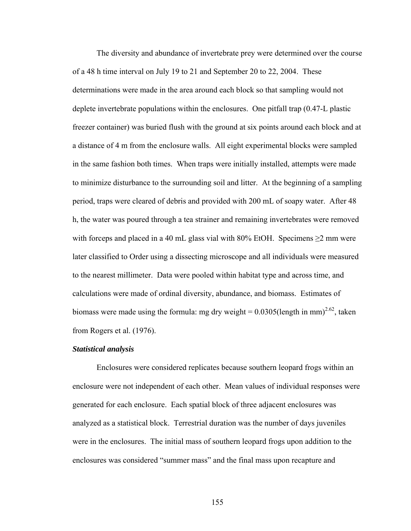The diversity and abundance of invertebrate prey were determined over the course of a 48 h time interval on July 19 to 21 and September 20 to 22, 2004. These determinations were made in the area around each block so that sampling would not deplete invertebrate populations within the enclosures. One pitfall trap (0.47-L plastic freezer container) was buried flush with the ground at six points around each block and at a distance of 4 m from the enclosure walls. All eight experimental blocks were sampled in the same fashion both times. When traps were initially installed, attempts were made to minimize disturbance to the surrounding soil and litter. At the beginning of a sampling period, traps were cleared of debris and provided with 200 mL of soapy water. After 48 h, the water was poured through a tea strainer and remaining invertebrates were removed with forceps and placed in a 40 mL glass vial with 80% EtOH. Specimens  $\geq$ 2 mm were later classified to Order using a dissecting microscope and all individuals were measured to the nearest millimeter. Data were pooled within habitat type and across time, and calculations were made of ordinal diversity, abundance, and biomass. Estimates of biomass were made using the formula: mg dry weight =  $0.0305$ (length in mm)<sup>2.62</sup>, taken from Rogers et al. (1976).

#### *Statistical analysis*

 Enclosures were considered replicates because southern leopard frogs within an enclosure were not independent of each other. Mean values of individual responses were generated for each enclosure. Each spatial block of three adjacent enclosures was analyzed as a statistical block. Terrestrial duration was the number of days juveniles were in the enclosures. The initial mass of southern leopard frogs upon addition to the enclosures was considered "summer mass" and the final mass upon recapture and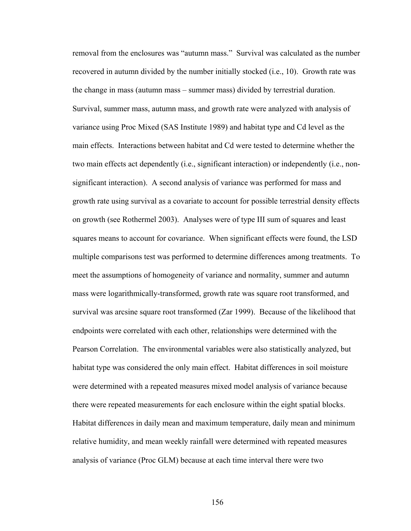removal from the enclosures was "autumn mass." Survival was calculated as the number recovered in autumn divided by the number initially stocked (i.e., 10). Growth rate was the change in mass (autumn mass – summer mass) divided by terrestrial duration. Survival, summer mass, autumn mass, and growth rate were analyzed with analysis of variance using Proc Mixed (SAS Institute 1989) and habitat type and Cd level as the main effects. Interactions between habitat and Cd were tested to determine whether the two main effects act dependently (i.e., significant interaction) or independently (i.e., nonsignificant interaction). A second analysis of variance was performed for mass and growth rate using survival as a covariate to account for possible terrestrial density effects on growth (see Rothermel 2003). Analyses were of type III sum of squares and least squares means to account for covariance. When significant effects were found, the LSD multiple comparisons test was performed to determine differences among treatments. To meet the assumptions of homogeneity of variance and normality, summer and autumn mass were logarithmically-transformed, growth rate was square root transformed, and survival was arcsine square root transformed (Zar 1999). Because of the likelihood that endpoints were correlated with each other, relationships were determined with the Pearson Correlation. The environmental variables were also statistically analyzed, but habitat type was considered the only main effect. Habitat differences in soil moisture were determined with a repeated measures mixed model analysis of variance because there were repeated measurements for each enclosure within the eight spatial blocks. Habitat differences in daily mean and maximum temperature, daily mean and minimum relative humidity, and mean weekly rainfall were determined with repeated measures analysis of variance (Proc GLM) because at each time interval there were two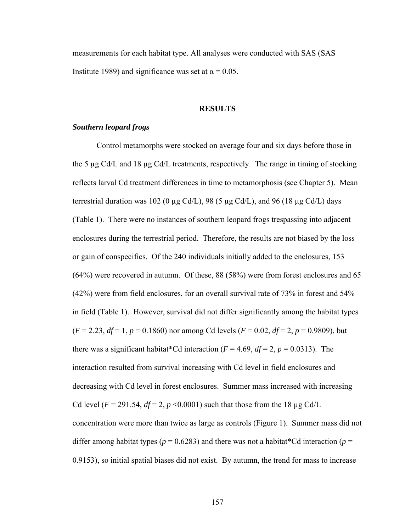measurements for each habitat type. All analyses were conducted with SAS (SAS Institute 1989) and significance was set at  $\alpha = 0.05$ .

#### **RESULTS**

#### *Southern leopard frogs*

Control metamorphs were stocked on average four and six days before those in the 5  $\mu$ g Cd/L and 18  $\mu$ g Cd/L treatments, respectively. The range in timing of stocking reflects larval Cd treatment differences in time to metamorphosis (see Chapter 5). Mean terrestrial duration was 102 (0  $\mu$ g Cd/L), 98 (5  $\mu$ g Cd/L), and 96 (18  $\mu$ g Cd/L) days (Table 1). There were no instances of southern leopard frogs trespassing into adjacent enclosures during the terrestrial period. Therefore, the results are not biased by the loss or gain of conspecifics. Of the 240 individuals initially added to the enclosures, 153 (64%) were recovered in autumn. Of these, 88 (58%) were from forest enclosures and 65 (42%) were from field enclosures, for an overall survival rate of 73% in forest and 54% in field (Table 1). However, survival did not differ significantly among the habitat types  $(F = 2.23, df = 1, p = 0.1860)$  nor among Cd levels  $(F = 0.02, df = 2, p = 0.9809)$ , but there was a significant habitat\*Cd interaction ( $F = 4.69$ ,  $df = 2$ ,  $p = 0.0313$ ). The interaction resulted from survival increasing with Cd level in field enclosures and decreasing with Cd level in forest enclosures. Summer mass increased with increasing Cd level  $(F = 291.54, df = 2, p < 0.0001)$  such that those from the 18 µg Cd/L concentration were more than twice as large as controls (Figure 1). Summer mass did not differ among habitat types ( $p = 0.6283$ ) and there was not a habitat\*Cd interaction ( $p =$ 0.9153), so initial spatial biases did not exist. By autumn, the trend for mass to increase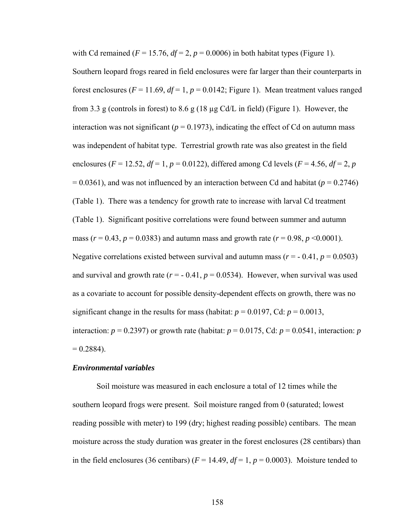with Cd remained  $(F = 15.76, df = 2, p = 0.0006)$  in both habitat types (Figure 1).

Southern leopard frogs reared in field enclosures were far larger than their counterparts in forest enclosures ( $F = 11.69$ ,  $df = 1$ ,  $p = 0.0142$ ; Figure 1). Mean treatment values ranged from 3.3 g (controls in forest) to 8.6 g (18 µg Cd/L in field) (Figure 1). However, the interaction was not significant ( $p = 0.1973$ ), indicating the effect of Cd on autumn mass was independent of habitat type. Terrestrial growth rate was also greatest in the field enclosures ( $F = 12.52$ ,  $df = 1$ ,  $p = 0.0122$ ), differed among Cd levels ( $F = 4.56$ ,  $df = 2$ ,  $p$  $= 0.0361$ ), and was not influenced by an interaction between Cd and habitat ( $p = 0.2746$ ) (Table 1). There was a tendency for growth rate to increase with larval Cd treatment (Table 1). Significant positive correlations were found between summer and autumn mass ( $r = 0.43$ ,  $p = 0.0383$ ) and autumn mass and growth rate ( $r = 0.98$ ,  $p \le 0.0001$ ). Negative correlations existed between survival and autumn mass  $(r = -0.41, p = 0.0503)$ and survival and growth rate  $(r = -0.41, p = 0.0534)$ . However, when survival was used as a covariate to account for possible density-dependent effects on growth, there was no significant change in the results for mass (habitat:  $p = 0.0197$ , Cd:  $p = 0.0013$ , interaction:  $p = 0.2397$  or growth rate (habitat:  $p = 0.0175$ , Cd:  $p = 0.0541$ , interaction: *p*  $= 0.2884$ ).

#### *Environmental variables*

Soil moisture was measured in each enclosure a total of 12 times while the southern leopard frogs were present. Soil moisture ranged from 0 (saturated; lowest reading possible with meter) to 199 (dry; highest reading possible) centibars. The mean moisture across the study duration was greater in the forest enclosures (28 centibars) than in the field enclosures (36 centibars)  $(F = 14.49, df = 1, p = 0.0003)$ . Moisture tended to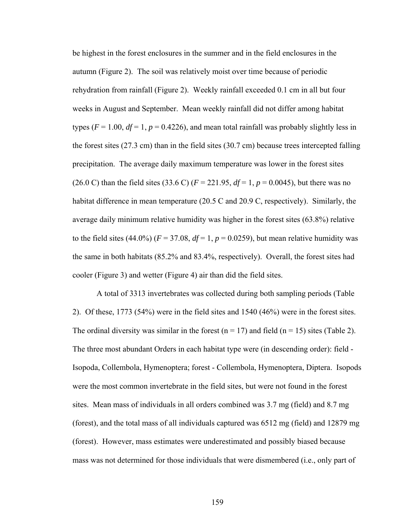be highest in the forest enclosures in the summer and in the field enclosures in the autumn (Figure 2). The soil was relatively moist over time because of periodic rehydration from rainfall (Figure 2). Weekly rainfall exceeded 0.1 cm in all but four weeks in August and September. Mean weekly rainfall did not differ among habitat types ( $F = 1.00$ ,  $df = 1$ ,  $p = 0.4226$ ), and mean total rainfall was probably slightly less in the forest sites (27.3 cm) than in the field sites (30.7 cm) because trees intercepted falling precipitation. The average daily maximum temperature was lower in the forest sites (26.0 C) than the field sites (33.6 C) ( $F = 221.95$ ,  $df = 1$ ,  $p = 0.0045$ ), but there was no habitat difference in mean temperature (20.5 C and 20.9 C, respectively). Similarly, the average daily minimum relative humidity was higher in the forest sites (63.8%) relative to the field sites (44.0%) ( $F = 37.08$ ,  $df = 1$ ,  $p = 0.0259$ ), but mean relative humidity was the same in both habitats (85.2% and 83.4%, respectively). Overall, the forest sites had cooler (Figure 3) and wetter (Figure 4) air than did the field sites.

A total of 3313 invertebrates was collected during both sampling periods (Table 2). Of these, 1773 (54%) were in the field sites and 1540 (46%) were in the forest sites. The ordinal diversity was similar in the forest ( $n = 17$ ) and field ( $n = 15$ ) sites (Table 2). The three most abundant Orders in each habitat type were (in descending order): field - Isopoda, Collembola, Hymenoptera; forest - Collembola, Hymenoptera, Diptera. Isopods were the most common invertebrate in the field sites, but were not found in the forest sites. Mean mass of individuals in all orders combined was 3.7 mg (field) and 8.7 mg (forest), and the total mass of all individuals captured was 6512 mg (field) and 12879 mg (forest). However, mass estimates were underestimated and possibly biased because mass was not determined for those individuals that were dismembered (i.e., only part of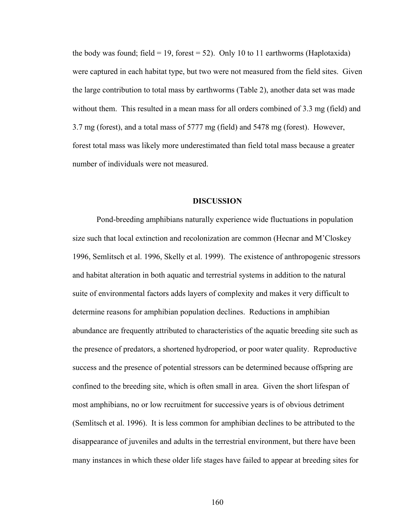the body was found; field = 19, forest = 52). Only 10 to 11 earthworms (Haplotaxida) were captured in each habitat type, but two were not measured from the field sites. Given the large contribution to total mass by earthworms (Table 2), another data set was made without them. This resulted in a mean mass for all orders combined of 3.3 mg (field) and 3.7 mg (forest), and a total mass of 5777 mg (field) and 5478 mg (forest). However, forest total mass was likely more underestimated than field total mass because a greater number of individuals were not measured.

#### **DISCUSSION**

 Pond-breeding amphibians naturally experience wide fluctuations in population size such that local extinction and recolonization are common (Hecnar and M'Closkey 1996, Semlitsch et al. 1996, Skelly et al. 1999). The existence of anthropogenic stressors and habitat alteration in both aquatic and terrestrial systems in addition to the natural suite of environmental factors adds layers of complexity and makes it very difficult to determine reasons for amphibian population declines. Reductions in amphibian abundance are frequently attributed to characteristics of the aquatic breeding site such as the presence of predators, a shortened hydroperiod, or poor water quality. Reproductive success and the presence of potential stressors can be determined because offspring are confined to the breeding site, which is often small in area. Given the short lifespan of most amphibians, no or low recruitment for successive years is of obvious detriment (Semlitsch et al. 1996). It is less common for amphibian declines to be attributed to the disappearance of juveniles and adults in the terrestrial environment, but there have been many instances in which these older life stages have failed to appear at breeding sites for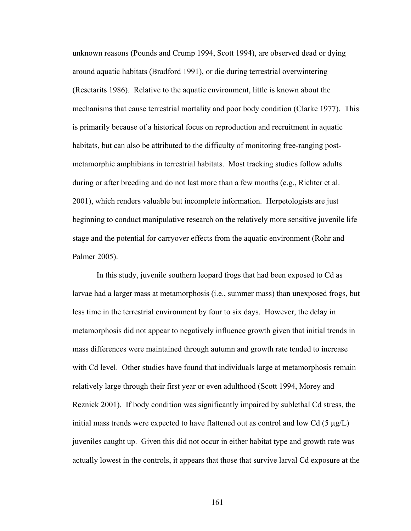unknown reasons (Pounds and Crump 1994, Scott 1994), are observed dead or dying around aquatic habitats (Bradford 1991), or die during terrestrial overwintering (Resetarits 1986). Relative to the aquatic environment, little is known about the mechanisms that cause terrestrial mortality and poor body condition (Clarke 1977). This is primarily because of a historical focus on reproduction and recruitment in aquatic habitats, but can also be attributed to the difficulty of monitoring free-ranging postmetamorphic amphibians in terrestrial habitats. Most tracking studies follow adults during or after breeding and do not last more than a few months (e.g., Richter et al. 2001), which renders valuable but incomplete information. Herpetologists are just beginning to conduct manipulative research on the relatively more sensitive juvenile life stage and the potential for carryover effects from the aquatic environment (Rohr and Palmer 2005).

 In this study, juvenile southern leopard frogs that had been exposed to Cd as larvae had a larger mass at metamorphosis (i.e., summer mass) than unexposed frogs, but less time in the terrestrial environment by four to six days. However, the delay in metamorphosis did not appear to negatively influence growth given that initial trends in mass differences were maintained through autumn and growth rate tended to increase with Cd level. Other studies have found that individuals large at metamorphosis remain relatively large through their first year or even adulthood (Scott 1994, Morey and Reznick 2001). If body condition was significantly impaired by sublethal Cd stress, the initial mass trends were expected to have flattened out as control and low Cd  $(5 \mu g/L)$ juveniles caught up. Given this did not occur in either habitat type and growth rate was actually lowest in the controls, it appears that those that survive larval Cd exposure at the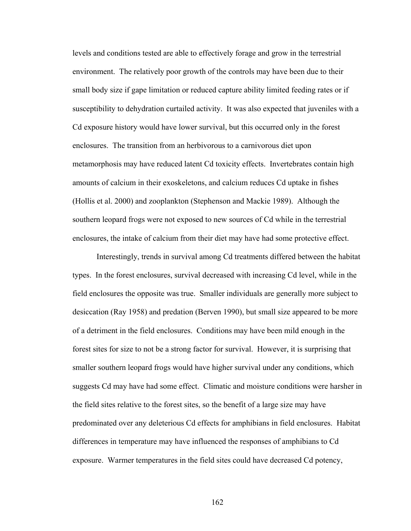levels and conditions tested are able to effectively forage and grow in the terrestrial environment. The relatively poor growth of the controls may have been due to their small body size if gape limitation or reduced capture ability limited feeding rates or if susceptibility to dehydration curtailed activity. It was also expected that juveniles with a Cd exposure history would have lower survival, but this occurred only in the forest enclosures. The transition from an herbivorous to a carnivorous diet upon metamorphosis may have reduced latent Cd toxicity effects. Invertebrates contain high amounts of calcium in their exoskeletons, and calcium reduces Cd uptake in fishes (Hollis et al. 2000) and zooplankton (Stephenson and Mackie 1989). Although the southern leopard frogs were not exposed to new sources of Cd while in the terrestrial enclosures, the intake of calcium from their diet may have had some protective effect.

Interestingly, trends in survival among Cd treatments differed between the habitat types. In the forest enclosures, survival decreased with increasing Cd level, while in the field enclosures the opposite was true. Smaller individuals are generally more subject to desiccation (Ray 1958) and predation (Berven 1990), but small size appeared to be more of a detriment in the field enclosures. Conditions may have been mild enough in the forest sites for size to not be a strong factor for survival. However, it is surprising that smaller southern leopard frogs would have higher survival under any conditions, which suggests Cd may have had some effect. Climatic and moisture conditions were harsher in the field sites relative to the forest sites, so the benefit of a large size may have predominated over any deleterious Cd effects for amphibians in field enclosures. Habitat differences in temperature may have influenced the responses of amphibians to Cd exposure. Warmer temperatures in the field sites could have decreased Cd potency,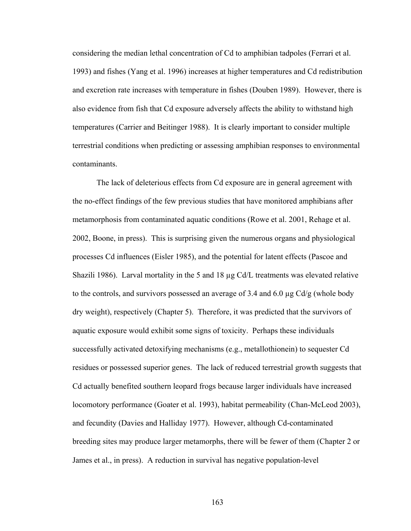considering the median lethal concentration of Cd to amphibian tadpoles (Ferrari et al. 1993) and fishes (Yang et al. 1996) increases at higher temperatures and Cd redistribution and excretion rate increases with temperature in fishes (Douben 1989). However, there is also evidence from fish that Cd exposure adversely affects the ability to withstand high temperatures (Carrier and Beitinger 1988). It is clearly important to consider multiple terrestrial conditions when predicting or assessing amphibian responses to environmental contaminants.

The lack of deleterious effects from Cd exposure are in general agreement with the no-effect findings of the few previous studies that have monitored amphibians after metamorphosis from contaminated aquatic conditions (Rowe et al. 2001, Rehage et al. 2002, Boone, in press). This is surprising given the numerous organs and physiological processes Cd influences (Eisler 1985), and the potential for latent effects (Pascoe and Shazili 1986). Larval mortality in the 5 and 18 µg Cd/L treatments was elevated relative to the controls, and survivors possessed an average of 3.4 and 6.0 µg Cd/g (whole body dry weight), respectively (Chapter 5). Therefore, it was predicted that the survivors of aquatic exposure would exhibit some signs of toxicity. Perhaps these individuals successfully activated detoxifying mechanisms (e.g., metallothionein) to sequester Cd residues or possessed superior genes. The lack of reduced terrestrial growth suggests that Cd actually benefited southern leopard frogs because larger individuals have increased locomotory performance (Goater et al. 1993), habitat permeability (Chan-McLeod 2003), and fecundity (Davies and Halliday 1977). However, although Cd-contaminated breeding sites may produce larger metamorphs, there will be fewer of them (Chapter 2 or James et al., in press). A reduction in survival has negative population-level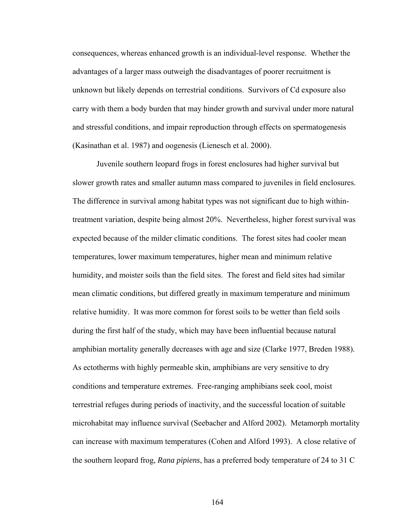consequences, whereas enhanced growth is an individual-level response. Whether the advantages of a larger mass outweigh the disadvantages of poorer recruitment is unknown but likely depends on terrestrial conditions. Survivors of Cd exposure also carry with them a body burden that may hinder growth and survival under more natural and stressful conditions, and impair reproduction through effects on spermatogenesis (Kasinathan et al. 1987) and oogenesis (Lienesch et al. 2000).

 Juvenile southern leopard frogs in forest enclosures had higher survival but slower growth rates and smaller autumn mass compared to juveniles in field enclosures. The difference in survival among habitat types was not significant due to high withintreatment variation, despite being almost 20%. Nevertheless, higher forest survival was expected because of the milder climatic conditions. The forest sites had cooler mean temperatures, lower maximum temperatures, higher mean and minimum relative humidity, and moister soils than the field sites. The forest and field sites had similar mean climatic conditions, but differed greatly in maximum temperature and minimum relative humidity. It was more common for forest soils to be wetter than field soils during the first half of the study, which may have been influential because natural amphibian mortality generally decreases with age and size (Clarke 1977, Breden 1988). As ectotherms with highly permeable skin, amphibians are very sensitive to dry conditions and temperature extremes. Free-ranging amphibians seek cool, moist terrestrial refuges during periods of inactivity, and the successful location of suitable microhabitat may influence survival (Seebacher and Alford 2002). Metamorph mortality can increase with maximum temperatures (Cohen and Alford 1993). A close relative of the southern leopard frog, *Rana pipiens*, has a preferred body temperature of 24 to 31 C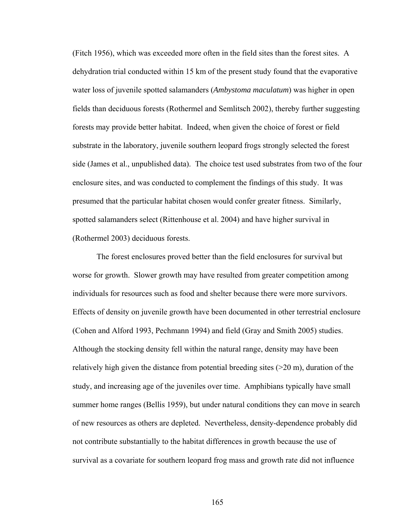(Fitch 1956), which was exceeded more often in the field sites than the forest sites. A dehydration trial conducted within 15 km of the present study found that the evaporative water loss of juvenile spotted salamanders (*Ambystoma maculatum*) was higher in open fields than deciduous forests (Rothermel and Semlitsch 2002), thereby further suggesting forests may provide better habitat. Indeed, when given the choice of forest or field substrate in the laboratory, juvenile southern leopard frogs strongly selected the forest side (James et al., unpublished data). The choice test used substrates from two of the four enclosure sites, and was conducted to complement the findings of this study. It was presumed that the particular habitat chosen would confer greater fitness. Similarly, spotted salamanders select (Rittenhouse et al. 2004) and have higher survival in (Rothermel 2003) deciduous forests.

The forest enclosures proved better than the field enclosures for survival but worse for growth. Slower growth may have resulted from greater competition among individuals for resources such as food and shelter because there were more survivors. Effects of density on juvenile growth have been documented in other terrestrial enclosure (Cohen and Alford 1993, Pechmann 1994) and field (Gray and Smith 2005) studies. Although the stocking density fell within the natural range, density may have been relatively high given the distance from potential breeding sites  $(20 \text{ m})$ , duration of the study, and increasing age of the juveniles over time. Amphibians typically have small summer home ranges (Bellis 1959), but under natural conditions they can move in search of new resources as others are depleted. Nevertheless, density-dependence probably did not contribute substantially to the habitat differences in growth because the use of survival as a covariate for southern leopard frog mass and growth rate did not influence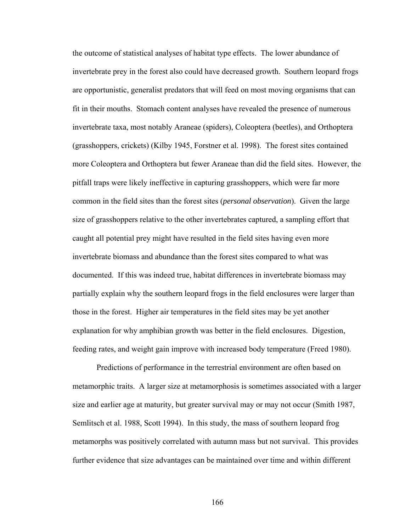the outcome of statistical analyses of habitat type effects. The lower abundance of invertebrate prey in the forest also could have decreased growth. Southern leopard frogs are opportunistic, generalist predators that will feed on most moving organisms that can fit in their mouths. Stomach content analyses have revealed the presence of numerous invertebrate taxa, most notably Araneae (spiders), Coleoptera (beetles), and Orthoptera (grasshoppers, crickets) (Kilby 1945, Forstner et al. 1998). The forest sites contained more Coleoptera and Orthoptera but fewer Araneae than did the field sites. However, the pitfall traps were likely ineffective in capturing grasshoppers, which were far more common in the field sites than the forest sites (*personal observation*). Given the large size of grasshoppers relative to the other invertebrates captured, a sampling effort that caught all potential prey might have resulted in the field sites having even more invertebrate biomass and abundance than the forest sites compared to what was documented. If this was indeed true, habitat differences in invertebrate biomass may partially explain why the southern leopard frogs in the field enclosures were larger than those in the forest. Higher air temperatures in the field sites may be yet another explanation for why amphibian growth was better in the field enclosures. Digestion, feeding rates, and weight gain improve with increased body temperature (Freed 1980).

Predictions of performance in the terrestrial environment are often based on metamorphic traits. A larger size at metamorphosis is sometimes associated with a larger size and earlier age at maturity, but greater survival may or may not occur (Smith 1987, Semlitsch et al. 1988, Scott 1994). In this study, the mass of southern leopard frog metamorphs was positively correlated with autumn mass but not survival. This provides further evidence that size advantages can be maintained over time and within different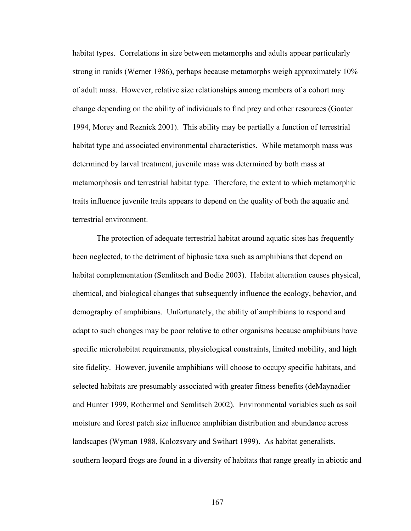habitat types. Correlations in size between metamorphs and adults appear particularly strong in ranids (Werner 1986), perhaps because metamorphs weigh approximately 10% of adult mass. However, relative size relationships among members of a cohort may change depending on the ability of individuals to find prey and other resources (Goater 1994, Morey and Reznick 2001). This ability may be partially a function of terrestrial habitat type and associated environmental characteristics. While metamorph mass was determined by larval treatment, juvenile mass was determined by both mass at metamorphosis and terrestrial habitat type. Therefore, the extent to which metamorphic traits influence juvenile traits appears to depend on the quality of both the aquatic and terrestrial environment.

The protection of adequate terrestrial habitat around aquatic sites has frequently been neglected, to the detriment of biphasic taxa such as amphibians that depend on habitat complementation (Semlitsch and Bodie 2003). Habitat alteration causes physical, chemical, and biological changes that subsequently influence the ecology, behavior, and demography of amphibians. Unfortunately, the ability of amphibians to respond and adapt to such changes may be poor relative to other organisms because amphibians have specific microhabitat requirements, physiological constraints, limited mobility, and high site fidelity. However, juvenile amphibians will choose to occupy specific habitats, and selected habitats are presumably associated with greater fitness benefits (deMaynadier and Hunter 1999, Rothermel and Semlitsch 2002). Environmental variables such as soil moisture and forest patch size influence amphibian distribution and abundance across landscapes (Wyman 1988, Kolozsvary and Swihart 1999). As habitat generalists, southern leopard frogs are found in a diversity of habitats that range greatly in abiotic and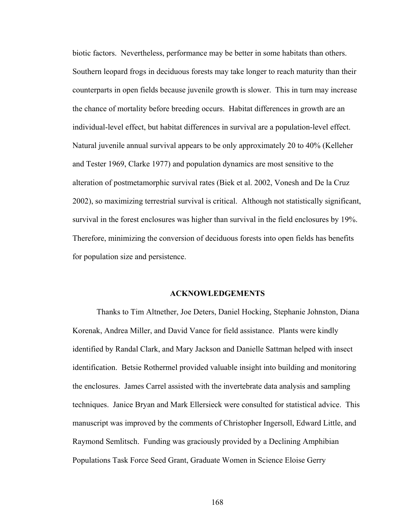biotic factors. Nevertheless, performance may be better in some habitats than others. Southern leopard frogs in deciduous forests may take longer to reach maturity than their counterparts in open fields because juvenile growth is slower. This in turn may increase the chance of mortality before breeding occurs. Habitat differences in growth are an individual-level effect, but habitat differences in survival are a population-level effect. Natural juvenile annual survival appears to be only approximately 20 to 40% (Kelleher and Tester 1969, Clarke 1977) and population dynamics are most sensitive to the alteration of postmetamorphic survival rates (Biek et al. 2002, Vonesh and De la Cruz 2002), so maximizing terrestrial survival is critical. Although not statistically significant, survival in the forest enclosures was higher than survival in the field enclosures by 19%. Therefore, minimizing the conversion of deciduous forests into open fields has benefits for population size and persistence.

#### **ACKNOWLEDGEMENTS**

Thanks to Tim Altnether, Joe Deters, Daniel Hocking, Stephanie Johnston, Diana Korenak, Andrea Miller, and David Vance for field assistance. Plants were kindly identified by Randal Clark, and Mary Jackson and Danielle Sattman helped with insect identification. Betsie Rothermel provided valuable insight into building and monitoring the enclosures. James Carrel assisted with the invertebrate data analysis and sampling techniques. Janice Bryan and Mark Ellersieck were consulted for statistical advice. This manuscript was improved by the comments of Christopher Ingersoll, Edward Little, and Raymond Semlitsch. Funding was graciously provided by a Declining Amphibian Populations Task Force Seed Grant, Graduate Women in Science Eloise Gerry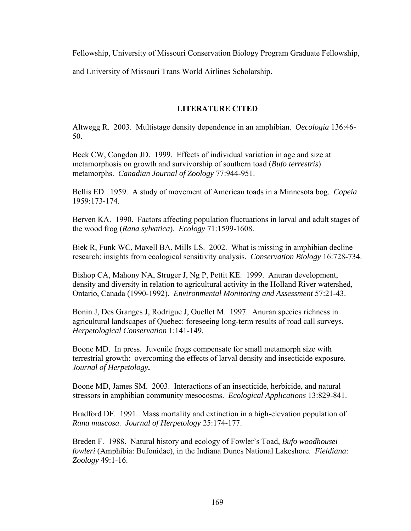Fellowship, University of Missouri Conservation Biology Program Graduate Fellowship,

and University of Missouri Trans World Airlines Scholarship.

# **LITERATURE CITED**

Altwegg R. 2003. Multistage density dependence in an amphibian. *Oecologia* 136:46- 50.

Beck CW, Congdon JD. 1999. Effects of individual variation in age and size at metamorphosis on growth and survivorship of southern toad (*Bufo terrestris*) metamorphs. *Canadian Journal of Zoology* 77:944-951.

Bellis ED. 1959. A study of movement of American toads in a Minnesota bog. *Copeia*  1959:173-174.

Berven KA. 1990. Factors affecting population fluctuations in larval and adult stages of the wood frog (*Rana sylvatica*). *Ecology* 71:1599-1608.

Biek R, Funk WC, Maxell BA, Mills LS. 2002. What is missing in amphibian decline research: insights from ecological sensitivity analysis. *Conservation Biology* 16:728-734.

Bishop CA, Mahony NA, Struger J, Ng P, Pettit KE. 1999. Anuran development, density and diversity in relation to agricultural activity in the Holland River watershed, Ontario, Canada (1990-1992). *Environmental Monitoring and Assessment* 57:21-43.

Bonin J, Des Granges J, Rodrigue J, Ouellet M. 1997. Anuran species richness in agricultural landscapes of Quebec: foreseeing long-term results of road call surveys. *Herpetological Conservation* 1:141-149.

Boone MD. In press. Juvenile frogs compensate for small metamorph size with terrestrial growth: overcoming the effects of larval density and insecticide exposure. *Journal of Herpetology***.**

Boone MD, James SM. 2003. Interactions of an insecticide, herbicide, and natural stressors in amphibian community mesocosms. *Ecological Applications* 13:829-841.

Bradford DF. 1991. Mass mortality and extinction in a high-elevation population of *Rana muscosa*. *Journal of Herpetology* 25:174-177.

Breden F. 1988. Natural history and ecology of Fowler's Toad, *Bufo woodhousei fowleri* (Amphibia: Bufonidae), in the Indiana Dunes National Lakeshore. *Fieldiana: Zoology* 49:1-16.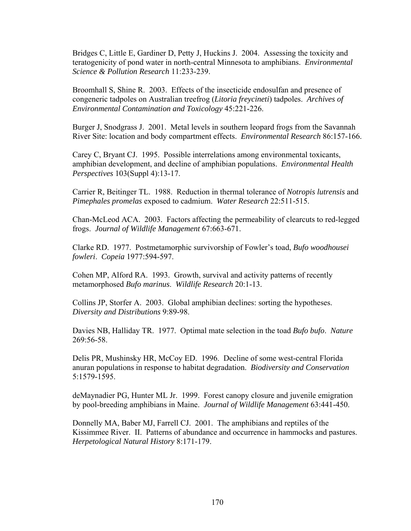Bridges C, Little E, Gardiner D, Petty J, Huckins J. 2004. Assessing the toxicity and teratogenicity of pond water in north-central Minnesota to amphibians. *Environmental Science & Pollution Research* 11:233-239.

Broomhall S, Shine R. 2003. Effects of the insecticide endosulfan and presence of congeneric tadpoles on Australian treefrog (*Litoria freycineti*) tadpoles. *Archives of Environmental Contamination and Toxicology* 45:221-226.

Burger J, Snodgrass J. 2001. Metal levels in southern leopard frogs from the Savannah River Site: location and body compartment effects. *Environmental Research* 86:157-166.

Carey C, Bryant CJ. 1995. Possible interrelations among environmental toxicants, amphibian development, and decline of amphibian populations. *Environmental Health Perspectives* 103(Suppl 4):13-17.

Carrier R, Beitinger TL. 1988. Reduction in thermal tolerance of *Notropis lutrensis* and *Pimephales promelas* exposed to cadmium. *Water Research* 22:511-515.

Chan-McLeod ACA. 2003. Factors affecting the permeability of clearcuts to red-legged frogs. *Journal of Wildlife Management* 67:663-671.

Clarke RD. 1977. Postmetamorphic survivorship of Fowler's toad, *Bufo woodhousei fowleri*. *Copeia* 1977:594-597.

Cohen MP, Alford RA. 1993. Growth, survival and activity patterns of recently metamorphosed *Bufo marinus*. *Wildlife Research* 20:1-13.

Collins JP, Storfer A. 2003. Global amphibian declines: sorting the hypotheses. *Diversity and Distributions* 9:89-98.

Davies NB, Halliday TR. 1977. Optimal mate selection in the toad *Bufo bufo*. *Nature* 269:56-58.

Delis PR, Mushinsky HR, McCoy ED. 1996. Decline of some west-central Florida anuran populations in response to habitat degradation. *Biodiversity and Conservation* 5:1579-1595.

deMaynadier PG, Hunter ML Jr. 1999. Forest canopy closure and juvenile emigration by pool-breeding amphibians in Maine. *Journal of Wildlife Management* 63:441-450.

Donnelly MA, Baber MJ, Farrell CJ. 2001. The amphibians and reptiles of the Kissimmee River. II. Patterns of abundance and occurrence in hammocks and pastures. *Herpetological Natural History* 8:171-179.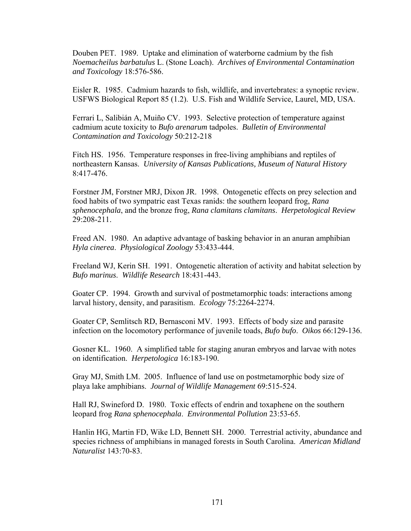Douben PET. 1989. Uptake and elimination of waterborne cadmium by the fish *Noemacheilus barbatulus* L. (Stone Loach). *Archives of Environmental Contamination and Toxicology* 18:576-586.

Eisler R. 1985. Cadmium hazards to fish, wildlife, and invertebrates: a synoptic review. USFWS Biological Report 85 (1.2). U.S. Fish and Wildlife Service, Laurel, MD, USA.

Ferrari L, Salibián A, Muiño CV. 1993. Selective protection of temperature against cadmium acute toxicity to *Bufo arenarum* tadpoles. *Bulletin of Environmental Contamination and Toxicology* 50:212-218

Fitch HS. 1956. Temperature responses in free-living amphibians and reptiles of northeastern Kansas. *University of Kansas Publications, Museum of Natural History*  8:417-476.

Forstner JM, Forstner MRJ, Dixon JR. 1998. Ontogenetic effects on prey selection and food habits of two sympatric east Texas ranids: the southern leopard frog, *Rana sphenocephala*, and the bronze frog, *Rana clamitans clamitans*. *Herpetological Review* 29:208-211.

Freed AN. 1980. An adaptive advantage of basking behavior in an anuran amphibian *Hyla cinerea*. *Physiological Zoology* 53:433-444.

Freeland WJ, Kerin SH. 1991. Ontogenetic alteration of activity and habitat selection by *Bufo marinus*. *Wildlife Research* 18:431-443.

Goater CP. 1994. Growth and survival of postmetamorphic toads: interactions among larval history, density, and parasitism. *Ecology* 75:2264-2274.

Goater CP, Semlitsch RD, Bernasconi MV. 1993. Effects of body size and parasite infection on the locomotory performance of juvenile toads, *Bufo bufo*. *Oikos* 66:129-136.

Gosner KL. 1960. A simplified table for staging anuran embryos and larvae with notes on identification. *Herpetologica* 16:183-190.

Gray MJ, Smith LM. 2005. Influence of land use on postmetamorphic body size of playa lake amphibians. *Journal of Wildlife Management* 69:515-524.

Hall RJ, Swineford D. 1980. Toxic effects of endrin and toxaphene on the southern leopard frog *Rana sphenocephala*. *Environmental Pollution* 23:53-65.

Hanlin HG, Martin FD, Wike LD, Bennett SH. 2000. Terrestrial activity, abundance and species richness of amphibians in managed forests in South Carolina. *American Midland Naturalist* 143:70-83.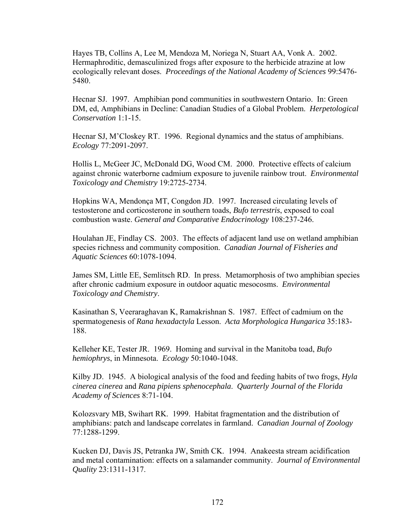Hayes TB, Collins A, Lee M, Mendoza M, Noriega N, Stuart AA, Vonk A. 2002. Hermaphroditic, demasculinized frogs after exposure to the herbicide atrazine at low ecologically relevant doses. *Proceedings of the National Academy of Sciences* 99:5476- 5480.

Hecnar SJ. 1997. Amphibian pond communities in southwestern Ontario. In: Green DM, ed, Amphibians in Decline: Canadian Studies of a Global Problem. *Herpetological Conservation* 1:1-15.

Hecnar SJ, M'Closkey RT. 1996. Regional dynamics and the status of amphibians. *Ecology* 77:2091-2097.

Hollis L, McGeer JC, McDonald DG, Wood CM. 2000. Protective effects of calcium against chronic waterborne cadmium exposure to juvenile rainbow trout. *Environmental Toxicology and Chemistry* 19:2725-2734.

Hopkins WA, Mendonça MT, Congdon JD. 1997. Increased circulating levels of testosterone and corticosterone in southern toads, *Bufo terrestris*, exposed to coal combustion waste. *General and Comparative Endocrinology* 108:237-246.

Houlahan JE, Findlay CS. 2003. The effects of adjacent land use on wetland amphibian species richness and community composition. *Canadian Journal of Fisheries and Aquatic Sciences* 60:1078-1094.

James SM, Little EE, Semlitsch RD. In press. Metamorphosis of two amphibian species after chronic cadmium exposure in outdoor aquatic mesocosms. *Environmental Toxicology and Chemistry*.

Kasinathan S, Veeraraghavan K, Ramakrishnan S. 1987. Effect of cadmium on the spermatogenesis of *Rana hexadactyla* Lesson. *Acta Morphologica Hungarica* 35:183- 188.

Kelleher KE, Tester JR. 1969. Homing and survival in the Manitoba toad, *Bufo hemiophrys*, in Minnesota. *Ecology* 50:1040-1048.

Kilby JD. 1945. A biological analysis of the food and feeding habits of two frogs, *Hyla cinerea cinerea* and *Rana pipiens sphenocephala*. *Quarterly Journal of the Florida Academy of Sciences* 8:71-104.

Kolozsvary MB, Swihart RK. 1999. Habitat fragmentation and the distribution of amphibians: patch and landscape correlates in farmland. *Canadian Journal of Zoology* 77:1288-1299.

Kucken DJ, Davis JS, Petranka JW, Smith CK. 1994. Anakeesta stream acidification and metal contamination: effects on a salamander community. *Journal of Environmental Quality* 23:1311-1317.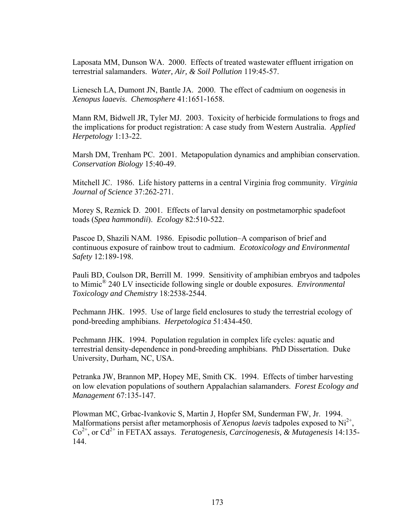Laposata MM, Dunson WA. 2000. Effects of treated wastewater effluent irrigation on terrestrial salamanders. *Water, Air, & Soil Pollution* 119:45-57.

Lienesch LA, Dumont JN, Bantle JA. 2000. The effect of cadmium on oogenesis in *Xenopus laaevis*. *Chemosphere* 41:1651-1658.

Mann RM, Bidwell JR, Tyler MJ. 2003. Toxicity of herbicide formulations to frogs and the implications for product registration: A case study from Western Australia. *Applied Herpetology* 1:13-22.

Marsh DM, Trenham PC. 2001. Metapopulation dynamics and amphibian conservation. *Conservation Biology* 15:40-49.

Mitchell JC. 1986. Life history patterns in a central Virginia frog community. *Virginia Journal of Science* 37:262-271.

Morey S, Reznick D. 2001. Effects of larval density on postmetamorphic spadefoot toads (*Spea hammondii*). *Ecology* 82:510-522.

Pascoe D, Shazili NAM. 1986. Episodic pollution–A comparison of brief and continuous exposure of rainbow trout to cadmium. *Ecotoxicology and Environmental Safety* 12:189-198.

Pauli BD, Coulson DR, Berrill M. 1999. Sensitivity of amphibian embryos and tadpoles to Mimic® 240 LV insecticide following single or double exposures. *Environmental Toxicology and Chemistry* 18:2538-2544.

Pechmann JHK. 1995. Use of large field enclosures to study the terrestrial ecology of pond-breeding amphibians. *Herpetologica* 51:434-450.

Pechmann JHK. 1994. Population regulation in complex life cycles: aquatic and terrestrial density-dependence in pond-breeding amphibians. PhD Dissertation. Duke University, Durham, NC, USA.

Petranka JW, Brannon MP, Hopey ME, Smith CK. 1994. Effects of timber harvesting on low elevation populations of southern Appalachian salamanders. *Forest Ecology and Management* 67:135-147.

Plowman MC, Grbac-Ivankovic S, Martin J, Hopfer SM, Sunderman FW, Jr. 1994. Malformations persist after metamorphosis of *Xenopus laevis* tadpoles exposed to Ni<sup>2+</sup>, Co2+, or Cd2+ in FETAX assays. *Teratogenesis, Carcinogenesis, & Mutagenesis* 14:135- 144.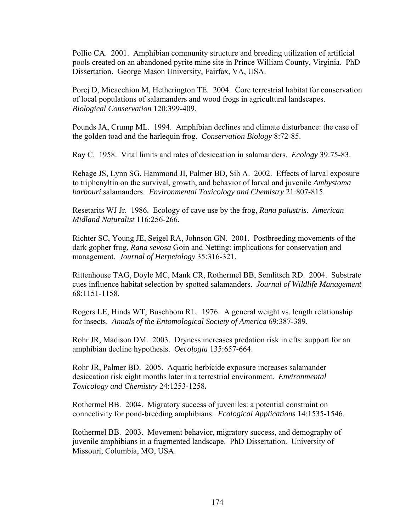Pollio CA. 2001. Amphibian community structure and breeding utilization of artificial pools created on an abandoned pyrite mine site in Prince William County, Virginia. PhD Dissertation. George Mason University, Fairfax, VA, USA.

Porej D, Micacchion M, Hetherington TE. 2004. Core terrestrial habitat for conservation of local populations of salamanders and wood frogs in agricultural landscapes. *Biological Conservation* 120:399-409.

Pounds JA, Crump ML. 1994. Amphibian declines and climate disturbance: the case of the golden toad and the harlequin frog. *Conservation Biology* 8:72-85.

Ray C. 1958. Vital limits and rates of desiccation in salamanders. *Ecology* 39:75-83.

Rehage JS, Lynn SG, Hammond JI, Palmer BD, Sih A. 2002. Effects of larval exposure to triphenyltin on the survival, growth, and behavior of larval and juvenile *Ambystoma barbouri* salamanders. *Environmental Toxicology and Chemistry* 21:807-815.

Resetarits WJ Jr. 1986. Ecology of cave use by the frog, *Rana palustris*. *American Midland Naturalist* 116:256-266.

Richter SC, Young JE, Seigel RA, Johnson GN. 2001. Postbreeding movements of the dark gopher frog, *Rana sevosa* Goin and Netting: implications for conservation and management. *Journal of Herpetology* 35:316-321.

Rittenhouse TAG, Doyle MC, Mank CR, Rothermel BB, Semlitsch RD. 2004. Substrate cues influence habitat selection by spotted salamanders. *Journal of Wildlife Management* 68:1151-1158.

Rogers LE, Hinds WT, Buschbom RL. 1976. A general weight vs. length relationship for insects. *Annals of the Entomological Society of America* 69:387-389.

Rohr JR, Madison DM. 2003. Dryness increases predation risk in efts: support for an amphibian decline hypothesis. *Oecologia* 135:657-664.

Rohr JR, Palmer BD. 2005. Aquatic herbicide exposure increases salamander desiccation risk eight months later in a terrestrial environment. *Environmental Toxicology and Chemistry* 24:1253-1258**.**

Rothermel BB. 2004. Migratory success of juveniles: a potential constraint on connectivity for pond-breeding amphibians. *Ecological Applications* 14:1535-1546.

Rothermel BB. 2003. Movement behavior, migratory success, and demography of juvenile amphibians in a fragmented landscape. PhD Dissertation. University of Missouri, Columbia, MO, USA.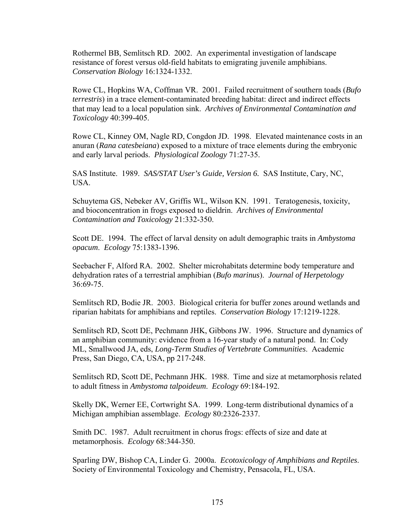Rothermel BB, Semlitsch RD. 2002. An experimental investigation of landscape resistance of forest versus old-field habitats to emigrating juvenile amphibians. *Conservation Biology* 16:1324-1332.

Rowe CL, Hopkins WA, Coffman VR. 2001. Failed recruitment of southern toads (*Bufo terrestris*) in a trace element-contaminated breeding habitat: direct and indirect effects that may lead to a local population sink. *Archives of Environmental Contamination and Toxicology* 40:399-405.

Rowe CL, Kinney OM, Nagle RD, Congdon JD. 1998. Elevated maintenance costs in an anuran (*Rana catesbeiana*) exposed to a mixture of trace elements during the embryonic and early larval periods. *Physiological Zoology* 71:27-35.

SAS Institute. 1989. *SAS/STAT User's Guide, Version 6.* SAS Institute, Cary, NC, USA.

Schuytema GS, Nebeker AV, Griffis WL, Wilson KN. 1991. Teratogenesis, toxicity, and bioconcentration in frogs exposed to dieldrin. *Archives of Environmental Contamination and Toxicology* 21:332-350.

Scott DE. 1994. The effect of larval density on adult demographic traits in *Ambystoma opacum*. *Ecology* 75:1383-1396.

Seebacher F, Alford RA. 2002. Shelter microhabitats determine body temperature and dehydration rates of a terrestrial amphibian (*Bufo marinus*). *Journal of Herpetology* 36:69-75.

Semlitsch RD, Bodie JR. 2003. Biological criteria for buffer zones around wetlands and riparian habitats for amphibians and reptiles. *Conservation Biology* 17:1219-1228.

Semlitsch RD, Scott DE, Pechmann JHK, Gibbons JW. 1996. Structure and dynamics of an amphibian community: evidence from a 16-year study of a natural pond. In: Cody ML, Smallwood JA, eds, *Long-Term Studies of Vertebrate Communities*. Academic Press, San Diego, CA, USA, pp 217-248.

Semlitsch RD, Scott DE, Pechmann JHK. 1988. Time and size at metamorphosis related to adult fitness in *Ambystoma talpoideum*. *Ecology* 69:184-192.

Skelly DK, Werner EE, Cortwright SA. 1999. Long-term distributional dynamics of a Michigan amphibian assemblage. *Ecology* 80:2326-2337.

Smith DC. 1987. Adult recruitment in chorus frogs: effects of size and date at metamorphosis. *Ecology* 68:344-350.

Sparling DW, Bishop CA, Linder G. 2000a. *Ecotoxicology of Amphibians and Reptiles*. Society of Environmental Toxicology and Chemistry, Pensacola, FL, USA.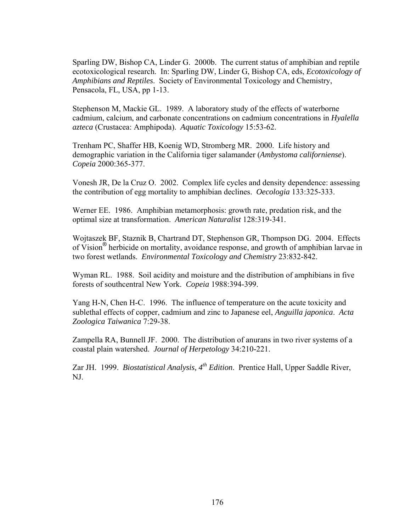Sparling DW, Bishop CA, Linder G. 2000b. The current status of amphibian and reptile ecotoxicological research. In: Sparling DW, Linder G, Bishop CA, eds, *Ecotoxicology of Amphibians and Reptiles*. Society of Environmental Toxicology and Chemistry, Pensacola, FL, USA, pp 1-13.

Stephenson M, Mackie GL. 1989. A laboratory study of the effects of waterborne cadmium, calcium, and carbonate concentrations on cadmium concentrations in *Hyalella azteca* (Crustacea: Amphipoda). *Aquatic Toxicology* 15:53-62.

Trenham PC, Shaffer HB, Koenig WD, Stromberg MR. 2000. Life history and demographic variation in the California tiger salamander (*Ambystoma californiense*). *Copeia* 2000:365-377.

Vonesh JR, De la Cruz O. 2002. Complex life cycles and density dependence: assessing the contribution of egg mortality to amphibian declines. *Oecologia* 133:325-333.

Werner EE. 1986. Amphibian metamorphosis: growth rate, predation risk, and the optimal size at transformation. *American Naturalist* 128:319-341.

Wojtaszek BF, Staznik B, Chartrand DT, Stephenson GR, Thompson DG. 2004. Effects of Vision® herbicide on mortality, avoidance response, and growth of amphibian larvae in two forest wetlands. *Environmental Toxicology and Chemistry* 23:832-842.

Wyman RL. 1988. Soil acidity and moisture and the distribution of amphibians in five forests of southcentral New York. *Copeia* 1988:394-399.

Yang H-N, Chen H-C. 1996. The influence of temperature on the acute toxicity and sublethal effects of copper, cadmium and zinc to Japanese eel, *Anguilla japonica*. *Acta Zoologica Taiwanica* 7:29-38.

Zampella RA, Bunnell JF. 2000. The distribution of anurans in two river systems of a coastal plain watershed. *Journal of Herpetology* 34:210-221.

Zar JH. 1999. *Biostatistical Analysis, 4th Edition*. Prentice Hall, Upper Saddle River, NJ.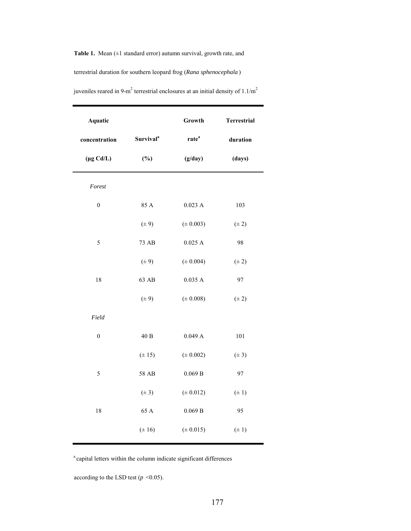#### Table 1. Mean ( $\pm 1$  standard error) autumn survival, growth rate, and

terrestrial duration for southern leopard frog (*Rana sphenocephala* )

| <b>Aquatic</b>         |                              | Growth              | Terrestrial |
|------------------------|------------------------------|---------------------|-------------|
| concentration          | <b>Survival</b> <sup>a</sup> | rate <sup>a</sup>   | duration    |
| $(\mu g \text{ Cd/L})$ | $(\%)$                       | (g/day)             | (days)      |
| Forest                 |                              |                     |             |
| $\overline{0}$         | 85 A                         | $0.023\ \mathrm{A}$ | 103         |
|                        | $(\pm 9)$                    | $(\pm 0.003)$       | $(\pm 2)$   |
| 5                      | 73 AB                        | $0.025\;\mathrm{A}$ | 98          |
|                        | $(\pm 9)$                    | (± 0.004)           | $(\pm 2)$   |
| $18\,$                 | 63 AB                        | $0.035\;\mathrm{A}$ | 97          |
|                        | $(\pm 9)$                    | $(\pm 0.008)$       | $(\pm 2)$   |
| Field                  |                              |                     |             |
| $\boldsymbol{0}$       | 40 B                         | $0.049\;\mathrm{A}$ | 101         |
|                        | $(\pm 15)$                   | (± 0.002)           | $(\pm 3)$   |
| 5                      | 58 AB                        | $0.069$ B           | 97          |
|                        | $(\pm 3)$                    | (± 0.012)           | $(\pm 1)$   |
| $18\,$                 | 65 A                         | $0.069$ B           | 95          |
|                        | (± 16)                       | $(\pm 0.015)$       | $(\pm 1)$   |

juveniles reared in 9-m<sup>2</sup> terrestrial enclosures at an initial density of  $1.1/m^2$ 

<sup>a</sup> capital letters within the column indicate significant differences

according to the LSD test  $(p \le 0.05)$ .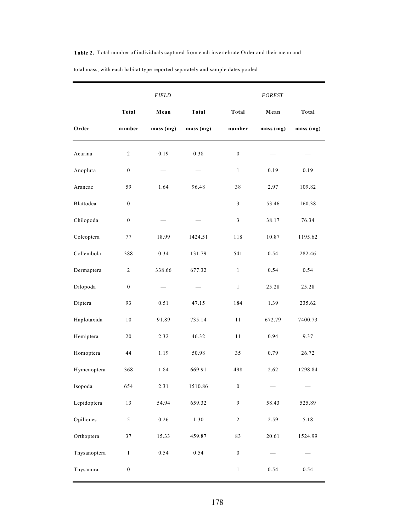**Table 2.** Total number of individuals captured from each invertebrate Order and their mean and

|              |                  | <b>FIELD</b> |           |                  | <b>FOREST</b> |           |
|--------------|------------------|--------------|-----------|------------------|---------------|-----------|
|              | Total            | $\bf Mean$   | Total     | Total            | Mean          | Total     |
| Order        | number           | mass (mg)    | mass (mg) | number           | mass (mg)     | mass (mg) |
| Acarina      | $\overline{2}$   | 0.19         | 0.38      | $\boldsymbol{0}$ |               |           |
| Anoplura     | $\boldsymbol{0}$ |              |           | $\mathbf{1}$     | 0.19          | 0.19      |
| Araneae      | 59               | 1.64         | 96.48     | 38               | 2.97          | 109.82    |
| Blattodea    | $\boldsymbol{0}$ |              |           | 3                | 53.46         | 160.38    |
| Chilopoda    | $\boldsymbol{0}$ |              |           | $\mathfrak{Z}$   | 38.17         | 76.34     |
| Coleoptera   | 77               | 18.99        | 1424.51   | 118              | 10.87         | 1195.62   |
| Collembola   | 388              | 0.34         | 131.79    | 541              | 0.54          | 282.46    |
| Dermaptera   | $\sqrt{2}$       | 338.66       | 677.32    | $\,1$            | 0.54          | 0.54      |
| Dilopoda     | $\boldsymbol{0}$ |              |           | $\mathbf{1}$     | 25.28         | 25.28     |
| Diptera      | 93               | $0.51\,$     | 47.15     | 184              | 1.39          | 235.62    |
| Haplotaxida  | $10\,$           | 91.89        | 735.14    | 11               | 672.79        | 7400.73   |
| Hemiptera    | 20               | 2.32         | 46.32     | 11               | 0.94          | 9.37      |
| Homoptera    | 44               | 1.19         | 50.98     | 35               | 0.79          | 26.72     |
| Hymenoptera  | 368              | 1.84         | 669.91    | 498              | 2.62          | 1298.84   |
| Isopoda      | 654              | 2.31         | 1510.86   | $\bf{0}$         |               |           |
| Lepidoptera  | 13               | 54.94        | 659.32    | 9                | 58.43         | 525.89    |
| Opiliones    | 5                | $0.26\,$     | 1.30      | $\overline{c}$   | 2.59          | 5.18      |
| Orthoptera   | 37               | 15.33        | 459.87    | 83               | 20.61         | 1524.99   |
| Thysanoptera | $\,1$            | 0.54         | 0.54      | $\boldsymbol{0}$ |               |           |
| Thysanura    | $\boldsymbol{0}$ |              |           | $\mathbf{1}$     | 0.54          | 0.54      |

total mass, with each habitat type reported separately and sample dates pooled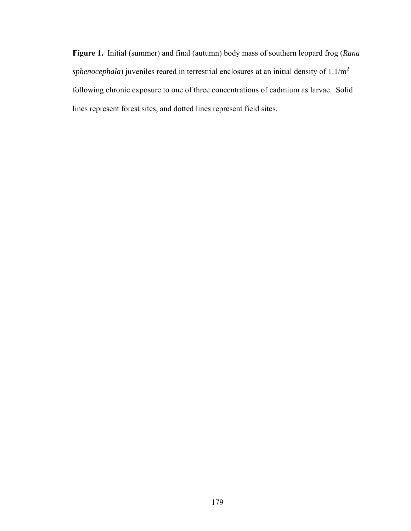**Figure 1.** Initial (summer) and final (autumn) body mass of southern leopard frog (*Rana sphenocephala*) juveniles reared in terrestrial enclosures at an initial density of 1.1/m<sup>2</sup> following chronic exposure to one of three concentrations of cadmium as larvae. Solid lines represent forest sites, and dotted lines represent field sites.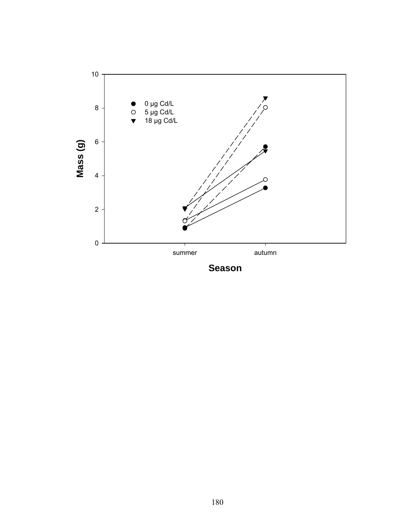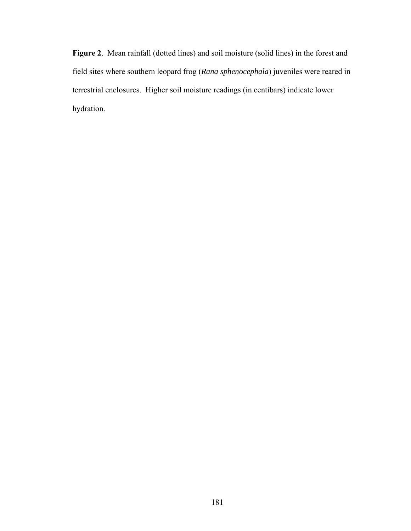**Figure 2**. Mean rainfall (dotted lines) and soil moisture (solid lines) in the forest and field sites where southern leopard frog (*Rana sphenocephala*) juveniles were reared in terrestrial enclosures. Higher soil moisture readings (in centibars) indicate lower hydration.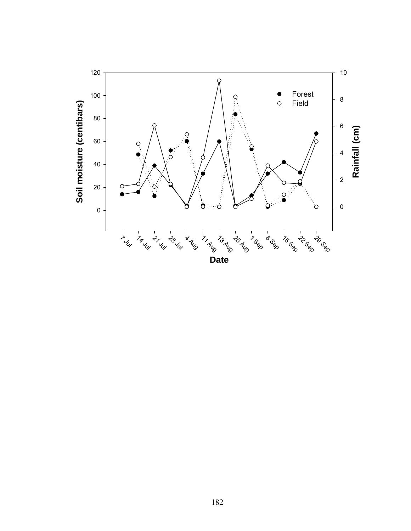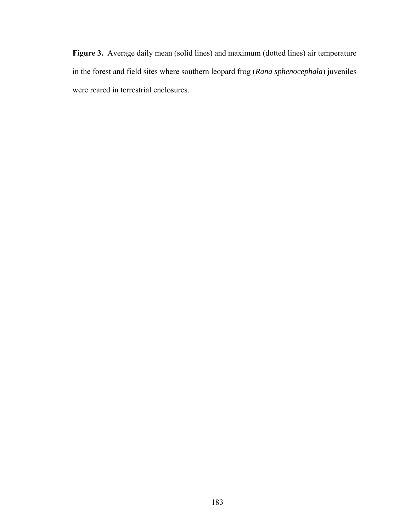**Figure 3.** Average daily mean (solid lines) and maximum (dotted lines) air temperature in the forest and field sites where southern leopard frog (*Rana sphenocephala*) juveniles were reared in terrestrial enclosures.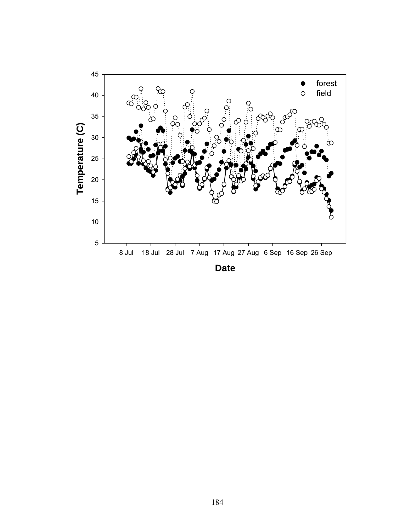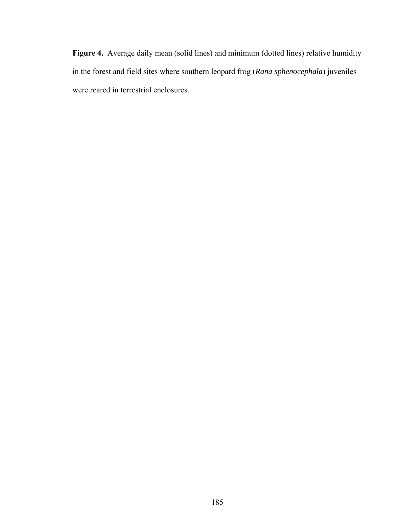**Figure 4.** Average daily mean (solid lines) and minimum (dotted lines) relative humidity in the forest and field sites where southern leopard frog (*Rana sphenocephala*) juveniles were reared in terrestrial enclosures.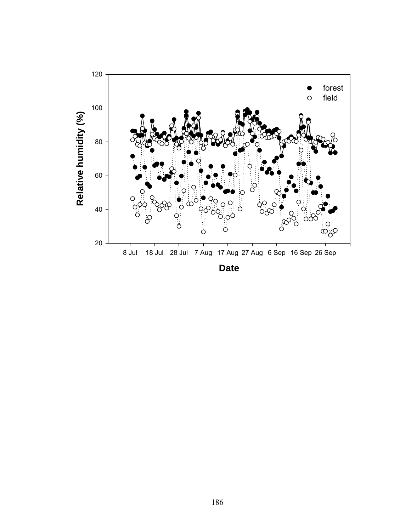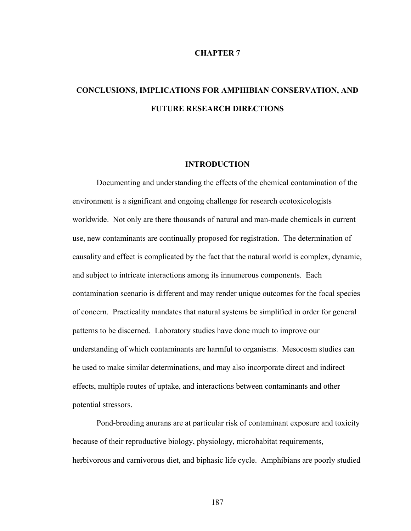#### **CHAPTER 7**

# **CONCLUSIONS, IMPLICATIONS FOR AMPHIBIAN CONSERVATION, AND FUTURE RESEARCH DIRECTIONS**

#### **INTRODUCTION**

 Documenting and understanding the effects of the chemical contamination of the environment is a significant and ongoing challenge for research ecotoxicologists worldwide. Not only are there thousands of natural and man-made chemicals in current use, new contaminants are continually proposed for registration. The determination of causality and effect is complicated by the fact that the natural world is complex, dynamic, and subject to intricate interactions among its innumerous components. Each contamination scenario is different and may render unique outcomes for the focal species of concern. Practicality mandates that natural systems be simplified in order for general patterns to be discerned. Laboratory studies have done much to improve our understanding of which contaminants are harmful to organisms. Mesocosm studies can be used to make similar determinations, and may also incorporate direct and indirect effects, multiple routes of uptake, and interactions between contaminants and other potential stressors.

 Pond-breeding anurans are at particular risk of contaminant exposure and toxicity because of their reproductive biology, physiology, microhabitat requirements, herbivorous and carnivorous diet, and biphasic life cycle. Amphibians are poorly studied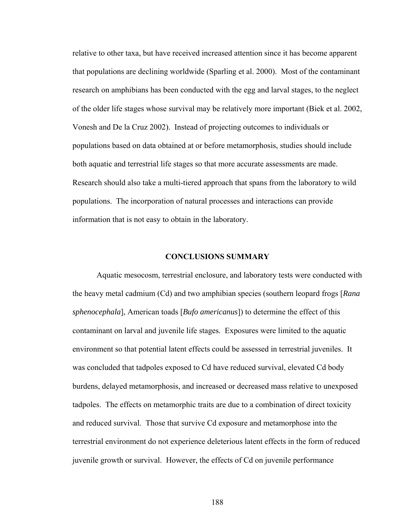relative to other taxa, but have received increased attention since it has become apparent that populations are declining worldwide (Sparling et al. 2000). Most of the contaminant research on amphibians has been conducted with the egg and larval stages, to the neglect of the older life stages whose survival may be relatively more important (Biek et al. 2002, Vonesh and De la Cruz 2002). Instead of projecting outcomes to individuals or populations based on data obtained at or before metamorphosis, studies should include both aquatic and terrestrial life stages so that more accurate assessments are made. Research should also take a multi-tiered approach that spans from the laboratory to wild populations. The incorporation of natural processes and interactions can provide information that is not easy to obtain in the laboratory.

#### **CONCLUSIONS SUMMARY**

 Aquatic mesocosm, terrestrial enclosure, and laboratory tests were conducted with the heavy metal cadmium (Cd) and two amphibian species (southern leopard frogs [*Rana sphenocephala*], American toads [*Bufo americanus*]) to determine the effect of this contaminant on larval and juvenile life stages. Exposures were limited to the aquatic environment so that potential latent effects could be assessed in terrestrial juveniles. It was concluded that tadpoles exposed to Cd have reduced survival, elevated Cd body burdens, delayed metamorphosis, and increased or decreased mass relative to unexposed tadpoles. The effects on metamorphic traits are due to a combination of direct toxicity and reduced survival. Those that survive Cd exposure and metamorphose into the terrestrial environment do not experience deleterious latent effects in the form of reduced juvenile growth or survival. However, the effects of Cd on juvenile performance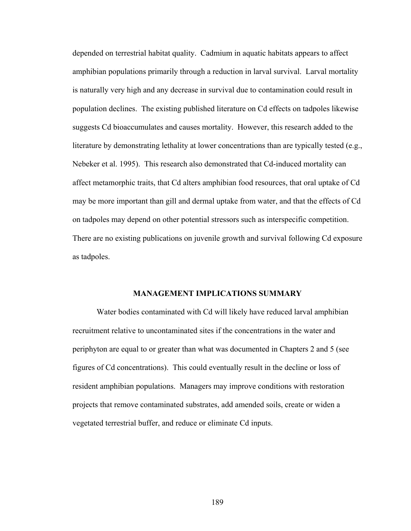depended on terrestrial habitat quality. Cadmium in aquatic habitats appears to affect amphibian populations primarily through a reduction in larval survival. Larval mortality is naturally very high and any decrease in survival due to contamination could result in population declines. The existing published literature on Cd effects on tadpoles likewise suggests Cd bioaccumulates and causes mortality. However, this research added to the literature by demonstrating lethality at lower concentrations than are typically tested (e.g., Nebeker et al. 1995). This research also demonstrated that Cd-induced mortality can affect metamorphic traits, that Cd alters amphibian food resources, that oral uptake of Cd may be more important than gill and dermal uptake from water, and that the effects of Cd on tadpoles may depend on other potential stressors such as interspecific competition. There are no existing publications on juvenile growth and survival following Cd exposure as tadpoles.

#### **MANAGEMENT IMPLICATIONS SUMMARY**

Water bodies contaminated with Cd will likely have reduced larval amphibian recruitment relative to uncontaminated sites if the concentrations in the water and periphyton are equal to or greater than what was documented in Chapters 2 and 5 (see figures of Cd concentrations). This could eventually result in the decline or loss of resident amphibian populations. Managers may improve conditions with restoration projects that remove contaminated substrates, add amended soils, create or widen a vegetated terrestrial buffer, and reduce or eliminate Cd inputs.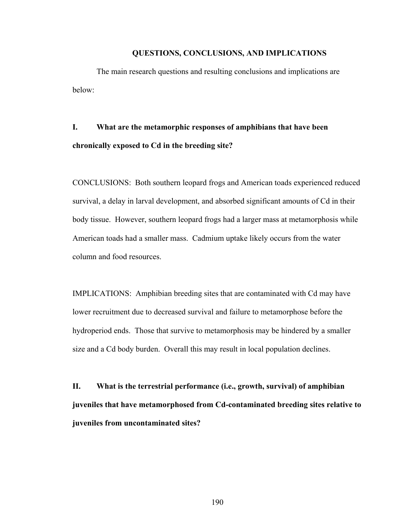#### **QUESTIONS, CONCLUSIONS, AND IMPLICATIONS**

The main research questions and resulting conclusions and implications are below:

# **I. What are the metamorphic responses of amphibians that have been chronically exposed to Cd in the breeding site?**

CONCLUSIONS: Both southern leopard frogs and American toads experienced reduced survival, a delay in larval development, and absorbed significant amounts of Cd in their body tissue. However, southern leopard frogs had a larger mass at metamorphosis while American toads had a smaller mass. Cadmium uptake likely occurs from the water column and food resources.

IMPLICATIONS: Amphibian breeding sites that are contaminated with Cd may have lower recruitment due to decreased survival and failure to metamorphose before the hydroperiod ends. Those that survive to metamorphosis may be hindered by a smaller size and a Cd body burden. Overall this may result in local population declines.

**II. What is the terrestrial performance (i.e., growth, survival) of amphibian juveniles that have metamorphosed from Cd-contaminated breeding sites relative to juveniles from uncontaminated sites?**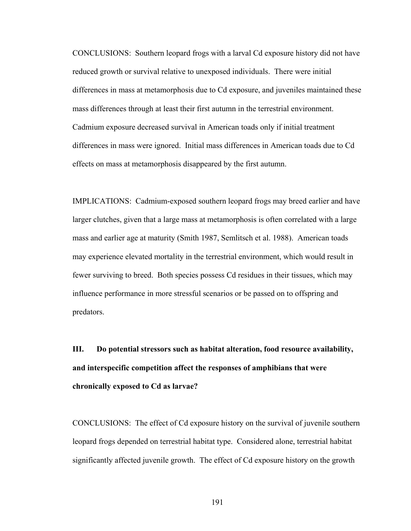CONCLUSIONS: Southern leopard frogs with a larval Cd exposure history did not have reduced growth or survival relative to unexposed individuals. There were initial differences in mass at metamorphosis due to Cd exposure, and juveniles maintained these mass differences through at least their first autumn in the terrestrial environment. Cadmium exposure decreased survival in American toads only if initial treatment differences in mass were ignored. Initial mass differences in American toads due to Cd effects on mass at metamorphosis disappeared by the first autumn.

IMPLICATIONS: Cadmium-exposed southern leopard frogs may breed earlier and have larger clutches, given that a large mass at metamorphosis is often correlated with a large mass and earlier age at maturity (Smith 1987, Semlitsch et al. 1988). American toads may experience elevated mortality in the terrestrial environment, which would result in fewer surviving to breed. Both species possess Cd residues in their tissues, which may influence performance in more stressful scenarios or be passed on to offspring and predators.

**III. Do potential stressors such as habitat alteration, food resource availability, and interspecific competition affect the responses of amphibians that were chronically exposed to Cd as larvae?** 

CONCLUSIONS: The effect of Cd exposure history on the survival of juvenile southern leopard frogs depended on terrestrial habitat type. Considered alone, terrestrial habitat significantly affected juvenile growth. The effect of Cd exposure history on the growth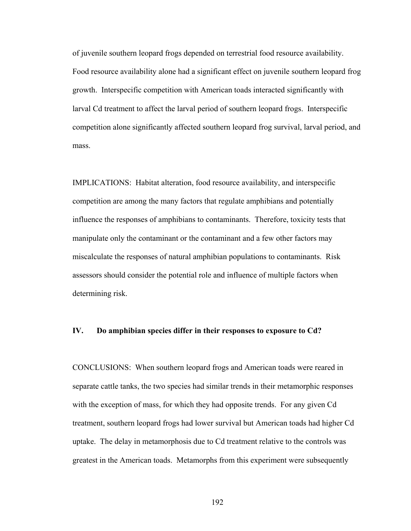of juvenile southern leopard frogs depended on terrestrial food resource availability. Food resource availability alone had a significant effect on juvenile southern leopard frog growth. Interspecific competition with American toads interacted significantly with larval Cd treatment to affect the larval period of southern leopard frogs. Interspecific competition alone significantly affected southern leopard frog survival, larval period, and mass.

IMPLICATIONS: Habitat alteration, food resource availability, and interspecific competition are among the many factors that regulate amphibians and potentially influence the responses of amphibians to contaminants. Therefore, toxicity tests that manipulate only the contaminant or the contaminant and a few other factors may miscalculate the responses of natural amphibian populations to contaminants. Risk assessors should consider the potential role and influence of multiple factors when determining risk.

#### **IV. Do amphibian species differ in their responses to exposure to Cd?**

CONCLUSIONS: When southern leopard frogs and American toads were reared in separate cattle tanks, the two species had similar trends in their metamorphic responses with the exception of mass, for which they had opposite trends. For any given Cd treatment, southern leopard frogs had lower survival but American toads had higher Cd uptake. The delay in metamorphosis due to Cd treatment relative to the controls was greatest in the American toads. Metamorphs from this experiment were subsequently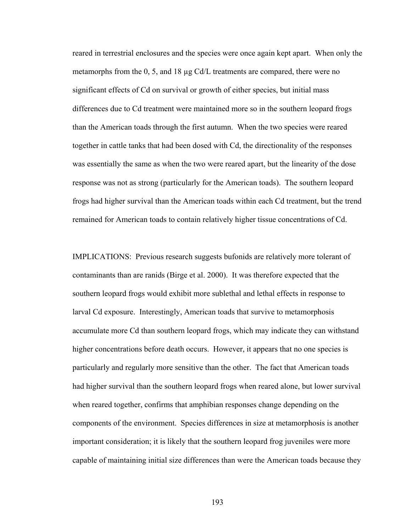reared in terrestrial enclosures and the species were once again kept apart. When only the metamorphs from the 0, 5, and 18 µg Cd/L treatments are compared, there were no significant effects of Cd on survival or growth of either species, but initial mass differences due to Cd treatment were maintained more so in the southern leopard frogs than the American toads through the first autumn. When the two species were reared together in cattle tanks that had been dosed with Cd, the directionality of the responses was essentially the same as when the two were reared apart, but the linearity of the dose response was not as strong (particularly for the American toads). The southern leopard frogs had higher survival than the American toads within each Cd treatment, but the trend remained for American toads to contain relatively higher tissue concentrations of Cd.

IMPLICATIONS: Previous research suggests bufonids are relatively more tolerant of contaminants than are ranids (Birge et al. 2000). It was therefore expected that the southern leopard frogs would exhibit more sublethal and lethal effects in response to larval Cd exposure. Interestingly, American toads that survive to metamorphosis accumulate more Cd than southern leopard frogs, which may indicate they can withstand higher concentrations before death occurs. However, it appears that no one species is particularly and regularly more sensitive than the other. The fact that American toads had higher survival than the southern leopard frogs when reared alone, but lower survival when reared together, confirms that amphibian responses change depending on the components of the environment. Species differences in size at metamorphosis is another important consideration; it is likely that the southern leopard frog juveniles were more capable of maintaining initial size differences than were the American toads because they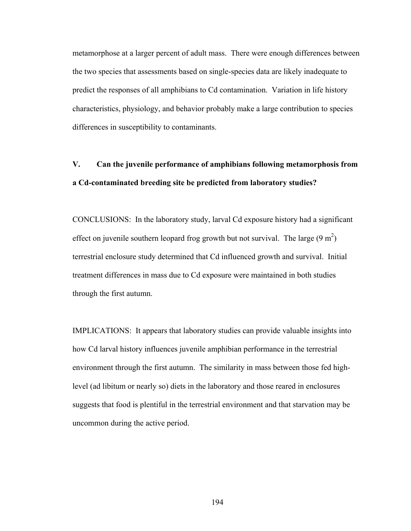metamorphose at a larger percent of adult mass. There were enough differences between the two species that assessments based on single-species data are likely inadequate to predict the responses of all amphibians to Cd contamination. Variation in life history characteristics, physiology, and behavior probably make a large contribution to species differences in susceptibility to contaminants.

# **V. Can the juvenile performance of amphibians following metamorphosis from a Cd-contaminated breeding site be predicted from laboratory studies?**

CONCLUSIONS: In the laboratory study, larval Cd exposure history had a significant effect on juvenile southern leopard frog growth but not survival. The large  $(9 \text{ m}^2)$ terrestrial enclosure study determined that Cd influenced growth and survival. Initial treatment differences in mass due to Cd exposure were maintained in both studies through the first autumn.

IMPLICATIONS: It appears that laboratory studies can provide valuable insights into how Cd larval history influences juvenile amphibian performance in the terrestrial environment through the first autumn. The similarity in mass between those fed highlevel (ad libitum or nearly so) diets in the laboratory and those reared in enclosures suggests that food is plentiful in the terrestrial environment and that starvation may be uncommon during the active period.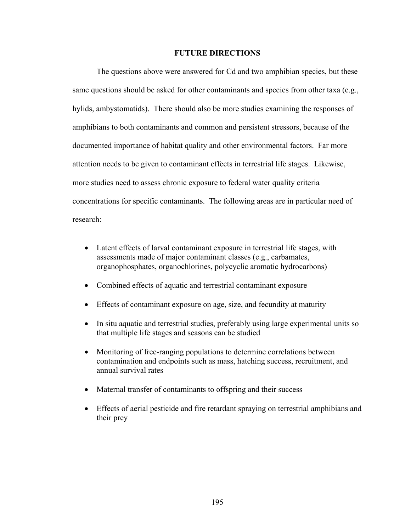### **FUTURE DIRECTIONS**

 The questions above were answered for Cd and two amphibian species, but these same questions should be asked for other contaminants and species from other taxa (e.g., hylids, ambystomatids). There should also be more studies examining the responses of amphibians to both contaminants and common and persistent stressors, because of the documented importance of habitat quality and other environmental factors. Far more attention needs to be given to contaminant effects in terrestrial life stages. Likewise, more studies need to assess chronic exposure to federal water quality criteria concentrations for specific contaminants. The following areas are in particular need of research:

- Latent effects of larval contaminant exposure in terrestrial life stages, with assessments made of major contaminant classes (e.g., carbamates, organophosphates, organochlorines, polycyclic aromatic hydrocarbons)
- Combined effects of aquatic and terrestrial contaminant exposure
- Effects of contaminant exposure on age, size, and fecundity at maturity
- In situ aquatic and terrestrial studies, preferably using large experimental units so that multiple life stages and seasons can be studied
- Monitoring of free-ranging populations to determine correlations between contamination and endpoints such as mass, hatching success, recruitment, and annual survival rates
- Maternal transfer of contaminants to offspring and their success
- Effects of aerial pesticide and fire retardant spraying on terrestrial amphibians and their prey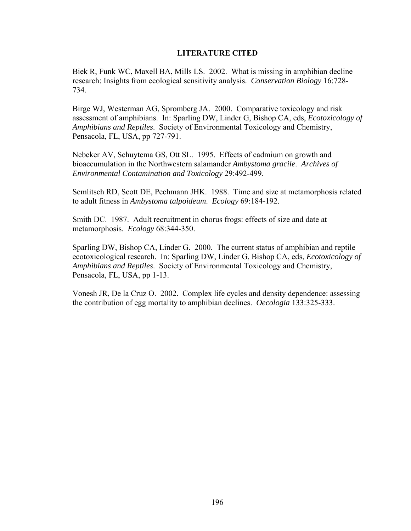## **LITERATURE CITED**

Biek R, Funk WC, Maxell BA, Mills LS. 2002. What is missing in amphibian decline research: Insights from ecological sensitivity analysis. *Conservation Biology* 16:728- 734.

Birge WJ, Westerman AG, Spromberg JA. 2000. Comparative toxicology and risk assessment of amphibians. In: Sparling DW, Linder G, Bishop CA, eds, *Ecotoxicology of Amphibians and Reptiles*. Society of Environmental Toxicology and Chemistry, Pensacola, FL, USA, pp 727-791.

Nebeker AV, Schuytema GS, Ott SL. 1995. Effects of cadmium on growth and bioaccumulation in the Northwestern salamander *Ambystoma gracile*. *Archives of Environmental Contamination and Toxicology* 29:492-499.

Semlitsch RD, Scott DE, Pechmann JHK. 1988. Time and size at metamorphosis related to adult fitness in *Ambystoma talpoideum*. *Ecology* 69:184-192.

Smith DC. 1987. Adult recruitment in chorus frogs: effects of size and date at metamorphosis. *Ecology* 68:344-350.

Sparling DW, Bishop CA, Linder G. 2000. The current status of amphibian and reptile ecotoxicological research. In: Sparling DW, Linder G, Bishop CA, eds, *Ecotoxicology of Amphibians and Reptiles*. Society of Environmental Toxicology and Chemistry, Pensacola, FL, USA, pp 1-13.

Vonesh JR, De la Cruz O. 2002. Complex life cycles and density dependence: assessing the contribution of egg mortality to amphibian declines. *Oecologia* 133:325-333.